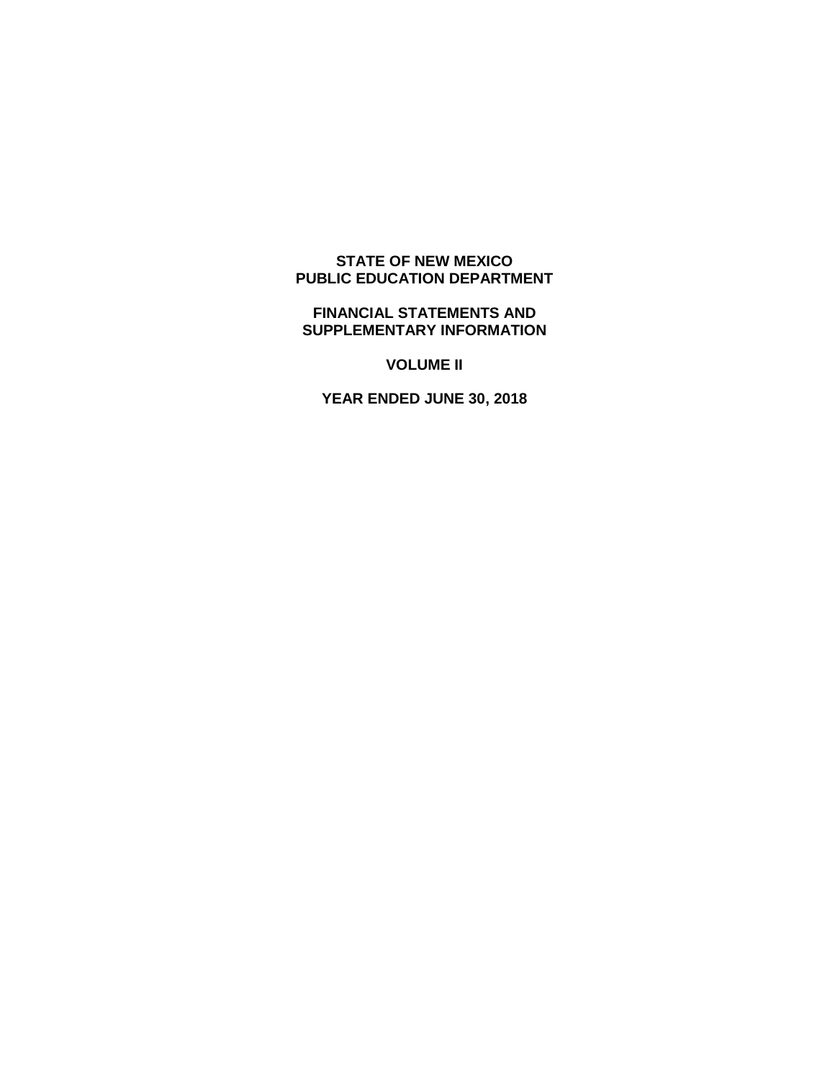### **STATE OF NEW MEXICO PUBLIC EDUCATION DEPARTMENT**

**FINANCIAL STATEMENTS AND SUPPLEMENTARY INFORMATION**

**VOLUME II**

**YEAR ENDED JUNE 30, 2018**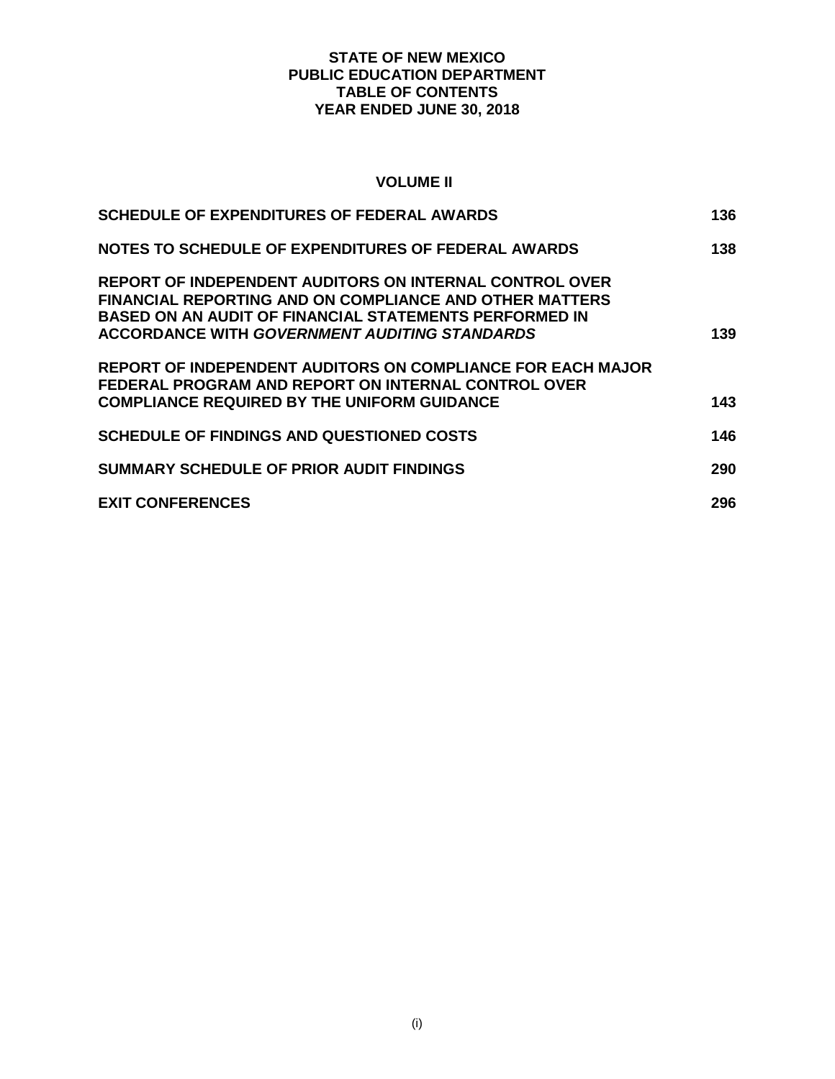### **STATE OF NEW MEXICO PUBLIC EDUCATION DEPARTMENT TABLE OF CONTENTS YEAR ENDED JUNE 30, 2018**

### **VOLUME II**

| <b>SCHEDULE OF EXPENDITURES OF FEDERAL AWARDS</b>                                                                                                                                                                                           | 136 |
|---------------------------------------------------------------------------------------------------------------------------------------------------------------------------------------------------------------------------------------------|-----|
| NOTES TO SCHEDULE OF EXPENDITURES OF FEDERAL AWARDS                                                                                                                                                                                         | 138 |
| REPORT OF INDEPENDENT AUDITORS ON INTERNAL CONTROL OVER<br>FINANCIAL REPORTING AND ON COMPLIANCE AND OTHER MATTERS<br><b>BASED ON AN AUDIT OF FINANCIAL STATEMENTS PERFORMED IN</b><br><b>ACCORDANCE WITH GOVERNMENT AUDITING STANDARDS</b> | 139 |
| REPORT OF INDEPENDENT AUDITORS ON COMPLIANCE FOR EACH MAJOR<br>FEDERAL PROGRAM AND REPORT ON INTERNAL CONTROL OVER<br><b>COMPLIANCE REQUIRED BY THE UNIFORM GUIDANCE</b>                                                                    | 143 |
| <b>SCHEDULE OF FINDINGS AND QUESTIONED COSTS</b>                                                                                                                                                                                            | 146 |
| SUMMARY SCHEDULE OF PRIOR AUDIT FINDINGS                                                                                                                                                                                                    | 290 |
| <b>EXIT CONFERENCES</b>                                                                                                                                                                                                                     | 296 |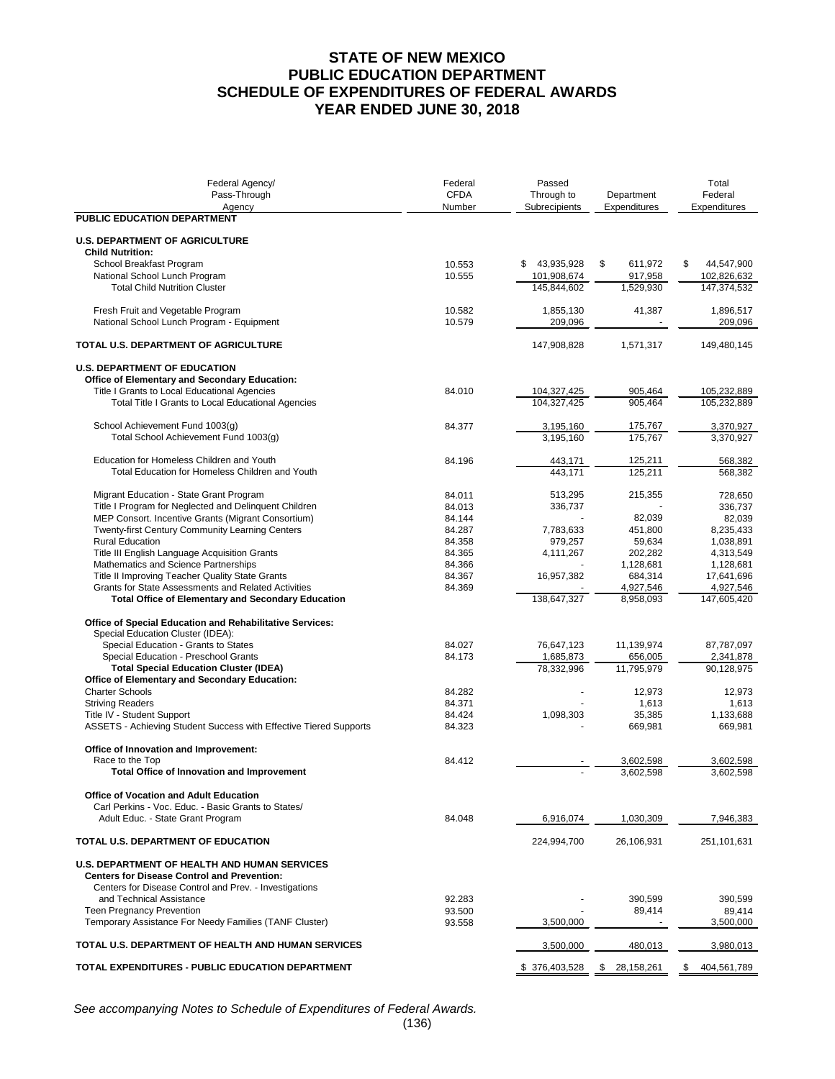### **STATE OF NEW MEXICO PUBLIC EDUCATION DEPARTMENT SCHEDULE OF EXPENDITURES OF FEDERAL AWARDS YEAR ENDED JUNE 30, 2018**

| Federal Agency/                                                                                        | Federal          | Passed               |                      | Total                   |
|--------------------------------------------------------------------------------------------------------|------------------|----------------------|----------------------|-------------------------|
| Pass-Through                                                                                           | <b>CFDA</b>      | Through to           | Department           | Federal                 |
| Agency<br><b>PUBLIC EDUCATION DEPARTMENT</b>                                                           | Number           | Subrecipients        | Expenditures         | Expenditures            |
|                                                                                                        |                  |                      |                      |                         |
| <b>U.S. DEPARTMENT OF AGRICULTURE</b><br><b>Child Nutrition:</b>                                       |                  |                      |                      |                         |
| School Breakfast Program                                                                               | 10.553           | 43,935,928<br>\$     | \$<br>611,972        | \$<br>44.547.900        |
| National School Lunch Program                                                                          | 10.555           | 101,908,674          | 917,958              | 102,826,632             |
| <b>Total Child Nutrition Cluster</b>                                                                   |                  | 145,844,602          | 1,529,930            | 147,374,532             |
|                                                                                                        | 10.582           |                      |                      |                         |
| Fresh Fruit and Vegetable Program<br>National School Lunch Program - Equipment                         | 10.579           | 1,855,130<br>209,096 | 41,387               | 1,896,517<br>209,096    |
|                                                                                                        |                  |                      |                      |                         |
| TOTAL U.S. DEPARTMENT OF AGRICULTURE                                                                   |                  | 147,908,828          | 1,571,317            | 149,480,145             |
| <b>U.S. DEPARTMENT OF EDUCATION</b><br>Office of Elementary and Secondary Education:                   |                  |                      |                      |                         |
| Title I Grants to Local Educational Agencies                                                           | 84.010           | 104,327,425          | 905,464              | 105,232,889             |
| Total Title I Grants to Local Educational Agencies                                                     |                  | 104,327,425          | 905.464              | 105,232,889             |
|                                                                                                        |                  |                      |                      |                         |
| School Achievement Fund 1003(g)                                                                        | 84.377           | 3,195,160            | 175,767              | 3,370,927               |
| Total School Achievement Fund 1003(g)                                                                  |                  | 3,195,160            | 175,767              | 3,370,927               |
|                                                                                                        |                  |                      |                      |                         |
| Education for Homeless Children and Youth<br>Total Education for Homeless Children and Youth           | 84.196           | 443,171<br>443,171   | 125,211<br>125,211   | 568,382<br>568,382      |
|                                                                                                        |                  |                      |                      |                         |
| Migrant Education - State Grant Program                                                                | 84.011           | 513,295              | 215,355              | 728,650                 |
| Title I Program for Neglected and Delinguent Children                                                  | 84.013           | 336,737              |                      | 336,737                 |
| MEP Consort. Incentive Grants (Migrant Consortium)                                                     | 84.144           |                      | 82,039               | 82,039                  |
| Twenty-first Century Community Learning Centers                                                        | 84.287           | 7,783,633            | 451,800              | 8,235,433               |
| <b>Rural Education</b>                                                                                 | 84.358           | 979,257              | 59,634               | 1,038,891               |
| Title III English Language Acquisition Grants                                                          | 84.365           | 4,111,267            | 202,282              | 4,313,549               |
| Mathematics and Science Partnerships                                                                   | 84.366           |                      | 1,128,681            | 1,128,681               |
| Title II Improving Teacher Quality State Grants<br>Grants for State Assessments and Related Activities | 84.367<br>84.369 | 16,957,382           | 684,314<br>4,927,546 | 17,641,696<br>4,927,546 |
| <b>Total Office of Elementary and Secondary Education</b>                                              |                  | 138,647,327          | 8,958,093            | 147,605,420             |
|                                                                                                        |                  |                      |                      |                         |
| Office of Special Education and Rehabilitative Services:<br>Special Education Cluster (IDEA):          |                  |                      |                      |                         |
| Special Education - Grants to States                                                                   | 84.027           | 76,647,123           | 11,139,974           | 87,787,097              |
| Special Education - Preschool Grants                                                                   | 84.173           | 1,685,873            | 656,005              | 2,341,878               |
| <b>Total Special Education Cluster (IDEA)</b>                                                          |                  | 78,332,996           | 11,795,979           | 90,128,975              |
| Office of Elementary and Secondary Education:                                                          |                  |                      |                      |                         |
| <b>Charter Schools</b><br><b>Striving Readers</b>                                                      | 84.282<br>84.371 |                      | 12,973               | 12,973                  |
| Title IV - Student Support                                                                             | 84.424           | 1,098,303            | 1,613<br>35,385      | 1,613<br>1,133,688      |
| ASSETS - Achieving Student Success with Effective Tiered Supports                                      | 84.323           |                      | 669,981              | 669,981                 |
|                                                                                                        |                  |                      |                      |                         |
| Office of Innovation and Improvement:                                                                  |                  |                      |                      |                         |
| Race to the Top                                                                                        | 84.412           |                      | 3,602,598            | 3,602,598               |
| <b>Total Office of Innovation and Improvement</b>                                                      |                  |                      | 3,602,598            | 3,602,598               |
| <b>Office of Vocation and Adult Education</b>                                                          |                  |                      |                      |                         |
| Carl Perkins - Voc. Educ. - Basic Grants to States/                                                    |                  |                      |                      |                         |
| Adult Educ. - State Grant Program                                                                      | 84.048           | 6,916,074            | 1,030,309            | 7,946,383               |
|                                                                                                        |                  |                      |                      |                         |
| TOTAL U.S. DEPARTMENT OF EDUCATION                                                                     |                  | 224,994,700          | 26,106,931           | 251,101,631             |
| <b>U.S. DEPARTMENT OF HEALTH AND HUMAN SERVICES</b>                                                    |                  |                      |                      |                         |
| <b>Centers for Disease Control and Prevention:</b>                                                     |                  |                      |                      |                         |
| Centers for Disease Control and Prev. - Investigations                                                 |                  |                      |                      |                         |
| and Technical Assistance                                                                               | 92.283           |                      | 390,599              | 390,599                 |
| <b>Teen Pregnancy Prevention</b><br>Temporary Assistance For Needy Families (TANF Cluster)             | 93.500<br>93.558 | 3,500,000            | 89,414               | 89,414<br>3,500,000     |
|                                                                                                        |                  |                      |                      |                         |
| TOTAL U.S. DEPARTMENT OF HEALTH AND HUMAN SERVICES                                                     |                  | 3,500,000            | 480,013              | 3,980,013               |
| TOTAL EXPENDITURES - PUBLIC EDUCATION DEPARTMENT                                                       |                  | \$376,403,528        | \$<br>28,158,261     | 404,561,789<br>\$       |
|                                                                                                        |                  |                      |                      |                         |

*See accompanying Notes to Schedule of Expenditures of Federal Awards.*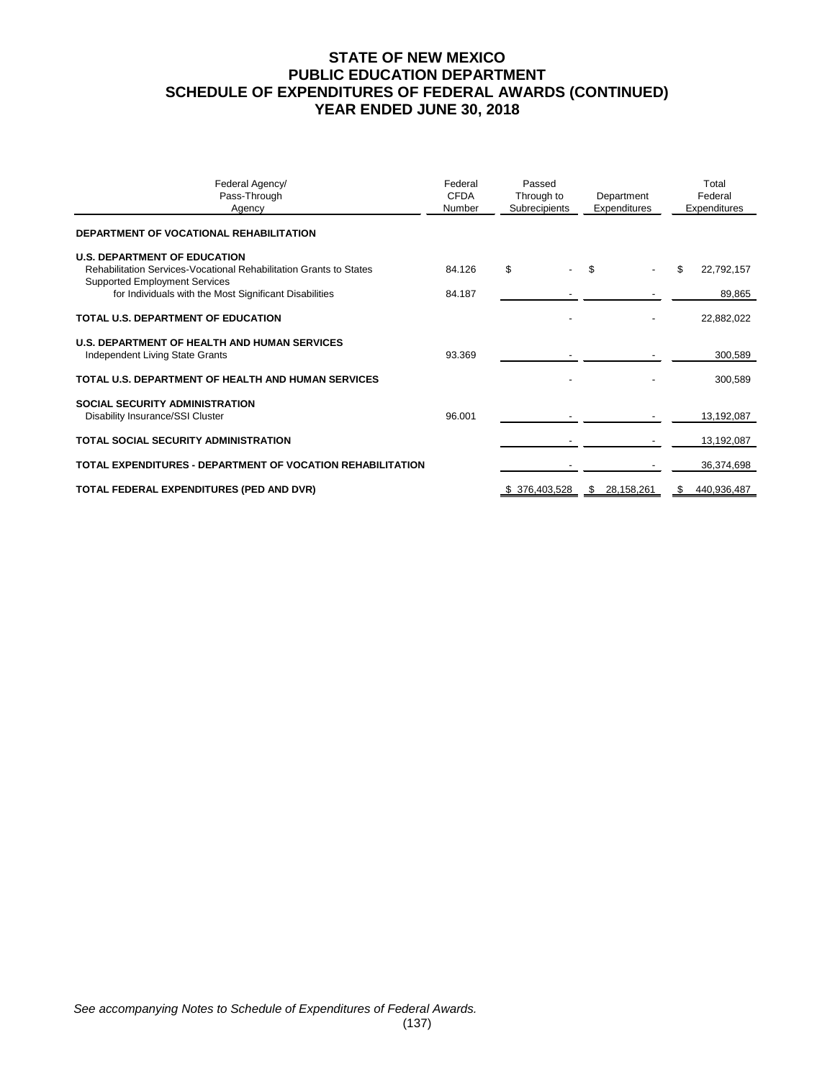### **STATE OF NEW MEXICO PUBLIC EDUCATION DEPARTMENT SCHEDULE OF EXPENDITURES OF FEDERAL AWARDS (CONTINUED) YEAR ENDED JUNE 30, 2018**

| Federal Agency/<br>Pass-Through<br>Agency                                                      | Federal<br><b>CFDA</b><br>Number | Passed<br>Through to<br><b>Subrecipients</b> | Department<br>Expenditures | Total<br>Federal<br>Expenditures |
|------------------------------------------------------------------------------------------------|----------------------------------|----------------------------------------------|----------------------------|----------------------------------|
| DEPARTMENT OF VOCATIONAL REHABILITATION                                                        |                                  |                                              |                            |                                  |
| <b>U.S. DEPARTMENT OF EDUCATION</b>                                                            |                                  |                                              |                            |                                  |
| Rehabilitation Services-Vocational Rehabilitation Grants to States                             | 84.126                           | \$                                           | \$                         | \$<br>22,792,157                 |
| <b>Supported Employment Services</b><br>for Individuals with the Most Significant Disabilities | 84.187                           |                                              |                            | 89,865                           |
| TOTAL U.S. DEPARTMENT OF EDUCATION                                                             |                                  |                                              |                            | 22,882,022                       |
| U.S. DEPARTMENT OF HEALTH AND HUMAN SERVICES<br>Independent Living State Grants                | 93.369                           |                                              |                            | 300,589                          |
| TOTAL U.S. DEPARTMENT OF HEALTH AND HUMAN SERVICES                                             |                                  |                                              |                            | 300,589                          |
| <b>SOCIAL SECURITY ADMINISTRATION</b><br>Disability Insurance/SSI Cluster                      | 96.001                           |                                              |                            | 13,192,087                       |
| <b>TOTAL SOCIAL SECURITY ADMINISTRATION</b>                                                    |                                  |                                              |                            | 13,192,087                       |
| TOTAL EXPENDITURES - DEPARTMENT OF VOCATION REHABILITATION                                     |                                  |                                              |                            | 36,374,698                       |
| TOTAL FEDERAL EXPENDITURES (PED AND DVR)                                                       |                                  | 376,403,528                                  | 28,158,261<br>S            | 440,936,487<br>\$                |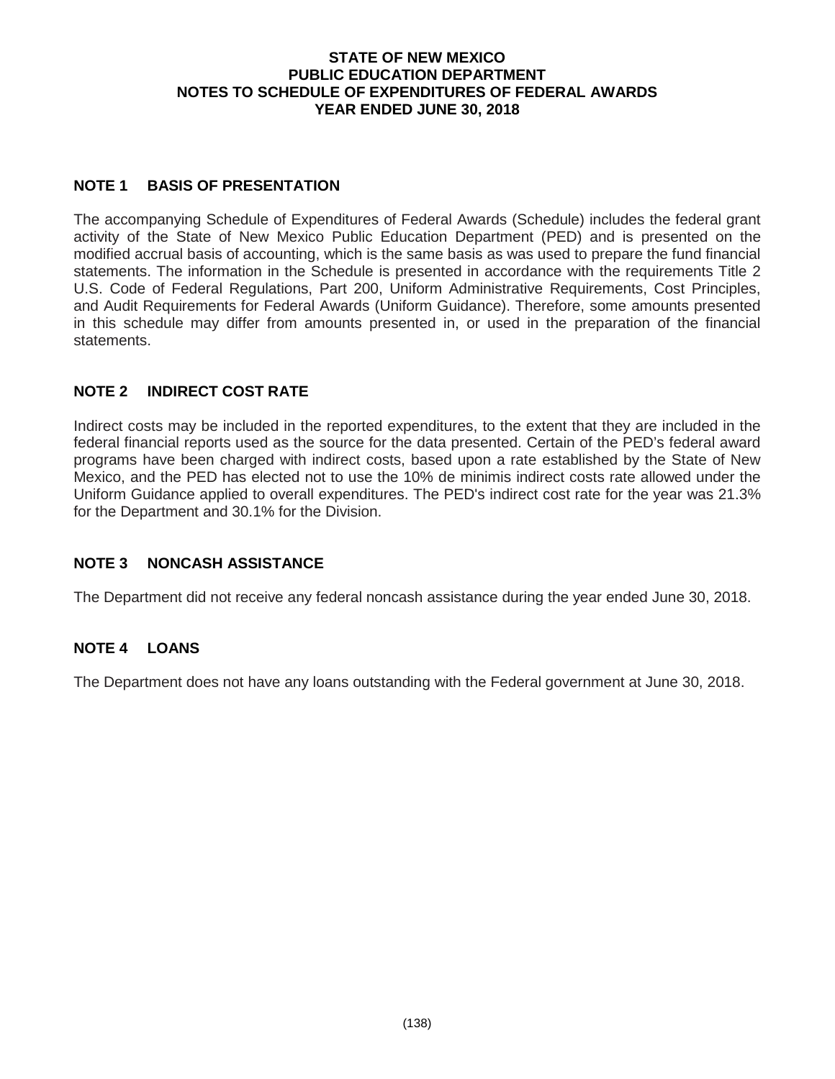### **STATE OF NEW MEXICO PUBLIC EDUCATION DEPARTMENT NOTES TO SCHEDULE OF EXPENDITURES OF FEDERAL AWARDS YEAR ENDED JUNE 30, 2018**

### **NOTE 1 BASIS OF PRESENTATION**

The accompanying Schedule of Expenditures of Federal Awards (Schedule) includes the federal grant activity of the State of New Mexico Public Education Department (PED) and is presented on the modified accrual basis of accounting, which is the same basis as was used to prepare the fund financial statements. The information in the Schedule is presented in accordance with the requirements Title 2 U.S. Code of Federal Regulations, Part 200, Uniform Administrative Requirements, Cost Principles, and Audit Requirements for Federal Awards (Uniform Guidance). Therefore, some amounts presented in this schedule may differ from amounts presented in, or used in the preparation of the financial statements.

### **NOTE 2 INDIRECT COST RATE**

Indirect costs may be included in the reported expenditures, to the extent that they are included in the federal financial reports used as the source for the data presented. Certain of the PED's federal award programs have been charged with indirect costs, based upon a rate established by the State of New Mexico, and the PED has elected not to use the 10% de minimis indirect costs rate allowed under the Uniform Guidance applied to overall expenditures. The PED's indirect cost rate for the year was 21.3% for the Department and 30.1% for the Division.

# **NOTE 3 NONCASH ASSISTANCE**

The Department did not receive any federal noncash assistance during the year ended June 30, 2018.

# **NOTE 4 LOANS**

The Department does not have any loans outstanding with the Federal government at June 30, 2018.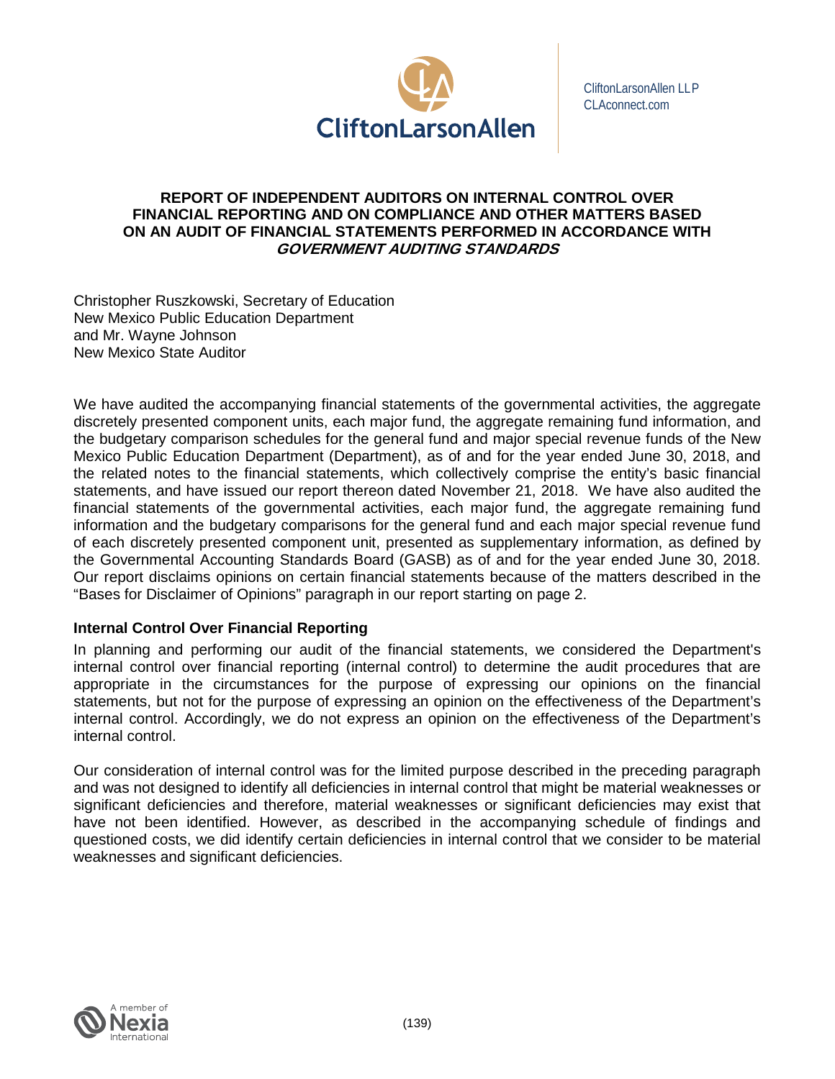

CliftonLarsonAllen LLP CLAconnect.com

#### **REPORT OF INDEPENDENT AUDITORS ON INTERNAL CONTROL OVER FINANCIAL REPORTING AND ON COMPLIANCE AND OTHER MATTERS BASED ON AN AUDIT OF FINANCIAL STATEMENTS PERFORMED IN ACCORDANCE WITH GOVERNMENT AUDITING STANDARDS**

Christopher Ruszkowski, Secretary of Education New Mexico Public Education Department and Mr. Wayne Johnson New Mexico State Auditor

We have audited the accompanying financial statements of the governmental activities, the aggregate discretely presented component units, each major fund, the aggregate remaining fund information, and the budgetary comparison schedules for the general fund and major special revenue funds of the New Mexico Public Education Department (Department), as of and for the year ended June 30, 2018, and the related notes to the financial statements, which collectively comprise the entity's basic financial statements, and have issued our report thereon dated November 21, 2018. We have also audited the financial statements of the governmental activities, each major fund, the aggregate remaining fund information and the budgetary comparisons for the general fund and each major special revenue fund of each discretely presented component unit, presented as supplementary information, as defined by the Governmental Accounting Standards Board (GASB) as of and for the year ended June 30, 2018. Our report disclaims opinions on certain financial statements because of the matters described in the "Bases for Disclaimer of Opinions" paragraph in our report starting on page 2.

## **Internal Control Over Financial Reporting**

In planning and performing our audit of the financial statements, we considered the Department's internal control over financial reporting (internal control) to determine the audit procedures that are appropriate in the circumstances for the purpose of expressing our opinions on the financial statements, but not for the purpose of expressing an opinion on the effectiveness of the Department's internal control. Accordingly, we do not express an opinion on the effectiveness of the Department's internal control.

Our consideration of internal control was for the limited purpose described in the preceding paragraph and was not designed to identify all deficiencies in internal control that might be material weaknesses or significant deficiencies and therefore, material weaknesses or significant deficiencies may exist that have not been identified. However, as described in the accompanying schedule of findings and questioned costs, we did identify certain deficiencies in internal control that we consider to be material weaknesses and significant deficiencies.

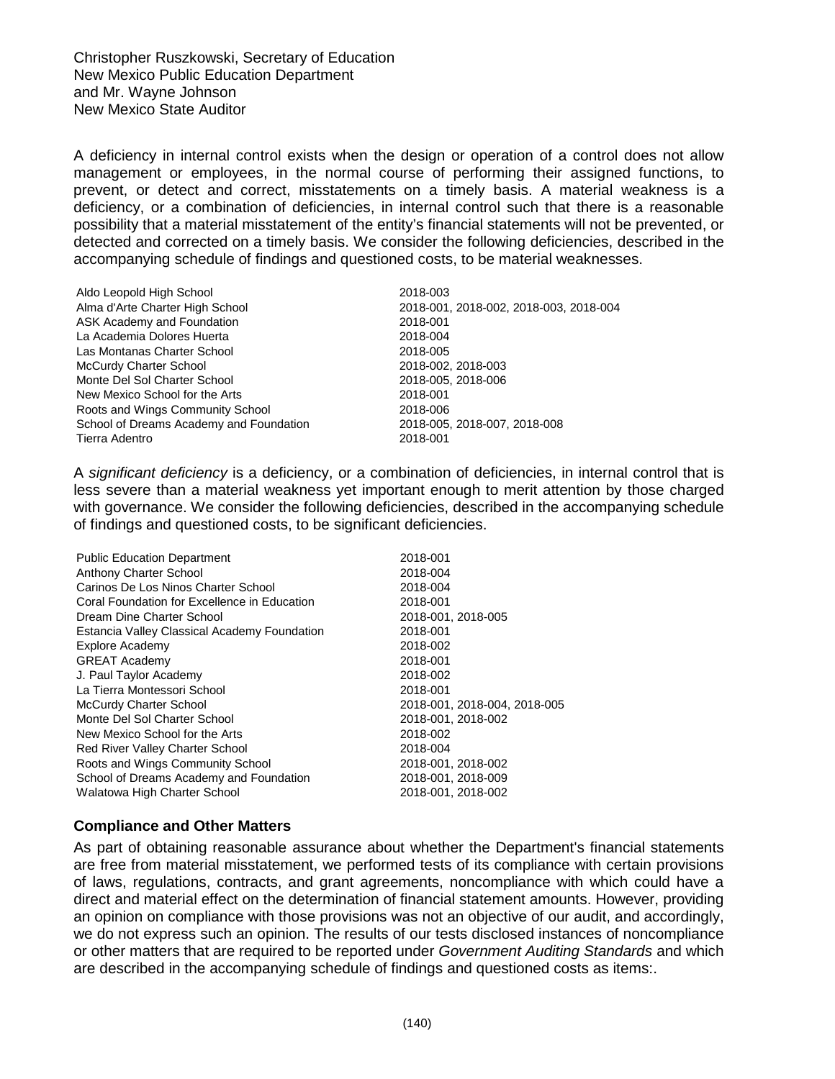A deficiency in internal control exists when the design or operation of a control does not allow management or employees, in the normal course of performing their assigned functions, to prevent, or detect and correct, misstatements on a timely basis. A material weakness is a deficiency, or a combination of deficiencies, in internal control such that there is a reasonable possibility that a material misstatement of the entity's financial statements will not be prevented, or detected and corrected on a timely basis. We consider the following deficiencies, described in the accompanying schedule of findings and questioned costs, to be material weaknesses.

| Aldo Leopold High School                | 2018-003                               |
|-----------------------------------------|----------------------------------------|
| Alma d'Arte Charter High School         | 2018-001, 2018-002, 2018-003, 2018-004 |
| ASK Academy and Foundation              | 2018-001                               |
| La Academia Dolores Huerta              | 2018-004                               |
| Las Montanas Charter School             | 2018-005                               |
| <b>McCurdy Charter School</b>           | 2018-002, 2018-003                     |
| Monte Del Sol Charter School            | 2018-005, 2018-006                     |
| New Mexico School for the Arts          | 2018-001                               |
| Roots and Wings Community School        | 2018-006                               |
| School of Dreams Academy and Foundation | 2018-005, 2018-007, 2018-008           |
| Tierra Adentro                          | 2018-001                               |
|                                         |                                        |

A *significant deficiency* is a deficiency, or a combination of deficiencies, in internal control that is less severe than a material weakness yet important enough to merit attention by those charged with governance. We consider the following deficiencies, described in the accompanying schedule of findings and questioned costs, to be significant deficiencies.

| <b>Public Education Department</b>           | 2018-001                     |
|----------------------------------------------|------------------------------|
| Anthony Charter School                       | 2018-004                     |
| Carinos De Los Ninos Charter School          | 2018-004                     |
| Coral Foundation for Excellence in Education | 2018-001                     |
| Dream Dine Charter School                    | 2018-001, 2018-005           |
| Estancia Valley Classical Academy Foundation | 2018-001                     |
| Explore Academy                              | 2018-002                     |
| <b>GREAT Academy</b>                         | 2018-001                     |
| J. Paul Taylor Academy                       | 2018-002                     |
| La Tierra Montessori School                  | 2018-001                     |
| McCurdy Charter School                       | 2018-001, 2018-004, 2018-005 |
| Monte Del Sol Charter School                 | 2018-001, 2018-002           |
| New Mexico School for the Arts               | 2018-002                     |
| <b>Red River Valley Charter School</b>       | 2018-004                     |
| Roots and Wings Community School             | 2018-001, 2018-002           |
| School of Dreams Academy and Foundation      | 2018-001, 2018-009           |
| Walatowa High Charter School                 | 2018-001, 2018-002           |
|                                              |                              |

#### **Compliance and Other Matters**

As part of obtaining reasonable assurance about whether the Department's financial statements are free from material misstatement, we performed tests of its compliance with certain provisions of laws, regulations, contracts, and grant agreements, noncompliance with which could have a direct and material effect on the determination of financial statement amounts. However, providing an opinion on compliance with those provisions was not an objective of our audit, and accordingly, we do not express such an opinion. The results of our tests disclosed instances of noncompliance or other matters that are required to be reported under *Government Auditing Standards* and which are described in the accompanying schedule of findings and questioned costs as items:.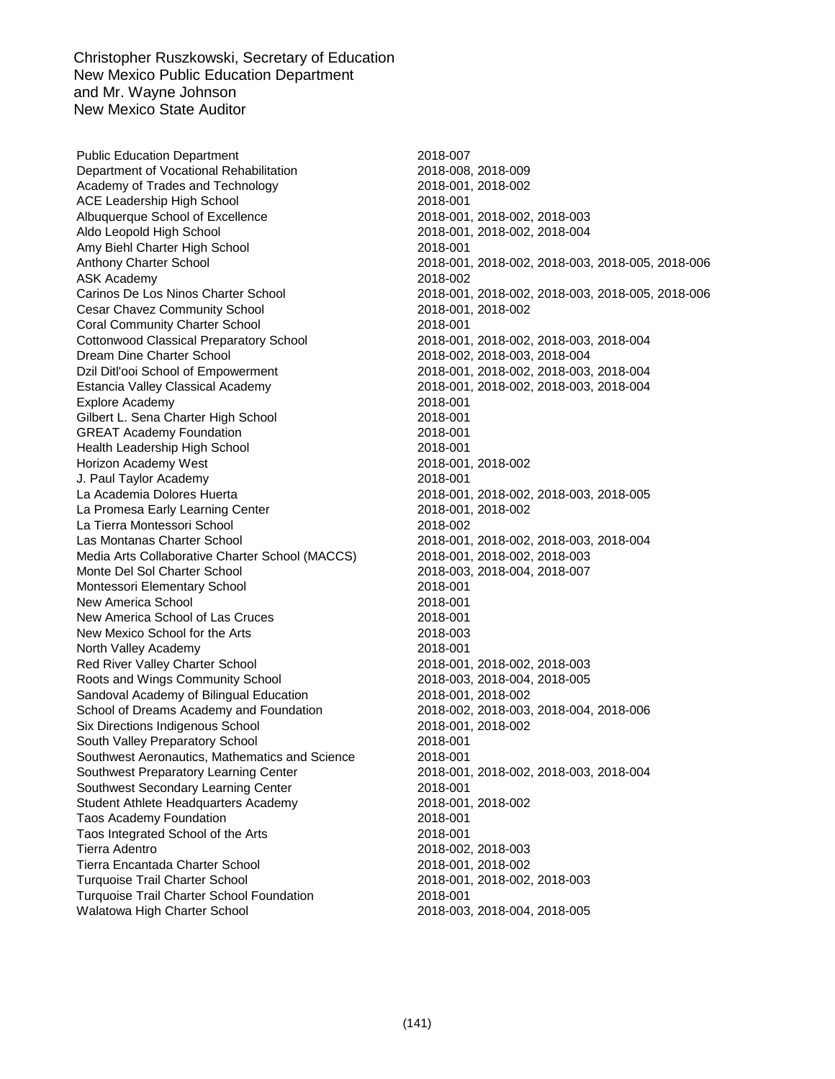Public Education Department 2018-007 Department of Vocational Rehabilitation 2018-008, 2018-009 Academy of Trades and Technology 2018-001, 2018-002 ACE Leadership High School 2018-001<br>Albuquerque School of Excellence 2018-001, 2018-002, 2018-003 Albuquerque School of Excellence Aldo Leopold High School 2018-001, 2018-002, 2018-004 Amy Biehl Charter High School 2018-001 ASK Academy 2018-002 Cesar Chavez Community School 2018-001, 2018-002 Coral Community Charter School 2018-001 Dream Dine Charter School 2018-002, 2018-003, 2018-004 Dzil Ditl'ooi School of Empowerment 2018-001, 2018-002, 2018-003, 2018-004 Estancia Valley Classical Academy 2018-001, 2018-002, 2018-003, 2018-004 Explore Academy 2018-001 Gilbert L. Sena Charter High School 2018-001 GREAT Academy Foundation 2018-001 Health Leadership High School 2018-001 Horizon Academy West 2018-001, 2018-002 J. Paul Taylor Academy 2018-001 La Academia Dolores Huerta 2018-001, 2018-002, 2018-003, 2018-005 La Promesa Early Learning Center 2018-001, 2018-002<br>
La Tierra Montessori School 2018-002 La Tierra Montessori School<br>Las Montanas Charter School Media Arts Collaborative Charter School (MACCS) Monte Del Sol Charter School 2018-003, 2018-004, 2018-007 Montessori Elementary School 2018-001 New America School 2018-001 New America School of Las Cruces 2018-001 New Mexico School for the Arts 2018-003 North Valley Academy 2018-001 Red River Valley Charter School 2018-001, 2018-002, 2018-003 Roots and Wings Community School 2018-003, 2018-004, 2018-005 Sandoval Academy of Bilingual Education 2018-001, 2018-002 School of Dreams Academy and Foundation 2018-002, 2018-003, 2018-004, 2018-006 Six Directions Indigenous School 2018-001, 2018-002 South Valley Preparatory School 2018-001 Southwest Aeronautics, Mathematics and Science 2018-001 Southwest Preparatory Learning Center 2018-001, 2018-002, 2018-003, 2018-004 Southwest Secondary Learning Center 2018-001<br>
Student Athlete Headquarters Academy 2018-001, 2018-002 Student Athlete Headquarters Academy 2018-001,<br>Taos Academy Foundation 2018-001 Taos Academy Foundation Taos Integrated School of the Arts 2018-001 Tierra Adentro 2018-002, 2018-003 Tierra Encantada Charter School Turquoise Trail Charter School 2018-001, 2018-002, 2018-003 Turquoise Trail Charter School Foundation 2018-001 Walatowa High Charter School 2018-003, 2018-004, 2018-005

Anthony Charter School 2018-001, 2018-002, 2018-003, 2018-005, 2018-006 Carinos De Los Ninos Charter School 2018-001, 2018-002, 2018-003, 2018-005, 2018-006 Cottonwood Classical Preparatory School 2018-001, 2018-002, 2018-003, 2018-004 2018-001, 2018-002, 2018-003, 2018-004<br>2018-001, 2018-002, 2018-003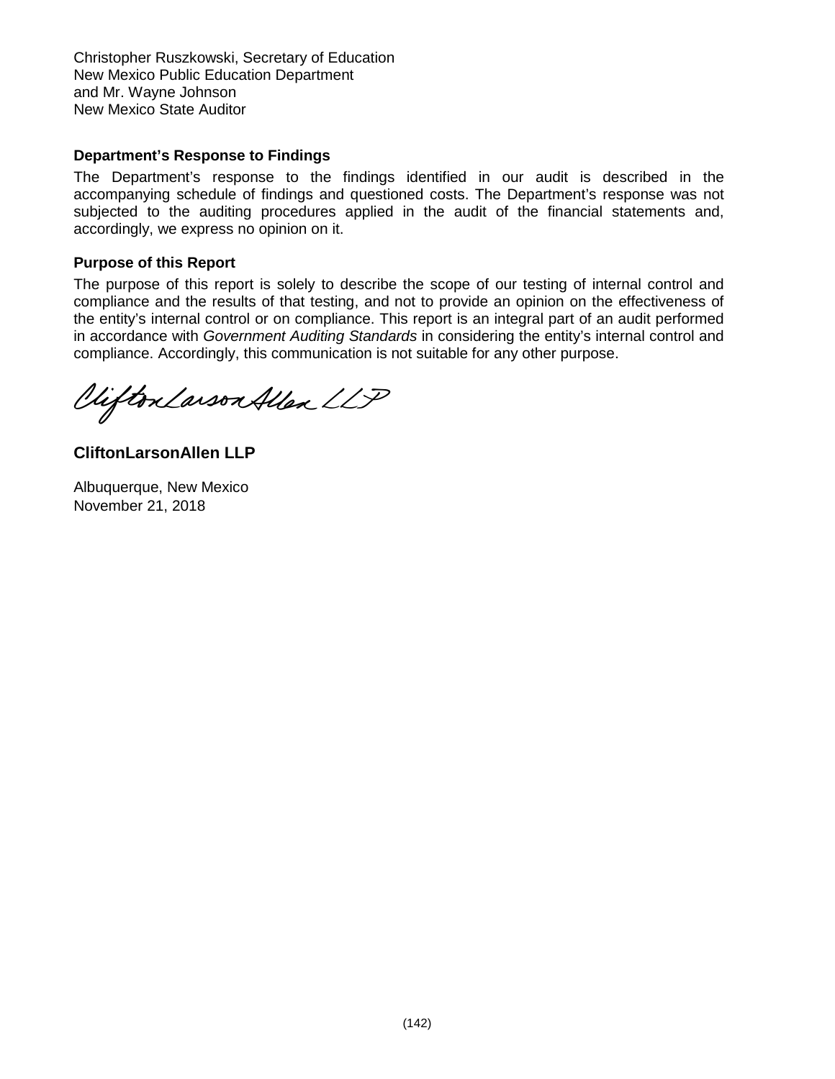### **Department's Response to Findings**

The Department's response to the findings identified in our audit is described in the accompanying schedule of findings and questioned costs. The Department's response was not subjected to the auditing procedures applied in the audit of the financial statements and, accordingly, we express no opinion on it.

#### **Purpose of this Report**

The purpose of this report is solely to describe the scope of our testing of internal control and compliance and the results of that testing, and not to provide an opinion on the effectiveness of the entity's internal control or on compliance. This report is an integral part of an audit performed in accordance with *Government Auditing Standards* in considering the entity's internal control and compliance. Accordingly, this communication is not suitable for any other purpose.

Viifton Larson Allen LLP

**CliftonLarsonAllen LLP**

Albuquerque, New Mexico November 21, 2018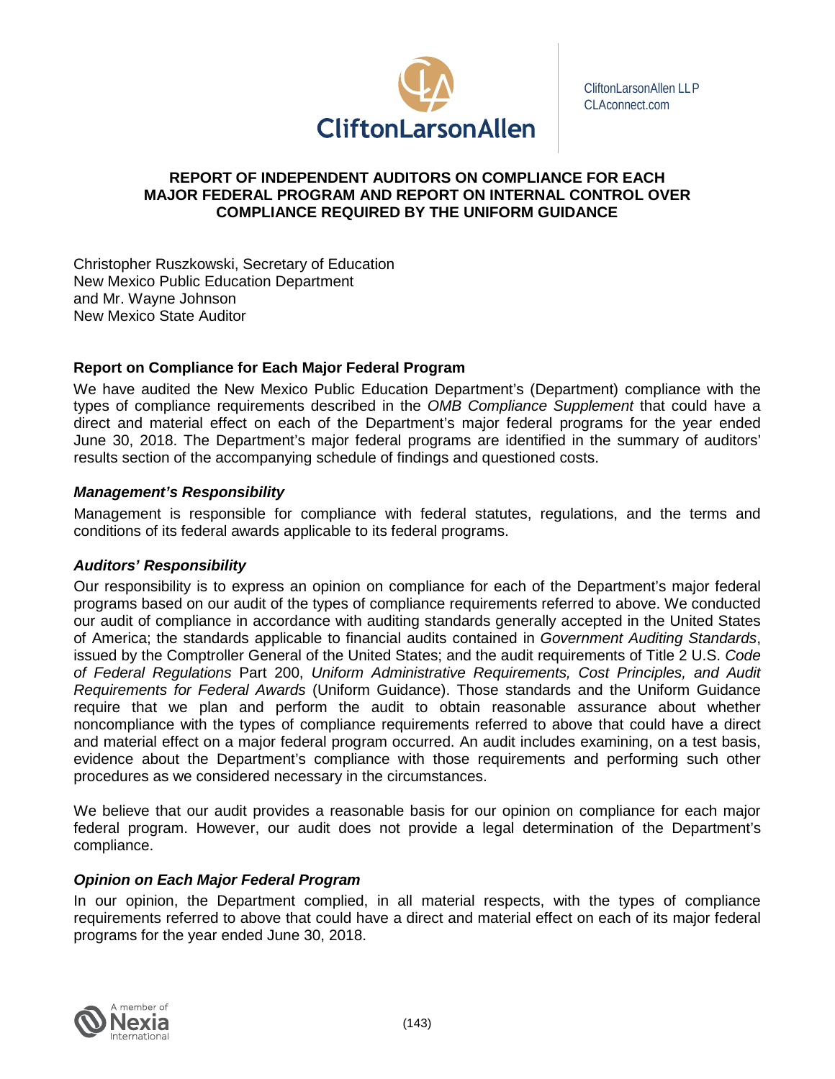

CliftonLarsonAllen LLP CLAconnect.com

### **REPORT OF INDEPENDENT AUDITORS ON COMPLIANCE FOR EACH MAJOR FEDERAL PROGRAM AND REPORT ON INTERNAL CONTROL OVER COMPLIANCE REQUIRED BY THE UNIFORM GUIDANCE**

Christopher Ruszkowski, Secretary of Education New Mexico Public Education Department and Mr. Wayne Johnson New Mexico State Auditor

### **Report on Compliance for Each Major Federal Program**

We have audited the New Mexico Public Education Department's (Department) compliance with the types of compliance requirements described in the *OMB Compliance Supplement* that could have a direct and material effect on each of the Department's major federal programs for the year ended June 30, 2018. The Department's major federal programs are identified in the summary of auditors' results section of the accompanying schedule of findings and questioned costs.

### *Management's Responsibility*

Management is responsible for compliance with federal statutes, regulations, and the terms and conditions of its federal awards applicable to its federal programs.

#### *Auditors' Responsibility*

Our responsibility is to express an opinion on compliance for each of the Department's major federal programs based on our audit of the types of compliance requirements referred to above. We conducted our audit of compliance in accordance with auditing standards generally accepted in the United States of America; the standards applicable to financial audits contained in *Government Auditing Standards*, issued by the Comptroller General of the United States; and the audit requirements of Title 2 U.S. *Code of Federal Regulations* Part 200, *Uniform Administrative Requirements, Cost Principles, and Audit Requirements for Federal Awards* (Uniform Guidance). Those standards and the Uniform Guidance require that we plan and perform the audit to obtain reasonable assurance about whether noncompliance with the types of compliance requirements referred to above that could have a direct and material effect on a major federal program occurred. An audit includes examining, on a test basis, evidence about the Department's compliance with those requirements and performing such other procedures as we considered necessary in the circumstances.

We believe that our audit provides a reasonable basis for our opinion on compliance for each major federal program. However, our audit does not provide a legal determination of the Department's compliance.

### *Opinion on Each Major Federal Program*

In our opinion, the Department complied, in all material respects, with the types of compliance requirements referred to above that could have a direct and material effect on each of its major federal programs for the year ended June 30, 2018.

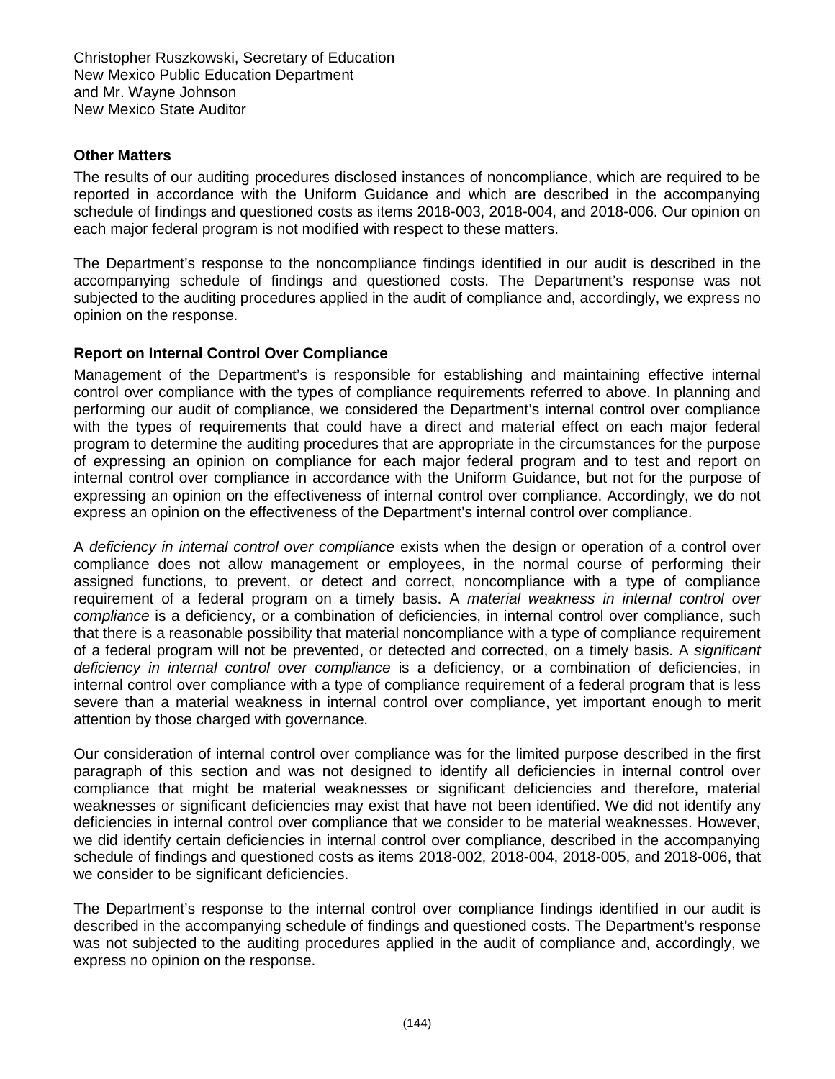### **Other Matters**

The results of our auditing procedures disclosed instances of noncompliance, which are required to be reported in accordance with the Uniform Guidance and which are described in the accompanying schedule of findings and questioned costs as items 2018-003, 2018-004, and 2018-006. Our opinion on each major federal program is not modified with respect to these matters.

The Department's response to the noncompliance findings identified in our audit is described in the accompanying schedule of findings and questioned costs. The Department's response was not subjected to the auditing procedures applied in the audit of compliance and, accordingly, we express no opinion on the response.

### **Report on Internal Control Over Compliance**

Management of the Department's is responsible for establishing and maintaining effective internal control over compliance with the types of compliance requirements referred to above. In planning and performing our audit of compliance, we considered the Department's internal control over compliance with the types of requirements that could have a direct and material effect on each major federal program to determine the auditing procedures that are appropriate in the circumstances for the purpose of expressing an opinion on compliance for each major federal program and to test and report on internal control over compliance in accordance with the Uniform Guidance, but not for the purpose of expressing an opinion on the effectiveness of internal control over compliance. Accordingly, we do not express an opinion on the effectiveness of the Department's internal control over compliance.

A *deficiency in internal control over compliance* exists when the design or operation of a control over compliance does not allow management or employees, in the normal course of performing their assigned functions, to prevent, or detect and correct, noncompliance with a type of compliance requirement of a federal program on a timely basis. A *material weakness in internal control over compliance* is a deficiency, or a combination of deficiencies, in internal control over compliance, such that there is a reasonable possibility that material noncompliance with a type of compliance requirement of a federal program will not be prevented, or detected and corrected, on a timely basis. A *significant deficiency in internal control over compliance* is a deficiency, or a combination of deficiencies, in internal control over compliance with a type of compliance requirement of a federal program that is less severe than a material weakness in internal control over compliance, yet important enough to merit attention by those charged with governance.

Our consideration of internal control over compliance was for the limited purpose described in the first paragraph of this section and was not designed to identify all deficiencies in internal control over compliance that might be material weaknesses or significant deficiencies and therefore, material weaknesses or significant deficiencies may exist that have not been identified. We did not identify any deficiencies in internal control over compliance that we consider to be material weaknesses. However, we did identify certain deficiencies in internal control over compliance, described in the accompanying schedule of findings and questioned costs as items 2018-002, 2018-004, 2018-005, and 2018-006, that we consider to be significant deficiencies.

The Department's response to the internal control over compliance findings identified in our audit is described in the accompanying schedule of findings and questioned costs. The Department's response was not subjected to the auditing procedures applied in the audit of compliance and, accordingly, we express no opinion on the response.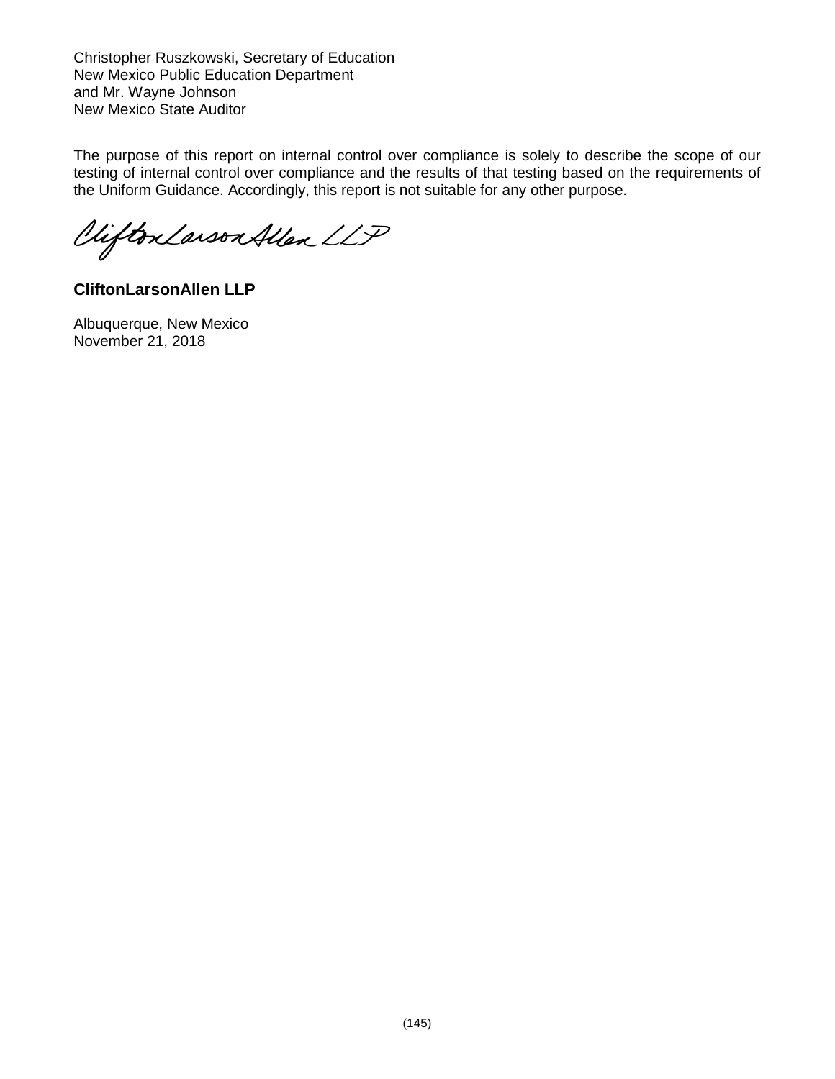The purpose of this report on internal control over compliance is solely to describe the scope of our testing of internal control over compliance and the results of that testing based on the requirements of the Uniform Guidance. Accordingly, this report is not suitable for any other purpose.

Vifton Larson Allen LLP

**CliftonLarsonAllen LLP**

Albuquerque, New Mexico November 21, 2018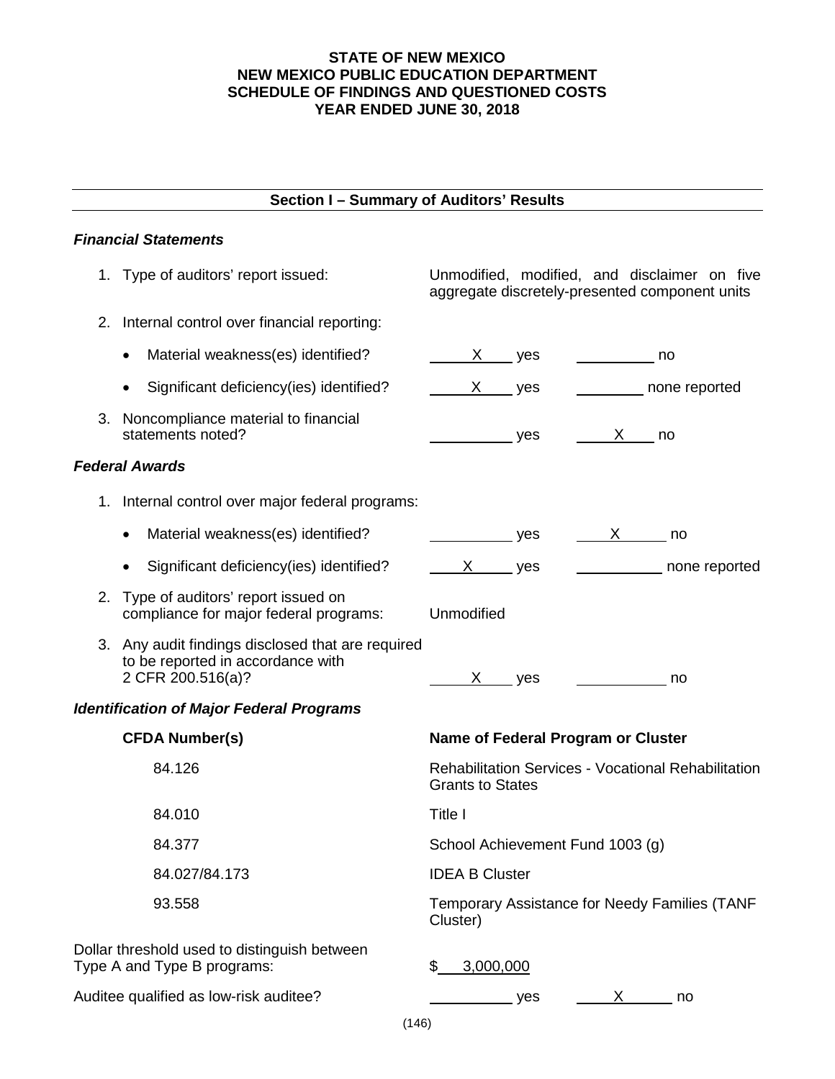# **Section I – Summary of Auditors' Results**

### *Financial Statements*

|    | 1. Type of auditors' report issued:                                                                         | Unmodified, modified, and disclaimer on five<br>aggregate discretely-presented component units                                                                                                                                                                                                                                                                                                                                                                                               |
|----|-------------------------------------------------------------------------------------------------------------|----------------------------------------------------------------------------------------------------------------------------------------------------------------------------------------------------------------------------------------------------------------------------------------------------------------------------------------------------------------------------------------------------------------------------------------------------------------------------------------------|
| 2. | Internal control over financial reporting:                                                                  |                                                                                                                                                                                                                                                                                                                                                                                                                                                                                              |
|    | Material weakness(es) identified?<br>٠                                                                      | $X$ yes<br>no                                                                                                                                                                                                                                                                                                                                                                                                                                                                                |
|    | Significant deficiency(ies) identified?<br>$\bullet$                                                        | $X \qquad \qquad$<br>none reported<br>yes                                                                                                                                                                                                                                                                                                                                                                                                                                                    |
|    | 3. Noncompliance material to financial<br>statements noted?                                                 | X no<br>yes                                                                                                                                                                                                                                                                                                                                                                                                                                                                                  |
|    | <b>Federal Awards</b>                                                                                       |                                                                                                                                                                                                                                                                                                                                                                                                                                                                                              |
| 1. | Internal control over major federal programs:                                                               |                                                                                                                                                                                                                                                                                                                                                                                                                                                                                              |
|    | Material weakness(es) identified?<br>٠                                                                      | $\overline{\phantom{1}}$ $\overline{\phantom{1}}$ $\overline{\phantom{1}}$ $\overline{\phantom{1}}$ $\overline{\phantom{1}}$ $\overline{\phantom{1}}$ $\overline{\phantom{1}}$ $\overline{\phantom{1}}$ $\overline{\phantom{1}}$ $\overline{\phantom{1}}$ $\overline{\phantom{1}}$ $\overline{\phantom{1}}$ $\overline{\phantom{1}}$ $\overline{\phantom{1}}$ $\overline{\phantom{1}}$ $\overline{\phantom{1}}$ $\overline{\phantom{1}}$ $\overline{\phantom{1}}$ $\overline{\$<br>yes<br>no |
|    | Significant deficiency(ies) identified?<br>$\bullet$                                                        | $X \sim$<br>none reported<br>yes                                                                                                                                                                                                                                                                                                                                                                                                                                                             |
| 2. | Type of auditors' report issued on<br>compliance for major federal programs:                                | Unmodified                                                                                                                                                                                                                                                                                                                                                                                                                                                                                   |
|    | 3. Any audit findings disclosed that are required<br>to be reported in accordance with<br>2 CFR 200.516(a)? | <u>X yes</u><br>no                                                                                                                                                                                                                                                                                                                                                                                                                                                                           |
|    | <b>Identification of Major Federal Programs</b>                                                             |                                                                                                                                                                                                                                                                                                                                                                                                                                                                                              |
|    | <b>CFDA Number(s)</b>                                                                                       | Name of Federal Program or Cluster                                                                                                                                                                                                                                                                                                                                                                                                                                                           |
|    | 84.126                                                                                                      | Rehabilitation Services - Vocational Rehabilitation<br><b>Grants to States</b>                                                                                                                                                                                                                                                                                                                                                                                                               |
|    | 84.010                                                                                                      | Title I                                                                                                                                                                                                                                                                                                                                                                                                                                                                                      |
|    | 84.377                                                                                                      | School Achievement Fund 1003 (g)                                                                                                                                                                                                                                                                                                                                                                                                                                                             |
|    | 84.027/84.173                                                                                               | <b>IDEA B Cluster</b>                                                                                                                                                                                                                                                                                                                                                                                                                                                                        |
|    | 93.558                                                                                                      | Temporary Assistance for Needy Families (TANF<br>Cluster)                                                                                                                                                                                                                                                                                                                                                                                                                                    |
|    | Dollar threshold used to distinguish between<br>Type A and Type B programs:                                 | 3,000,000<br>\$                                                                                                                                                                                                                                                                                                                                                                                                                                                                              |
|    | Auditee qualified as low-risk auditee?                                                                      | X.<br>no<br>yes                                                                                                                                                                                                                                                                                                                                                                                                                                                                              |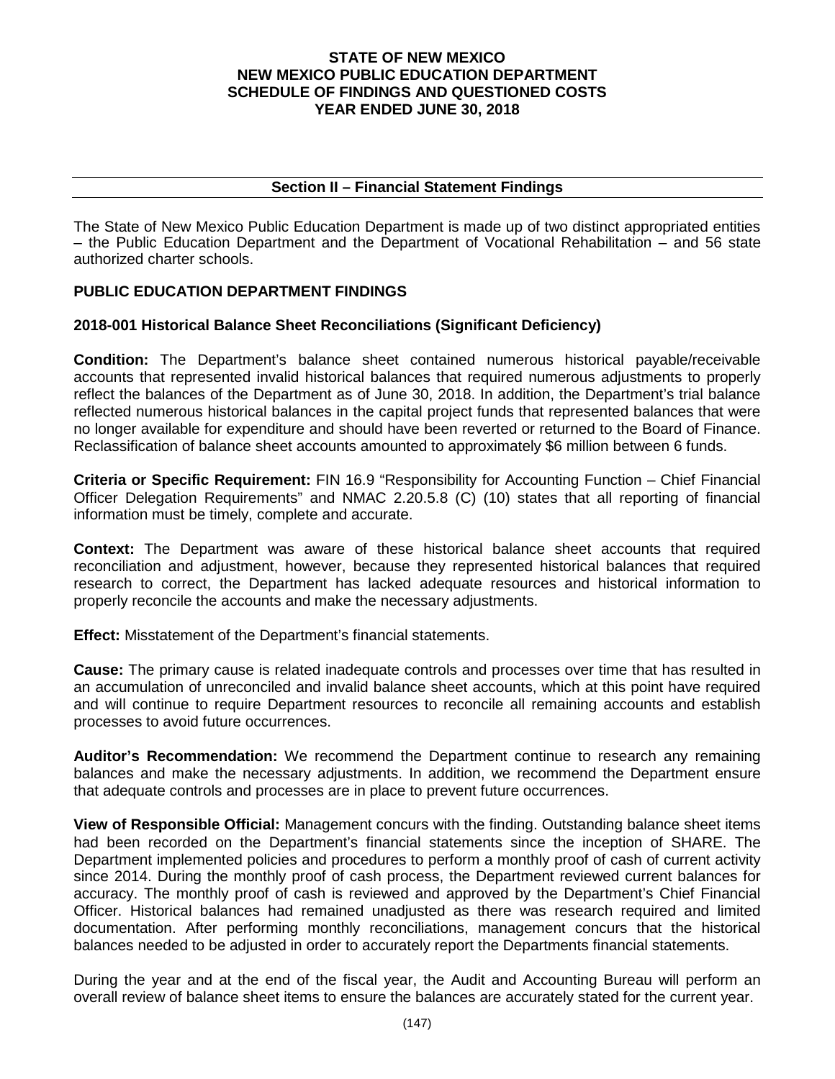### **Section II – Financial Statement Findings**

The State of New Mexico Public Education Department is made up of two distinct appropriated entities – the Public Education Department and the Department of Vocational Rehabilitation – and 56 state authorized charter schools.

## **PUBLIC EDUCATION DEPARTMENT FINDINGS**

## **2018-001 Historical Balance Sheet Reconciliations (Significant Deficiency)**

**Condition:** The Department's balance sheet contained numerous historical payable/receivable accounts that represented invalid historical balances that required numerous adjustments to properly reflect the balances of the Department as of June 30, 2018. In addition, the Department's trial balance reflected numerous historical balances in the capital project funds that represented balances that were no longer available for expenditure and should have been reverted or returned to the Board of Finance. Reclassification of balance sheet accounts amounted to approximately \$6 million between 6 funds.

**Criteria or Specific Requirement:** FIN 16.9 "Responsibility for Accounting Function – Chief Financial Officer Delegation Requirements" and NMAC 2.20.5.8 (C) (10) states that all reporting of financial information must be timely, complete and accurate.

**Context:** The Department was aware of these historical balance sheet accounts that required reconciliation and adjustment, however, because they represented historical balances that required research to correct, the Department has lacked adequate resources and historical information to properly reconcile the accounts and make the necessary adjustments.

**Effect:** Misstatement of the Department's financial statements.

**Cause:** The primary cause is related inadequate controls and processes over time that has resulted in an accumulation of unreconciled and invalid balance sheet accounts, which at this point have required and will continue to require Department resources to reconcile all remaining accounts and establish processes to avoid future occurrences.

**Auditor's Recommendation:** We recommend the Department continue to research any remaining balances and make the necessary adjustments. In addition, we recommend the Department ensure that adequate controls and processes are in place to prevent future occurrences.

**View of Responsible Official:** Management concurs with the finding. Outstanding balance sheet items had been recorded on the Department's financial statements since the inception of SHARE. The Department implemented policies and procedures to perform a monthly proof of cash of current activity since 2014. During the monthly proof of cash process, the Department reviewed current balances for accuracy. The monthly proof of cash is reviewed and approved by the Department's Chief Financial Officer. Historical balances had remained unadjusted as there was research required and limited documentation. After performing monthly reconciliations, management concurs that the historical balances needed to be adjusted in order to accurately report the Departments financial statements.

During the year and at the end of the fiscal year, the Audit and Accounting Bureau will perform an overall review of balance sheet items to ensure the balances are accurately stated for the current year.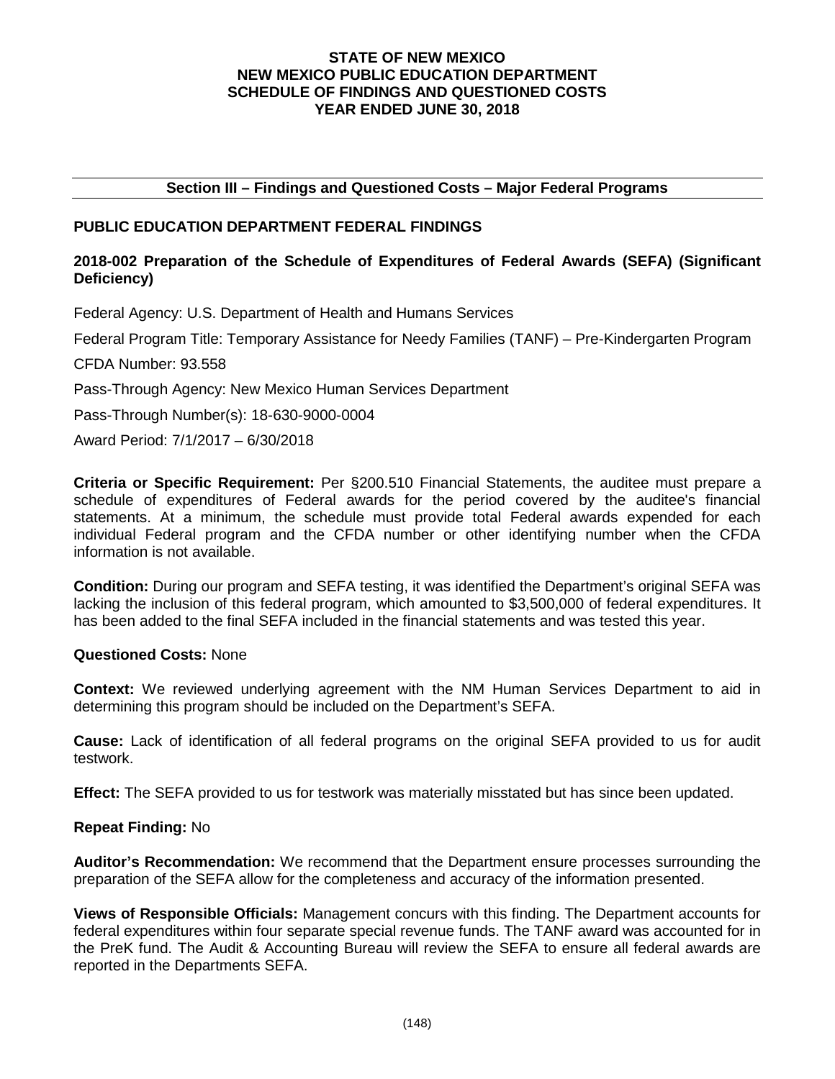### **Section III – Findings and Questioned Costs – Major Federal Programs**

### **PUBLIC EDUCATION DEPARTMENT FEDERAL FINDINGS**

### **2018-002 Preparation of the Schedule of Expenditures of Federal Awards (SEFA) (Significant Deficiency)**

Federal Agency: U.S. Department of Health and Humans Services

Federal Program Title: Temporary Assistance for Needy Families (TANF) – Pre-Kindergarten Program

CFDA Number: 93.558

Pass-Through Agency: New Mexico Human Services Department

Pass-Through Number(s): 18-630-9000-0004

Award Period: 7/1/2017 – 6/30/2018

**Criteria or Specific Requirement:** Per §200.510 Financial Statements, the auditee must prepare a schedule of expenditures of Federal awards for the period covered by the auditee's financial statements. At a minimum, the schedule must provide total Federal awards expended for each individual Federal program and the CFDA number or other identifying number when the CFDA information is not available.

**Condition:** During our program and SEFA testing, it was identified the Department's original SEFA was lacking the inclusion of this federal program, which amounted to \$3,500,000 of federal expenditures. It has been added to the final SEFA included in the financial statements and was tested this year.

#### **Questioned Costs:** None

**Context:** We reviewed underlying agreement with the NM Human Services Department to aid in determining this program should be included on the Department's SEFA.

**Cause:** Lack of identification of all federal programs on the original SEFA provided to us for audit testwork.

**Effect:** The SEFA provided to us for testwork was materially misstated but has since been updated.

#### **Repeat Finding:** No

**Auditor's Recommendation:** We recommend that the Department ensure processes surrounding the preparation of the SEFA allow for the completeness and accuracy of the information presented.

**Views of Responsible Officials:** Management concurs with this finding. The Department accounts for federal expenditures within four separate special revenue funds. The TANF award was accounted for in the PreK fund. The Audit & Accounting Bureau will review the SEFA to ensure all federal awards are reported in the Departments SEFA.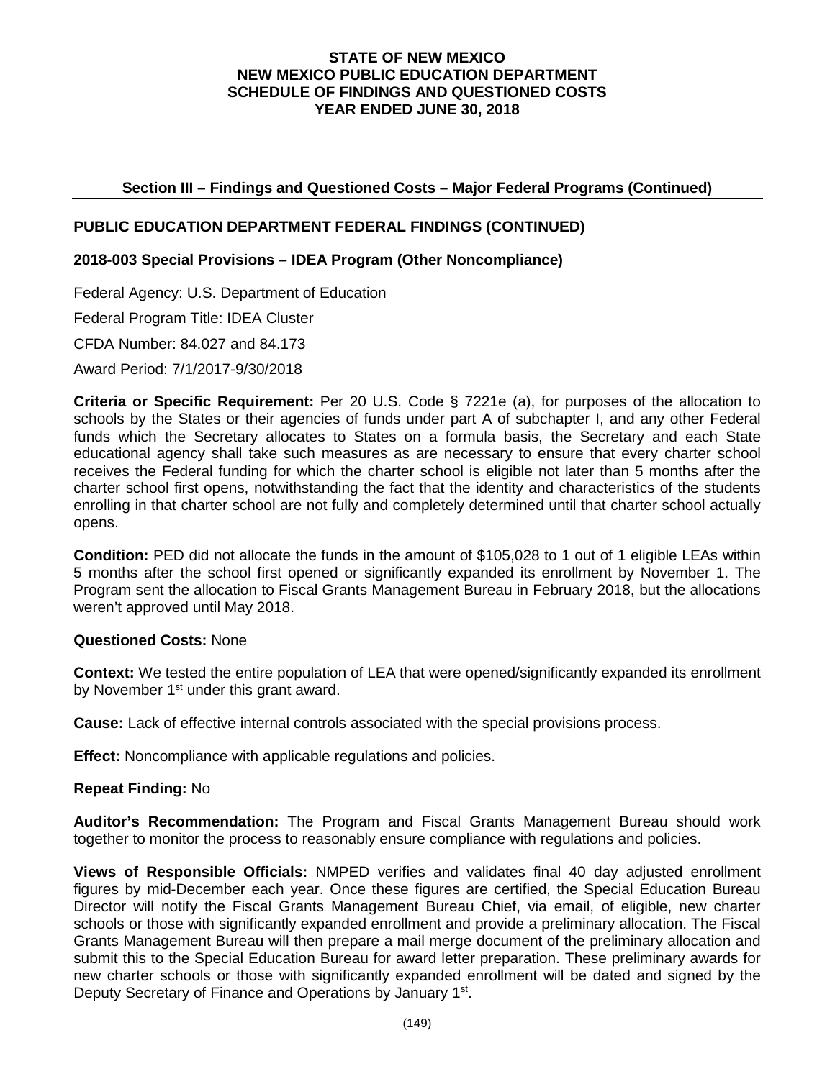### **Section III – Findings and Questioned Costs – Major Federal Programs (Continued)**

### **PUBLIC EDUCATION DEPARTMENT FEDERAL FINDINGS (CONTINUED)**

### **2018-003 Special Provisions – IDEA Program (Other Noncompliance)**

Federal Agency: U.S. Department of Education

Federal Program Title: IDEA Cluster

CFDA Number: 84.027 and 84.173

Award Period: 7/1/2017-9/30/2018

**Criteria or Specific Requirement:** Per 20 U.S. Code § 7221e (a), for purposes of the allocation to schools by the States or their agencies of funds under part A of subchapter I, and any other Federal funds which the Secretary allocates to States on a formula basis, the Secretary and each State educational agency shall take such measures as are necessary to ensure that every charter school receives the Federal funding for which the charter school is eligible not later than 5 months after the charter school first opens, notwithstanding the fact that the identity and characteristics of the students enrolling in that charter school are not fully and completely determined until that charter school actually opens.

**Condition:** PED did not allocate the funds in the amount of \$105,028 to 1 out of 1 eligible LEAs within 5 months after the school first opened or significantly expanded its enrollment by November 1. The Program sent the allocation to Fiscal Grants Management Bureau in February 2018, but the allocations weren't approved until May 2018.

#### **Questioned Costs:** None

**Context:** We tested the entire population of LEA that were opened/significantly expanded its enrollment by November 1<sup>st</sup> under this grant award.

**Cause:** Lack of effective internal controls associated with the special provisions process.

**Effect:** Noncompliance with applicable regulations and policies.

#### **Repeat Finding:** No

**Auditor's Recommendation:** The Program and Fiscal Grants Management Bureau should work together to monitor the process to reasonably ensure compliance with regulations and policies.

**Views of Responsible Officials:** NMPED verifies and validates final 40 day adjusted enrollment figures by mid-December each year. Once these figures are certified, the Special Education Bureau Director will notify the Fiscal Grants Management Bureau Chief, via email, of eligible, new charter schools or those with significantly expanded enrollment and provide a preliminary allocation. The Fiscal Grants Management Bureau will then prepare a mail merge document of the preliminary allocation and submit this to the Special Education Bureau for award letter preparation. These preliminary awards for new charter schools or those with significantly expanded enrollment will be dated and signed by the Deputy Secretary of Finance and Operations by January 1<sup>st</sup>.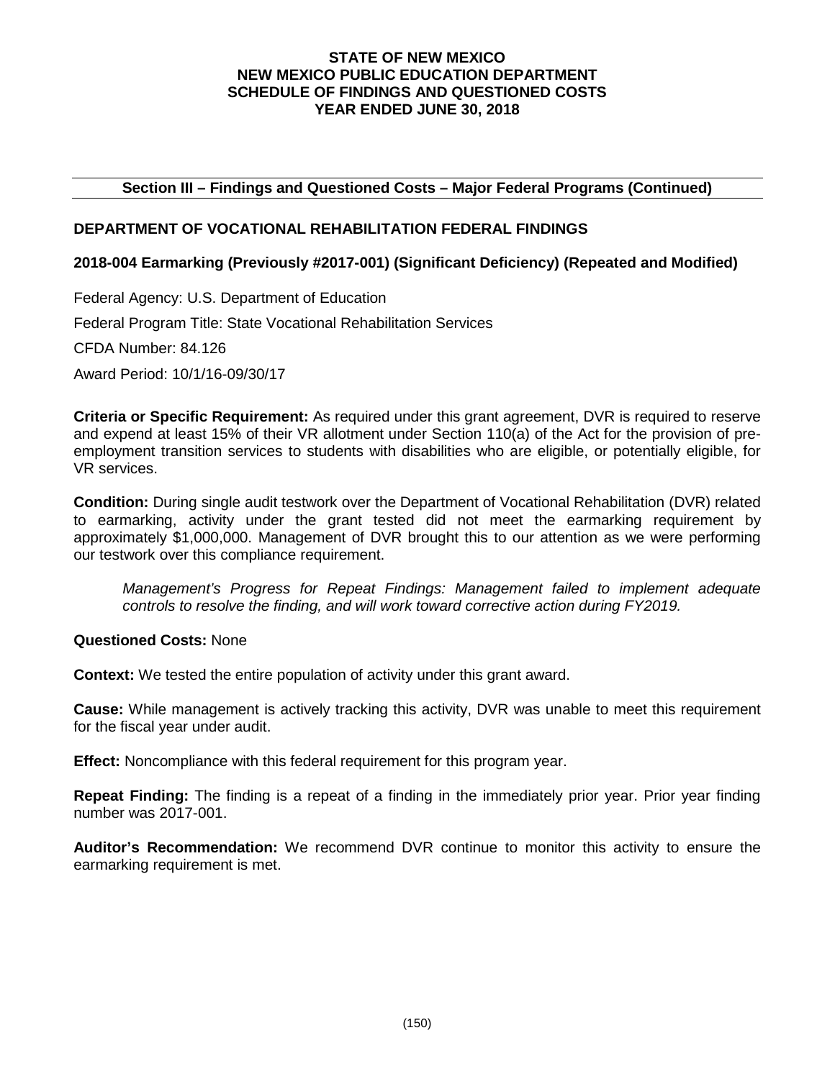### **Section III – Findings and Questioned Costs – Major Federal Programs (Continued)**

## **DEPARTMENT OF VOCATIONAL REHABILITATION FEDERAL FINDINGS**

## **2018-004 Earmarking (Previously #2017-001) (Significant Deficiency) (Repeated and Modified)**

Federal Agency: U.S. Department of Education

Federal Program Title: State Vocational Rehabilitation Services

CFDA Number: 84.126

Award Period: 10/1/16-09/30/17

**Criteria or Specific Requirement:** As required under this grant agreement, DVR is required to reserve and expend at least 15% of their VR allotment under Section 110(a) of the Act for the provision of preemployment transition services to students with disabilities who are eligible, or potentially eligible, for VR services.

**Condition:** During single audit testwork over the Department of Vocational Rehabilitation (DVR) related to earmarking, activity under the grant tested did not meet the earmarking requirement by approximately \$1,000,000. Management of DVR brought this to our attention as we were performing our testwork over this compliance requirement.

*Management's Progress for Repeat Findings: Management failed to implement adequate controls to resolve the finding, and will work toward corrective action during FY2019.*

### **Questioned Costs:** None

**Context:** We tested the entire population of activity under this grant award.

**Cause:** While management is actively tracking this activity, DVR was unable to meet this requirement for the fiscal year under audit.

**Effect:** Noncompliance with this federal requirement for this program year.

**Repeat Finding:** The finding is a repeat of a finding in the immediately prior year. Prior year finding number was 2017-001.

**Auditor's Recommendation:** We recommend DVR continue to monitor this activity to ensure the earmarking requirement is met.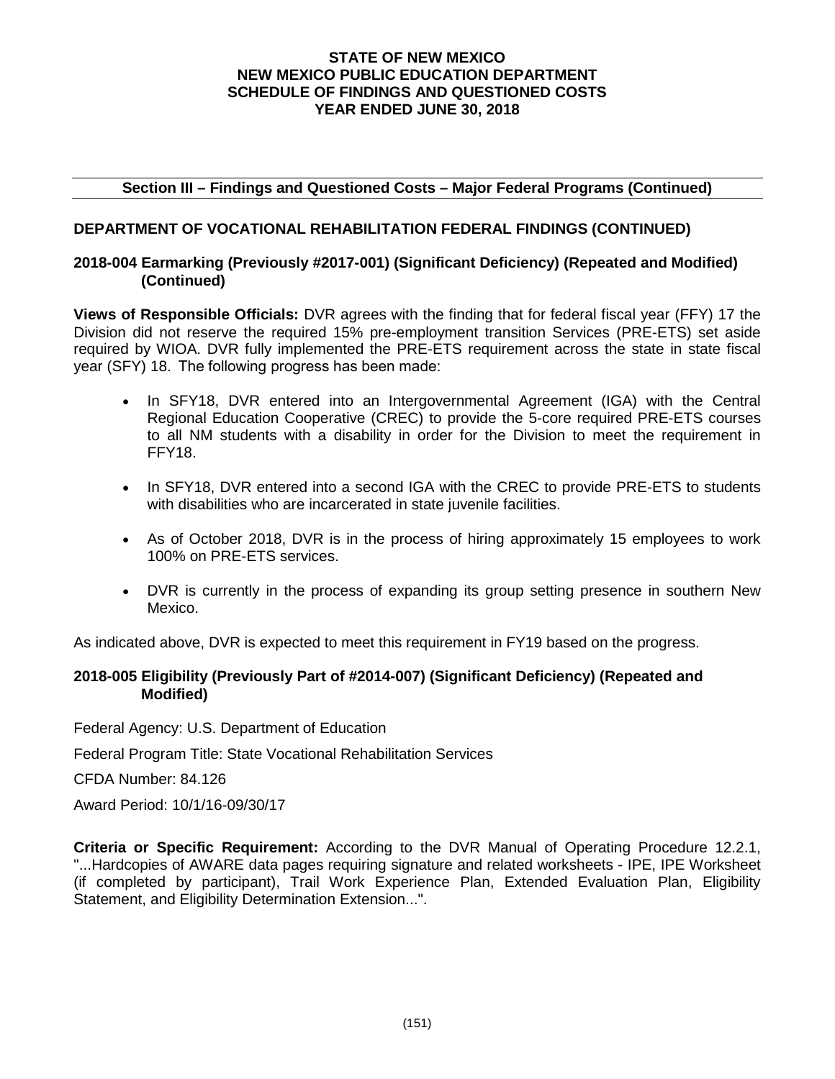### **Section III – Findings and Questioned Costs – Major Federal Programs (Continued)**

### **DEPARTMENT OF VOCATIONAL REHABILITATION FEDERAL FINDINGS (CONTINUED)**

### **2018-004 Earmarking (Previously #2017-001) (Significant Deficiency) (Repeated and Modified) (Continued)**

**Views of Responsible Officials:** DVR agrees with the finding that for federal fiscal year (FFY) 17 the Division did not reserve the required 15% pre-employment transition Services (PRE-ETS) set aside required by WIOA. DVR fully implemented the PRE-ETS requirement across the state in state fiscal year (SFY) 18.  The following progress has been made:

- In SFY18, DVR entered into an Intergovernmental Agreement (IGA) with the Central Regional Education Cooperative (CREC) to provide the 5-core required PRE-ETS courses to all NM students with a disability in order for the Division to meet the requirement in FFY18.
- In SFY18, DVR entered into a second IGA with the CREC to provide PRE-ETS to students with disabilities who are incarcerated in state juvenile facilities.
- As of October 2018, DVR is in the process of hiring approximately 15 employees to work 100% on PRE-ETS services.
- DVR is currently in the process of expanding its group setting presence in southern New Mexico.

As indicated above, DVR is expected to meet this requirement in FY19 based on the progress.

### **2018-005 Eligibility (Previously Part of #2014-007) (Significant Deficiency) (Repeated and Modified)**

Federal Agency: U.S. Department of Education

Federal Program Title: State Vocational Rehabilitation Services

CFDA Number: 84.126

Award Period: 10/1/16-09/30/17

**Criteria or Specific Requirement:** According to the DVR Manual of Operating Procedure 12.2.1, "...Hardcopies of AWARE data pages requiring signature and related worksheets - IPE, IPE Worksheet (if completed by participant), Trail Work Experience Plan, Extended Evaluation Plan, Eligibility Statement, and Eligibility Determination Extension...".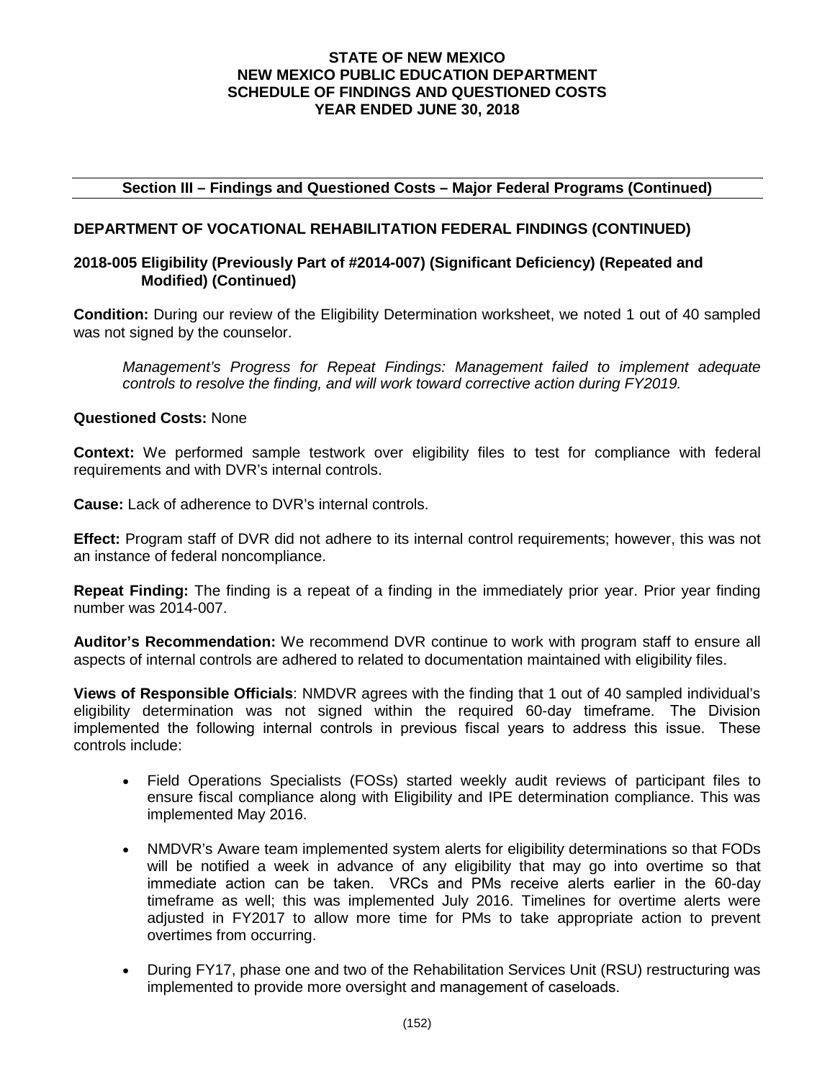### **Section III – Findings and Questioned Costs – Major Federal Programs (Continued)**

### **DEPARTMENT OF VOCATIONAL REHABILITATION FEDERAL FINDINGS (CONTINUED)**

### **2018-005 Eligibility (Previously Part of #2014-007) (Significant Deficiency) (Repeated and Modified) (Continued)**

**Condition:** During our review of the Eligibility Determination worksheet, we noted 1 out of 40 sampled was not signed by the counselor.

*Management's Progress for Repeat Findings: Management failed to implement adequate controls to resolve the finding, and will work toward corrective action during FY2019.*

#### **Questioned Costs:** None

**Context:** We performed sample testwork over eligibility files to test for compliance with federal requirements and with DVR's internal controls.

**Cause:** Lack of adherence to DVR's internal controls.

**Effect:** Program staff of DVR did not adhere to its internal control requirements; however, this was not an instance of federal noncompliance.

**Repeat Finding:** The finding is a repeat of a finding in the immediately prior year. Prior year finding number was 2014-007.

**Auditor's Recommendation:** We recommend DVR continue to work with program staff to ensure all aspects of internal controls are adhered to related to documentation maintained with eligibility files.

**Views of Responsible Officials**: NMDVR agrees with the finding that 1 out of 40 sampled individual's eligibility determination was not signed within the required 60-day timeframe.  The Division implemented the following internal controls in previous fiscal years to address this issue.   These controls include:

- Field Operations Specialists (FOSs) started weekly audit reviews of participant files to ensure fiscal compliance along with Eligibility and IPE determination compliance. This was implemented May 2016.
- NMDVR's Aware team implemented system alerts for eligibility determinations so that FODs will be notified a week in advance of any eligibility that may go into overtime so that immediate action can be taken.   VRCs and PMs receive alerts earlier in the 60-day timeframe as well; this was implemented July 2016. Timelines for overtime alerts were adjusted in FY2017 to allow more time for PMs to take appropriate action to prevent overtimes from occurring.
- During FY17, phase one and two of the Rehabilitation Services Unit (RSU) restructuring was implemented to provide more oversight and management of caseloads.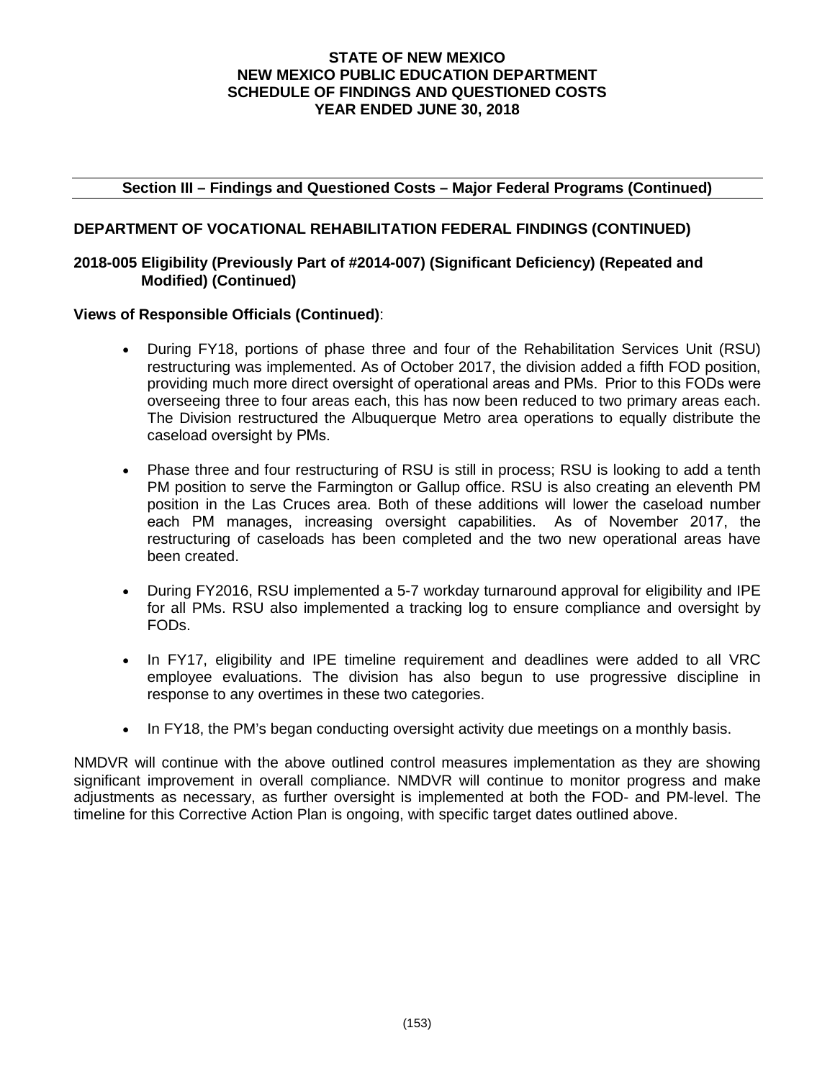**Section III – Findings and Questioned Costs – Major Federal Programs (Continued)**

## **DEPARTMENT OF VOCATIONAL REHABILITATION FEDERAL FINDINGS (CONTINUED)**

### **2018-005 Eligibility (Previously Part of #2014-007) (Significant Deficiency) (Repeated and Modified) (Continued)**

### **Views of Responsible Officials (Continued)**:

- During FY18, portions of phase three and four of the Rehabilitation Services Unit (RSU) restructuring was implemented. As of October 2017, the division added a fifth FOD position, providing much more direct oversight of operational areas and PMs.  Prior to this FODs were overseeing three to four areas each, this has now been reduced to two primary areas each. The Division restructured the Albuquerque Metro area operations to equally distribute the caseload oversight by PMs.
- Phase three and four restructuring of RSU is still in process; RSU is looking to add a tenth PM position to serve the Farmington or Gallup office. RSU is also creating an eleventh PM position in the Las Cruces area. Both of these additions will lower the caseload number each PM manages, increasing oversight capabilities.   As of November 2017, the restructuring of caseloads has been completed and the two new operational areas have been created.
- During FY2016, RSU implemented a 5-7 workday turnaround approval for eligibility and IPE for all PMs. RSU also implemented a tracking log to ensure compliance and oversight by FODs.
- In FY17, eligibility and IPE timeline requirement and deadlines were added to all VRC employee evaluations. The division has also begun to use progressive discipline in response to any overtimes in these two categories.
- In FY18, the PM's began conducting oversight activity due meetings on a monthly basis.

NMDVR will continue with the above outlined control measures implementation as they are showing significant improvement in overall compliance. NMDVR will continue to monitor progress and make adjustments as necessary, as further oversight is implemented at both the FOD- and PM-level. The timeline for this Corrective Action Plan is ongoing, with specific target dates outlined above.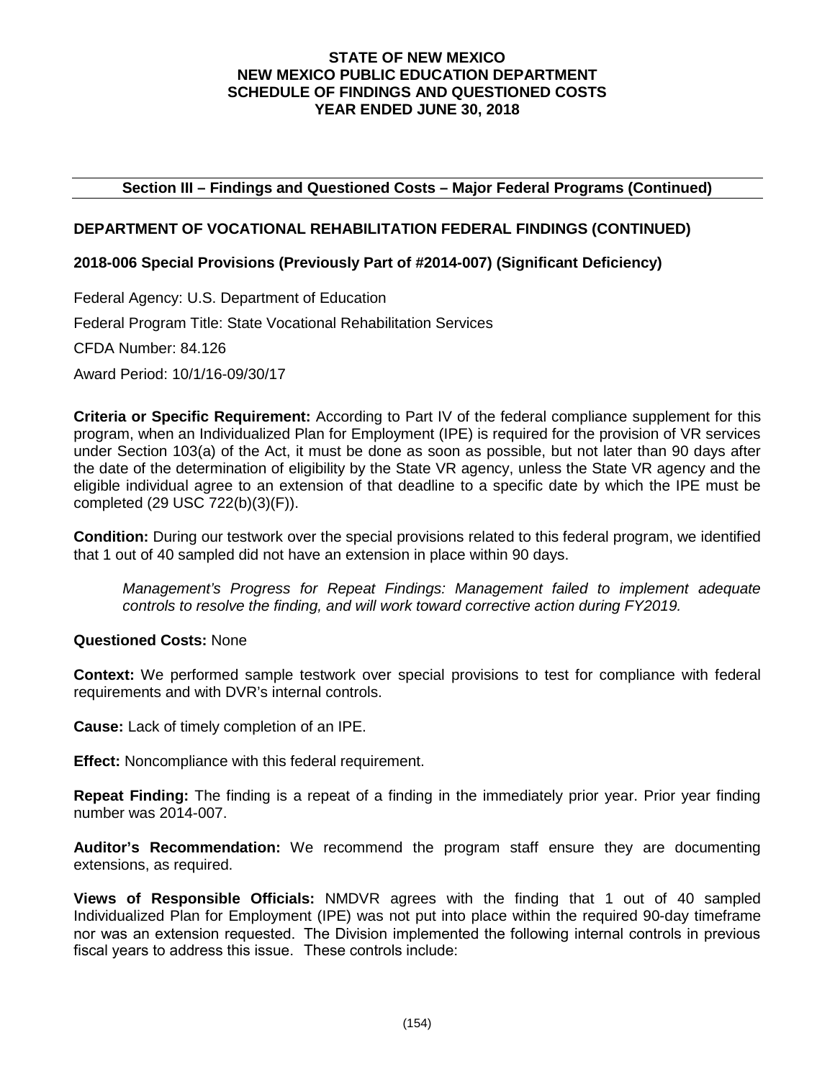### **Section III – Findings and Questioned Costs – Major Federal Programs (Continued)**

## **DEPARTMENT OF VOCATIONAL REHABILITATION FEDERAL FINDINGS (CONTINUED)**

### **2018-006 Special Provisions (Previously Part of #2014-007) (Significant Deficiency)**

Federal Agency: U.S. Department of Education Federal Program Title: State Vocational Rehabilitation Services CFDA Number: 84.126 Award Period: 10/1/16-09/30/17

**Criteria or Specific Requirement:** According to Part IV of the federal compliance supplement for this program, when an Individualized Plan for Employment (IPE) is required for the provision of VR services under Section 103(a) of the Act, it must be done as soon as possible, but not later than 90 days after the date of the determination of eligibility by the State VR agency, unless the State VR agency and the eligible individual agree to an extension of that deadline to a specific date by which the IPE must be completed (29 USC 722(b)(3)(F)).

**Condition:** During our testwork over the special provisions related to this federal program, we identified that 1 out of 40 sampled did not have an extension in place within 90 days.

*Management's Progress for Repeat Findings: Management failed to implement adequate controls to resolve the finding, and will work toward corrective action during FY2019.*

#### **Questioned Costs:** None

**Context:** We performed sample testwork over special provisions to test for compliance with federal requirements and with DVR's internal controls.

**Cause:** Lack of timely completion of an IPE.

**Effect:** Noncompliance with this federal requirement.

**Repeat Finding:** The finding is a repeat of a finding in the immediately prior year. Prior year finding number was 2014-007.

**Auditor's Recommendation:** We recommend the program staff ensure they are documenting extensions, as required.

**Views of Responsible Officials:** NMDVR agrees with the finding that 1 out of 40 sampled Individualized Plan for Employment (IPE) was not put into place within the required 90-day timeframe nor was an extension requested.  The Division implemented the following internal controls in previous fiscal years to address this issue.   These controls include: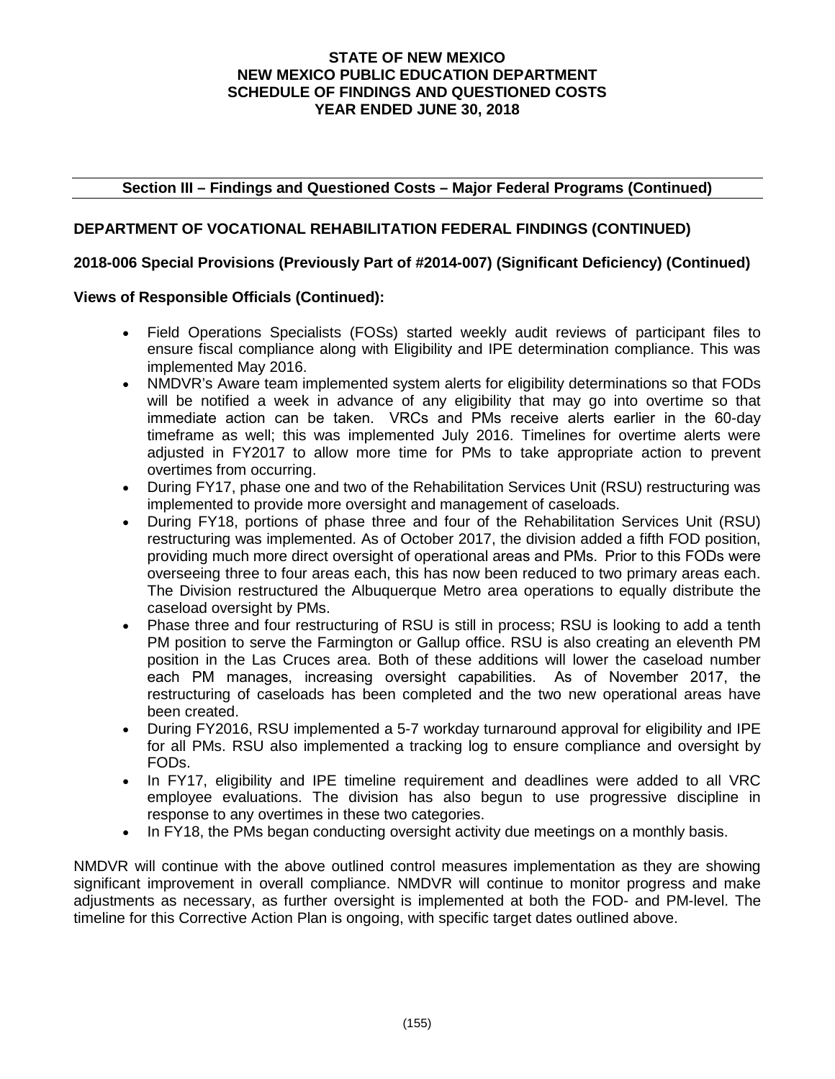**Section III – Findings and Questioned Costs – Major Federal Programs (Continued)**

# **DEPARTMENT OF VOCATIONAL REHABILITATION FEDERAL FINDINGS (CONTINUED)**

# **2018-006 Special Provisions (Previously Part of #2014-007) (Significant Deficiency) (Continued)**

## **Views of Responsible Officials (Continued):**

- Field Operations Specialists (FOSs) started weekly audit reviews of participant files to ensure fiscal compliance along with Eligibility and IPE determination compliance. This was implemented May 2016.
- NMDVR's Aware team implemented system alerts for eligibility determinations so that FODs will be notified a week in advance of any eligibility that may go into overtime so that immediate action can be taken.   VRCs and PMs receive alerts earlier in the 60-day timeframe as well; this was implemented July 2016. Timelines for overtime alerts were adjusted in FY2017 to allow more time for PMs to take appropriate action to prevent overtimes from occurring.
- During FY17, phase one and two of the Rehabilitation Services Unit (RSU) restructuring was implemented to provide more oversight and management of caseloads.
- During FY18, portions of phase three and four of the Rehabilitation Services Unit (RSU) restructuring was implemented. As of October 2017, the division added a fifth FOD position, providing much more direct oversight of operational areas and PMs.  Prior to this FODs were overseeing three to four areas each, this has now been reduced to two primary areas each. The Division restructured the Albuquerque Metro area operations to equally distribute the caseload oversight by PMs.
- Phase three and four restructuring of RSU is still in process; RSU is looking to add a tenth PM position to serve the Farmington or Gallup office. RSU is also creating an eleventh PM position in the Las Cruces area. Both of these additions will lower the caseload number each PM manages, increasing oversight capabilities.   As of November 2017, the restructuring of caseloads has been completed and the two new operational areas have been created.
- During FY2016, RSU implemented a 5-7 workday turnaround approval for eligibility and IPE for all PMs. RSU also implemented a tracking log to ensure compliance and oversight by FODs.
- In FY17, eligibility and IPE timeline requirement and deadlines were added to all VRC employee evaluations. The division has also begun to use progressive discipline in response to any overtimes in these two categories.
- In FY18, the PMs began conducting oversight activity due meetings on a monthly basis.

NMDVR will continue with the above outlined control measures implementation as they are showing significant improvement in overall compliance. NMDVR will continue to monitor progress and make adjustments as necessary, as further oversight is implemented at both the FOD- and PM-level. The timeline for this Corrective Action Plan is ongoing, with specific target dates outlined above.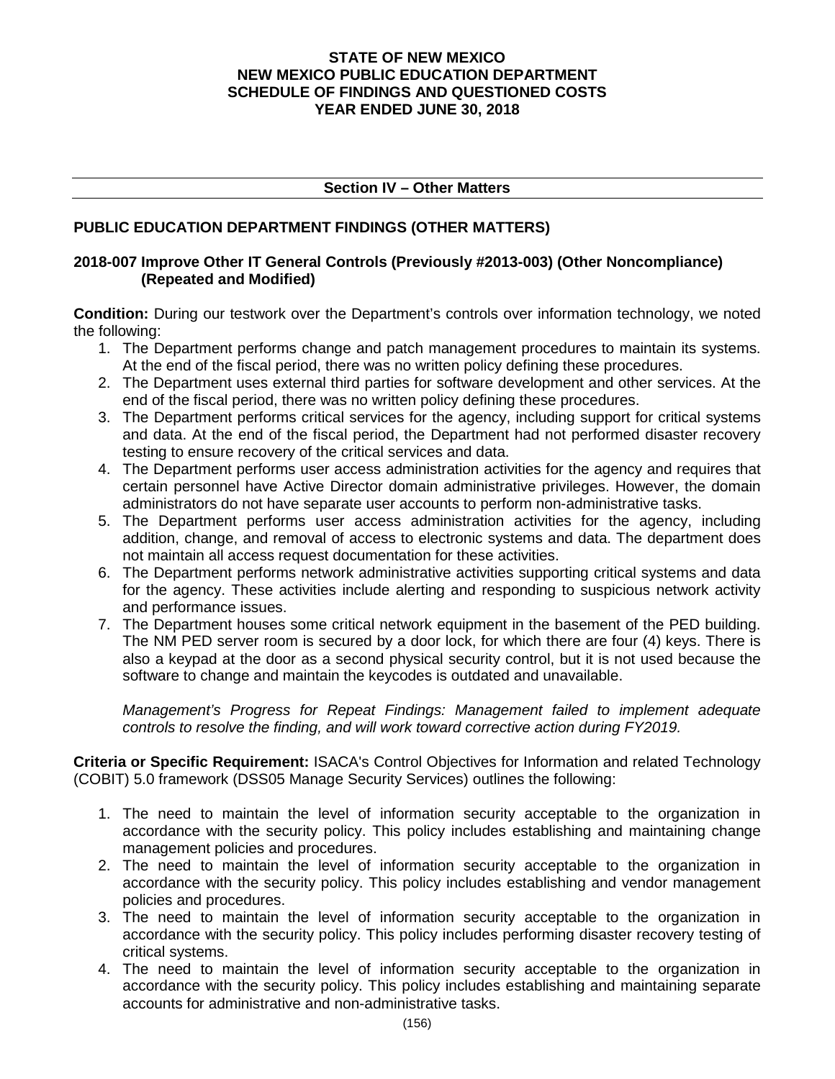# **Section IV – Other Matters**

## **PUBLIC EDUCATION DEPARTMENT FINDINGS (OTHER MATTERS)**

### **2018-007 Improve Other IT General Controls (Previously #2013-003) (Other Noncompliance) (Repeated and Modified)**

**Condition:** During our testwork over the Department's controls over information technology, we noted the following:

- 1. The Department performs change and patch management procedures to maintain its systems. At the end of the fiscal period, there was no written policy defining these procedures.
- 2. The Department uses external third parties for software development and other services. At the end of the fiscal period, there was no written policy defining these procedures.
- 3. The Department performs critical services for the agency, including support for critical systems and data. At the end of the fiscal period, the Department had not performed disaster recovery testing to ensure recovery of the critical services and data.
- 4. The Department performs user access administration activities for the agency and requires that certain personnel have Active Director domain administrative privileges. However, the domain administrators do not have separate user accounts to perform non-administrative tasks.
- 5. The Department performs user access administration activities for the agency, including addition, change, and removal of access to electronic systems and data. The department does not maintain all access request documentation for these activities.
- 6. The Department performs network administrative activities supporting critical systems and data for the agency. These activities include alerting and responding to suspicious network activity and performance issues.
- 7. The Department houses some critical network equipment in the basement of the PED building. The NM PED server room is secured by a door lock, for which there are four (4) keys. There is also a keypad at the door as a second physical security control, but it is not used because the software to change and maintain the keycodes is outdated and unavailable.

*Management's Progress for Repeat Findings: Management failed to implement adequate controls to resolve the finding, and will work toward corrective action during FY2019.*

**Criteria or Specific Requirement:** ISACA's Control Objectives for Information and related Technology (COBIT) 5.0 framework (DSS05 Manage Security Services) outlines the following:

- 1. The need to maintain the level of information security acceptable to the organization in accordance with the security policy. This policy includes establishing and maintaining change management policies and procedures.
- 2. The need to maintain the level of information security acceptable to the organization in accordance with the security policy. This policy includes establishing and vendor management policies and procedures.
- 3. The need to maintain the level of information security acceptable to the organization in accordance with the security policy. This policy includes performing disaster recovery testing of critical systems.
- 4. The need to maintain the level of information security acceptable to the organization in accordance with the security policy. This policy includes establishing and maintaining separate accounts for administrative and non-administrative tasks.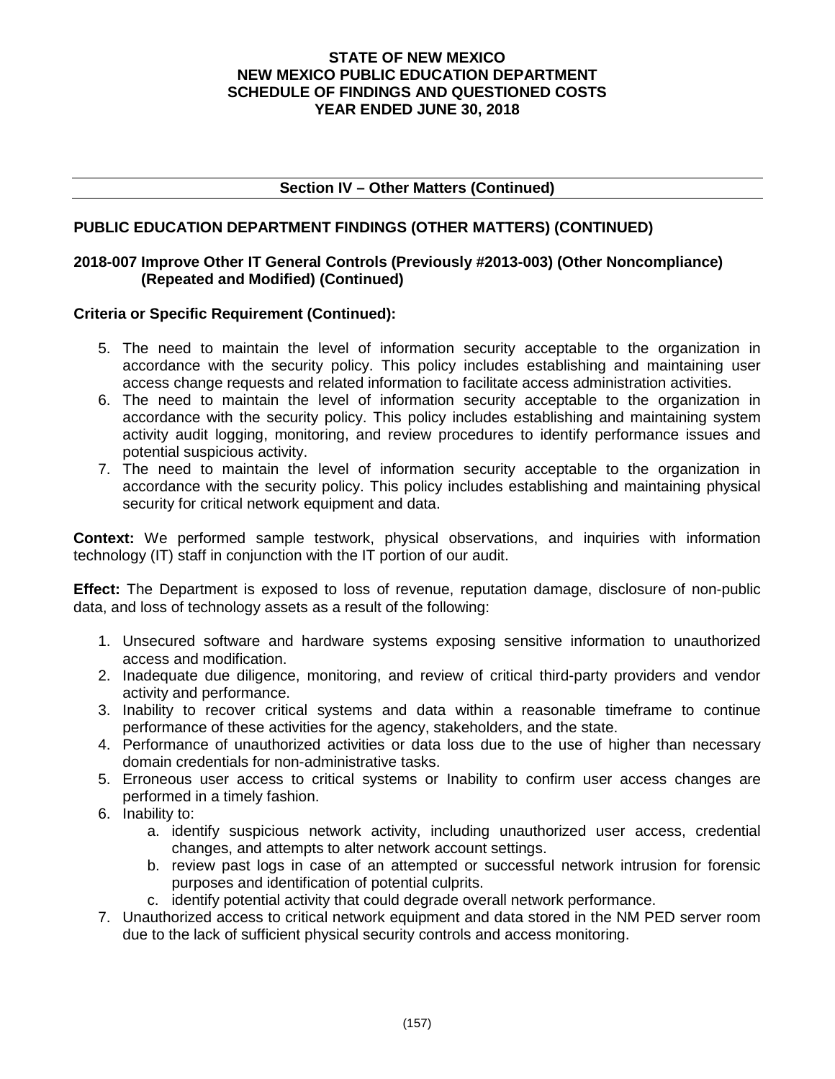**Section IV – Other Matters (Continued)**

# **PUBLIC EDUCATION DEPARTMENT FINDINGS (OTHER MATTERS) (CONTINUED)**

### **2018-007 Improve Other IT General Controls (Previously #2013-003) (Other Noncompliance) (Repeated and Modified) (Continued)**

### **Criteria or Specific Requirement (Continued):**

- 5. The need to maintain the level of information security acceptable to the organization in accordance with the security policy. This policy includes establishing and maintaining user access change requests and related information to facilitate access administration activities.
- 6. The need to maintain the level of information security acceptable to the organization in accordance with the security policy. This policy includes establishing and maintaining system activity audit logging, monitoring, and review procedures to identify performance issues and potential suspicious activity.
- 7. The need to maintain the level of information security acceptable to the organization in accordance with the security policy. This policy includes establishing and maintaining physical security for critical network equipment and data.

**Context:** We performed sample testwork, physical observations, and inquiries with information technology (IT) staff in conjunction with the IT portion of our audit.

**Effect:** The Department is exposed to loss of revenue, reputation damage, disclosure of non-public data, and loss of technology assets as a result of the following:

- 1. Unsecured software and hardware systems exposing sensitive information to unauthorized access and modification.
- 2. Inadequate due diligence, monitoring, and review of critical third-party providers and vendor activity and performance.
- 3. Inability to recover critical systems and data within a reasonable timeframe to continue performance of these activities for the agency, stakeholders, and the state.
- 4. Performance of unauthorized activities or data loss due to the use of higher than necessary domain credentials for non-administrative tasks.
- 5. Erroneous user access to critical systems or Inability to confirm user access changes are performed in a timely fashion.
- 6. Inability to:
	- a. identify suspicious network activity, including unauthorized user access, credential changes, and attempts to alter network account settings.
	- b. review past logs in case of an attempted or successful network intrusion for forensic purposes and identification of potential culprits.
	- c. identify potential activity that could degrade overall network performance.
- 7. Unauthorized access to critical network equipment and data stored in the NM PED server room due to the lack of sufficient physical security controls and access monitoring.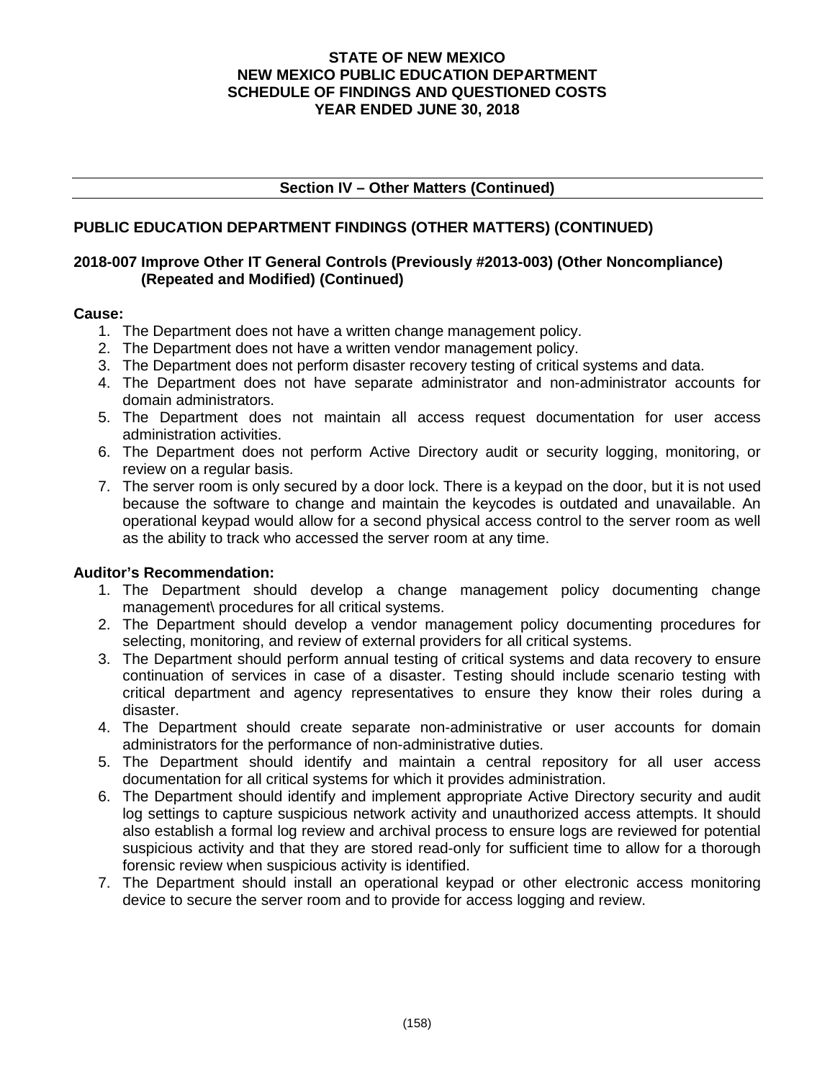**Section IV – Other Matters (Continued)**

## **PUBLIC EDUCATION DEPARTMENT FINDINGS (OTHER MATTERS) (CONTINUED)**

### **2018-007 Improve Other IT General Controls (Previously #2013-003) (Other Noncompliance) (Repeated and Modified) (Continued)**

### **Cause:**

- 1. The Department does not have a written change management policy.
- 2. The Department does not have a written vendor management policy.
- 3. The Department does not perform disaster recovery testing of critical systems and data.
- 4. The Department does not have separate administrator and non-administrator accounts for domain administrators.
- 5. The Department does not maintain all access request documentation for user access administration activities.
- 6. The Department does not perform Active Directory audit or security logging, monitoring, or review on a regular basis.
- 7. The server room is only secured by a door lock. There is a keypad on the door, but it is not used because the software to change and maintain the keycodes is outdated and unavailable. An operational keypad would allow for a second physical access control to the server room as well as the ability to track who accessed the server room at any time.

### **Auditor's Recommendation:**

- 1. The Department should develop a change management policy documenting change management\ procedures for all critical systems.
- 2. The Department should develop a vendor management policy documenting procedures for selecting, monitoring, and review of external providers for all critical systems.
- 3. The Department should perform annual testing of critical systems and data recovery to ensure continuation of services in case of a disaster. Testing should include scenario testing with critical department and agency representatives to ensure they know their roles during a disaster.
- 4. The Department should create separate non-administrative or user accounts for domain administrators for the performance of non-administrative duties.
- 5. The Department should identify and maintain a central repository for all user access documentation for all critical systems for which it provides administration.
- 6. The Department should identify and implement appropriate Active Directory security and audit log settings to capture suspicious network activity and unauthorized access attempts. It should also establish a formal log review and archival process to ensure logs are reviewed for potential suspicious activity and that they are stored read-only for sufficient time to allow for a thorough forensic review when suspicious activity is identified.
- 7. The Department should install an operational keypad or other electronic access monitoring device to secure the server room and to provide for access logging and review.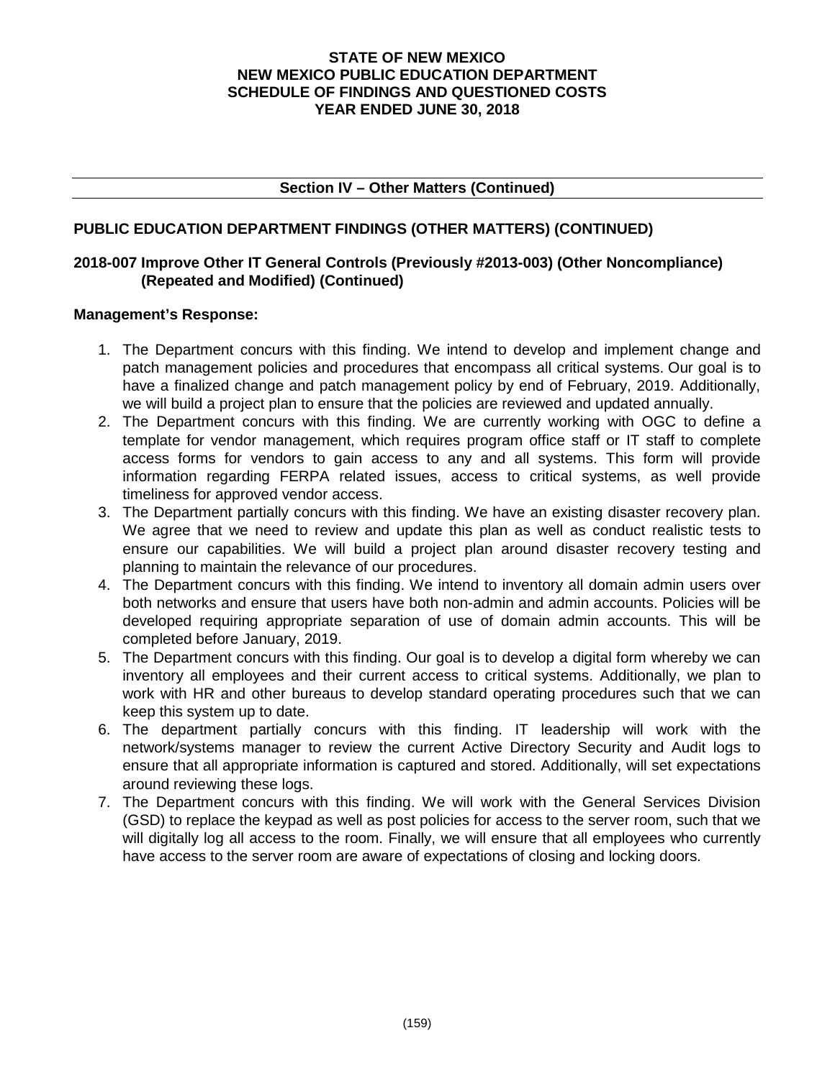**Section IV – Other Matters (Continued)**

# **PUBLIC EDUCATION DEPARTMENT FINDINGS (OTHER MATTERS) (CONTINUED)**

### **2018-007 Improve Other IT General Controls (Previously #2013-003) (Other Noncompliance) (Repeated and Modified) (Continued)**

### **Management's Response:**

- 1. The Department concurs with this finding. We intend to develop and implement change and patch management policies and procedures that encompass all critical systems. Our goal is to have a finalized change and patch management policy by end of February, 2019. Additionally, we will build a project plan to ensure that the policies are reviewed and updated annually.
- 2. The Department concurs with this finding. We are currently working with OGC to define a template for vendor management, which requires program office staff or IT staff to complete access forms for vendors to gain access to any and all systems. This form will provide information regarding FERPA related issues, access to critical systems, as well provide timeliness for approved vendor access.
- 3. The Department partially concurs with this finding. We have an existing disaster recovery plan. We agree that we need to review and update this plan as well as conduct realistic tests to ensure our capabilities. We will build a project plan around disaster recovery testing and planning to maintain the relevance of our procedures.
- 4. The Department concurs with this finding. We intend to inventory all domain admin users over both networks and ensure that users have both non-admin and admin accounts. Policies will be developed requiring appropriate separation of use of domain admin accounts. This will be completed before January, 2019.
- 5. The Department concurs with this finding. Our goal is to develop a digital form whereby we can inventory all employees and their current access to critical systems. Additionally, we plan to work with HR and other bureaus to develop standard operating procedures such that we can keep this system up to date.
- 6. The department partially concurs with this finding. IT leadership will work with the network/systems manager to review the current Active Directory Security and Audit logs to ensure that all appropriate information is captured and stored. Additionally, will set expectations around reviewing these logs.
- 7. The Department concurs with this finding. We will work with the General Services Division (GSD) to replace the keypad as well as post policies for access to the server room, such that we will digitally log all access to the room. Finally, we will ensure that all employees who currently have access to the server room are aware of expectations of closing and locking doors.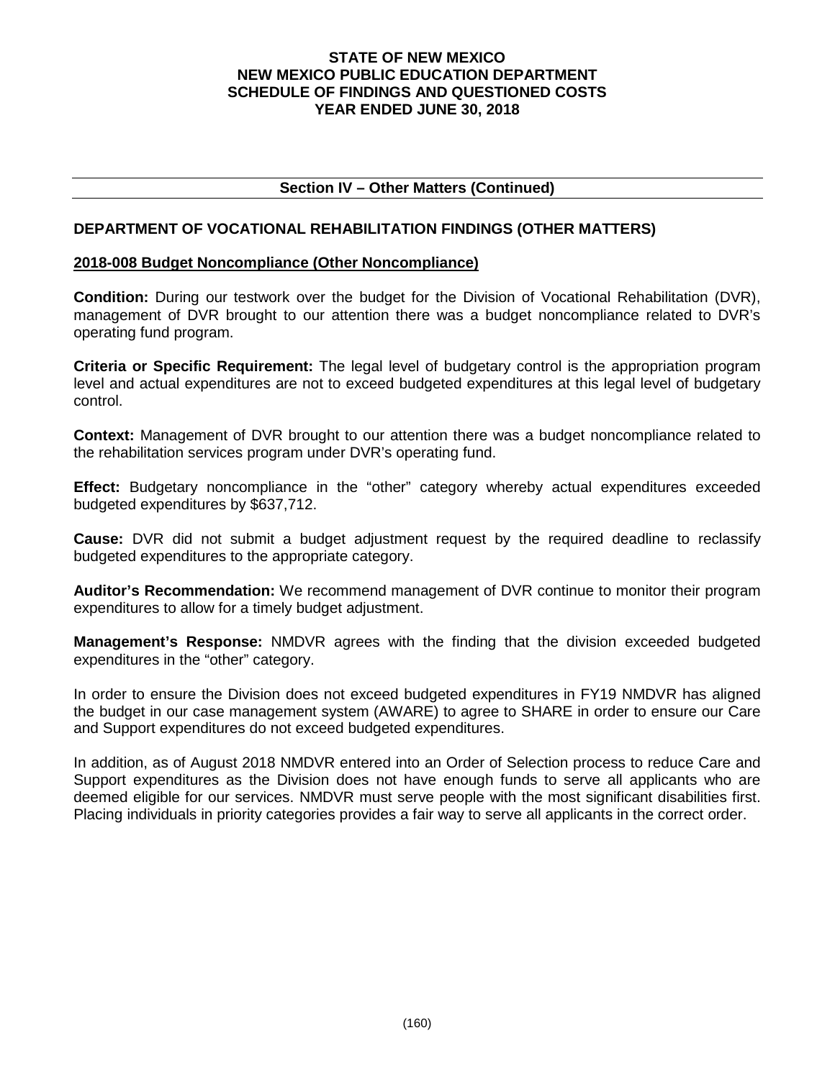### **Section IV – Other Matters (Continued)**

### **DEPARTMENT OF VOCATIONAL REHABILITATION FINDINGS (OTHER MATTERS)**

#### **2018-008 Budget Noncompliance (Other Noncompliance)**

**Condition:** During our testwork over the budget for the Division of Vocational Rehabilitation (DVR), management of DVR brought to our attention there was a budget noncompliance related to DVR's operating fund program.

**Criteria or Specific Requirement:** The legal level of budgetary control is the appropriation program level and actual expenditures are not to exceed budgeted expenditures at this legal level of budgetary control.

**Context:** Management of DVR brought to our attention there was a budget noncompliance related to the rehabilitation services program under DVR's operating fund.

**Effect:** Budgetary noncompliance in the "other" category whereby actual expenditures exceeded budgeted expenditures by \$637,712.

**Cause:** DVR did not submit a budget adjustment request by the required deadline to reclassify budgeted expenditures to the appropriate category.

**Auditor's Recommendation:** We recommend management of DVR continue to monitor their program expenditures to allow for a timely budget adjustment.

**Management's Response:** NMDVR agrees with the finding that the division exceeded budgeted expenditures in the "other" category.

In order to ensure the Division does not exceed budgeted expenditures in FY19 NMDVR has aligned the budget in our case management system (AWARE) to agree to SHARE in order to ensure our Care and Support expenditures do not exceed budgeted expenditures.

In addition, as of August 2018 NMDVR entered into an Order of Selection process to reduce Care and Support expenditures as the Division does not have enough funds to serve all applicants who are deemed eligible for our services. NMDVR must serve people with the most significant disabilities first. Placing individuals in priority categories provides a fair way to serve all applicants in the correct order.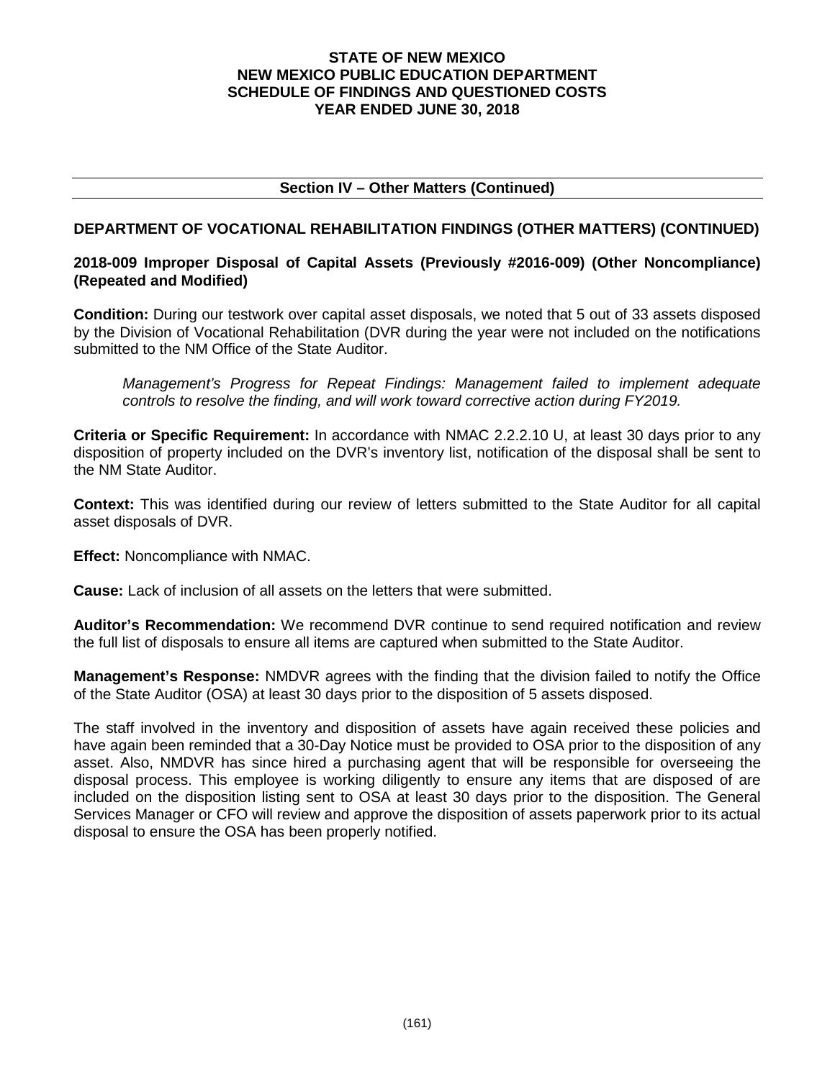### **Section IV – Other Matters (Continued)**

### **DEPARTMENT OF VOCATIONAL REHABILITATION FINDINGS (OTHER MATTERS) (CONTINUED)**

### **2018-009 Improper Disposal of Capital Assets (Previously #2016-009) (Other Noncompliance) (Repeated and Modified)**

**Condition:** During our testwork over capital asset disposals, we noted that 5 out of 33 assets disposed by the Division of Vocational Rehabilitation (DVR during the year were not included on the notifications submitted to the NM Office of the State Auditor.

*Management's Progress for Repeat Findings: Management failed to implement adequate controls to resolve the finding, and will work toward corrective action during FY2019.*

**Criteria or Specific Requirement:** In accordance with NMAC 2.2.2.10 U, at least 30 days prior to any disposition of property included on the DVR's inventory list, notification of the disposal shall be sent to the NM State Auditor.

**Context:** This was identified during our review of letters submitted to the State Auditor for all capital asset disposals of DVR.

**Effect:** Noncompliance with NMAC.

**Cause:** Lack of inclusion of all assets on the letters that were submitted.

**Auditor's Recommendation:** We recommend DVR continue to send required notification and review the full list of disposals to ensure all items are captured when submitted to the State Auditor.

**Management's Response:** NMDVR agrees with the finding that the division failed to notify the Office of the State Auditor (OSA) at least 30 days prior to the disposition of 5 assets disposed.

The staff involved in the inventory and disposition of assets have again received these policies and have again been reminded that a 30-Day Notice must be provided to OSA prior to the disposition of any asset. Also, NMDVR has since hired a purchasing agent that will be responsible for overseeing the disposal process. This employee is working diligently to ensure any items that are disposed of are included on the disposition listing sent to OSA at least 30 days prior to the disposition. The General Services Manager or CFO will review and approve the disposition of assets paperwork prior to its actual disposal to ensure the OSA has been properly notified.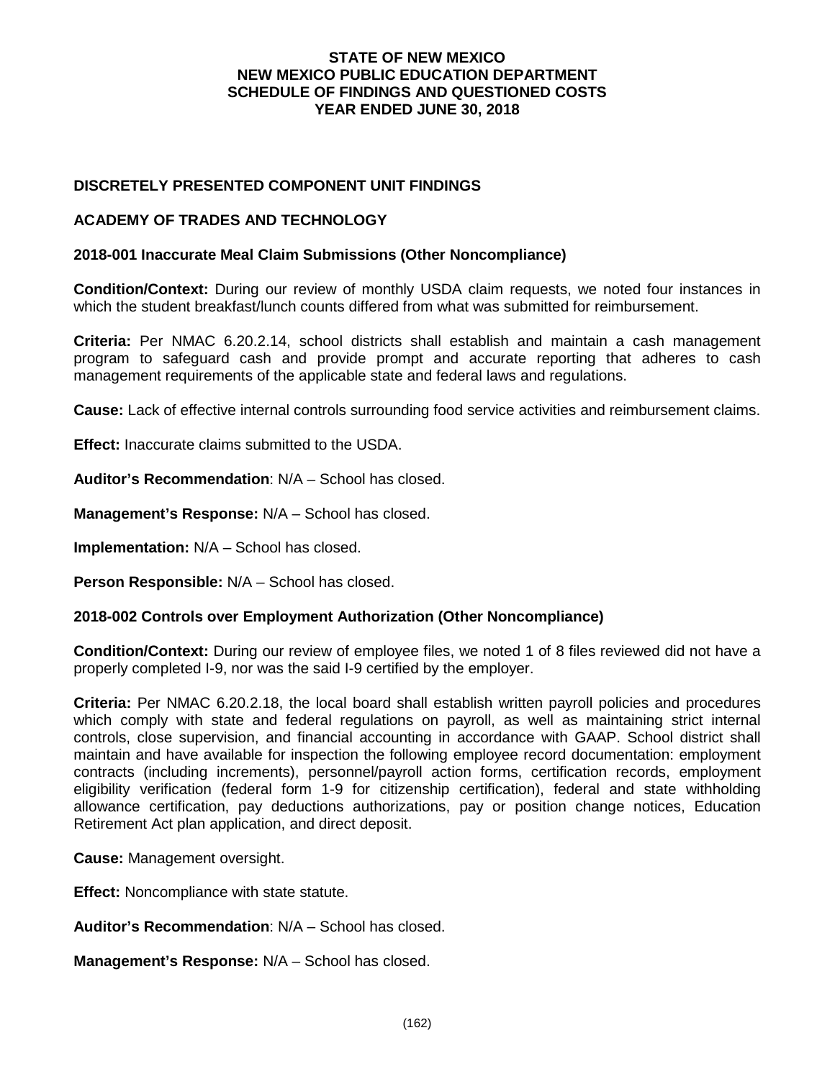## **DISCRETELY PRESENTED COMPONENT UNIT FINDINGS**

### **ACADEMY OF TRADES AND TECHNOLOGY**

### **2018-001 Inaccurate Meal Claim Submissions (Other Noncompliance)**

**Condition/Context:** During our review of monthly USDA claim requests, we noted four instances in which the student breakfast/lunch counts differed from what was submitted for reimbursement.

**Criteria:** Per NMAC 6.20.2.14, school districts shall establish and maintain a cash management program to safeguard cash and provide prompt and accurate reporting that adheres to cash management requirements of the applicable state and federal laws and regulations.

**Cause:** Lack of effective internal controls surrounding food service activities and reimbursement claims.

**Effect:** Inaccurate claims submitted to the USDA.

**Auditor's Recommendation**: N/A – School has closed.

**Management's Response:** N/A – School has closed.

**Implementation:** N/A – School has closed.

**Person Responsible:** N/A – School has closed.

#### **2018-002 Controls over Employment Authorization (Other Noncompliance)**

**Condition/Context:** During our review of employee files, we noted 1 of 8 files reviewed did not have a properly completed I-9, nor was the said I-9 certified by the employer.

**Criteria:** Per NMAC 6.20.2.18, the local board shall establish written payroll policies and procedures which comply with state and federal regulations on payroll, as well as maintaining strict internal controls, close supervision, and financial accounting in accordance with GAAP. School district shall maintain and have available for inspection the following employee record documentation: employment contracts (including increments), personnel/payroll action forms, certification records, employment eligibility verification (federal form 1-9 for citizenship certification), federal and state withholding allowance certification, pay deductions authorizations, pay or position change notices, Education Retirement Act plan application, and direct deposit.

**Cause:** Management oversight.

**Effect:** Noncompliance with state statute.

**Auditor's Recommendation**: N/A – School has closed.

**Management's Response:** N/A – School has closed.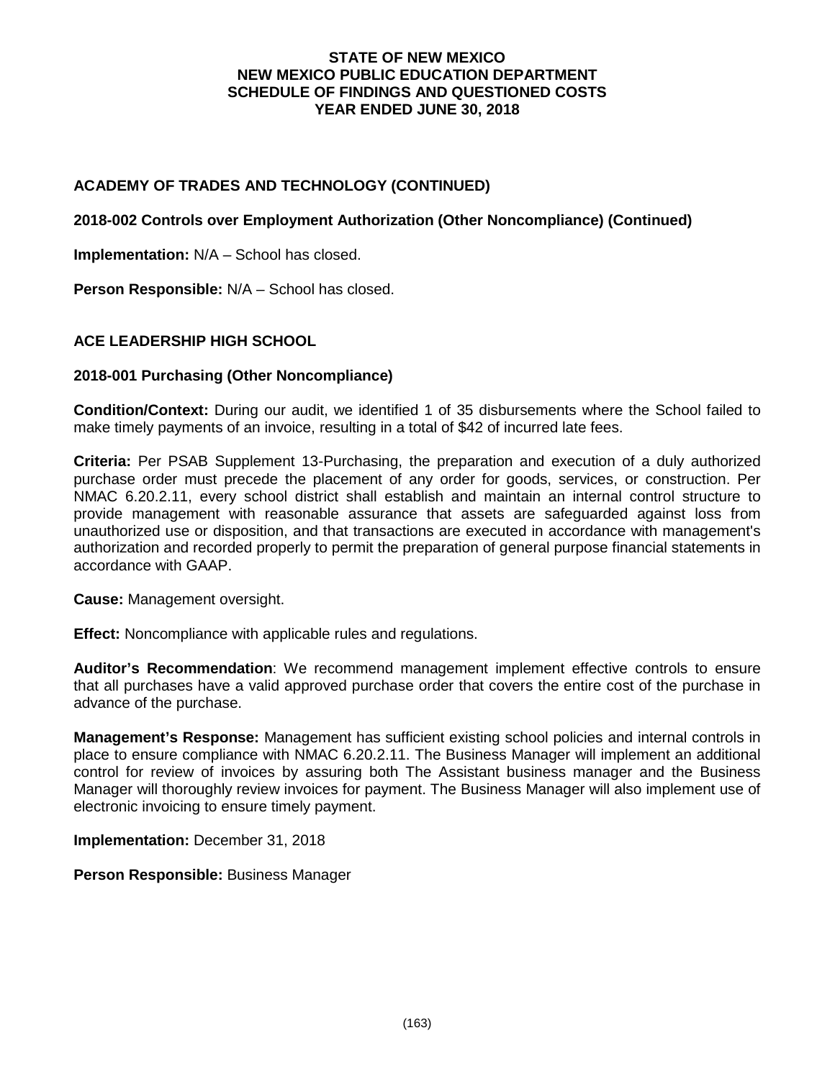## **ACADEMY OF TRADES AND TECHNOLOGY (CONTINUED)**

### **2018-002 Controls over Employment Authorization (Other Noncompliance) (Continued)**

**Implementation:** N/A – School has closed.

**Person Responsible:** N/A – School has closed.

## **ACE LEADERSHIP HIGH SCHOOL**

### **2018-001 Purchasing (Other Noncompliance)**

**Condition/Context:** During our audit, we identified 1 of 35 disbursements where the School failed to make timely payments of an invoice, resulting in a total of \$42 of incurred late fees.

**Criteria:** Per PSAB Supplement 13-Purchasing, the preparation and execution of a duly authorized purchase order must precede the placement of any order for goods, services, or construction. Per NMAC 6.20.2.11, every school district shall establish and maintain an internal control structure to provide management with reasonable assurance that assets are safeguarded against loss from unauthorized use or disposition, and that transactions are executed in accordance with management's authorization and recorded properly to permit the preparation of general purpose financial statements in accordance with GAAP.

**Cause:** Management oversight.

**Effect:** Noncompliance with applicable rules and regulations.

**Auditor's Recommendation**: We recommend management implement effective controls to ensure that all purchases have a valid approved purchase order that covers the entire cost of the purchase in advance of the purchase.

**Management's Response:** Management has sufficient existing school policies and internal controls in place to ensure compliance with NMAC 6.20.2.11. The Business Manager will implement an additional control for review of invoices by assuring both The Assistant business manager and the Business Manager will thoroughly review invoices for payment. The Business Manager will also implement use of electronic invoicing to ensure timely payment.

**Implementation:** December 31, 2018

**Person Responsible:** Business Manager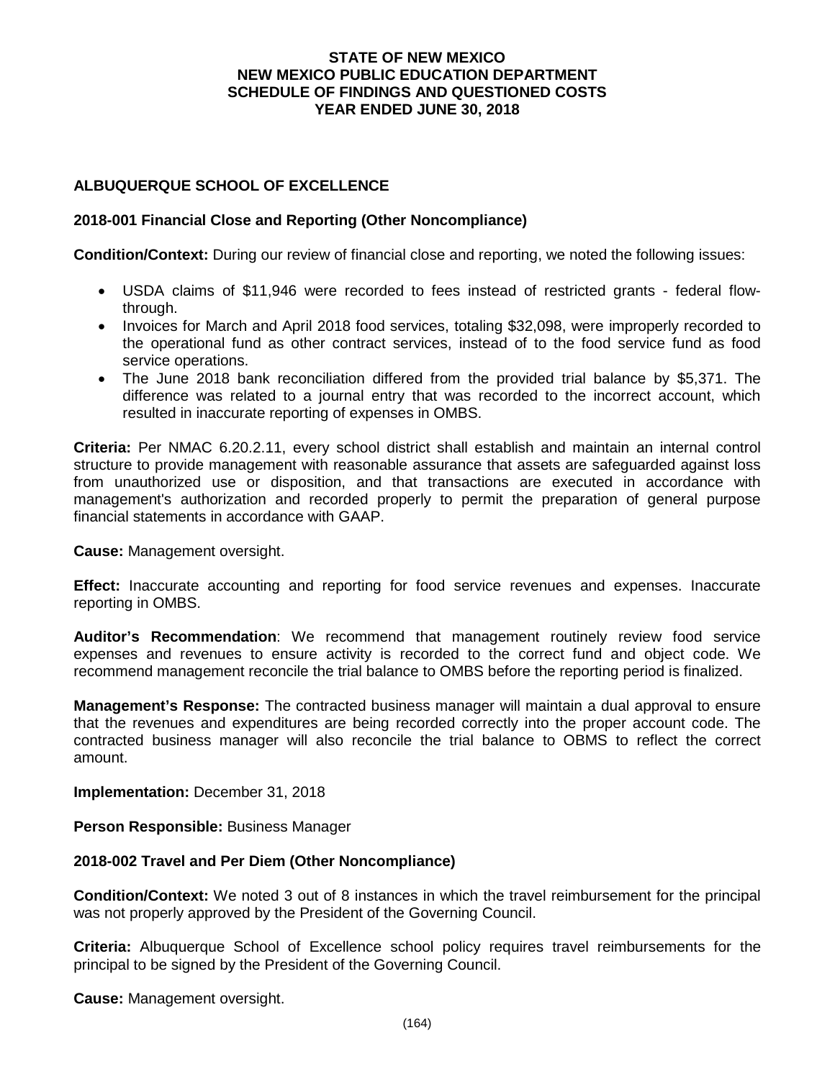### **ALBUQUERQUE SCHOOL OF EXCELLENCE**

### **2018-001 Financial Close and Reporting (Other Noncompliance)**

**Condition/Context:** During our review of financial close and reporting, we noted the following issues:

- USDA claims of \$11,946 were recorded to fees instead of restricted grants federal flowthrough.
- Invoices for March and April 2018 food services, totaling \$32,098, were improperly recorded to the operational fund as other contract services, instead of to the food service fund as food service operations.
- The June 2018 bank reconciliation differed from the provided trial balance by \$5,371. The difference was related to a journal entry that was recorded to the incorrect account, which resulted in inaccurate reporting of expenses in OMBS.

**Criteria:** Per NMAC 6.20.2.11, every school district shall establish and maintain an internal control structure to provide management with reasonable assurance that assets are safeguarded against loss from unauthorized use or disposition, and that transactions are executed in accordance with management's authorization and recorded properly to permit the preparation of general purpose financial statements in accordance with GAAP.

**Cause:** Management oversight.

**Effect:** Inaccurate accounting and reporting for food service revenues and expenses. Inaccurate reporting in OMBS.

**Auditor's Recommendation**: We recommend that management routinely review food service expenses and revenues to ensure activity is recorded to the correct fund and object code. We recommend management reconcile the trial balance to OMBS before the reporting period is finalized.

**Management's Response:** The contracted business manager will maintain a dual approval to ensure that the revenues and expenditures are being recorded correctly into the proper account code. The contracted business manager will also reconcile the trial balance to OBMS to reflect the correct amount.

**Implementation:** December 31, 2018

**Person Responsible:** Business Manager

#### **2018-002 Travel and Per Diem (Other Noncompliance)**

**Condition/Context:** We noted 3 out of 8 instances in which the travel reimbursement for the principal was not properly approved by the President of the Governing Council.

**Criteria:** Albuquerque School of Excellence school policy requires travel reimbursements for the principal to be signed by the President of the Governing Council.

**Cause:** Management oversight.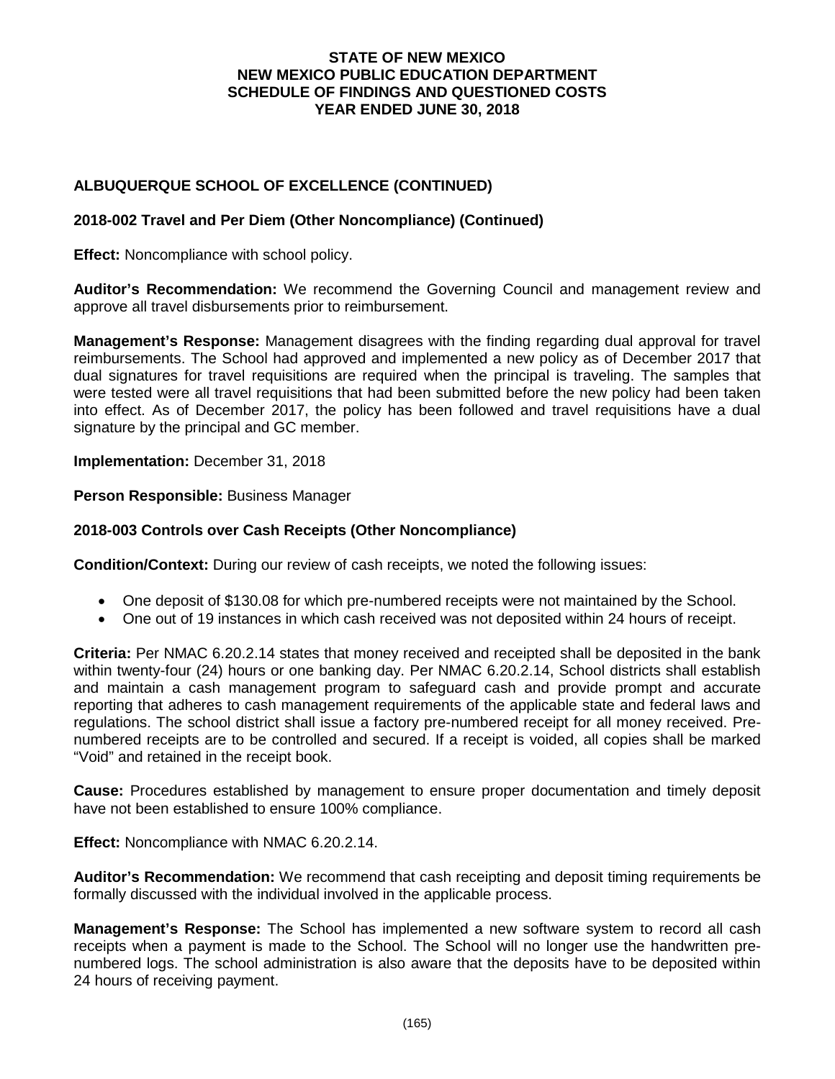# **ALBUQUERQUE SCHOOL OF EXCELLENCE (CONTINUED)**

## **2018-002 Travel and Per Diem (Other Noncompliance) (Continued)**

**Effect:** Noncompliance with school policy.

**Auditor's Recommendation:** We recommend the Governing Council and management review and approve all travel disbursements prior to reimbursement.

**Management's Response:** Management disagrees with the finding regarding dual approval for travel reimbursements. The School had approved and implemented a new policy as of December 2017 that dual signatures for travel requisitions are required when the principal is traveling. The samples that were tested were all travel requisitions that had been submitted before the new policy had been taken into effect. As of December 2017, the policy has been followed and travel requisitions have a dual signature by the principal and GC member.

**Implementation:** December 31, 2018

**Person Responsible:** Business Manager

### **2018-003 Controls over Cash Receipts (Other Noncompliance)**

**Condition/Context:** During our review of cash receipts, we noted the following issues:

- One deposit of \$130.08 for which pre-numbered receipts were not maintained by the School.
- One out of 19 instances in which cash received was not deposited within 24 hours of receipt.

**Criteria:** Per NMAC 6.20.2.14 states that money received and receipted shall be deposited in the bank within twenty-four (24) hours or one banking day. Per NMAC 6.20.2.14, School districts shall establish and maintain a cash management program to safeguard cash and provide prompt and accurate reporting that adheres to cash management requirements of the applicable state and federal laws and regulations. The school district shall issue a factory pre-numbered receipt for all money received. Prenumbered receipts are to be controlled and secured. If a receipt is voided, all copies shall be marked "Void" and retained in the receipt book.

**Cause:** Procedures established by management to ensure proper documentation and timely deposit have not been established to ensure 100% compliance.

**Effect:** Noncompliance with NMAC 6.20.2.14.

**Auditor's Recommendation:** We recommend that cash receipting and deposit timing requirements be formally discussed with the individual involved in the applicable process.

**Management's Response:** The School has implemented a new software system to record all cash receipts when a payment is made to the School. The School will no longer use the handwritten prenumbered logs. The school administration is also aware that the deposits have to be deposited within 24 hours of receiving payment.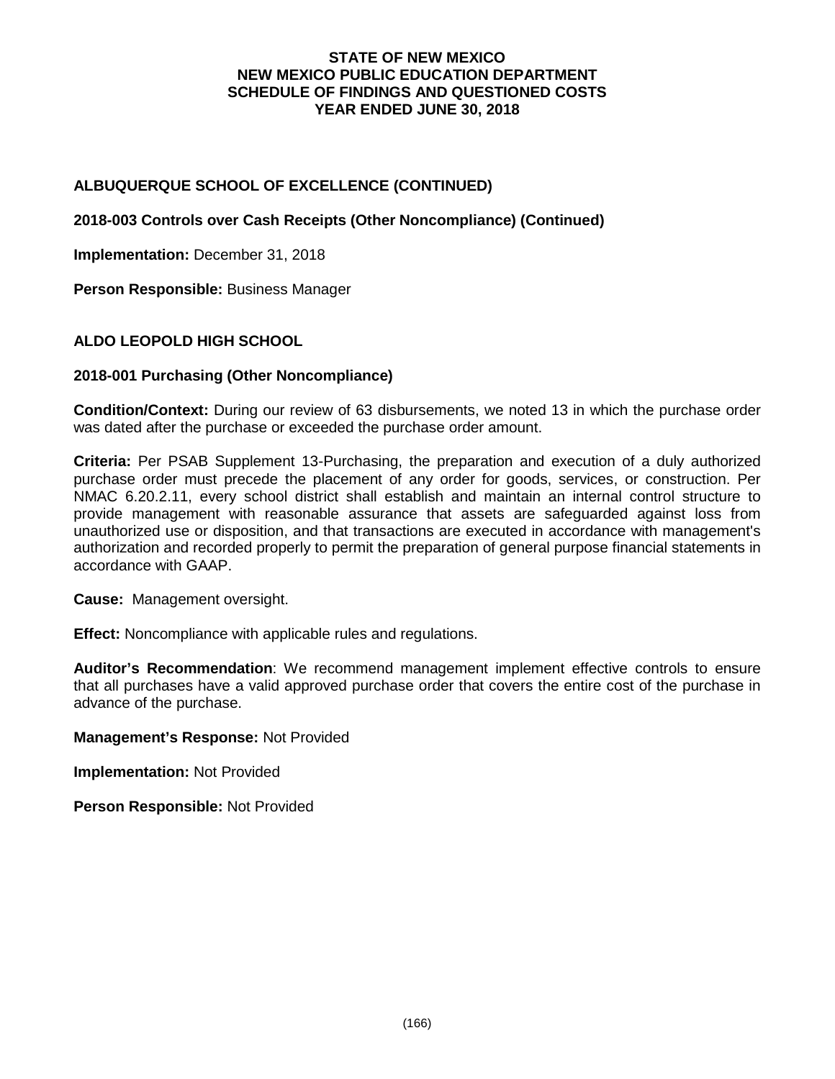## **ALBUQUERQUE SCHOOL OF EXCELLENCE (CONTINUED)**

### **2018-003 Controls over Cash Receipts (Other Noncompliance) (Continued)**

**Implementation:** December 31, 2018

**Person Responsible:** Business Manager

### **ALDO LEOPOLD HIGH SCHOOL**

### **2018-001 Purchasing (Other Noncompliance)**

**Condition/Context:** During our review of 63 disbursements, we noted 13 in which the purchase order was dated after the purchase or exceeded the purchase order amount.

**Criteria:** Per PSAB Supplement 13-Purchasing, the preparation and execution of a duly authorized purchase order must precede the placement of any order for goods, services, or construction. Per NMAC 6.20.2.11, every school district shall establish and maintain an internal control structure to provide management with reasonable assurance that assets are safeguarded against loss from unauthorized use or disposition, and that transactions are executed in accordance with management's authorization and recorded properly to permit the preparation of general purpose financial statements in accordance with GAAP.

**Cause:** Management oversight.

**Effect:** Noncompliance with applicable rules and regulations.

**Auditor's Recommendation**: We recommend management implement effective controls to ensure that all purchases have a valid approved purchase order that covers the entire cost of the purchase in advance of the purchase.

#### **Management's Response:** Not Provided

**Implementation:** Not Provided

**Person Responsible:** Not Provided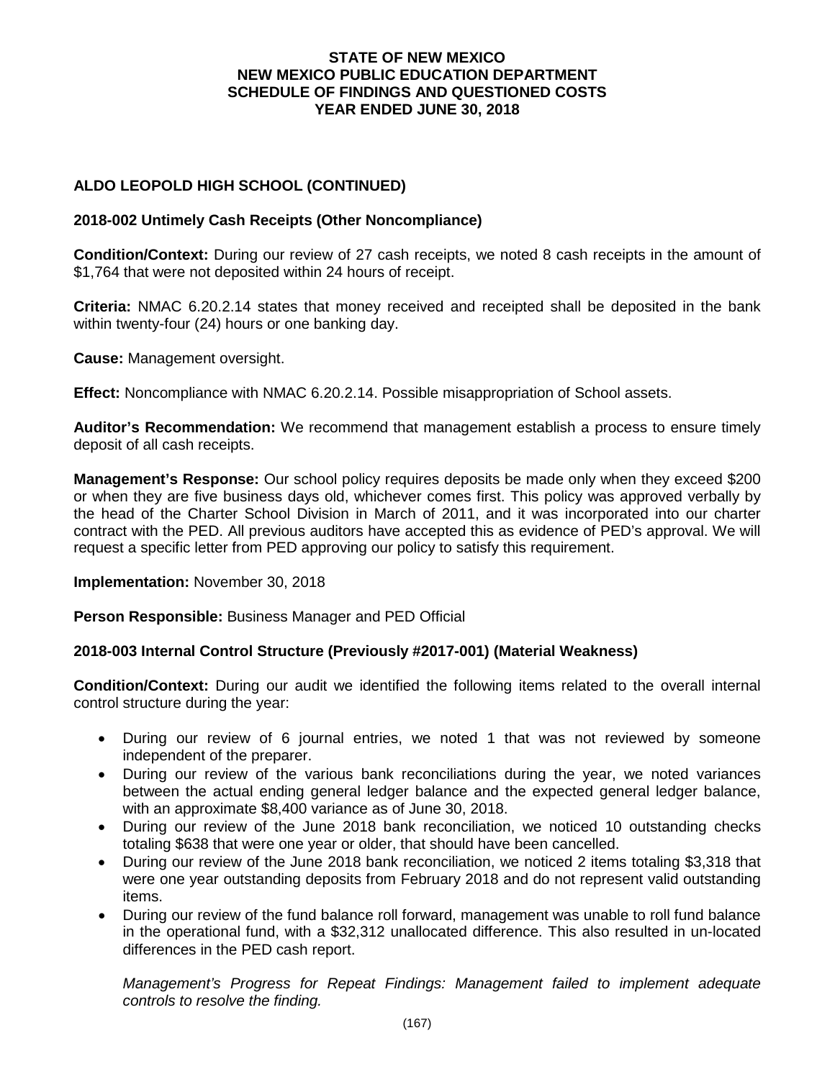# **ALDO LEOPOLD HIGH SCHOOL (CONTINUED)**

## **2018-002 Untimely Cash Receipts (Other Noncompliance)**

**Condition/Context:** During our review of 27 cash receipts, we noted 8 cash receipts in the amount of \$1,764 that were not deposited within 24 hours of receipt.

**Criteria:** NMAC 6.20.2.14 states that money received and receipted shall be deposited in the bank within twenty-four (24) hours or one banking day.

**Cause:** Management oversight.

**Effect:** Noncompliance with NMAC 6.20.2.14. Possible misappropriation of School assets.

**Auditor's Recommendation:** We recommend that management establish a process to ensure timely deposit of all cash receipts.

**Management's Response:** Our school policy requires deposits be made only when they exceed \$200 or when they are five business days old, whichever comes first. This policy was approved verbally by the head of the Charter School Division in March of 2011, and it was incorporated into our charter contract with the PED. All previous auditors have accepted this as evidence of PED's approval. We will request a specific letter from PED approving our policy to satisfy this requirement.

**Implementation:** November 30, 2018

**Person Responsible:** Business Manager and PED Official

### **2018-003 Internal Control Structure (Previously #2017-001) (Material Weakness)**

**Condition/Context:** During our audit we identified the following items related to the overall internal control structure during the year:

- During our review of 6 journal entries, we noted 1 that was not reviewed by someone independent of the preparer.
- During our review of the various bank reconciliations during the year, we noted variances between the actual ending general ledger balance and the expected general ledger balance, with an approximate \$8,400 variance as of June 30, 2018.
- During our review of the June 2018 bank reconciliation, we noticed 10 outstanding checks totaling \$638 that were one year or older, that should have been cancelled.
- During our review of the June 2018 bank reconciliation, we noticed 2 items totaling \$3,318 that were one year outstanding deposits from February 2018 and do not represent valid outstanding items.
- During our review of the fund balance roll forward, management was unable to roll fund balance in the operational fund, with a \$32,312 unallocated difference. This also resulted in un-located differences in the PED cash report.

*Management's Progress for Repeat Findings: Management failed to implement adequate controls to resolve the finding.*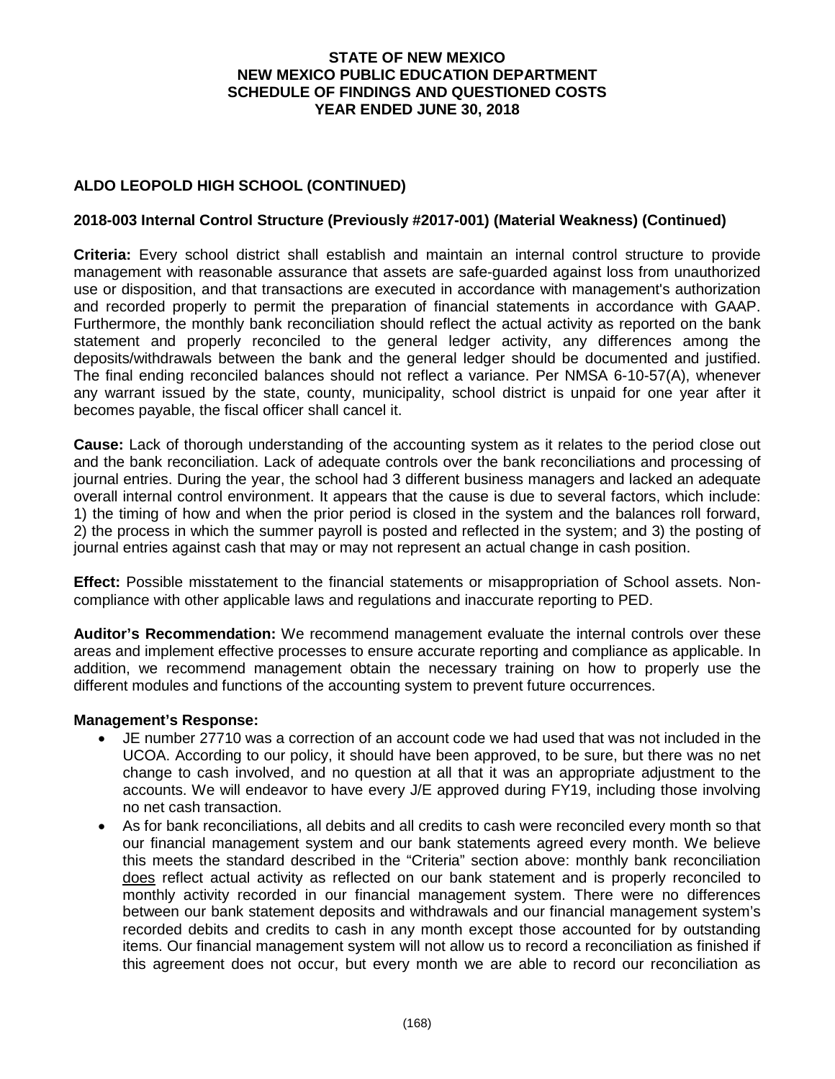## **ALDO LEOPOLD HIGH SCHOOL (CONTINUED)**

### **2018-003 Internal Control Structure (Previously #2017-001) (Material Weakness) (Continued)**

**Criteria:** Every school district shall establish and maintain an internal control structure to provide management with reasonable assurance that assets are safe-guarded against loss from unauthorized use or disposition, and that transactions are executed in accordance with management's authorization and recorded properly to permit the preparation of financial statements in accordance with GAAP. Furthermore, the monthly bank reconciliation should reflect the actual activity as reported on the bank statement and properly reconciled to the general ledger activity, any differences among the deposits/withdrawals between the bank and the general ledger should be documented and justified. The final ending reconciled balances should not reflect a variance. Per NMSA 6-10-57(A), whenever any warrant issued by the state, county, municipality, school district is unpaid for one year after it becomes payable, the fiscal officer shall cancel it.

**Cause:** Lack of thorough understanding of the accounting system as it relates to the period close out and the bank reconciliation. Lack of adequate controls over the bank reconciliations and processing of journal entries. During the year, the school had 3 different business managers and lacked an adequate overall internal control environment. It appears that the cause is due to several factors, which include: 1) the timing of how and when the prior period is closed in the system and the balances roll forward, 2) the process in which the summer payroll is posted and reflected in the system; and 3) the posting of journal entries against cash that may or may not represent an actual change in cash position.

**Effect:** Possible misstatement to the financial statements or misappropriation of School assets. Noncompliance with other applicable laws and regulations and inaccurate reporting to PED.

**Auditor's Recommendation:** We recommend management evaluate the internal controls over these areas and implement effective processes to ensure accurate reporting and compliance as applicable. In addition, we recommend management obtain the necessary training on how to properly use the different modules and functions of the accounting system to prevent future occurrences.

#### **Management's Response:**

- JE number 27710 was a correction of an account code we had used that was not included in the UCOA. According to our policy, it should have been approved, to be sure, but there was no net change to cash involved, and no question at all that it was an appropriate adjustment to the accounts. We will endeavor to have every J/E approved during FY19, including those involving no net cash transaction.
- As for bank reconciliations, all debits and all credits to cash were reconciled every month so that our financial management system and our bank statements agreed every month. We believe this meets the standard described in the "Criteria" section above: monthly bank reconciliation does reflect actual activity as reflected on our bank statement and is properly reconciled to monthly activity recorded in our financial management system. There were no differences between our bank statement deposits and withdrawals and our financial management system's recorded debits and credits to cash in any month except those accounted for by outstanding items. Our financial management system will not allow us to record a reconciliation as finished if this agreement does not occur, but every month we are able to record our reconciliation as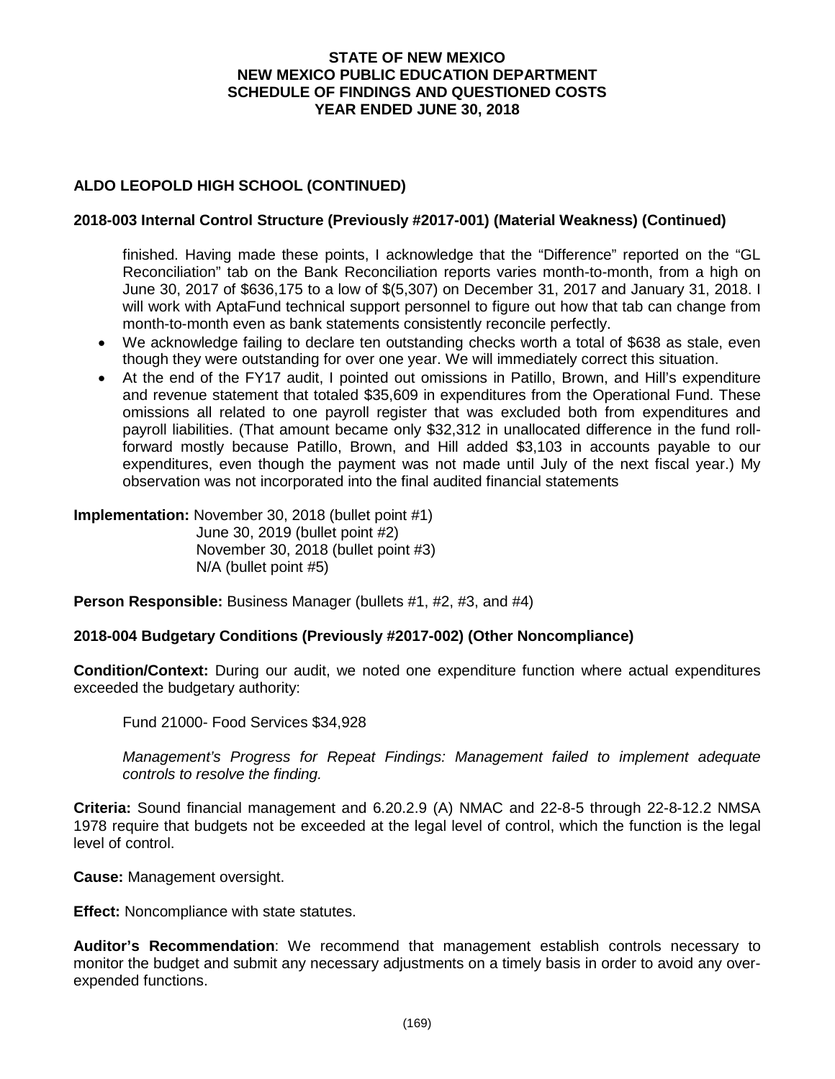# **ALDO LEOPOLD HIGH SCHOOL (CONTINUED)**

### **2018-003 Internal Control Structure (Previously #2017-001) (Material Weakness) (Continued)**

finished. Having made these points, I acknowledge that the "Difference" reported on the "GL Reconciliation" tab on the Bank Reconciliation reports varies month-to-month, from a high on June 30, 2017 of \$636,175 to a low of \$(5,307) on December 31, 2017 and January 31, 2018. I will work with AptaFund technical support personnel to figure out how that tab can change from month-to-month even as bank statements consistently reconcile perfectly.

- We acknowledge failing to declare ten outstanding checks worth a total of \$638 as stale, even though they were outstanding for over one year. We will immediately correct this situation.
- At the end of the FY17 audit, I pointed out omissions in Patillo, Brown, and Hill's expenditure and revenue statement that totaled \$35,609 in expenditures from the Operational Fund. These omissions all related to one payroll register that was excluded both from expenditures and payroll liabilities. (That amount became only \$32,312 in unallocated difference in the fund rollforward mostly because Patillo, Brown, and Hill added \$3,103 in accounts payable to our expenditures, even though the payment was not made until July of the next fiscal year.) My observation was not incorporated into the final audited financial statements

**Implementation:** November 30, 2018 (bullet point #1) June 30, 2019 (bullet point #2) November 30, 2018 (bullet point #3) N/A (bullet point #5)

**Person Responsible:** Business Manager (bullets #1, #2, #3, and #4)

### **2018-004 Budgetary Conditions (Previously #2017-002) (Other Noncompliance)**

**Condition/Context:** During our audit, we noted one expenditure function where actual expenditures exceeded the budgetary authority:

Fund 21000- Food Services \$34,928

*Management's Progress for Repeat Findings: Management failed to implement adequate controls to resolve the finding.*

**Criteria:** Sound financial management and 6.20.2.9 (A) NMAC and 22-8-5 through 22-8-12.2 NMSA 1978 require that budgets not be exceeded at the legal level of control, which the function is the legal level of control.

**Cause:** Management oversight.

**Effect:** Noncompliance with state statutes.

**Auditor's Recommendation**: We recommend that management establish controls necessary to monitor the budget and submit any necessary adjustments on a timely basis in order to avoid any overexpended functions.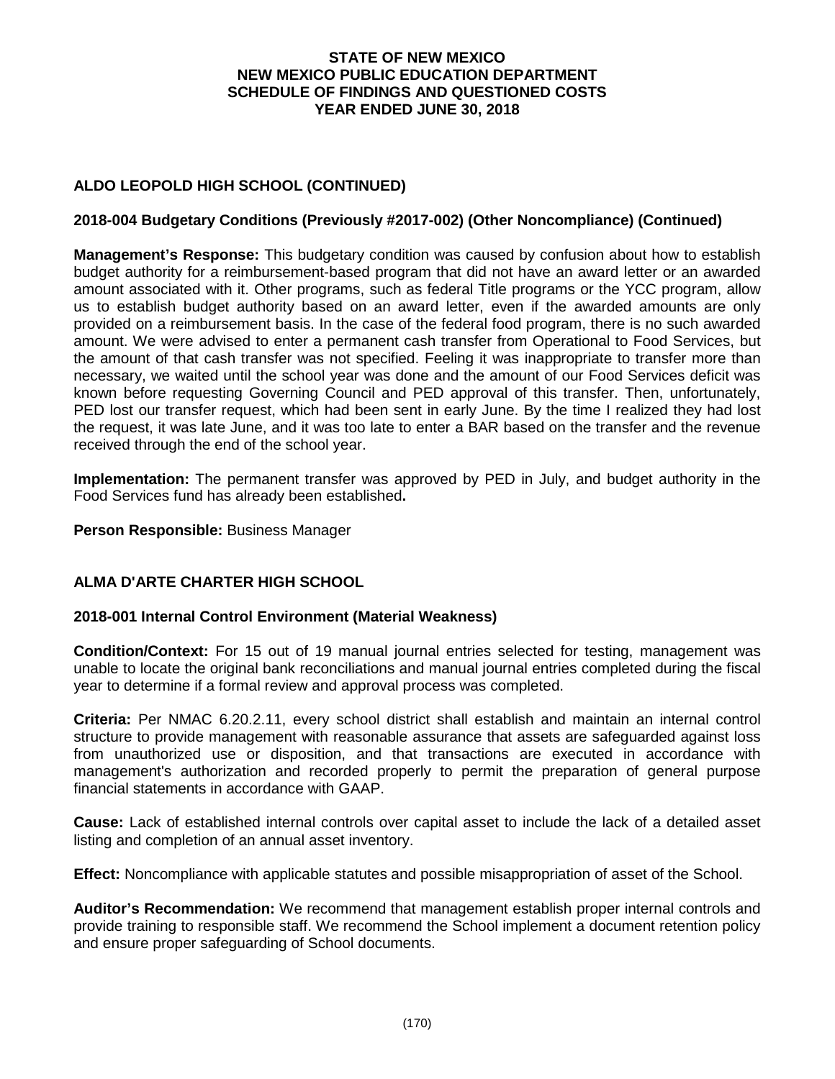# **ALDO LEOPOLD HIGH SCHOOL (CONTINUED)**

# **2018-004 Budgetary Conditions (Previously #2017-002) (Other Noncompliance) (Continued)**

**Management's Response:** This budgetary condition was caused by confusion about how to establish budget authority for a reimbursement-based program that did not have an award letter or an awarded amount associated with it. Other programs, such as federal Title programs or the YCC program, allow us to establish budget authority based on an award letter, even if the awarded amounts are only provided on a reimbursement basis. In the case of the federal food program, there is no such awarded amount. We were advised to enter a permanent cash transfer from Operational to Food Services, but the amount of that cash transfer was not specified. Feeling it was inappropriate to transfer more than necessary, we waited until the school year was done and the amount of our Food Services deficit was known before requesting Governing Council and PED approval of this transfer. Then, unfortunately, PED lost our transfer request, which had been sent in early June. By the time I realized they had lost the request, it was late June, and it was too late to enter a BAR based on the transfer and the revenue received through the end of the school year.

**Implementation:** The permanent transfer was approved by PED in July, and budget authority in the Food Services fund has already been established**.**

**Person Responsible:** Business Manager

# **ALMA D'ARTE CHARTER HIGH SCHOOL**

# **2018-001 Internal Control Environment (Material Weakness)**

**Condition/Context:** For 15 out of 19 manual journal entries selected for testing, management was unable to locate the original bank reconciliations and manual journal entries completed during the fiscal year to determine if a formal review and approval process was completed.

**Criteria:** Per NMAC 6.20.2.11, every school district shall establish and maintain an internal control structure to provide management with reasonable assurance that assets are safeguarded against loss from unauthorized use or disposition, and that transactions are executed in accordance with management's authorization and recorded properly to permit the preparation of general purpose financial statements in accordance with GAAP.

**Cause:** Lack of established internal controls over capital asset to include the lack of a detailed asset listing and completion of an annual asset inventory.

**Effect:** Noncompliance with applicable statutes and possible misappropriation of asset of the School.

**Auditor's Recommendation:** We recommend that management establish proper internal controls and provide training to responsible staff. We recommend the School implement a document retention policy and ensure proper safeguarding of School documents.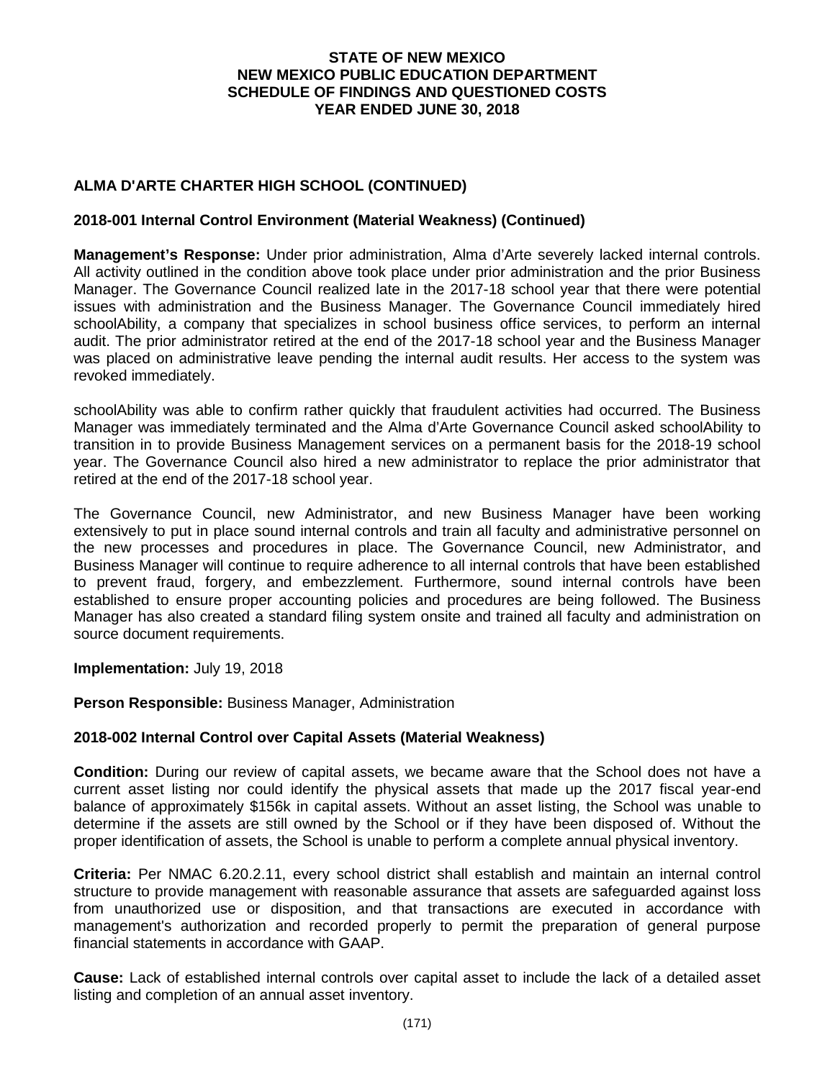# **ALMA D'ARTE CHARTER HIGH SCHOOL (CONTINUED)**

# **2018-001 Internal Control Environment (Material Weakness) (Continued)**

**Management's Response:** Under prior administration, Alma d'Arte severely lacked internal controls. All activity outlined in the condition above took place under prior administration and the prior Business Manager. The Governance Council realized late in the 2017-18 school year that there were potential issues with administration and the Business Manager. The Governance Council immediately hired schoolAbility, a company that specializes in school business office services, to perform an internal audit. The prior administrator retired at the end of the 2017-18 school year and the Business Manager was placed on administrative leave pending the internal audit results. Her access to the system was revoked immediately.

schoolAbility was able to confirm rather quickly that fraudulent activities had occurred. The Business Manager was immediately terminated and the Alma d'Arte Governance Council asked schoolAbility to transition in to provide Business Management services on a permanent basis for the 2018-19 school year. The Governance Council also hired a new administrator to replace the prior administrator that retired at the end of the 2017-18 school year.

The Governance Council, new Administrator, and new Business Manager have been working extensively to put in place sound internal controls and train all faculty and administrative personnel on the new processes and procedures in place. The Governance Council, new Administrator, and Business Manager will continue to require adherence to all internal controls that have been established to prevent fraud, forgery, and embezzlement. Furthermore, sound internal controls have been established to ensure proper accounting policies and procedures are being followed. The Business Manager has also created a standard filing system onsite and trained all faculty and administration on source document requirements.

**Implementation:** July 19, 2018

**Person Responsible:** Business Manager, Administration

# **2018-002 Internal Control over Capital Assets (Material Weakness)**

**Condition:** During our review of capital assets, we became aware that the School does not have a current asset listing nor could identify the physical assets that made up the 2017 fiscal year-end balance of approximately \$156k in capital assets. Without an asset listing, the School was unable to determine if the assets are still owned by the School or if they have been disposed of. Without the proper identification of assets, the School is unable to perform a complete annual physical inventory.

**Criteria:** Per NMAC 6.20.2.11, every school district shall establish and maintain an internal control structure to provide management with reasonable assurance that assets are safeguarded against loss from unauthorized use or disposition, and that transactions are executed in accordance with management's authorization and recorded properly to permit the preparation of general purpose financial statements in accordance with GAAP.

**Cause:** Lack of established internal controls over capital asset to include the lack of a detailed asset listing and completion of an annual asset inventory.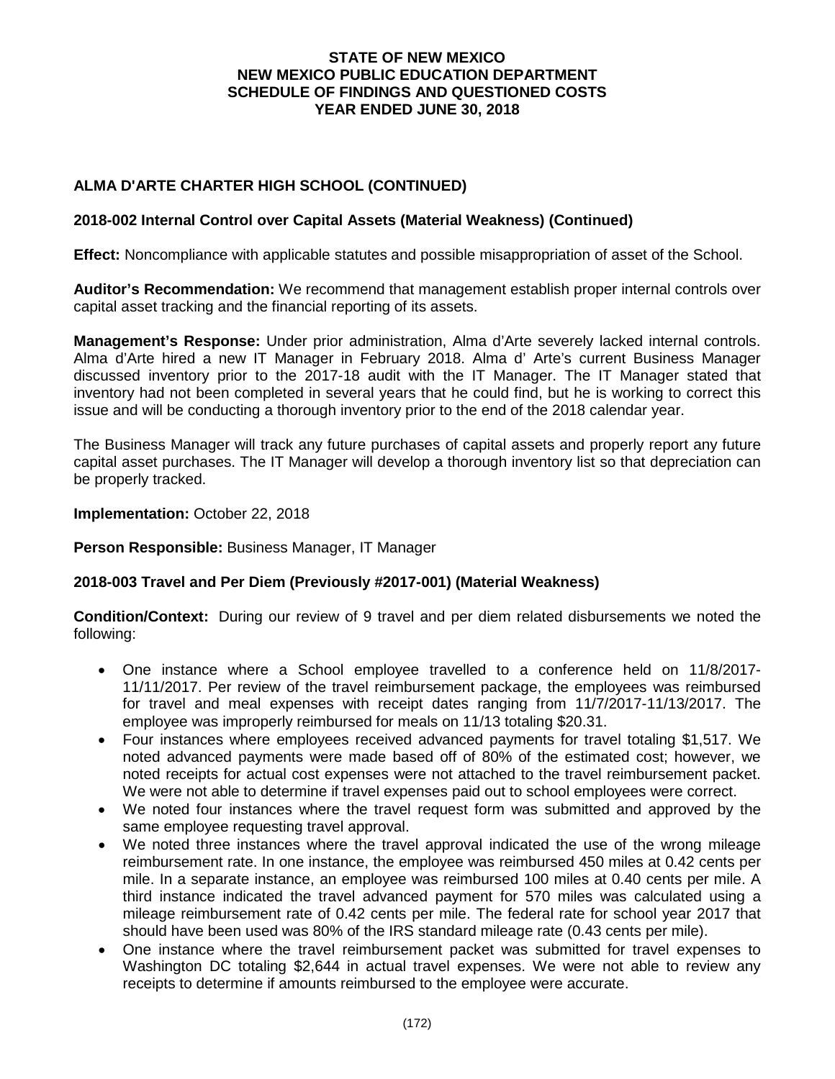# **ALMA D'ARTE CHARTER HIGH SCHOOL (CONTINUED)**

# **2018-002 Internal Control over Capital Assets (Material Weakness) (Continued)**

**Effect:** Noncompliance with applicable statutes and possible misappropriation of asset of the School.

**Auditor's Recommendation:** We recommend that management establish proper internal controls over capital asset tracking and the financial reporting of its assets.

**Management's Response:** Under prior administration, Alma d'Arte severely lacked internal controls. Alma d'Arte hired a new IT Manager in February 2018. Alma d' Arte's current Business Manager discussed inventory prior to the 2017-18 audit with the IT Manager. The IT Manager stated that inventory had not been completed in several years that he could find, but he is working to correct this issue and will be conducting a thorough inventory prior to the end of the 2018 calendar year.

The Business Manager will track any future purchases of capital assets and properly report any future capital asset purchases. The IT Manager will develop a thorough inventory list so that depreciation can be properly tracked.

**Implementation:** October 22, 2018

**Person Responsible:** Business Manager, IT Manager

# **2018-003 Travel and Per Diem (Previously #2017-001) (Material Weakness)**

**Condition/Context:** During our review of 9 travel and per diem related disbursements we noted the following:

- One instance where a School employee travelled to a conference held on 11/8/2017- 11/11/2017. Per review of the travel reimbursement package, the employees was reimbursed for travel and meal expenses with receipt dates ranging from 11/7/2017-11/13/2017. The employee was improperly reimbursed for meals on 11/13 totaling \$20.31.
- Four instances where employees received advanced payments for travel totaling \$1,517. We noted advanced payments were made based off of 80% of the estimated cost; however, we noted receipts for actual cost expenses were not attached to the travel reimbursement packet. We were not able to determine if travel expenses paid out to school employees were correct.
- We noted four instances where the travel request form was submitted and approved by the same employee requesting travel approval.
- We noted three instances where the travel approval indicated the use of the wrong mileage reimbursement rate. In one instance, the employee was reimbursed 450 miles at 0.42 cents per mile. In a separate instance, an employee was reimbursed 100 miles at 0.40 cents per mile. A third instance indicated the travel advanced payment for 570 miles was calculated using a mileage reimbursement rate of 0.42 cents per mile. The federal rate for school year 2017 that should have been used was 80% of the IRS standard mileage rate (0.43 cents per mile).
- One instance where the travel reimbursement packet was submitted for travel expenses to Washington DC totaling \$2,644 in actual travel expenses. We were not able to review any receipts to determine if amounts reimbursed to the employee were accurate.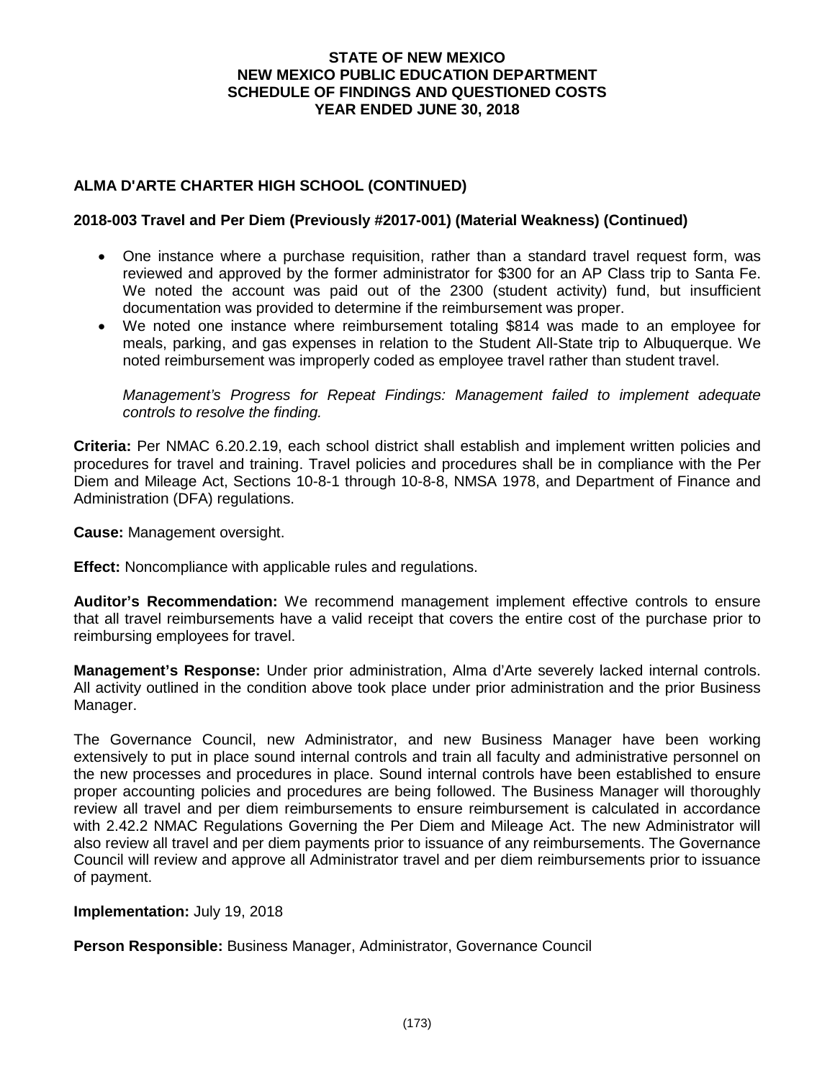# **ALMA D'ARTE CHARTER HIGH SCHOOL (CONTINUED)**

# **2018-003 Travel and Per Diem (Previously #2017-001) (Material Weakness) (Continued)**

- One instance where a purchase requisition, rather than a standard travel request form, was reviewed and approved by the former administrator for \$300 for an AP Class trip to Santa Fe. We noted the account was paid out of the 2300 (student activity) fund, but insufficient documentation was provided to determine if the reimbursement was proper.
- We noted one instance where reimbursement totaling \$814 was made to an employee for meals, parking, and gas expenses in relation to the Student All-State trip to Albuquerque. We noted reimbursement was improperly coded as employee travel rather than student travel.

*Management's Progress for Repeat Findings: Management failed to implement adequate controls to resolve the finding.*

**Criteria:** Per NMAC 6.20.2.19, each school district shall establish and implement written policies and procedures for travel and training. Travel policies and procedures shall be in compliance with the Per Diem and Mileage Act, Sections 10-8-1 through 10-8-8, NMSA 1978, and Department of Finance and Administration (DFA) regulations.

**Cause:** Management oversight.

**Effect:** Noncompliance with applicable rules and regulations.

**Auditor's Recommendation:** We recommend management implement effective controls to ensure that all travel reimbursements have a valid receipt that covers the entire cost of the purchase prior to reimbursing employees for travel.

**Management's Response:** Under prior administration, Alma d'Arte severely lacked internal controls. All activity outlined in the condition above took place under prior administration and the prior Business Manager.

The Governance Council, new Administrator, and new Business Manager have been working extensively to put in place sound internal controls and train all faculty and administrative personnel on the new processes and procedures in place. Sound internal controls have been established to ensure proper accounting policies and procedures are being followed. The Business Manager will thoroughly review all travel and per diem reimbursements to ensure reimbursement is calculated in accordance with 2.42.2 NMAC Regulations Governing the Per Diem and Mileage Act. The new Administrator will also review all travel and per diem payments prior to issuance of any reimbursements. The Governance Council will review and approve all Administrator travel and per diem reimbursements prior to issuance of payment.

**Implementation:** July 19, 2018

**Person Responsible:** Business Manager, Administrator, Governance Council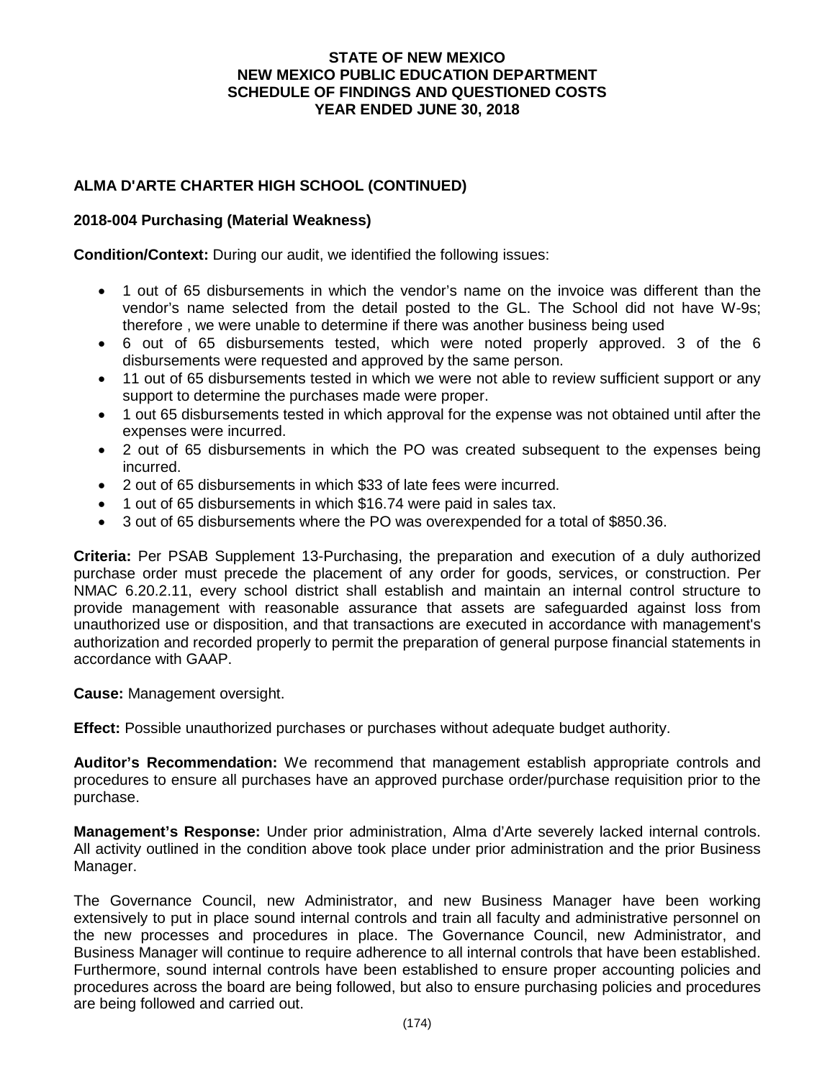# **ALMA D'ARTE CHARTER HIGH SCHOOL (CONTINUED)**

# **2018-004 Purchasing (Material Weakness)**

**Condition/Context:** During our audit, we identified the following issues:

- 1 out of 65 disbursements in which the vendor's name on the invoice was different than the vendor's name selected from the detail posted to the GL. The School did not have W-9s; therefore , we were unable to determine if there was another business being used
- 6 out of 65 disbursements tested, which were noted properly approved. 3 of the 6 disbursements were requested and approved by the same person.
- 11 out of 65 disbursements tested in which we were not able to review sufficient support or any support to determine the purchases made were proper.
- 1 out 65 disbursements tested in which approval for the expense was not obtained until after the expenses were incurred.
- 2 out of 65 disbursements in which the PO was created subsequent to the expenses being incurred.
- 2 out of 65 disbursements in which \$33 of late fees were incurred.
- 1 out of 65 disbursements in which \$16.74 were paid in sales tax.
- 3 out of 65 disbursements where the PO was overexpended for a total of \$850.36.

**Criteria:** Per PSAB Supplement 13-Purchasing, the preparation and execution of a duly authorized purchase order must precede the placement of any order for goods, services, or construction. Per NMAC 6.20.2.11, every school district shall establish and maintain an internal control structure to provide management with reasonable assurance that assets are safeguarded against loss from unauthorized use or disposition, and that transactions are executed in accordance with management's authorization and recorded properly to permit the preparation of general purpose financial statements in accordance with GAAP.

**Cause:** Management oversight.

**Effect:** Possible unauthorized purchases or purchases without adequate budget authority.

**Auditor's Recommendation:** We recommend that management establish appropriate controls and procedures to ensure all purchases have an approved purchase order/purchase requisition prior to the purchase.

**Management's Response:** Under prior administration, Alma d'Arte severely lacked internal controls. All activity outlined in the condition above took place under prior administration and the prior Business Manager.

The Governance Council, new Administrator, and new Business Manager have been working extensively to put in place sound internal controls and train all faculty and administrative personnel on the new processes and procedures in place. The Governance Council, new Administrator, and Business Manager will continue to require adherence to all internal controls that have been established. Furthermore, sound internal controls have been established to ensure proper accounting policies and procedures across the board are being followed, but also to ensure purchasing policies and procedures are being followed and carried out.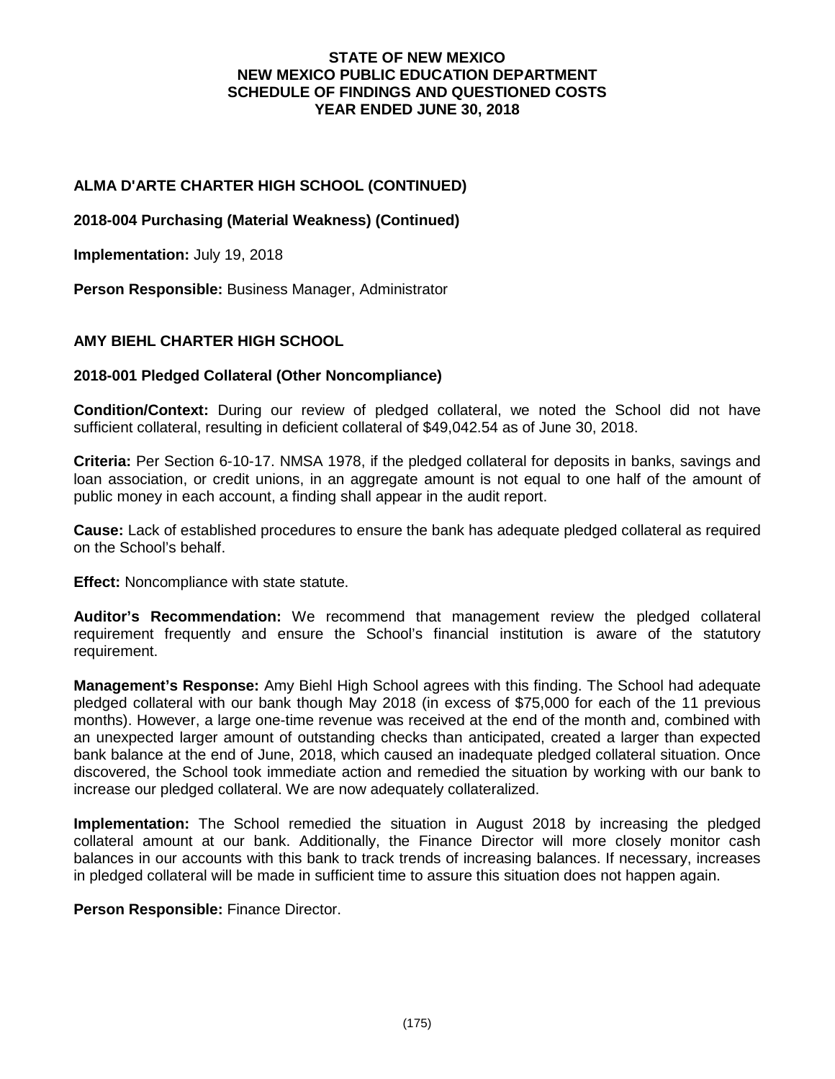# **ALMA D'ARTE CHARTER HIGH SCHOOL (CONTINUED)**

# **2018-004 Purchasing (Material Weakness) (Continued)**

**Implementation:** July 19, 2018

**Person Responsible:** Business Manager, Administrator

# **AMY BIEHL CHARTER HIGH SCHOOL**

### **2018-001 Pledged Collateral (Other Noncompliance)**

**Condition/Context:** During our review of pledged collateral, we noted the School did not have sufficient collateral, resulting in deficient collateral of \$49,042.54 as of June 30, 2018.

**Criteria:** Per Section 6-10-17. NMSA 1978, if the pledged collateral for deposits in banks, savings and loan association, or credit unions, in an aggregate amount is not equal to one half of the amount of public money in each account, a finding shall appear in the audit report.

**Cause:** Lack of established procedures to ensure the bank has adequate pledged collateral as required on the School's behalf.

**Effect:** Noncompliance with state statute.

**Auditor's Recommendation:** We recommend that management review the pledged collateral requirement frequently and ensure the School's financial institution is aware of the statutory requirement.

**Management's Response:** Amy Biehl High School agrees with this finding. The School had adequate pledged collateral with our bank though May 2018 (in excess of \$75,000 for each of the 11 previous months). However, a large one-time revenue was received at the end of the month and, combined with an unexpected larger amount of outstanding checks than anticipated, created a larger than expected bank balance at the end of June, 2018, which caused an inadequate pledged collateral situation. Once discovered, the School took immediate action and remedied the situation by working with our bank to increase our pledged collateral. We are now adequately collateralized.

**Implementation:** The School remedied the situation in August 2018 by increasing the pledged collateral amount at our bank. Additionally, the Finance Director will more closely monitor cash balances in our accounts with this bank to track trends of increasing balances. If necessary, increases in pledged collateral will be made in sufficient time to assure this situation does not happen again.

**Person Responsible:** Finance Director.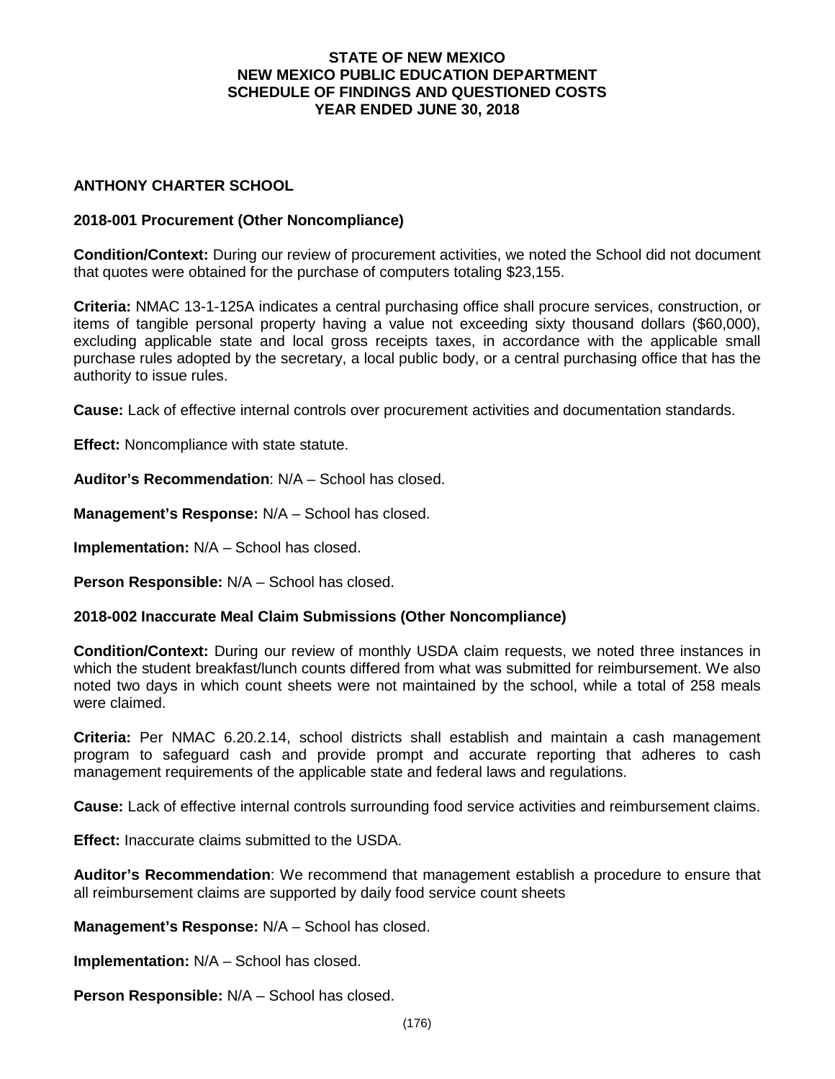# **ANTHONY CHARTER SCHOOL**

#### **2018-001 Procurement (Other Noncompliance)**

**Condition/Context:** During our review of procurement activities, we noted the School did not document that quotes were obtained for the purchase of computers totaling \$23,155.

**Criteria:** NMAC 13-1-125A indicates a central purchasing office shall procure services, construction, or items of tangible personal property having a value not exceeding sixty thousand dollars (\$60,000), excluding applicable state and local gross receipts taxes, in accordance with the applicable small purchase rules adopted by the secretary, a local public body, or a central purchasing office that has the authority to issue rules.

**Cause:** Lack of effective internal controls over procurement activities and documentation standards.

**Effect:** Noncompliance with state statute.

**Auditor's Recommendation**: N/A – School has closed.

**Management's Response:** N/A – School has closed.

**Implementation:** N/A – School has closed.

**Person Responsible:** N/A – School has closed.

#### **2018-002 Inaccurate Meal Claim Submissions (Other Noncompliance)**

**Condition/Context:** During our review of monthly USDA claim requests, we noted three instances in which the student breakfast/lunch counts differed from what was submitted for reimbursement. We also noted two days in which count sheets were not maintained by the school, while a total of 258 meals were claimed.

**Criteria:** Per NMAC 6.20.2.14, school districts shall establish and maintain a cash management program to safeguard cash and provide prompt and accurate reporting that adheres to cash management requirements of the applicable state and federal laws and regulations.

**Cause:** Lack of effective internal controls surrounding food service activities and reimbursement claims.

**Effect:** Inaccurate claims submitted to the USDA.

**Auditor's Recommendation**: We recommend that management establish a procedure to ensure that all reimbursement claims are supported by daily food service count sheets

**Management's Response:** N/A – School has closed.

**Implementation:** N/A – School has closed.

**Person Responsible:** N/A – School has closed.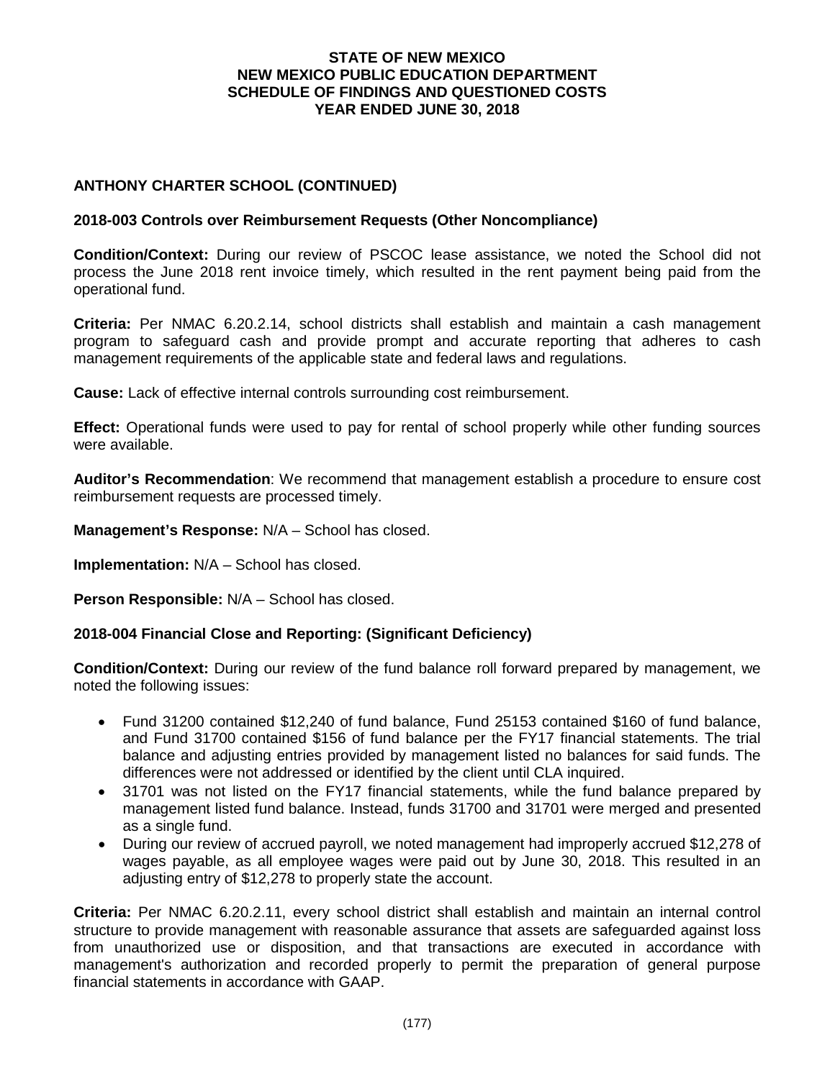# **ANTHONY CHARTER SCHOOL (CONTINUED)**

# **2018-003 Controls over Reimbursement Requests (Other Noncompliance)**

**Condition/Context:** During our review of PSCOC lease assistance, we noted the School did not process the June 2018 rent invoice timely, which resulted in the rent payment being paid from the operational fund.

**Criteria:** Per NMAC 6.20.2.14, school districts shall establish and maintain a cash management program to safeguard cash and provide prompt and accurate reporting that adheres to cash management requirements of the applicable state and federal laws and regulations.

**Cause:** Lack of effective internal controls surrounding cost reimbursement.

**Effect:** Operational funds were used to pay for rental of school properly while other funding sources were available.

**Auditor's Recommendation**: We recommend that management establish a procedure to ensure cost reimbursement requests are processed timely.

**Management's Response:** N/A – School has closed.

**Implementation:** N/A – School has closed.

**Person Responsible:** N/A – School has closed.

# **2018-004 Financial Close and Reporting: (Significant Deficiency)**

**Condition/Context:** During our review of the fund balance roll forward prepared by management, we noted the following issues:

- Fund 31200 contained \$12,240 of fund balance, Fund 25153 contained \$160 of fund balance, and Fund 31700 contained \$156 of fund balance per the FY17 financial statements. The trial balance and adjusting entries provided by management listed no balances for said funds. The differences were not addressed or identified by the client until CLA inquired.
- 31701 was not listed on the FY17 financial statements, while the fund balance prepared by management listed fund balance. Instead, funds 31700 and 31701 were merged and presented as a single fund.
- During our review of accrued payroll, we noted management had improperly accrued \$12,278 of wages payable, as all employee wages were paid out by June 30, 2018. This resulted in an adjusting entry of \$12,278 to properly state the account.

**Criteria:** Per NMAC 6.20.2.11, every school district shall establish and maintain an internal control structure to provide management with reasonable assurance that assets are safeguarded against loss from unauthorized use or disposition, and that transactions are executed in accordance with management's authorization and recorded properly to permit the preparation of general purpose financial statements in accordance with GAAP.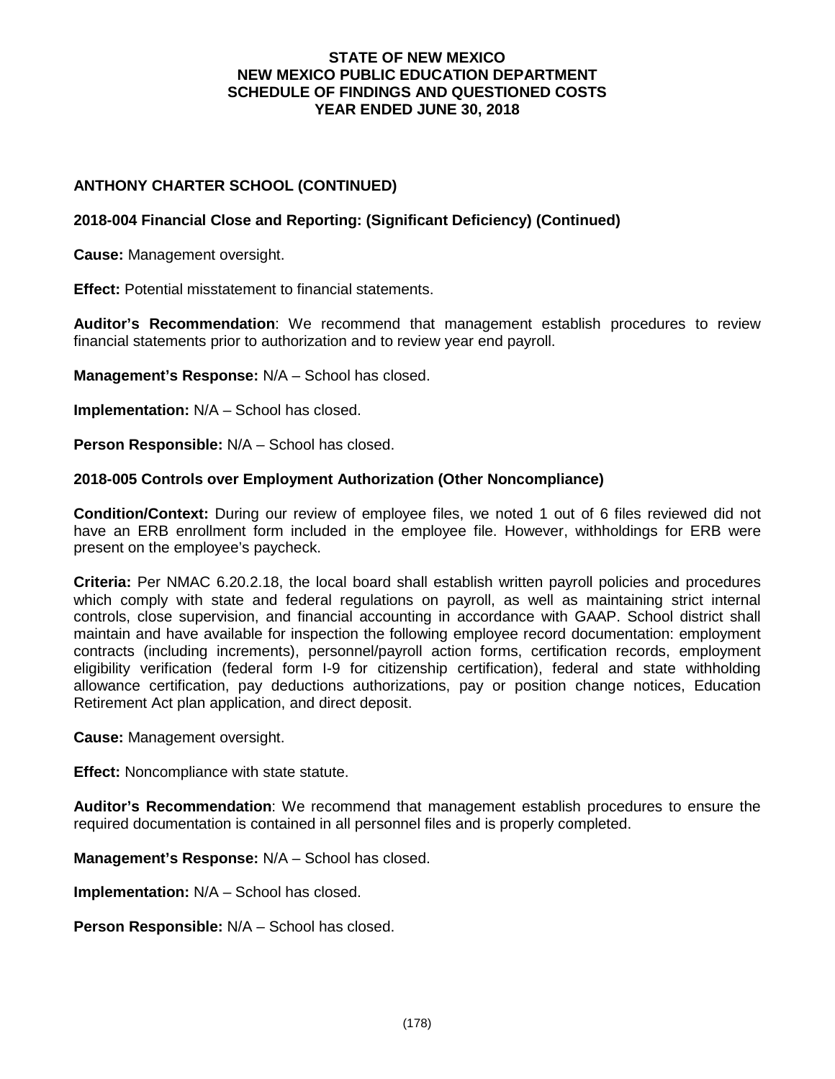# **ANTHONY CHARTER SCHOOL (CONTINUED)**

# **2018-004 Financial Close and Reporting: (Significant Deficiency) (Continued)**

**Cause:** Management oversight.

**Effect:** Potential misstatement to financial statements.

**Auditor's Recommendation**: We recommend that management establish procedures to review financial statements prior to authorization and to review year end payroll.

**Management's Response:** N/A – School has closed.

**Implementation:** N/A – School has closed.

**Person Responsible:** N/A – School has closed.

### **2018-005 Controls over Employment Authorization (Other Noncompliance)**

**Condition/Context:** During our review of employee files, we noted 1 out of 6 files reviewed did not have an ERB enrollment form included in the employee file. However, withholdings for ERB were present on the employee's paycheck.

**Criteria:** Per NMAC 6.20.2.18, the local board shall establish written payroll policies and procedures which comply with state and federal regulations on payroll, as well as maintaining strict internal controls, close supervision, and financial accounting in accordance with GAAP. School district shall maintain and have available for inspection the following employee record documentation: employment contracts (including increments), personnel/payroll action forms, certification records, employment eligibility verification (federal form I-9 for citizenship certification), federal and state withholding allowance certification, pay deductions authorizations, pay or position change notices, Education Retirement Act plan application, and direct deposit.

**Cause:** Management oversight.

**Effect:** Noncompliance with state statute.

**Auditor's Recommendation**: We recommend that management establish procedures to ensure the required documentation is contained in all personnel files and is properly completed.

**Management's Response:** N/A – School has closed.

**Implementation:** N/A – School has closed.

**Person Responsible:** N/A – School has closed.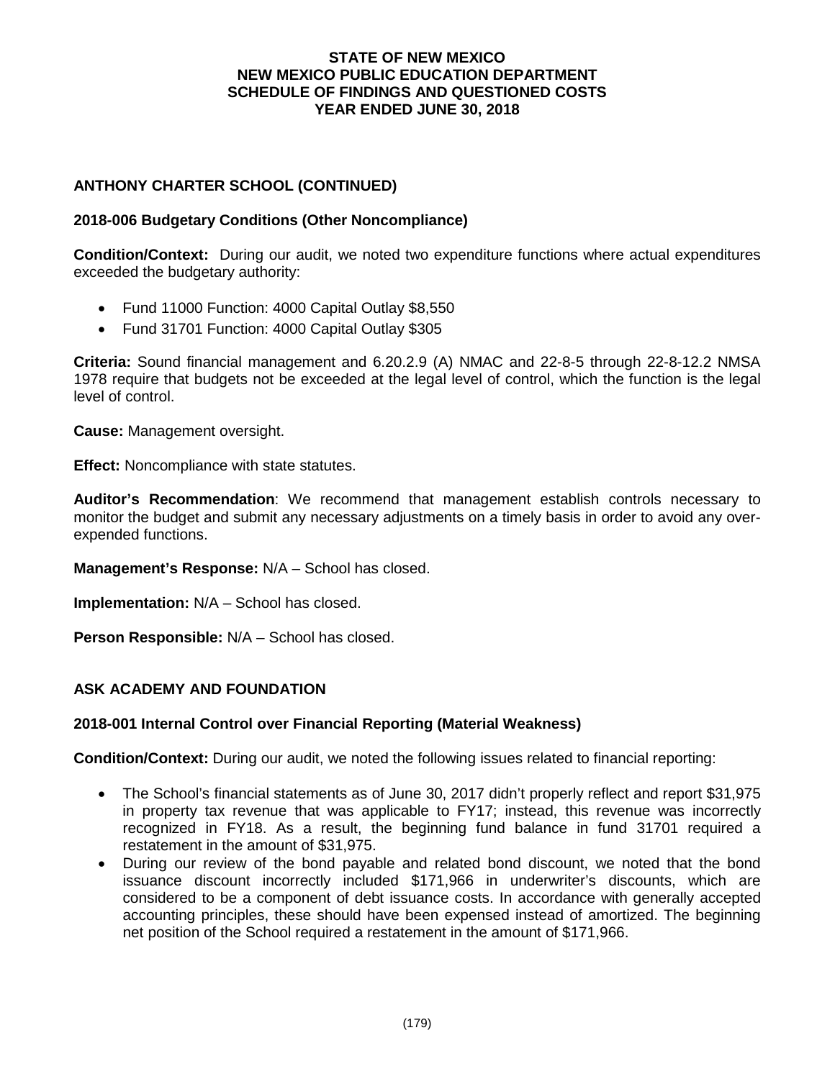# **ANTHONY CHARTER SCHOOL (CONTINUED)**

# **2018-006 Budgetary Conditions (Other Noncompliance)**

**Condition/Context:** During our audit, we noted two expenditure functions where actual expenditures exceeded the budgetary authority:

- Fund 11000 Function: 4000 Capital Outlay \$8,550
- Fund 31701 Function: 4000 Capital Outlay \$305

**Criteria:** Sound financial management and 6.20.2.9 (A) NMAC and 22-8-5 through 22-8-12.2 NMSA 1978 require that budgets not be exceeded at the legal level of control, which the function is the legal level of control.

**Cause:** Management oversight.

**Effect:** Noncompliance with state statutes.

**Auditor's Recommendation**: We recommend that management establish controls necessary to monitor the budget and submit any necessary adjustments on a timely basis in order to avoid any overexpended functions.

**Management's Response:** N/A – School has closed.

**Implementation:** N/A – School has closed.

**Person Responsible:** N/A – School has closed.

# **ASK ACADEMY AND FOUNDATION**

# **2018-001 Internal Control over Financial Reporting (Material Weakness)**

**Condition/Context:** During our audit, we noted the following issues related to financial reporting:

- The School's financial statements as of June 30, 2017 didn't properly reflect and report \$31,975 in property tax revenue that was applicable to FY17; instead, this revenue was incorrectly recognized in FY18. As a result, the beginning fund balance in fund 31701 required a restatement in the amount of \$31,975.
- During our review of the bond payable and related bond discount, we noted that the bond issuance discount incorrectly included \$171,966 in underwriter's discounts, which are considered to be a component of debt issuance costs. In accordance with generally accepted accounting principles, these should have been expensed instead of amortized. The beginning net position of the School required a restatement in the amount of \$171,966.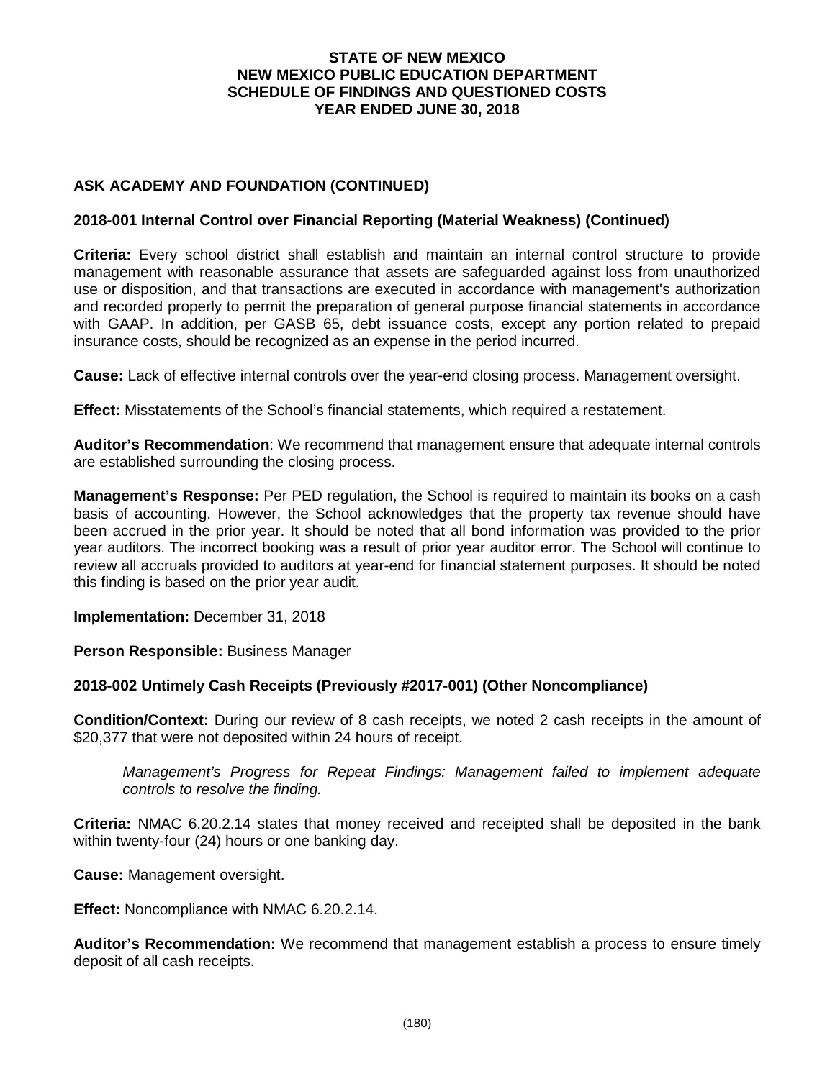# **ASK ACADEMY AND FOUNDATION (CONTINUED)**

### **2018-001 Internal Control over Financial Reporting (Material Weakness) (Continued)**

**Criteria:** Every school district shall establish and maintain an internal control structure to provide management with reasonable assurance that assets are safeguarded against loss from unauthorized use or disposition, and that transactions are executed in accordance with management's authorization and recorded properly to permit the preparation of general purpose financial statements in accordance with GAAP. In addition, per GASB 65, debt issuance costs, except any portion related to prepaid insurance costs, should be recognized as an expense in the period incurred.

**Cause:** Lack of effective internal controls over the year-end closing process. Management oversight.

**Effect:** Misstatements of the School's financial statements, which required a restatement.

**Auditor's Recommendation**: We recommend that management ensure that adequate internal controls are established surrounding the closing process.

**Management's Response:** Per PED regulation, the School is required to maintain its books on a cash basis of accounting. However, the School acknowledges that the property tax revenue should have been accrued in the prior year. It should be noted that all bond information was provided to the prior year auditors. The incorrect booking was a result of prior year auditor error. The School will continue to review all accruals provided to auditors at year-end for financial statement purposes. It should be noted this finding is based on the prior year audit.

**Implementation:** December 31, 2018

**Person Responsible:** Business Manager

#### **2018-002 Untimely Cash Receipts (Previously #2017-001) (Other Noncompliance)**

**Condition/Context:** During our review of 8 cash receipts, we noted 2 cash receipts in the amount of \$20,377 that were not deposited within 24 hours of receipt.

*Management's Progress for Repeat Findings: Management failed to implement adequate controls to resolve the finding.*

**Criteria:** NMAC 6.20.2.14 states that money received and receipted shall be deposited in the bank within twenty-four (24) hours or one banking day.

**Cause:** Management oversight.

**Effect:** Noncompliance with NMAC 6.20.2.14.

**Auditor's Recommendation:** We recommend that management establish a process to ensure timely deposit of all cash receipts.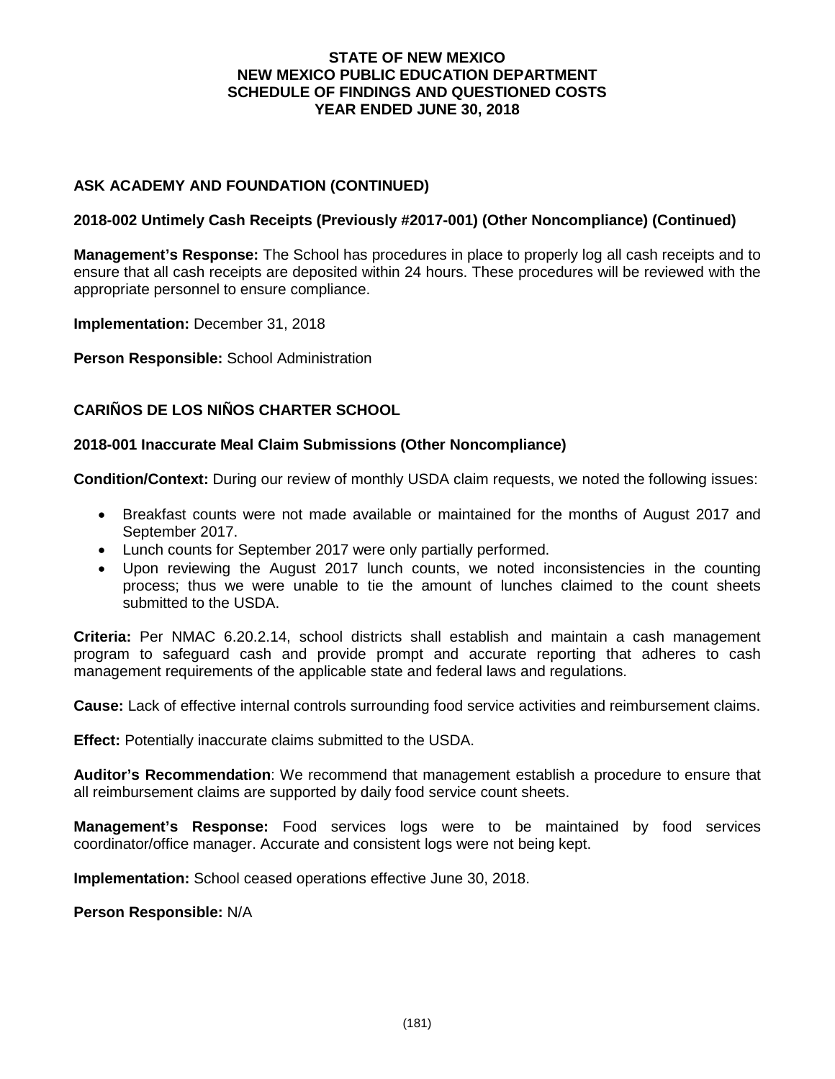# **ASK ACADEMY AND FOUNDATION (CONTINUED)**

# **2018-002 Untimely Cash Receipts (Previously #2017-001) (Other Noncompliance) (Continued)**

**Management's Response:** The School has procedures in place to properly log all cash receipts and to ensure that all cash receipts are deposited within 24 hours. These procedures will be reviewed with the appropriate personnel to ensure compliance.

**Implementation:** December 31, 2018

**Person Responsible:** School Administration

# **CARIÑOS DE LOS NIÑOS CHARTER SCHOOL**

### **2018-001 Inaccurate Meal Claim Submissions (Other Noncompliance)**

**Condition/Context:** During our review of monthly USDA claim requests, we noted the following issues:

- Breakfast counts were not made available or maintained for the months of August 2017 and September 2017.
- Lunch counts for September 2017 were only partially performed.
- Upon reviewing the August 2017 lunch counts, we noted inconsistencies in the counting process; thus we were unable to tie the amount of lunches claimed to the count sheets submitted to the USDA.

**Criteria:** Per NMAC 6.20.2.14, school districts shall establish and maintain a cash management program to safeguard cash and provide prompt and accurate reporting that adheres to cash management requirements of the applicable state and federal laws and regulations.

**Cause:** Lack of effective internal controls surrounding food service activities and reimbursement claims.

**Effect:** Potentially inaccurate claims submitted to the USDA.

**Auditor's Recommendation**: We recommend that management establish a procedure to ensure that all reimbursement claims are supported by daily food service count sheets.

**Management's Response:** Food services logs were to be maintained by food services coordinator/office manager. Accurate and consistent logs were not being kept.

**Implementation:** School ceased operations effective June 30, 2018.

**Person Responsible:** N/A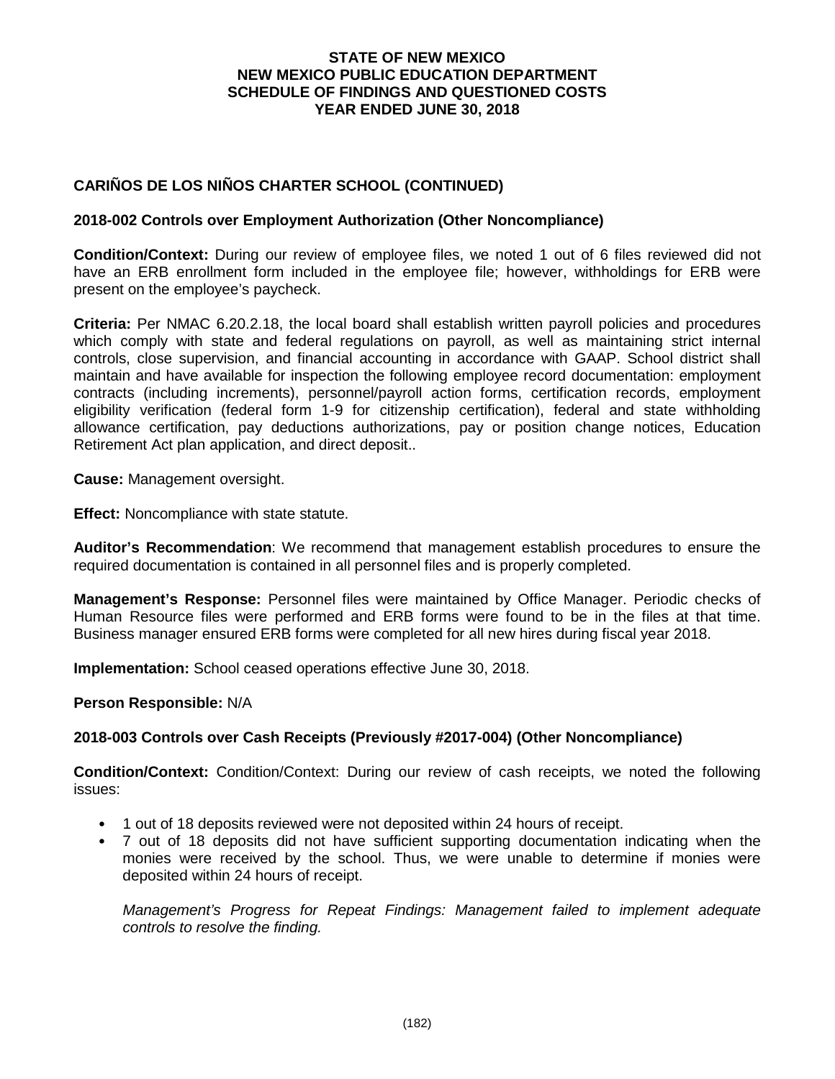# **CARIÑOS DE LOS NIÑOS CHARTER SCHOOL (CONTINUED)**

# **2018-002 Controls over Employment Authorization (Other Noncompliance)**

**Condition/Context:** During our review of employee files, we noted 1 out of 6 files reviewed did not have an ERB enrollment form included in the employee file; however, withholdings for ERB were present on the employee's paycheck.

**Criteria:** Per NMAC 6.20.2.18, the local board shall establish written payroll policies and procedures which comply with state and federal regulations on payroll, as well as maintaining strict internal controls, close supervision, and financial accounting in accordance with GAAP. School district shall maintain and have available for inspection the following employee record documentation: employment contracts (including increments), personnel/payroll action forms, certification records, employment eligibility verification (federal form 1-9 for citizenship certification), federal and state withholding allowance certification, pay deductions authorizations, pay or position change notices, Education Retirement Act plan application, and direct deposit..

**Cause:** Management oversight.

**Effect:** Noncompliance with state statute.

**Auditor's Recommendation**: We recommend that management establish procedures to ensure the required documentation is contained in all personnel files and is properly completed.

**Management's Response:** Personnel files were maintained by Office Manager. Periodic checks of Human Resource files were performed and ERB forms were found to be in the files at that time. Business manager ensured ERB forms were completed for all new hires during fiscal year 2018.

**Implementation:** School ceased operations effective June 30, 2018.

**Person Responsible:** N/A

# **2018-003 Controls over Cash Receipts (Previously #2017-004) (Other Noncompliance)**

**Condition/Context:** Condition/Context: During our review of cash receipts, we noted the following issues:

- 1 out of 18 deposits reviewed were not deposited within 24 hours of receipt.
- 7 out of 18 deposits did not have sufficient supporting documentation indicating when the monies were received by the school. Thus, we were unable to determine if monies were deposited within 24 hours of receipt.

*Management's Progress for Repeat Findings: Management failed to implement adequate controls to resolve the finding.*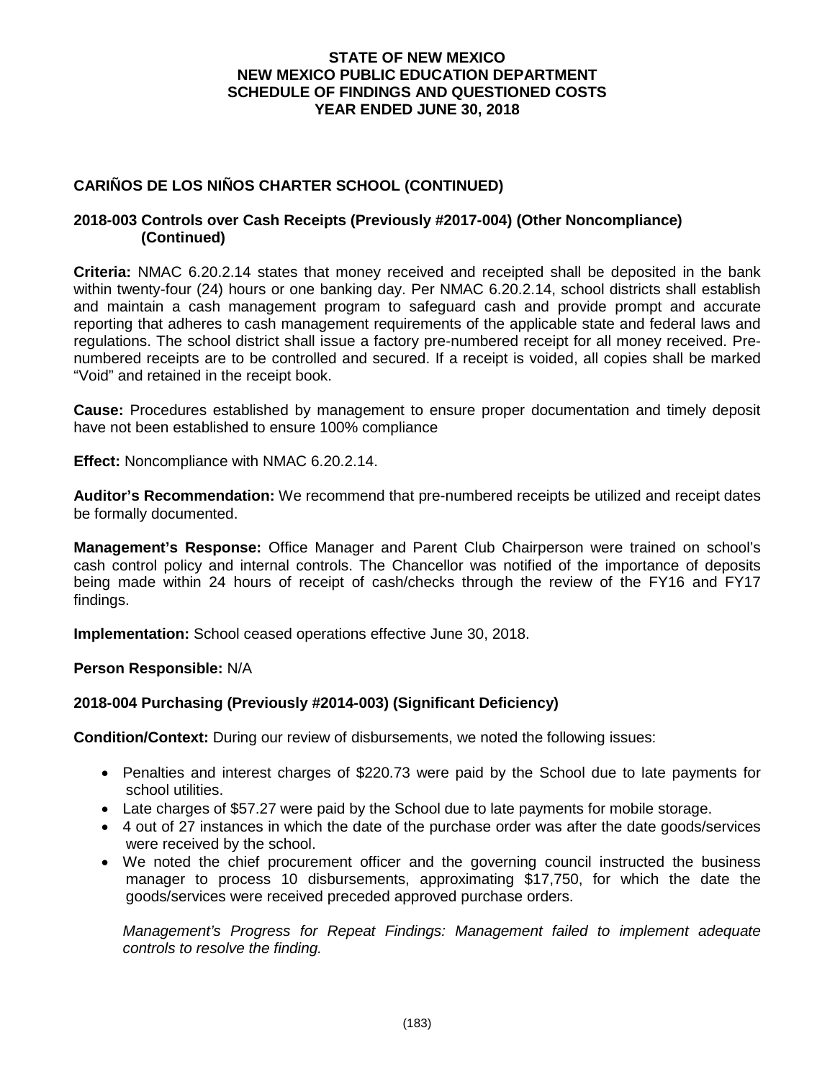# **CARIÑOS DE LOS NIÑOS CHARTER SCHOOL (CONTINUED)**

# **2018-003 Controls over Cash Receipts (Previously #2017-004) (Other Noncompliance) (Continued)**

**Criteria:** NMAC 6.20.2.14 states that money received and receipted shall be deposited in the bank within twenty-four (24) hours or one banking day. Per NMAC 6.20.2.14, school districts shall establish and maintain a cash management program to safeguard cash and provide prompt and accurate reporting that adheres to cash management requirements of the applicable state and federal laws and regulations. The school district shall issue a factory pre-numbered receipt for all money received. Prenumbered receipts are to be controlled and secured. If a receipt is voided, all copies shall be marked "Void" and retained in the receipt book.

**Cause:** Procedures established by management to ensure proper documentation and timely deposit have not been established to ensure 100% compliance

**Effect:** Noncompliance with NMAC 6.20.2.14.

**Auditor's Recommendation:** We recommend that pre-numbered receipts be utilized and receipt dates be formally documented.

**Management's Response:** Office Manager and Parent Club Chairperson were trained on school's cash control policy and internal controls. The Chancellor was notified of the importance of deposits being made within 24 hours of receipt of cash/checks through the review of the FY16 and FY17 findings.

**Implementation:** School ceased operations effective June 30, 2018.

**Person Responsible:** N/A

# **2018-004 Purchasing (Previously #2014-003) (Significant Deficiency)**

**Condition/Context:** During our review of disbursements, we noted the following issues:

- Penalties and interest charges of \$220.73 were paid by the School due to late payments for school utilities.
- Late charges of \$57.27 were paid by the School due to late payments for mobile storage.
- 4 out of 27 instances in which the date of the purchase order was after the date goods/services were received by the school.
- We noted the chief procurement officer and the governing council instructed the business manager to process 10 disbursements, approximating \$17,750, for which the date the goods/services were received preceded approved purchase orders.

*Management's Progress for Repeat Findings: Management failed to implement adequate controls to resolve the finding.*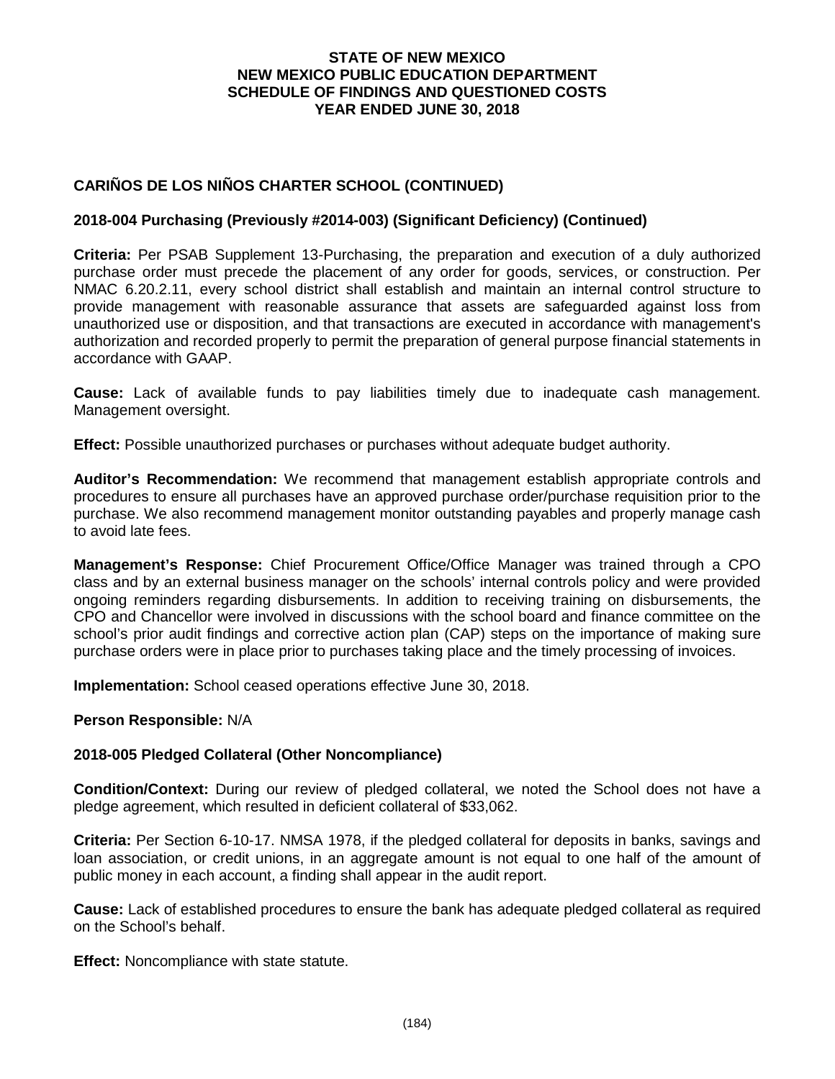# **CARIÑOS DE LOS NIÑOS CHARTER SCHOOL (CONTINUED)**

# **2018-004 Purchasing (Previously #2014-003) (Significant Deficiency) (Continued)**

**Criteria:** Per PSAB Supplement 13-Purchasing, the preparation and execution of a duly authorized purchase order must precede the placement of any order for goods, services, or construction. Per NMAC 6.20.2.11, every school district shall establish and maintain an internal control structure to provide management with reasonable assurance that assets are safeguarded against loss from unauthorized use or disposition, and that transactions are executed in accordance with management's authorization and recorded properly to permit the preparation of general purpose financial statements in accordance with GAAP.

**Cause:** Lack of available funds to pay liabilities timely due to inadequate cash management. Management oversight.

**Effect:** Possible unauthorized purchases or purchases without adequate budget authority.

**Auditor's Recommendation:** We recommend that management establish appropriate controls and procedures to ensure all purchases have an approved purchase order/purchase requisition prior to the purchase. We also recommend management monitor outstanding payables and properly manage cash to avoid late fees.

**Management's Response:** Chief Procurement Office/Office Manager was trained through a CPO class and by an external business manager on the schools' internal controls policy and were provided ongoing reminders regarding disbursements. In addition to receiving training on disbursements, the CPO and Chancellor were involved in discussions with the school board and finance committee on the school's prior audit findings and corrective action plan (CAP) steps on the importance of making sure purchase orders were in place prior to purchases taking place and the timely processing of invoices.

**Implementation:** School ceased operations effective June 30, 2018.

#### **Person Responsible:** N/A

#### **2018-005 Pledged Collateral (Other Noncompliance)**

**Condition/Context:** During our review of pledged collateral, we noted the School does not have a pledge agreement, which resulted in deficient collateral of \$33,062.

**Criteria:** Per Section 6-10-17. NMSA 1978, if the pledged collateral for deposits in banks, savings and loan association, or credit unions, in an aggregate amount is not equal to one half of the amount of public money in each account, a finding shall appear in the audit report.

**Cause:** Lack of established procedures to ensure the bank has adequate pledged collateral as required on the School's behalf.

**Effect:** Noncompliance with state statute.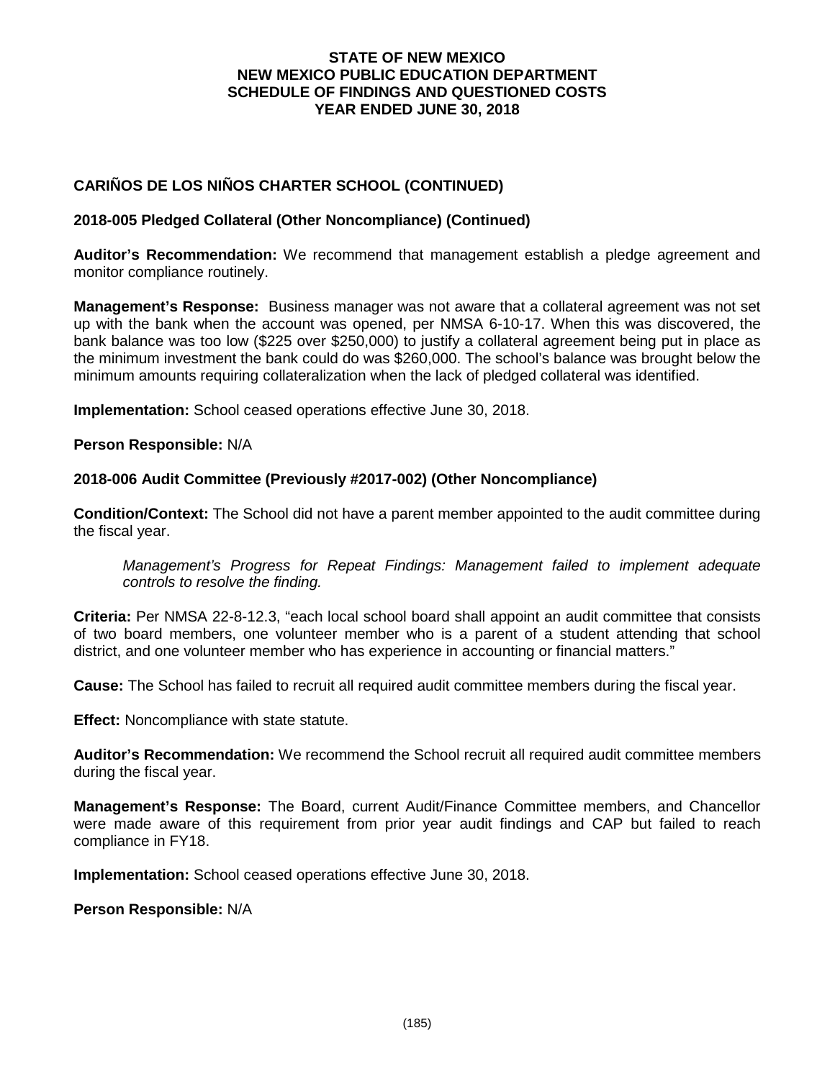# **CARIÑOS DE LOS NIÑOS CHARTER SCHOOL (CONTINUED)**

# **2018-005 Pledged Collateral (Other Noncompliance) (Continued)**

**Auditor's Recommendation:** We recommend that management establish a pledge agreement and monitor compliance routinely.

**Management's Response:** Business manager was not aware that a collateral agreement was not set up with the bank when the account was opened, per NMSA 6-10-17. When this was discovered, the bank balance was too low (\$225 over \$250,000) to justify a collateral agreement being put in place as the minimum investment the bank could do was \$260,000. The school's balance was brought below the minimum amounts requiring collateralization when the lack of pledged collateral was identified.

**Implementation:** School ceased operations effective June 30, 2018.

### **Person Responsible:** N/A

# **2018-006 Audit Committee (Previously #2017-002) (Other Noncompliance)**

**Condition/Context:** The School did not have a parent member appointed to the audit committee during the fiscal year.

*Management's Progress for Repeat Findings: Management failed to implement adequate controls to resolve the finding.*

**Criteria:** Per NMSA 22-8-12.3, "each local school board shall appoint an audit committee that consists of two board members, one volunteer member who is a parent of a student attending that school district, and one volunteer member who has experience in accounting or financial matters."

**Cause:** The School has failed to recruit all required audit committee members during the fiscal year.

**Effect:** Noncompliance with state statute.

**Auditor's Recommendation:** We recommend the School recruit all required audit committee members during the fiscal year.

**Management's Response:** The Board, current Audit/Finance Committee members, and Chancellor were made aware of this requirement from prior year audit findings and CAP but failed to reach compliance in FY18.

**Implementation:** School ceased operations effective June 30, 2018.

#### **Person Responsible:** N/A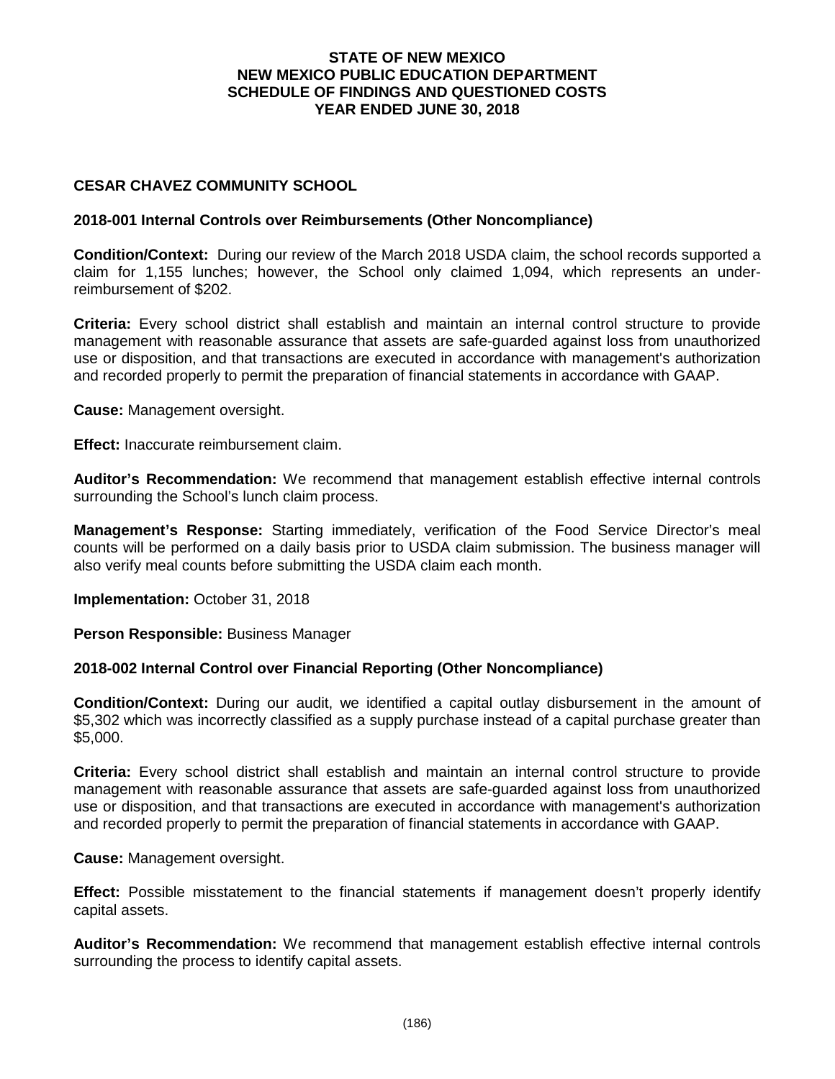# **CESAR CHAVEZ COMMUNITY SCHOOL**

#### **2018-001 Internal Controls over Reimbursements (Other Noncompliance)**

**Condition/Context:** During our review of the March 2018 USDA claim, the school records supported a claim for 1,155 lunches; however, the School only claimed 1,094, which represents an underreimbursement of \$202.

**Criteria:** Every school district shall establish and maintain an internal control structure to provide management with reasonable assurance that assets are safe-guarded against loss from unauthorized use or disposition, and that transactions are executed in accordance with management's authorization and recorded properly to permit the preparation of financial statements in accordance with GAAP.

**Cause:** Management oversight.

**Effect:** Inaccurate reimbursement claim.

**Auditor's Recommendation:** We recommend that management establish effective internal controls surrounding the School's lunch claim process.

**Management's Response:** Starting immediately, verification of the Food Service Director's meal counts will be performed on a daily basis prior to USDA claim submission. The business manager will also verify meal counts before submitting the USDA claim each month.

**Implementation:** October 31, 2018

**Person Responsible:** Business Manager

#### **2018-002 Internal Control over Financial Reporting (Other Noncompliance)**

**Condition/Context:** During our audit, we identified a capital outlay disbursement in the amount of \$5,302 which was incorrectly classified as a supply purchase instead of a capital purchase greater than \$5,000.

**Criteria:** Every school district shall establish and maintain an internal control structure to provide management with reasonable assurance that assets are safe-guarded against loss from unauthorized use or disposition, and that transactions are executed in accordance with management's authorization and recorded properly to permit the preparation of financial statements in accordance with GAAP.

**Cause:** Management oversight.

**Effect:** Possible misstatement to the financial statements if management doesn't properly identify capital assets.

**Auditor's Recommendation:** We recommend that management establish effective internal controls surrounding the process to identify capital assets.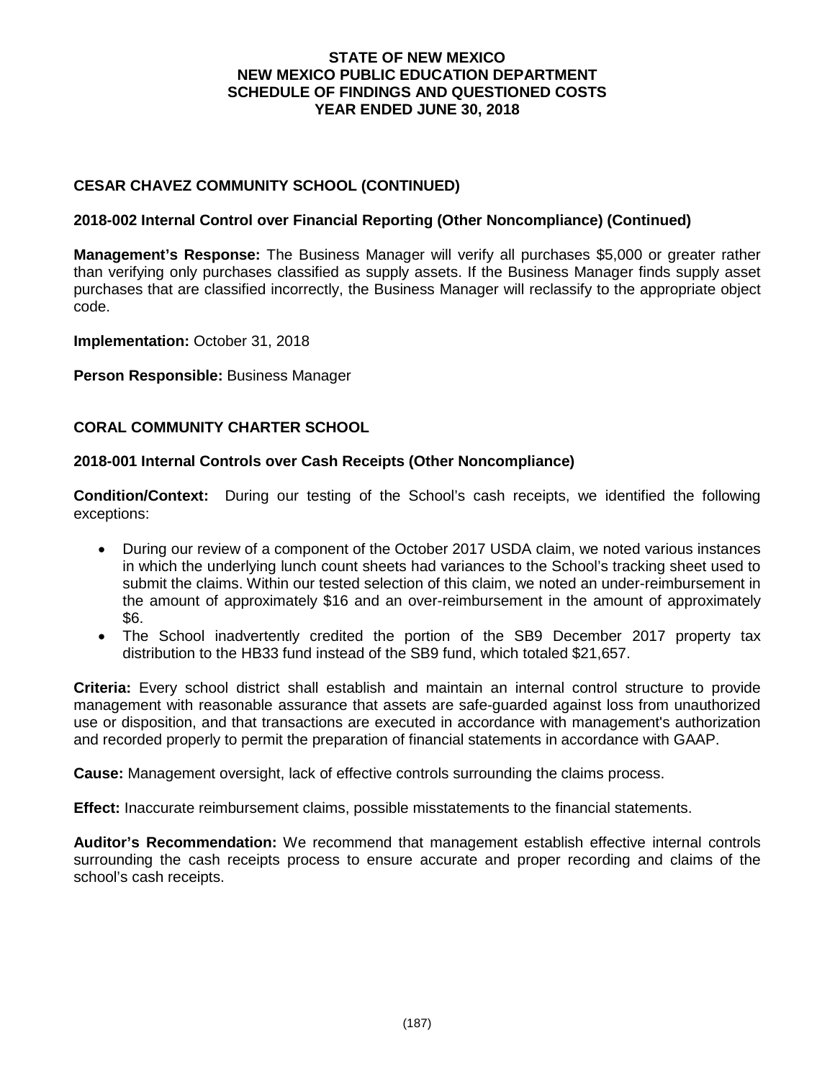# **CESAR CHAVEZ COMMUNITY SCHOOL (CONTINUED)**

# **2018-002 Internal Control over Financial Reporting (Other Noncompliance) (Continued)**

**Management's Response:** The Business Manager will verify all purchases \$5,000 or greater rather than verifying only purchases classified as supply assets. If the Business Manager finds supply asset purchases that are classified incorrectly, the Business Manager will reclassify to the appropriate object code.

**Implementation:** October 31, 2018

### **Person Responsible:** Business Manager

# **CORAL COMMUNITY CHARTER SCHOOL**

### **2018-001 Internal Controls over Cash Receipts (Other Noncompliance)**

**Condition/Context:** During our testing of the School's cash receipts, we identified the following exceptions:

- During our review of a component of the October 2017 USDA claim, we noted various instances in which the underlying lunch count sheets had variances to the School's tracking sheet used to submit the claims. Within our tested selection of this claim, we noted an under-reimbursement in the amount of approximately \$16 and an over-reimbursement in the amount of approximately \$6.
- The School inadvertently credited the portion of the SB9 December 2017 property tax distribution to the HB33 fund instead of the SB9 fund, which totaled \$21,657.

**Criteria:** Every school district shall establish and maintain an internal control structure to provide management with reasonable assurance that assets are safe-guarded against loss from unauthorized use or disposition, and that transactions are executed in accordance with management's authorization and recorded properly to permit the preparation of financial statements in accordance with GAAP.

**Cause:** Management oversight, lack of effective controls surrounding the claims process.

**Effect:** Inaccurate reimbursement claims, possible misstatements to the financial statements.

**Auditor's Recommendation:** We recommend that management establish effective internal controls surrounding the cash receipts process to ensure accurate and proper recording and claims of the school's cash receipts.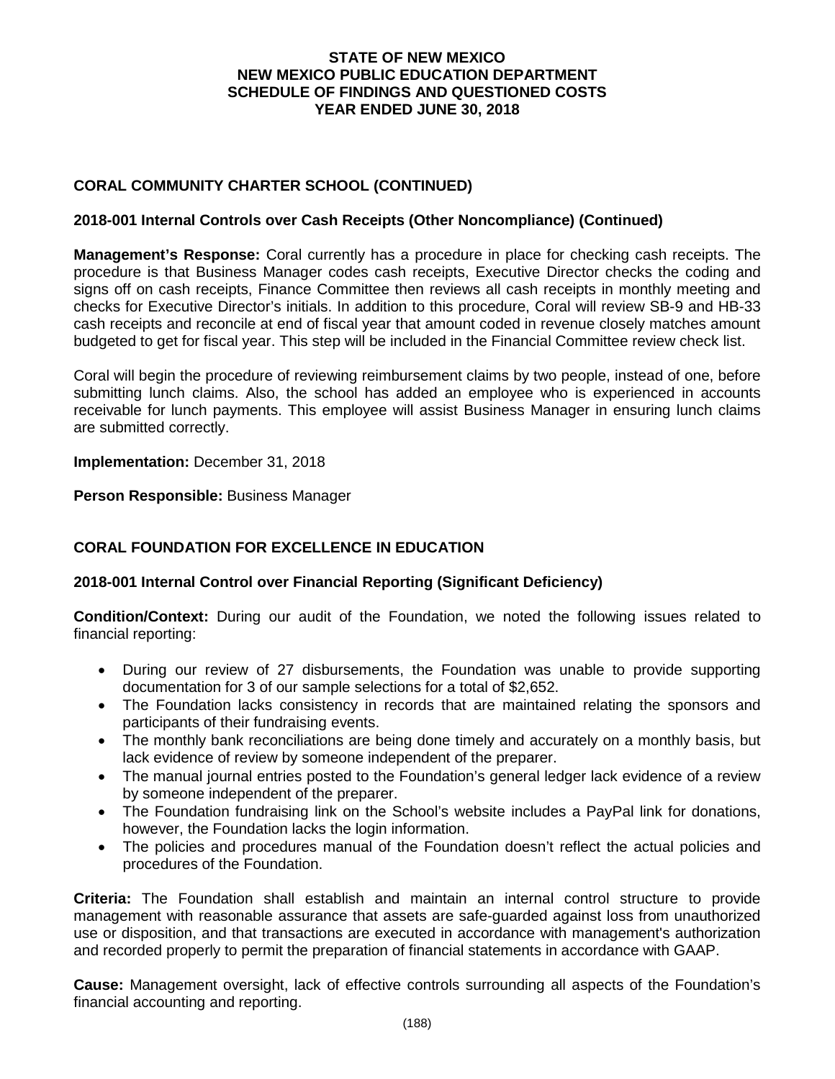# **CORAL COMMUNITY CHARTER SCHOOL (CONTINUED)**

# **2018-001 Internal Controls over Cash Receipts (Other Noncompliance) (Continued)**

**Management's Response:** Coral currently has a procedure in place for checking cash receipts. The procedure is that Business Manager codes cash receipts, Executive Director checks the coding and signs off on cash receipts, Finance Committee then reviews all cash receipts in monthly meeting and checks for Executive Director's initials. In addition to this procedure, Coral will review SB-9 and HB-33 cash receipts and reconcile at end of fiscal year that amount coded in revenue closely matches amount budgeted to get for fiscal year. This step will be included in the Financial Committee review check list.

Coral will begin the procedure of reviewing reimbursement claims by two people, instead of one, before submitting lunch claims. Also, the school has added an employee who is experienced in accounts receivable for lunch payments. This employee will assist Business Manager in ensuring lunch claims are submitted correctly.

**Implementation:** December 31, 2018

**Person Responsible:** Business Manager

# **CORAL FOUNDATION FOR EXCELLENCE IN EDUCATION**

# **2018-001 Internal Control over Financial Reporting (Significant Deficiency)**

**Condition/Context:** During our audit of the Foundation, we noted the following issues related to financial reporting:

- During our review of 27 disbursements, the Foundation was unable to provide supporting documentation for 3 of our sample selections for a total of \$2,652.
- The Foundation lacks consistency in records that are maintained relating the sponsors and participants of their fundraising events.
- The monthly bank reconciliations are being done timely and accurately on a monthly basis, but lack evidence of review by someone independent of the preparer.
- The manual journal entries posted to the Foundation's general ledger lack evidence of a review by someone independent of the preparer.
- The Foundation fundraising link on the School's website includes a PayPal link for donations, however, the Foundation lacks the login information.
- The policies and procedures manual of the Foundation doesn't reflect the actual policies and procedures of the Foundation.

**Criteria:** The Foundation shall establish and maintain an internal control structure to provide management with reasonable assurance that assets are safe-guarded against loss from unauthorized use or disposition, and that transactions are executed in accordance with management's authorization and recorded properly to permit the preparation of financial statements in accordance with GAAP.

**Cause:** Management oversight, lack of effective controls surrounding all aspects of the Foundation's financial accounting and reporting.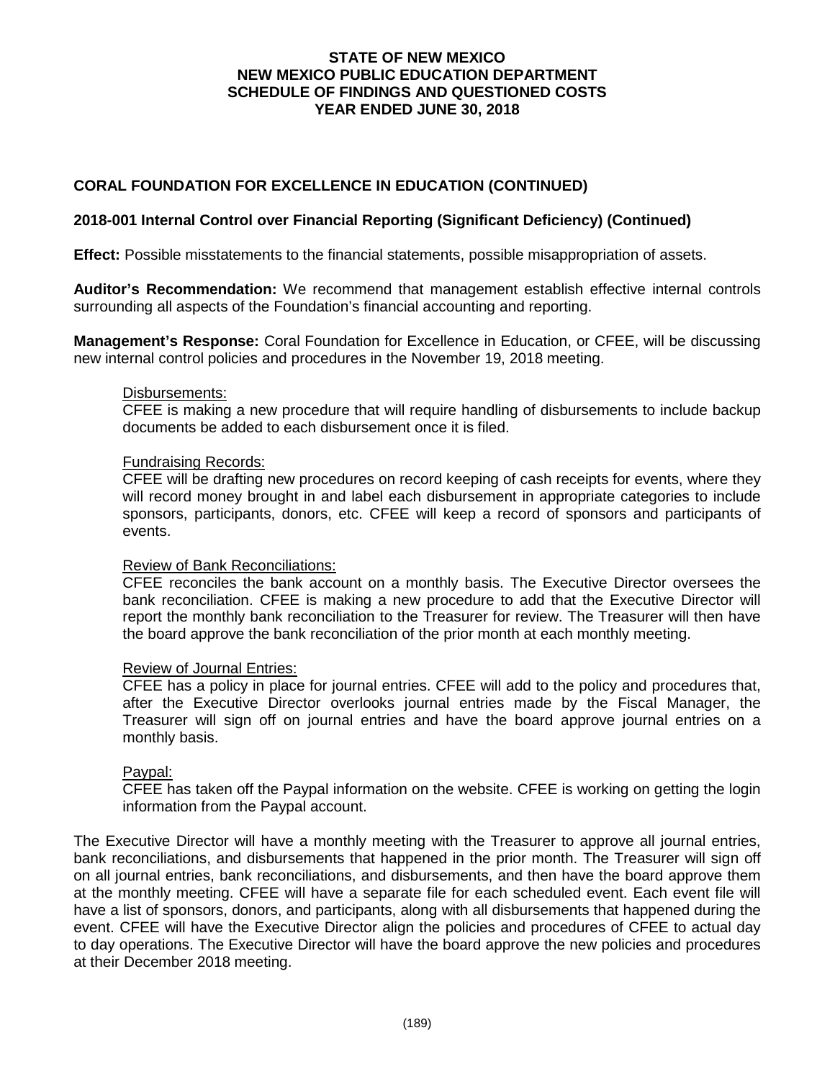# **CORAL FOUNDATION FOR EXCELLENCE IN EDUCATION (CONTINUED)**

## **2018-001 Internal Control over Financial Reporting (Significant Deficiency) (Continued)**

**Effect:** Possible misstatements to the financial statements, possible misappropriation of assets.

**Auditor's Recommendation:** We recommend that management establish effective internal controls surrounding all aspects of the Foundation's financial accounting and reporting.

**Management's Response:** Coral Foundation for Excellence in Education, or CFEE, will be discussing new internal control policies and procedures in the November 19, 2018 meeting.

#### Disbursements:

CFEE is making a new procedure that will require handling of disbursements to include backup documents be added to each disbursement once it is filed.

#### Fundraising Records:

CFEE will be drafting new procedures on record keeping of cash receipts for events, where they will record money brought in and label each disbursement in appropriate categories to include sponsors, participants, donors, etc. CFEE will keep a record of sponsors and participants of events.

#### Review of Bank Reconciliations:

CFEE reconciles the bank account on a monthly basis. The Executive Director oversees the bank reconciliation. CFEE is making a new procedure to add that the Executive Director will report the monthly bank reconciliation to the Treasurer for review. The Treasurer will then have the board approve the bank reconciliation of the prior month at each monthly meeting.

#### Review of Journal Entries:

CFEE has a policy in place for journal entries. CFEE will add to the policy and procedures that, after the Executive Director overlooks journal entries made by the Fiscal Manager, the Treasurer will sign off on journal entries and have the board approve journal entries on a monthly basis.

#### Paypal:

CFEE has taken off the Paypal information on the website. CFEE is working on getting the login information from the Paypal account.

The Executive Director will have a monthly meeting with the Treasurer to approve all journal entries, bank reconciliations, and disbursements that happened in the prior month. The Treasurer will sign off on all journal entries, bank reconciliations, and disbursements, and then have the board approve them at the monthly meeting. CFEE will have a separate file for each scheduled event. Each event file will have a list of sponsors, donors, and participants, along with all disbursements that happened during the event. CFEE will have the Executive Director align the policies and procedures of CFEE to actual day to day operations. The Executive Director will have the board approve the new policies and procedures at their December 2018 meeting.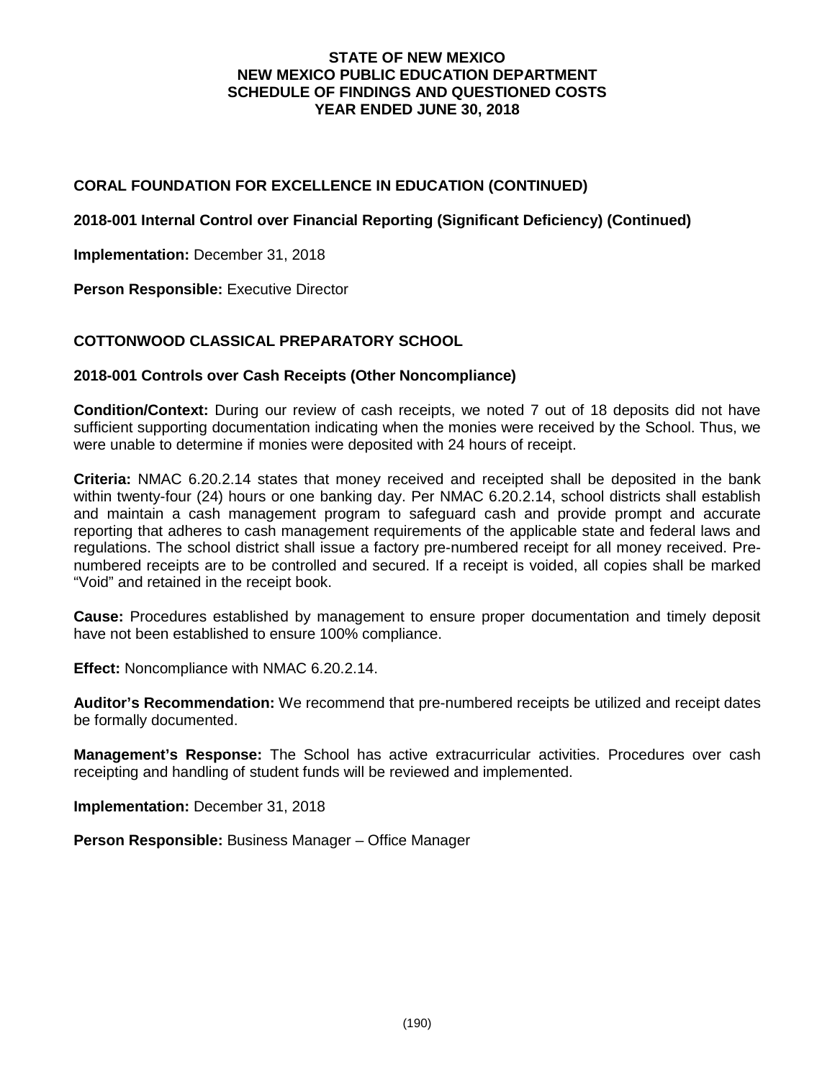# **CORAL FOUNDATION FOR EXCELLENCE IN EDUCATION (CONTINUED)**

# **2018-001 Internal Control over Financial Reporting (Significant Deficiency) (Continued)**

**Implementation:** December 31, 2018

**Person Responsible:** Executive Director

# **COTTONWOOD CLASSICAL PREPARATORY SCHOOL**

### **2018-001 Controls over Cash Receipts (Other Noncompliance)**

**Condition/Context:** During our review of cash receipts, we noted 7 out of 18 deposits did not have sufficient supporting documentation indicating when the monies were received by the School. Thus, we were unable to determine if monies were deposited with 24 hours of receipt.

**Criteria:** NMAC 6.20.2.14 states that money received and receipted shall be deposited in the bank within twenty-four (24) hours or one banking day. Per NMAC 6.20.2.14, school districts shall establish and maintain a cash management program to safeguard cash and provide prompt and accurate reporting that adheres to cash management requirements of the applicable state and federal laws and regulations. The school district shall issue a factory pre-numbered receipt for all money received. Prenumbered receipts are to be controlled and secured. If a receipt is voided, all copies shall be marked "Void" and retained in the receipt book.

**Cause:** Procedures established by management to ensure proper documentation and timely deposit have not been established to ensure 100% compliance.

**Effect:** Noncompliance with NMAC 6.20.2.14.

**Auditor's Recommendation:** We recommend that pre-numbered receipts be utilized and receipt dates be formally documented.

**Management's Response:** The School has active extracurricular activities. Procedures over cash receipting and handling of student funds will be reviewed and implemented.

**Implementation:** December 31, 2018

**Person Responsible:** Business Manager – Office Manager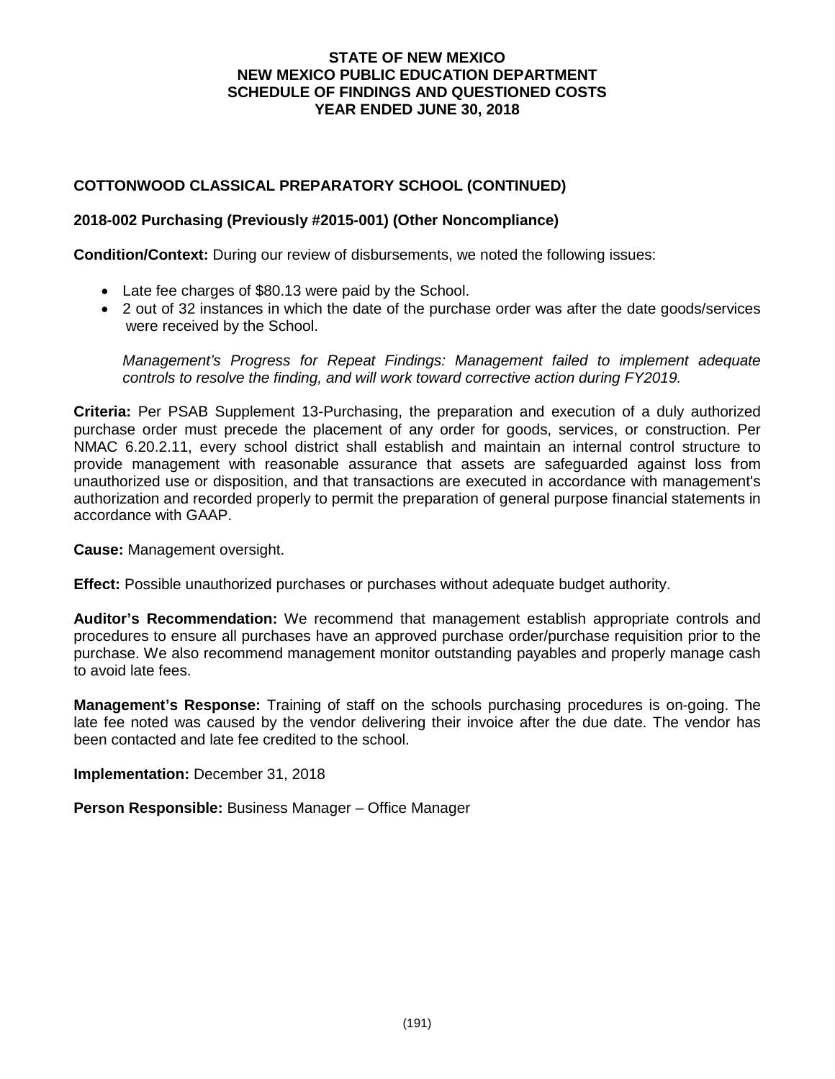# **COTTONWOOD CLASSICAL PREPARATORY SCHOOL (CONTINUED)**

# **2018-002 Purchasing (Previously #2015-001) (Other Noncompliance)**

**Condition/Context:** During our review of disbursements, we noted the following issues:

- Late fee charges of \$80.13 were paid by the School.
- 2 out of 32 instances in which the date of the purchase order was after the date goods/services were received by the School.

*Management's Progress for Repeat Findings: Management failed to implement adequate controls to resolve the finding, and will work toward corrective action during FY2019.*

**Criteria:** Per PSAB Supplement 13-Purchasing, the preparation and execution of a duly authorized purchase order must precede the placement of any order for goods, services, or construction. Per NMAC 6.20.2.11, every school district shall establish and maintain an internal control structure to provide management with reasonable assurance that assets are safeguarded against loss from unauthorized use or disposition, and that transactions are executed in accordance with management's authorization and recorded properly to permit the preparation of general purpose financial statements in accordance with GAAP.

**Cause:** Management oversight.

**Effect:** Possible unauthorized purchases or purchases without adequate budget authority.

**Auditor's Recommendation:** We recommend that management establish appropriate controls and procedures to ensure all purchases have an approved purchase order/purchase requisition prior to the purchase. We also recommend management monitor outstanding payables and properly manage cash to avoid late fees.

**Management's Response:** Training of staff on the schools purchasing procedures is on-going. The late fee noted was caused by the vendor delivering their invoice after the due date. The vendor has been contacted and late fee credited to the school.

**Implementation:** December 31, 2018

**Person Responsible:** Business Manager – Office Manager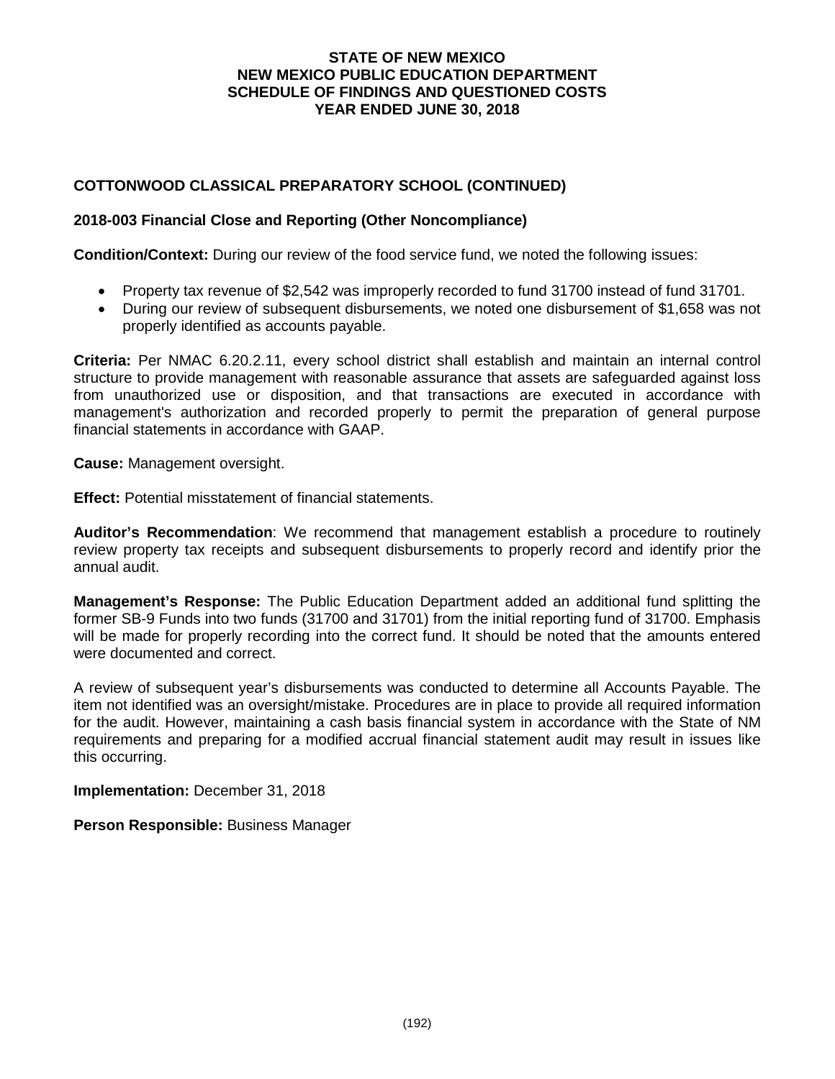# **COTTONWOOD CLASSICAL PREPARATORY SCHOOL (CONTINUED)**

## **2018-003 Financial Close and Reporting (Other Noncompliance)**

**Condition/Context:** During our review of the food service fund, we noted the following issues:

- Property tax revenue of \$2,542 was improperly recorded to fund 31700 instead of fund 31701.
- During our review of subsequent disbursements, we noted one disbursement of \$1,658 was not properly identified as accounts payable.

**Criteria:** Per NMAC 6.20.2.11, every school district shall establish and maintain an internal control structure to provide management with reasonable assurance that assets are safeguarded against loss from unauthorized use or disposition, and that transactions are executed in accordance with management's authorization and recorded properly to permit the preparation of general purpose financial statements in accordance with GAAP.

**Cause:** Management oversight.

**Effect:** Potential misstatement of financial statements.

**Auditor's Recommendation**: We recommend that management establish a procedure to routinely review property tax receipts and subsequent disbursements to properly record and identify prior the annual audit.

**Management's Response:** The Public Education Department added an additional fund splitting the former SB-9 Funds into two funds (31700 and 31701) from the initial reporting fund of 31700. Emphasis will be made for properly recording into the correct fund. It should be noted that the amounts entered were documented and correct.

A review of subsequent year's disbursements was conducted to determine all Accounts Payable. The item not identified was an oversight/mistake. Procedures are in place to provide all required information for the audit. However, maintaining a cash basis financial system in accordance with the State of NM requirements and preparing for a modified accrual financial statement audit may result in issues like this occurring.

**Implementation:** December 31, 2018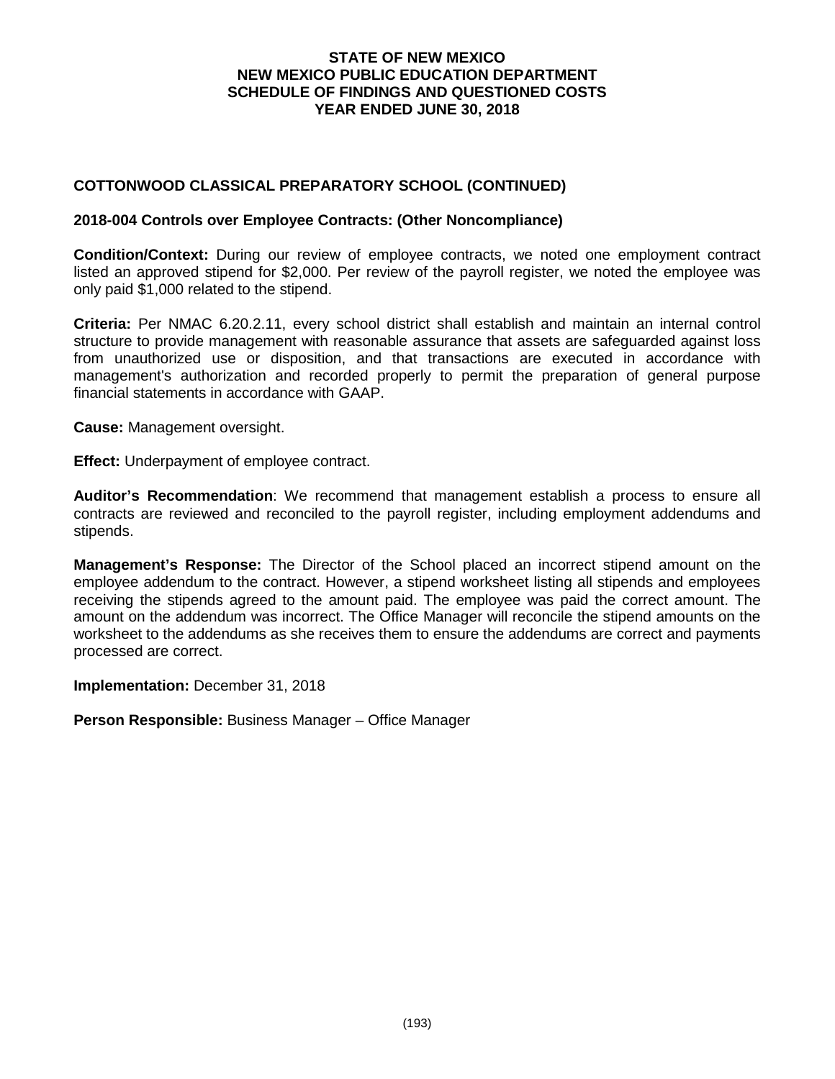# **COTTONWOOD CLASSICAL PREPARATORY SCHOOL (CONTINUED)**

## **2018-004 Controls over Employee Contracts: (Other Noncompliance)**

**Condition/Context:** During our review of employee contracts, we noted one employment contract listed an approved stipend for \$2,000. Per review of the payroll register, we noted the employee was only paid \$1,000 related to the stipend.

**Criteria:** Per NMAC 6.20.2.11, every school district shall establish and maintain an internal control structure to provide management with reasonable assurance that assets are safeguarded against loss from unauthorized use or disposition, and that transactions are executed in accordance with management's authorization and recorded properly to permit the preparation of general purpose financial statements in accordance with GAAP.

**Cause:** Management oversight.

**Effect:** Underpayment of employee contract.

**Auditor's Recommendation**: We recommend that management establish a process to ensure all contracts are reviewed and reconciled to the payroll register, including employment addendums and stipends.

**Management's Response:** The Director of the School placed an incorrect stipend amount on the employee addendum to the contract. However, a stipend worksheet listing all stipends and employees receiving the stipends agreed to the amount paid. The employee was paid the correct amount. The amount on the addendum was incorrect. The Office Manager will reconcile the stipend amounts on the worksheet to the addendums as she receives them to ensure the addendums are correct and payments processed are correct.

**Implementation:** December 31, 2018

**Person Responsible:** Business Manager – Office Manager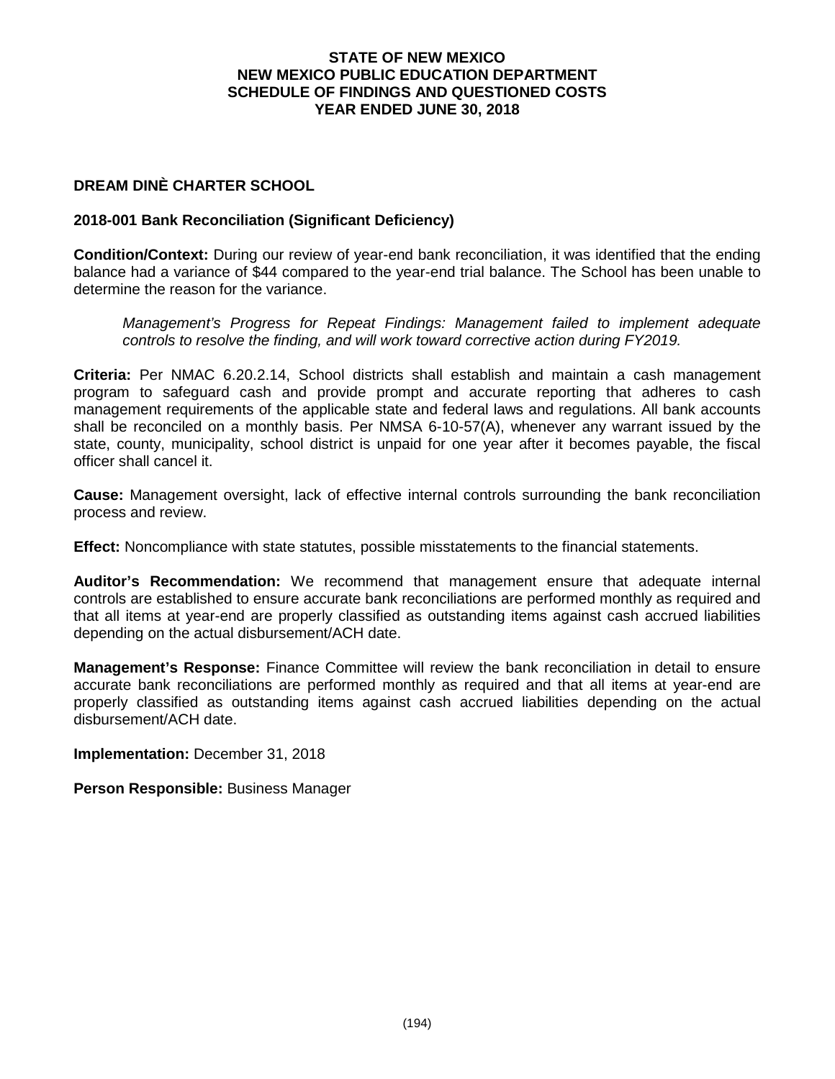# **DREAM DINÈ CHARTER SCHOOL**

# **2018-001 Bank Reconciliation (Significant Deficiency)**

**Condition/Context:** During our review of year-end bank reconciliation, it was identified that the ending balance had a variance of \$44 compared to the year-end trial balance. The School has been unable to determine the reason for the variance.

*Management's Progress for Repeat Findings: Management failed to implement adequate controls to resolve the finding, and will work toward corrective action during FY2019.*

**Criteria:** Per NMAC 6.20.2.14, School districts shall establish and maintain a cash management program to safeguard cash and provide prompt and accurate reporting that adheres to cash management requirements of the applicable state and federal laws and regulations. All bank accounts shall be reconciled on a monthly basis. Per NMSA 6-10-57(A), whenever any warrant issued by the state, county, municipality, school district is unpaid for one year after it becomes payable, the fiscal officer shall cancel it.

**Cause:** Management oversight, lack of effective internal controls surrounding the bank reconciliation process and review.

**Effect:** Noncompliance with state statutes, possible misstatements to the financial statements.

**Auditor's Recommendation:** We recommend that management ensure that adequate internal controls are established to ensure accurate bank reconciliations are performed monthly as required and that all items at year-end are properly classified as outstanding items against cash accrued liabilities depending on the actual disbursement/ACH date.

**Management's Response:** Finance Committee will review the bank reconciliation in detail to ensure accurate bank reconciliations are performed monthly as required and that all items at year-end are properly classified as outstanding items against cash accrued liabilities depending on the actual disbursement/ACH date.

**Implementation:** December 31, 2018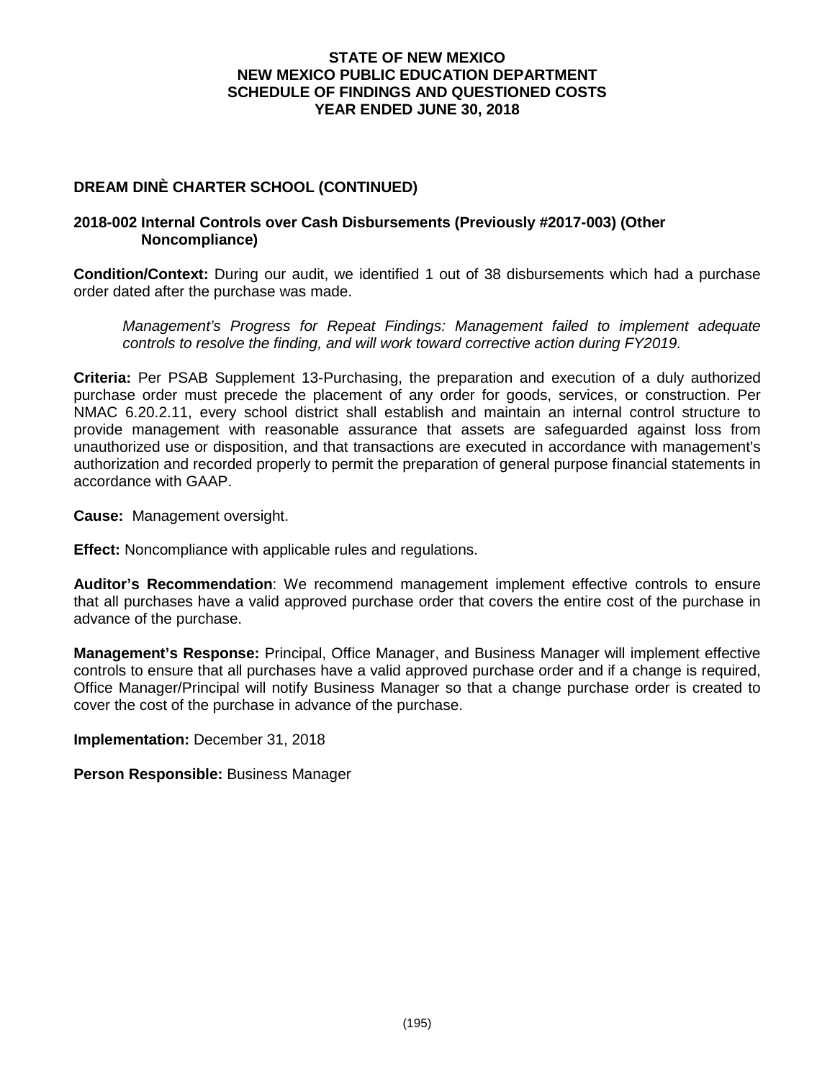# **DREAM DINÈ CHARTER SCHOOL (CONTINUED)**

## **2018-002 Internal Controls over Cash Disbursements (Previously #2017-003) (Other Noncompliance)**

**Condition/Context:** During our audit, we identified 1 out of 38 disbursements which had a purchase order dated after the purchase was made.

*Management's Progress for Repeat Findings: Management failed to implement adequate controls to resolve the finding, and will work toward corrective action during FY2019.*

**Criteria:** Per PSAB Supplement 13-Purchasing, the preparation and execution of a duly authorized purchase order must precede the placement of any order for goods, services, or construction. Per NMAC 6.20.2.11, every school district shall establish and maintain an internal control structure to provide management with reasonable assurance that assets are safeguarded against loss from unauthorized use or disposition, and that transactions are executed in accordance with management's authorization and recorded properly to permit the preparation of general purpose financial statements in accordance with GAAP.

**Cause:** Management oversight.

**Effect:** Noncompliance with applicable rules and regulations.

**Auditor's Recommendation**: We recommend management implement effective controls to ensure that all purchases have a valid approved purchase order that covers the entire cost of the purchase in advance of the purchase.

**Management's Response:** Principal, Office Manager, and Business Manager will implement effective controls to ensure that all purchases have a valid approved purchase order and if a change is required, Office Manager/Principal will notify Business Manager so that a change purchase order is created to cover the cost of the purchase in advance of the purchase.

**Implementation:** December 31, 2018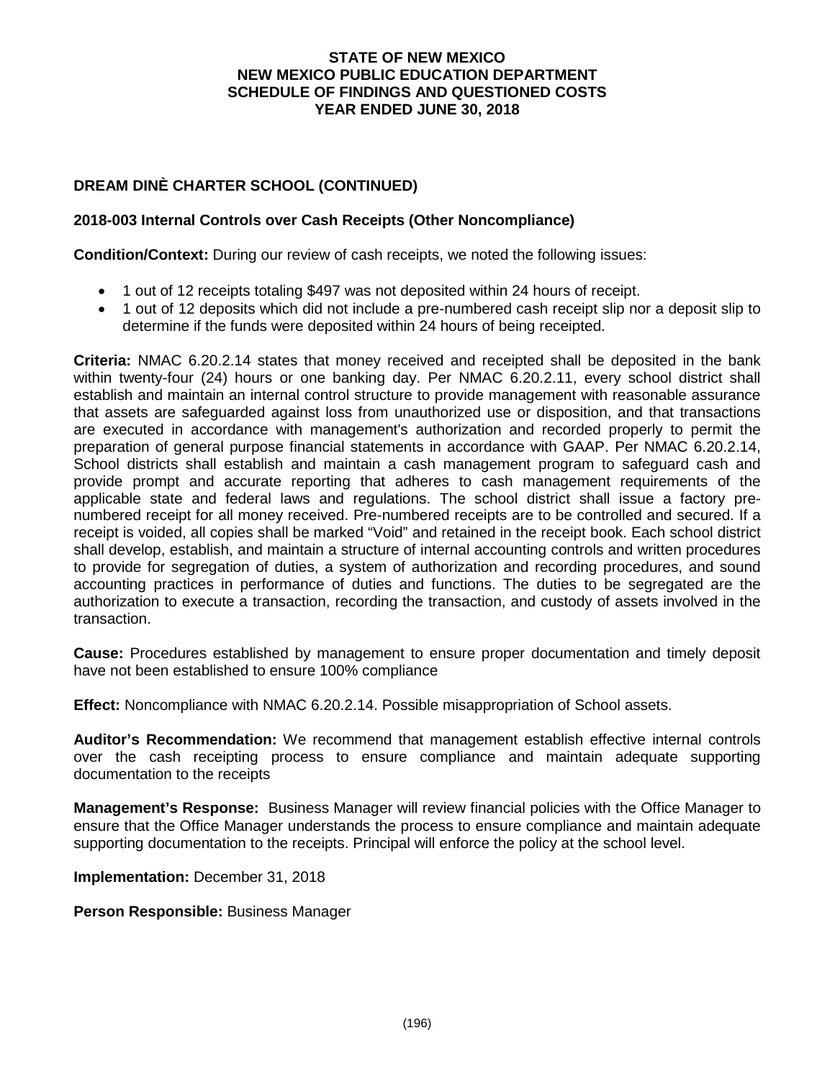# **DREAM DINÈ CHARTER SCHOOL (CONTINUED)**

# **2018-003 Internal Controls over Cash Receipts (Other Noncompliance)**

**Condition/Context:** During our review of cash receipts, we noted the following issues:

- 1 out of 12 receipts totaling \$497 was not deposited within 24 hours of receipt.
- 1 out of 12 deposits which did not include a pre-numbered cash receipt slip nor a deposit slip to determine if the funds were deposited within 24 hours of being receipted.

**Criteria:** NMAC 6.20.2.14 states that money received and receipted shall be deposited in the bank within twenty-four (24) hours or one banking day. Per NMAC 6.20.2.11, every school district shall establish and maintain an internal control structure to provide management with reasonable assurance that assets are safeguarded against loss from unauthorized use or disposition, and that transactions are executed in accordance with management's authorization and recorded properly to permit the preparation of general purpose financial statements in accordance with GAAP. Per NMAC 6.20.2.14, School districts shall establish and maintain a cash management program to safeguard cash and provide prompt and accurate reporting that adheres to cash management requirements of the applicable state and federal laws and regulations. The school district shall issue a factory prenumbered receipt for all money received. Pre-numbered receipts are to be controlled and secured. If a receipt is voided, all copies shall be marked "Void" and retained in the receipt book. Each school district shall develop, establish, and maintain a structure of internal accounting controls and written procedures to provide for segregation of duties, a system of authorization and recording procedures, and sound accounting practices in performance of duties and functions. The duties to be segregated are the authorization to execute a transaction, recording the transaction, and custody of assets involved in the transaction.

**Cause:** Procedures established by management to ensure proper documentation and timely deposit have not been established to ensure 100% compliance

**Effect:** Noncompliance with NMAC 6.20.2.14. Possible misappropriation of School assets.

**Auditor's Recommendation:** We recommend that management establish effective internal controls over the cash receipting process to ensure compliance and maintain adequate supporting documentation to the receipts

**Management's Response:** Business Manager will review financial policies with the Office Manager to ensure that the Office Manager understands the process to ensure compliance and maintain adequate supporting documentation to the receipts. Principal will enforce the policy at the school level.

**Implementation:** December 31, 2018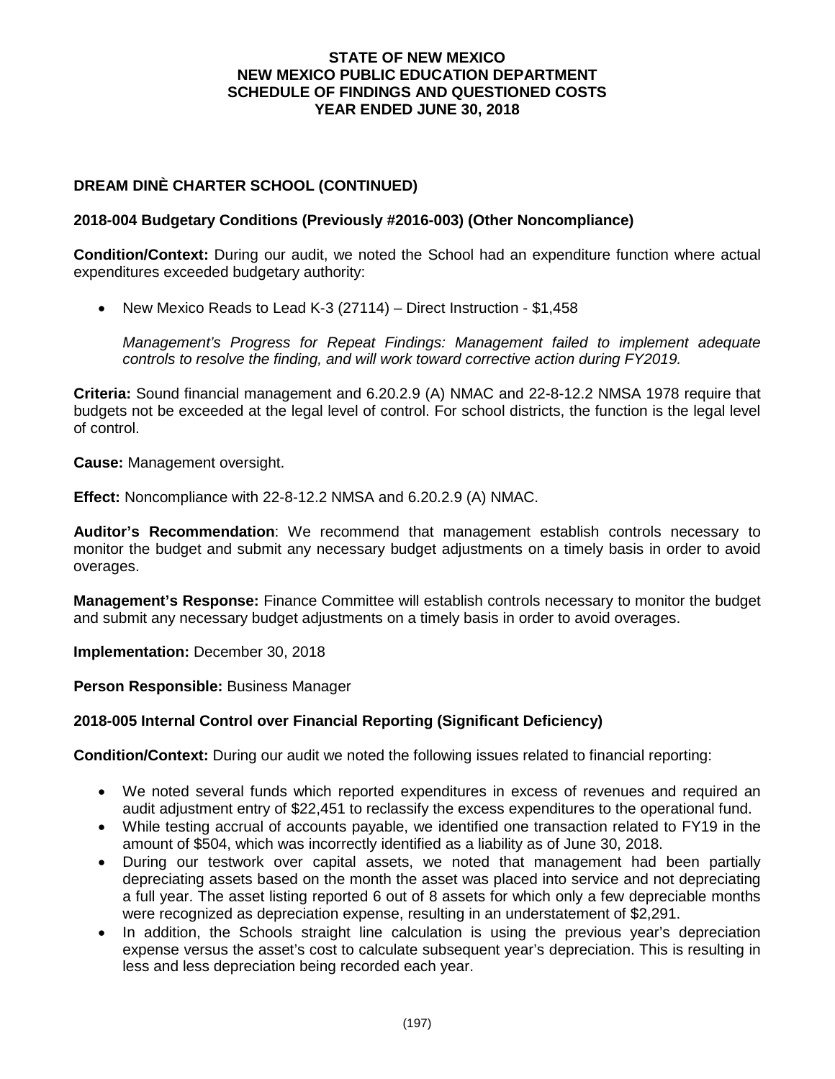# **DREAM DINÈ CHARTER SCHOOL (CONTINUED)**

# **2018-004 Budgetary Conditions (Previously #2016-003) (Other Noncompliance)**

**Condition/Context:** During our audit, we noted the School had an expenditure function where actual expenditures exceeded budgetary authority:

• New Mexico Reads to Lead K-3 (27114) – Direct Instruction - \$1,458

*Management's Progress for Repeat Findings: Management failed to implement adequate controls to resolve the finding, and will work toward corrective action during FY2019.*

**Criteria:** Sound financial management and 6.20.2.9 (A) NMAC and 22-8-12.2 NMSA 1978 require that budgets not be exceeded at the legal level of control. For school districts, the function is the legal level of control.

**Cause:** Management oversight.

**Effect:** Noncompliance with 22-8-12.2 NMSA and 6.20.2.9 (A) NMAC.

**Auditor's Recommendation**: We recommend that management establish controls necessary to monitor the budget and submit any necessary budget adjustments on a timely basis in order to avoid overages.

**Management's Response:** Finance Committee will establish controls necessary to monitor the budget and submit any necessary budget adjustments on a timely basis in order to avoid overages.

**Implementation:** December 30, 2018

**Person Responsible:** Business Manager

# **2018-005 Internal Control over Financial Reporting (Significant Deficiency)**

**Condition/Context:** During our audit we noted the following issues related to financial reporting:

- We noted several funds which reported expenditures in excess of revenues and required an audit adjustment entry of \$22,451 to reclassify the excess expenditures to the operational fund.
- While testing accrual of accounts payable, we identified one transaction related to FY19 in the amount of \$504, which was incorrectly identified as a liability as of June 30, 2018.
- During our testwork over capital assets, we noted that management had been partially depreciating assets based on the month the asset was placed into service and not depreciating a full year. The asset listing reported 6 out of 8 assets for which only a few depreciable months were recognized as depreciation expense, resulting in an understatement of \$2,291.
- In addition, the Schools straight line calculation is using the previous year's depreciation expense versus the asset's cost to calculate subsequent year's depreciation. This is resulting in less and less depreciation being recorded each year.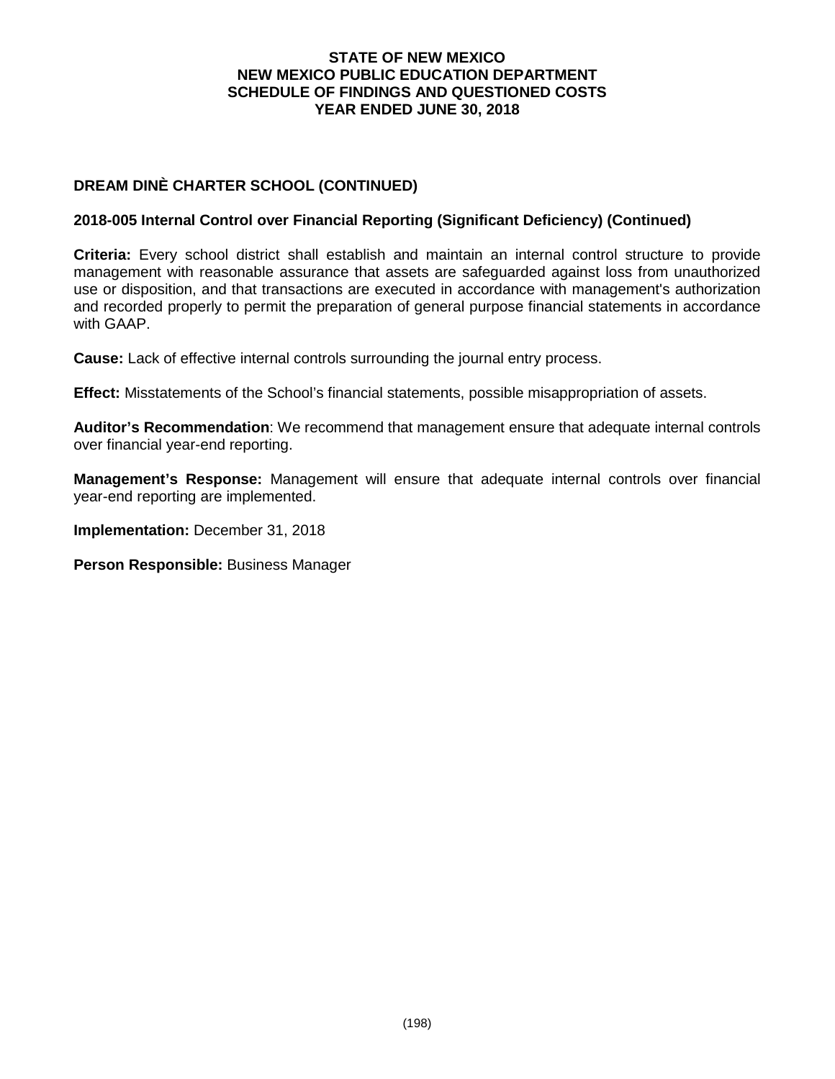# **DREAM DINÈ CHARTER SCHOOL (CONTINUED)**

# **2018-005 Internal Control over Financial Reporting (Significant Deficiency) (Continued)**

**Criteria:** Every school district shall establish and maintain an internal control structure to provide management with reasonable assurance that assets are safeguarded against loss from unauthorized use or disposition, and that transactions are executed in accordance with management's authorization and recorded properly to permit the preparation of general purpose financial statements in accordance with GAAP.

**Cause:** Lack of effective internal controls surrounding the journal entry process.

**Effect:** Misstatements of the School's financial statements, possible misappropriation of assets.

**Auditor's Recommendation**: We recommend that management ensure that adequate internal controls over financial year-end reporting.

**Management's Response:** Management will ensure that adequate internal controls over financial year-end reporting are implemented.

**Implementation:** December 31, 2018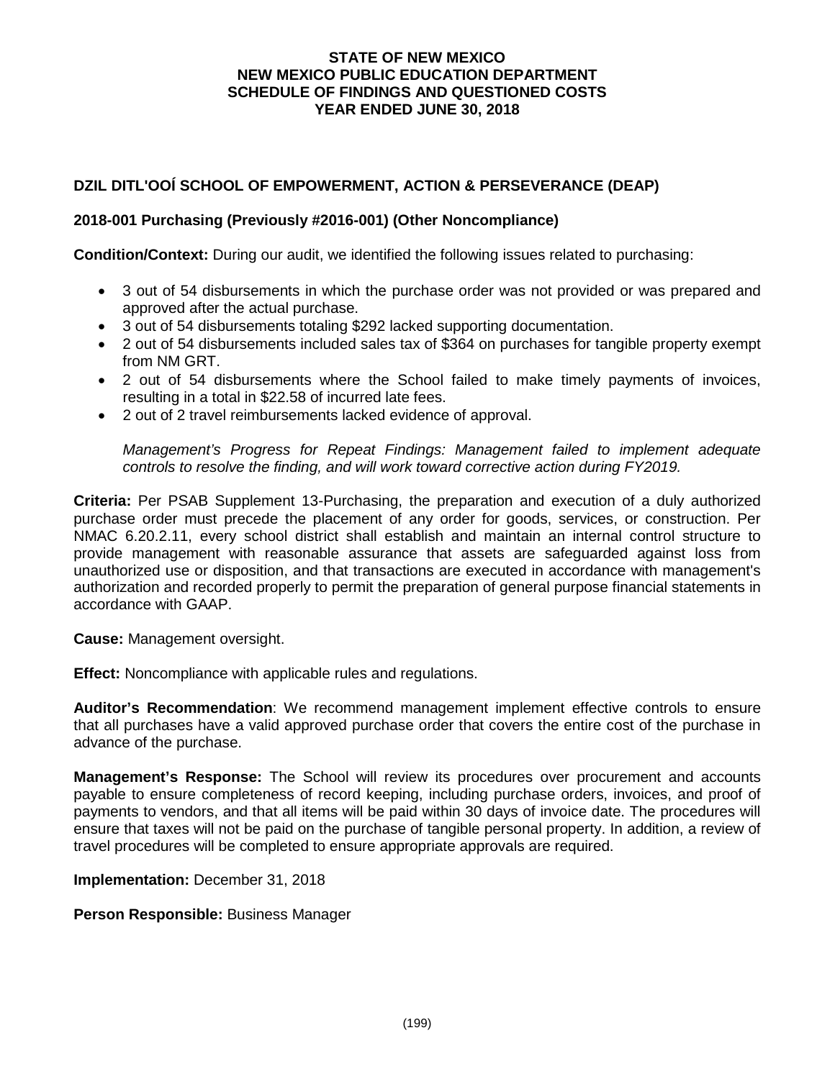# **DZIL DITL'OOÍ SCHOOL OF EMPOWERMENT, ACTION & PERSEVERANCE (DEAP)**

# **2018-001 Purchasing (Previously #2016-001) (Other Noncompliance)**

**Condition/Context:** During our audit, we identified the following issues related to purchasing:

- 3 out of 54 disbursements in which the purchase order was not provided or was prepared and approved after the actual purchase.
- 3 out of 54 disbursements totaling \$292 lacked supporting documentation.
- 2 out of 54 disbursements included sales tax of \$364 on purchases for tangible property exempt from NM GRT.
- 2 out of 54 disbursements where the School failed to make timely payments of invoices, resulting in a total in \$22.58 of incurred late fees.
- 2 out of 2 travel reimbursements lacked evidence of approval.

*Management's Progress for Repeat Findings: Management failed to implement adequate controls to resolve the finding, and will work toward corrective action during FY2019.*

**Criteria:** Per PSAB Supplement 13-Purchasing, the preparation and execution of a duly authorized purchase order must precede the placement of any order for goods, services, or construction. Per NMAC 6.20.2.11, every school district shall establish and maintain an internal control structure to provide management with reasonable assurance that assets are safeguarded against loss from unauthorized use or disposition, and that transactions are executed in accordance with management's authorization and recorded properly to permit the preparation of general purpose financial statements in accordance with GAAP.

**Cause:** Management oversight.

**Effect:** Noncompliance with applicable rules and regulations.

**Auditor's Recommendation**: We recommend management implement effective controls to ensure that all purchases have a valid approved purchase order that covers the entire cost of the purchase in advance of the purchase.

**Management's Response:** The School will review its procedures over procurement and accounts payable to ensure completeness of record keeping, including purchase orders, invoices, and proof of payments to vendors, and that all items will be paid within 30 days of invoice date. The procedures will ensure that taxes will not be paid on the purchase of tangible personal property. In addition, a review of travel procedures will be completed to ensure appropriate approvals are required.

**Implementation:** December 31, 2018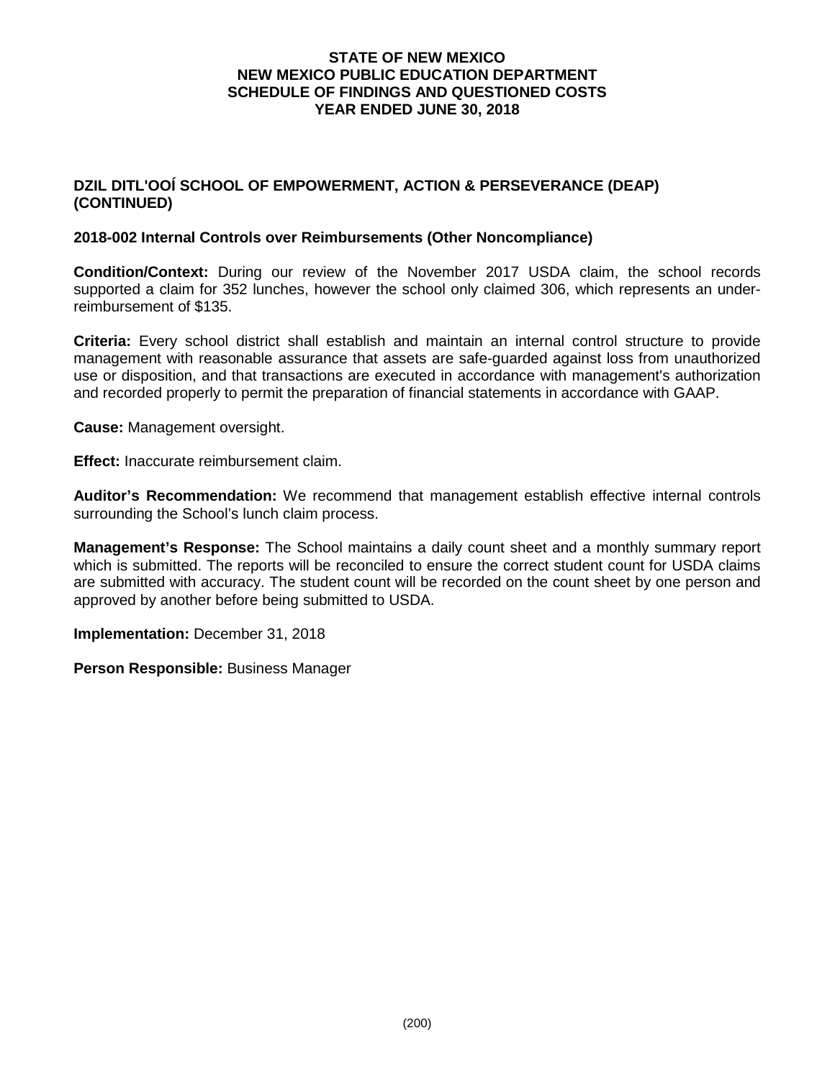# **DZIL DITL'OOÍ SCHOOL OF EMPOWERMENT, ACTION & PERSEVERANCE (DEAP) (CONTINUED)**

### **2018-002 Internal Controls over Reimbursements (Other Noncompliance)**

**Condition/Context:** During our review of the November 2017 USDA claim, the school records supported a claim for 352 lunches, however the school only claimed 306, which represents an underreimbursement of \$135.

**Criteria:** Every school district shall establish and maintain an internal control structure to provide management with reasonable assurance that assets are safe-guarded against loss from unauthorized use or disposition, and that transactions are executed in accordance with management's authorization and recorded properly to permit the preparation of financial statements in accordance with GAAP.

**Cause:** Management oversight.

**Effect:** Inaccurate reimbursement claim.

**Auditor's Recommendation:** We recommend that management establish effective internal controls surrounding the School's lunch claim process.

**Management's Response:** The School maintains a daily count sheet and a monthly summary report which is submitted. The reports will be reconciled to ensure the correct student count for USDA claims are submitted with accuracy. The student count will be recorded on the count sheet by one person and approved by another before being submitted to USDA.

**Implementation:** December 31, 2018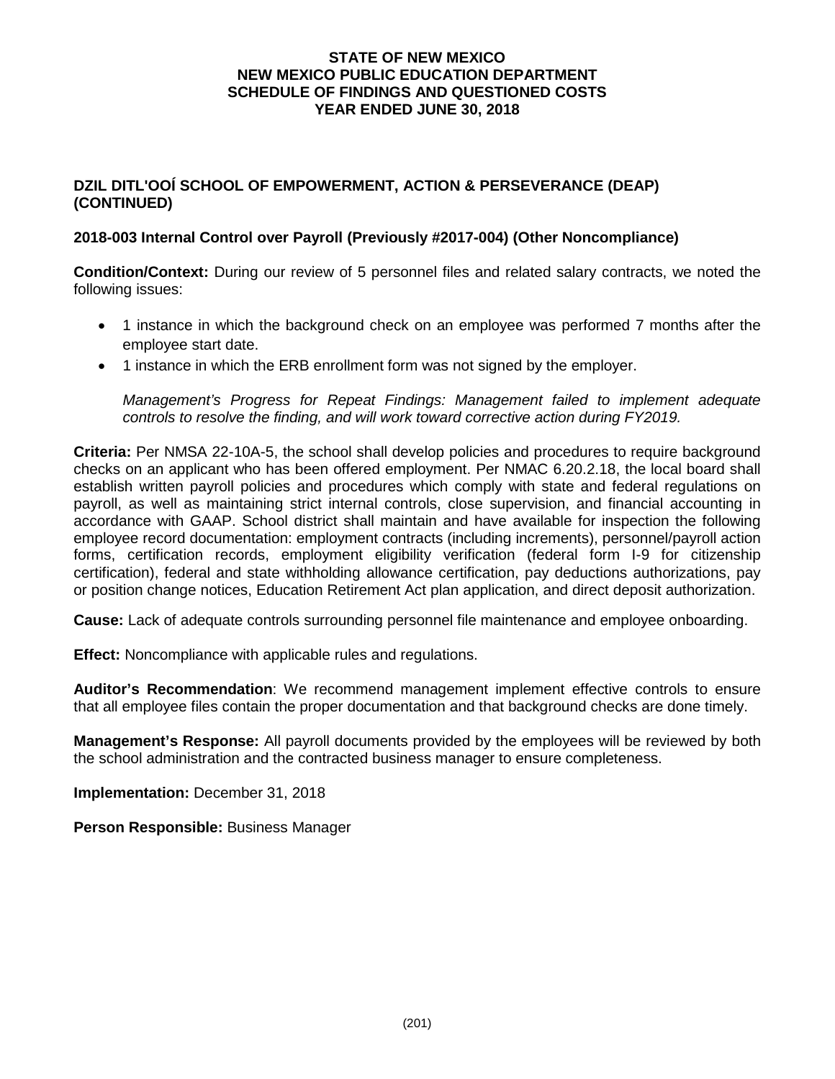# **DZIL DITL'OOÍ SCHOOL OF EMPOWERMENT, ACTION & PERSEVERANCE (DEAP) (CONTINUED)**

# **2018-003 Internal Control over Payroll (Previously #2017-004) (Other Noncompliance)**

**Condition/Context:** During our review of 5 personnel files and related salary contracts, we noted the following issues:

- 1 instance in which the background check on an employee was performed 7 months after the employee start date.
- 1 instance in which the ERB enrollment form was not signed by the employer.

*Management's Progress for Repeat Findings: Management failed to implement adequate controls to resolve the finding, and will work toward corrective action during FY2019.*

**Criteria:** Per NMSA 22-10A-5, the school shall develop policies and procedures to require background checks on an applicant who has been offered employment. Per NMAC 6.20.2.18, the local board shall establish written payroll policies and procedures which comply with state and federal regulations on payroll, as well as maintaining strict internal controls, close supervision, and financial accounting in accordance with GAAP. School district shall maintain and have available for inspection the following employee record documentation: employment contracts (including increments), personnel/payroll action forms, certification records, employment eligibility verification (federal form I-9 for citizenship certification), federal and state withholding allowance certification, pay deductions authorizations, pay or position change notices, Education Retirement Act plan application, and direct deposit authorization.

**Cause:** Lack of adequate controls surrounding personnel file maintenance and employee onboarding.

**Effect:** Noncompliance with applicable rules and regulations.

**Auditor's Recommendation**: We recommend management implement effective controls to ensure that all employee files contain the proper documentation and that background checks are done timely.

**Management's Response:** All payroll documents provided by the employees will be reviewed by both the school administration and the contracted business manager to ensure completeness.

**Implementation:** December 31, 2018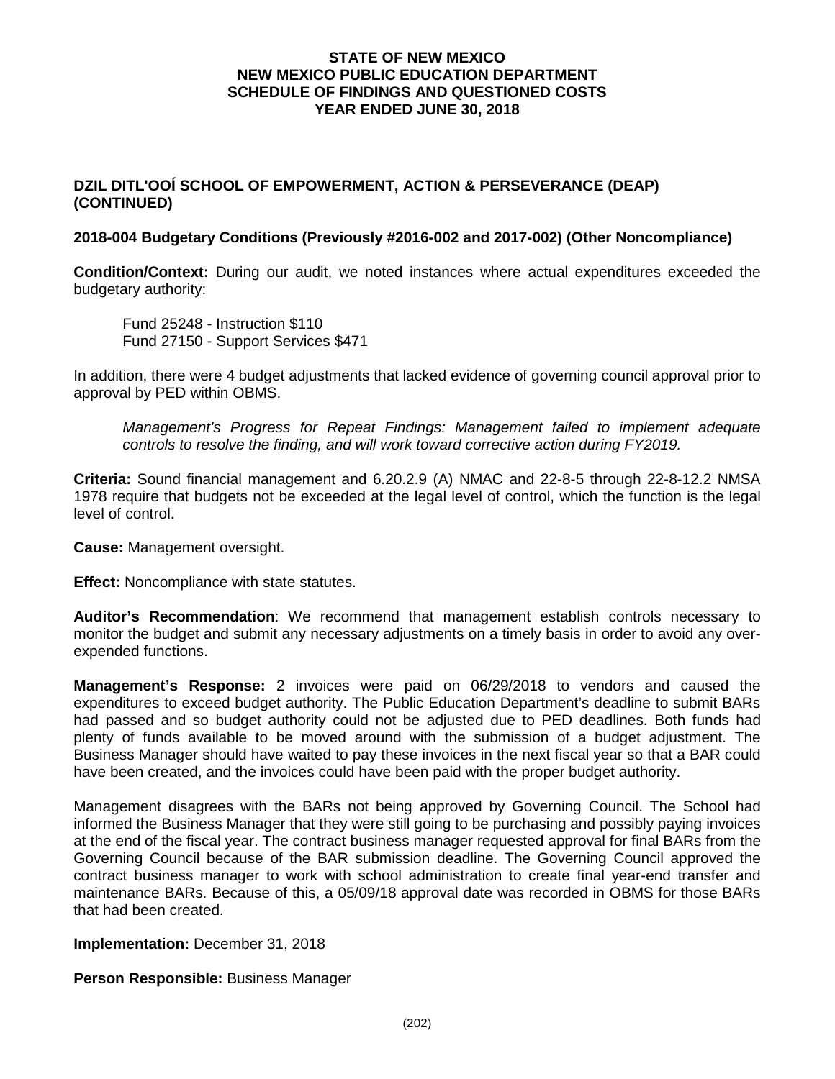# **DZIL DITL'OOÍ SCHOOL OF EMPOWERMENT, ACTION & PERSEVERANCE (DEAP) (CONTINUED)**

### **2018-004 Budgetary Conditions (Previously #2016-002 and 2017-002) (Other Noncompliance)**

**Condition/Context:** During our audit, we noted instances where actual expenditures exceeded the budgetary authority:

Fund 25248 - Instruction \$110 Fund 27150 - Support Services \$471

In addition, there were 4 budget adjustments that lacked evidence of governing council approval prior to approval by PED within OBMS.

*Management's Progress for Repeat Findings: Management failed to implement adequate controls to resolve the finding, and will work toward corrective action during FY2019.*

**Criteria:** Sound financial management and 6.20.2.9 (A) NMAC and 22-8-5 through 22-8-12.2 NMSA 1978 require that budgets not be exceeded at the legal level of control, which the function is the legal level of control.

**Cause:** Management oversight.

**Effect:** Noncompliance with state statutes.

**Auditor's Recommendation**: We recommend that management establish controls necessary to monitor the budget and submit any necessary adjustments on a timely basis in order to avoid any overexpended functions.

**Management's Response:** 2 invoices were paid on 06/29/2018 to vendors and caused the expenditures to exceed budget authority. The Public Education Department's deadline to submit BARs had passed and so budget authority could not be adjusted due to PED deadlines. Both funds had plenty of funds available to be moved around with the submission of a budget adjustment. The Business Manager should have waited to pay these invoices in the next fiscal year so that a BAR could have been created, and the invoices could have been paid with the proper budget authority.

Management disagrees with the BARs not being approved by Governing Council. The School had informed the Business Manager that they were still going to be purchasing and possibly paying invoices at the end of the fiscal year. The contract business manager requested approval for final BARs from the Governing Council because of the BAR submission deadline. The Governing Council approved the contract business manager to work with school administration to create final year-end transfer and maintenance BARs. Because of this, a 05/09/18 approval date was recorded in OBMS for those BARs that had been created.

**Implementation:** December 31, 2018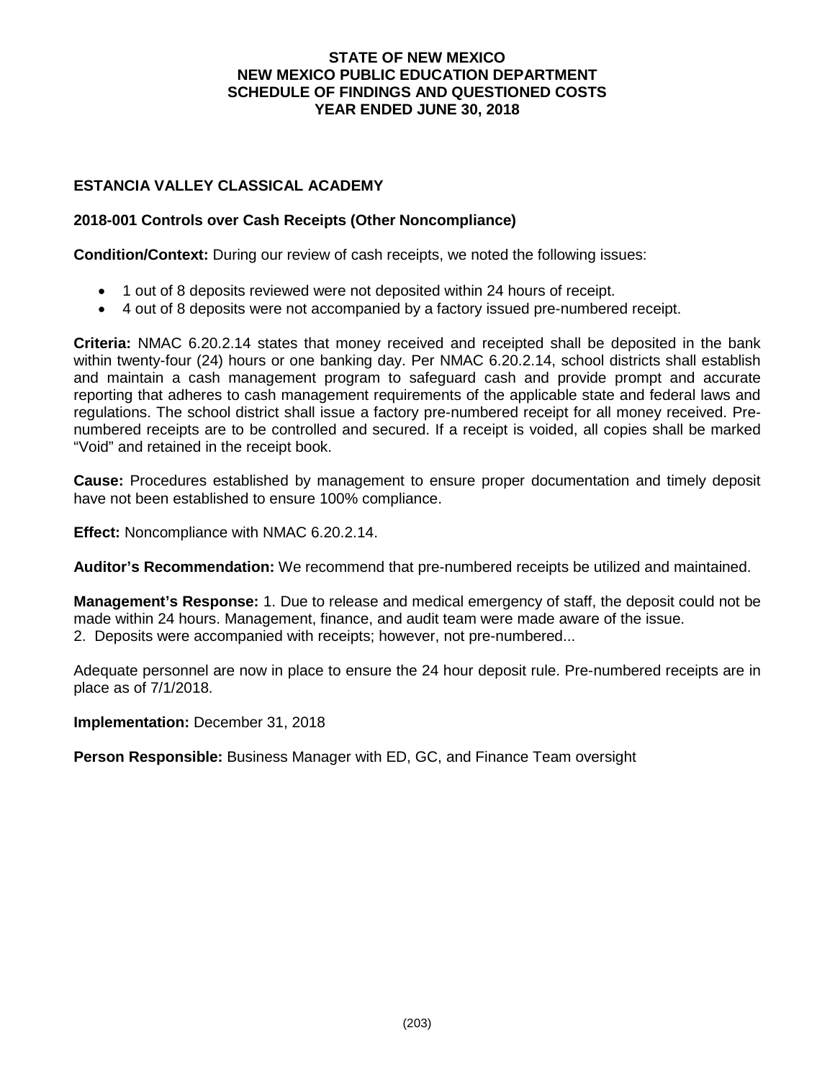# **ESTANCIA VALLEY CLASSICAL ACADEMY**

# **2018-001 Controls over Cash Receipts (Other Noncompliance)**

**Condition/Context:** During our review of cash receipts, we noted the following issues:

- 1 out of 8 deposits reviewed were not deposited within 24 hours of receipt.
- 4 out of 8 deposits were not accompanied by a factory issued pre-numbered receipt.

**Criteria:** NMAC 6.20.2.14 states that money received and receipted shall be deposited in the bank within twenty-four (24) hours or one banking day. Per NMAC 6.20.2.14, school districts shall establish and maintain a cash management program to safeguard cash and provide prompt and accurate reporting that adheres to cash management requirements of the applicable state and federal laws and regulations. The school district shall issue a factory pre-numbered receipt for all money received. Prenumbered receipts are to be controlled and secured. If a receipt is voided, all copies shall be marked "Void" and retained in the receipt book.

**Cause:** Procedures established by management to ensure proper documentation and timely deposit have not been established to ensure 100% compliance.

**Effect:** Noncompliance with NMAC 6.20.2.14.

**Auditor's Recommendation:** We recommend that pre-numbered receipts be utilized and maintained.

**Management's Response:** 1. Due to release and medical emergency of staff, the deposit could not be made within 24 hours. Management, finance, and audit team were made aware of the issue. 2. Deposits were accompanied with receipts; however, not pre-numbered...

Adequate personnel are now in place to ensure the 24 hour deposit rule. Pre-numbered receipts are in place as of 7/1/2018.

**Implementation:** December 31, 2018

**Person Responsible:** Business Manager with ED, GC, and Finance Team oversight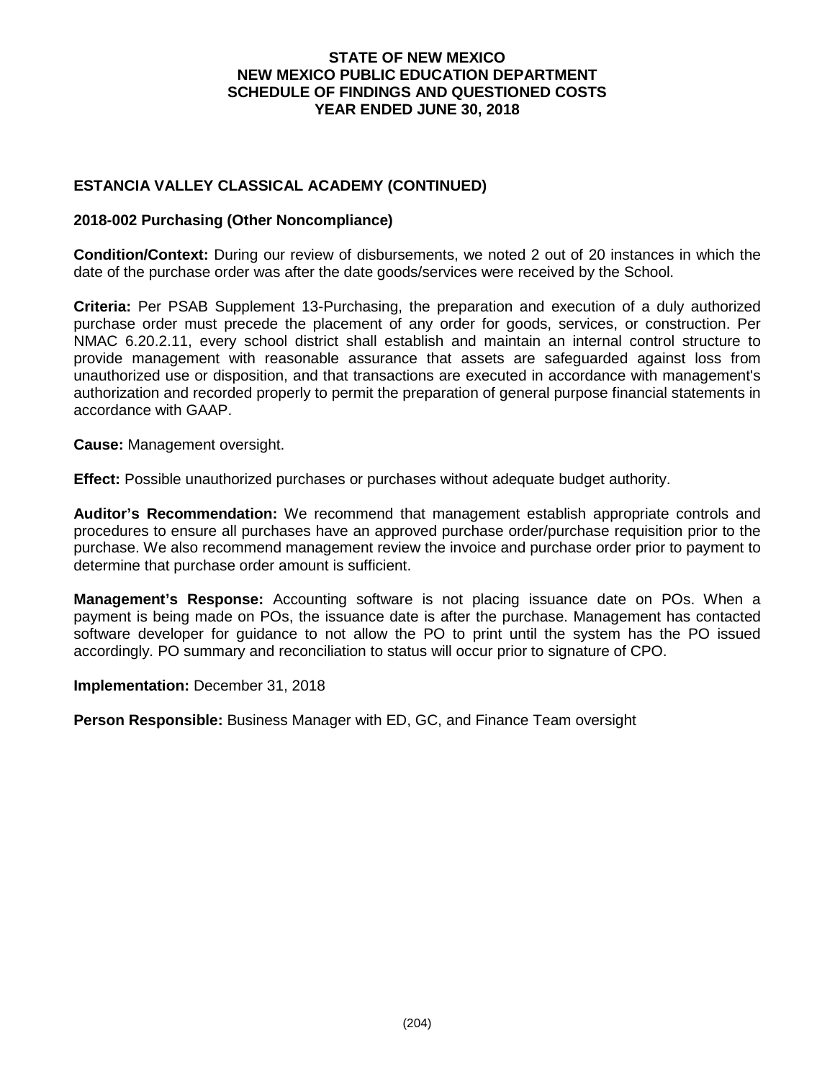# **ESTANCIA VALLEY CLASSICAL ACADEMY (CONTINUED)**

## **2018-002 Purchasing (Other Noncompliance)**

**Condition/Context:** During our review of disbursements, we noted 2 out of 20 instances in which the date of the purchase order was after the date goods/services were received by the School.

**Criteria:** Per PSAB Supplement 13-Purchasing, the preparation and execution of a duly authorized purchase order must precede the placement of any order for goods, services, or construction. Per NMAC 6.20.2.11, every school district shall establish and maintain an internal control structure to provide management with reasonable assurance that assets are safeguarded against loss from unauthorized use or disposition, and that transactions are executed in accordance with management's authorization and recorded properly to permit the preparation of general purpose financial statements in accordance with GAAP.

**Cause:** Management oversight.

**Effect:** Possible unauthorized purchases or purchases without adequate budget authority.

**Auditor's Recommendation:** We recommend that management establish appropriate controls and procedures to ensure all purchases have an approved purchase order/purchase requisition prior to the purchase. We also recommend management review the invoice and purchase order prior to payment to determine that purchase order amount is sufficient.

**Management's Response:** Accounting software is not placing issuance date on POs. When a payment is being made on POs, the issuance date is after the purchase. Management has contacted software developer for guidance to not allow the PO to print until the system has the PO issued accordingly. PO summary and reconciliation to status will occur prior to signature of CPO.

**Implementation:** December 31, 2018

**Person Responsible:** Business Manager with ED, GC, and Finance Team oversight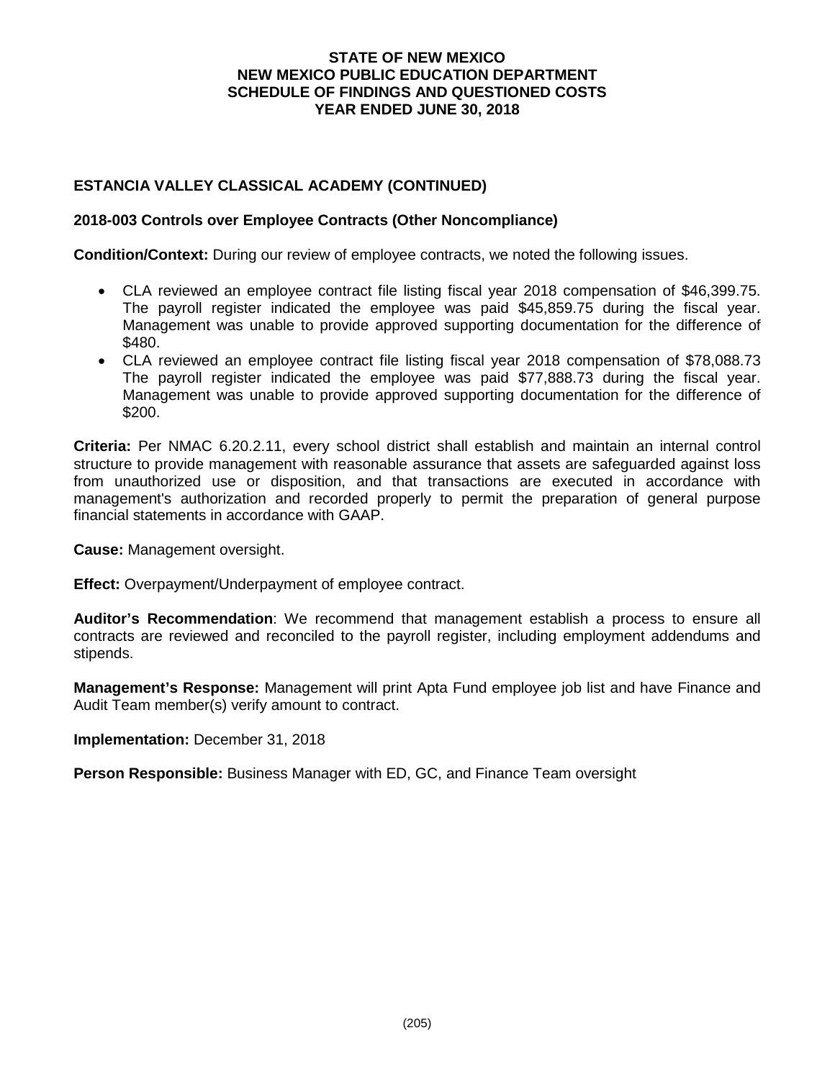# **ESTANCIA VALLEY CLASSICAL ACADEMY (CONTINUED)**

## **2018-003 Controls over Employee Contracts (Other Noncompliance)**

**Condition/Context:** During our review of employee contracts, we noted the following issues.

- CLA reviewed an employee contract file listing fiscal year 2018 compensation of \$46,399.75. The payroll register indicated the employee was paid \$45,859.75 during the fiscal year. Management was unable to provide approved supporting documentation for the difference of \$480.
- CLA reviewed an employee contract file listing fiscal year 2018 compensation of \$78,088.73 The payroll register indicated the employee was paid \$77,888.73 during the fiscal year. Management was unable to provide approved supporting documentation for the difference of \$200.

**Criteria:** Per NMAC 6.20.2.11, every school district shall establish and maintain an internal control structure to provide management with reasonable assurance that assets are safeguarded against loss from unauthorized use or disposition, and that transactions are executed in accordance with management's authorization and recorded properly to permit the preparation of general purpose financial statements in accordance with GAAP.

**Cause:** Management oversight.

**Effect:** Overpayment/Underpayment of employee contract.

**Auditor's Recommendation**: We recommend that management establish a process to ensure all contracts are reviewed and reconciled to the payroll register, including employment addendums and stipends.

**Management's Response:** Management will print Apta Fund employee job list and have Finance and Audit Team member(s) verify amount to contract.

**Implementation:** December 31, 2018

**Person Responsible:** Business Manager with ED, GC, and Finance Team oversight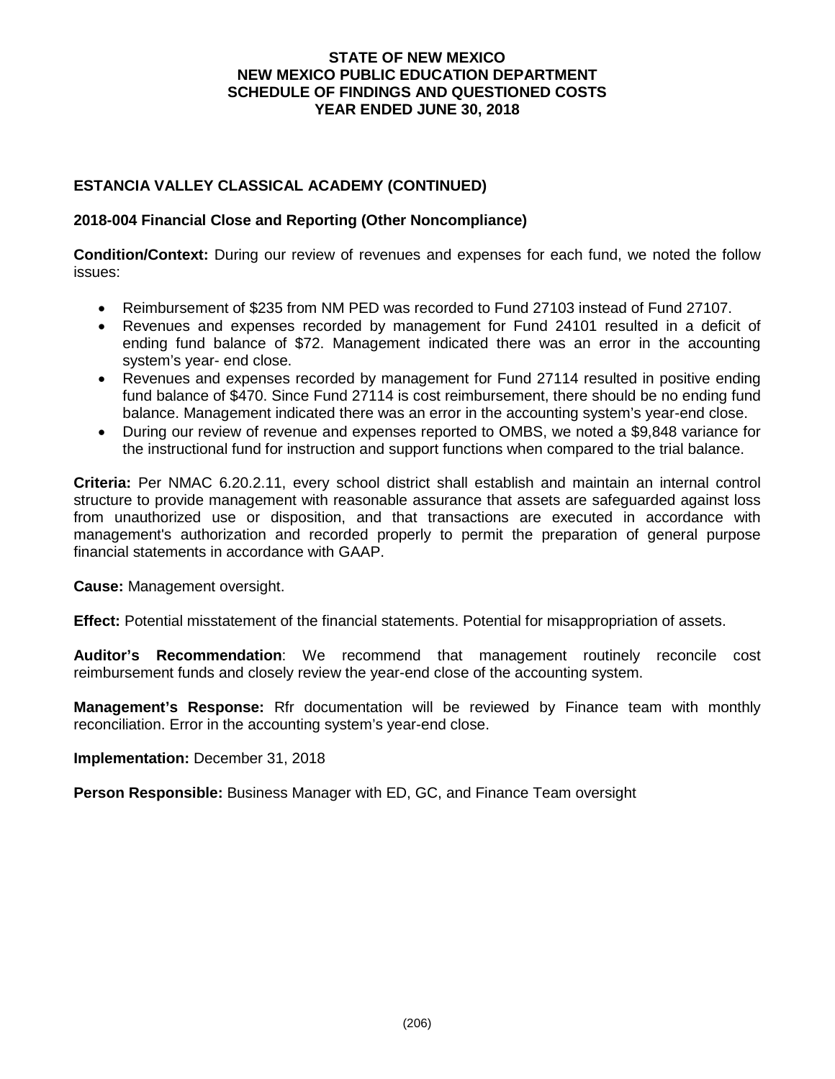## **ESTANCIA VALLEY CLASSICAL ACADEMY (CONTINUED)**

### **2018-004 Financial Close and Reporting (Other Noncompliance)**

**Condition/Context:** During our review of revenues and expenses for each fund, we noted the follow issues:

- Reimbursement of \$235 from NM PED was recorded to Fund 27103 instead of Fund 27107.
- Revenues and expenses recorded by management for Fund 24101 resulted in a deficit of ending fund balance of \$72. Management indicated there was an error in the accounting system's year- end close.
- Revenues and expenses recorded by management for Fund 27114 resulted in positive ending fund balance of \$470. Since Fund 27114 is cost reimbursement, there should be no ending fund balance. Management indicated there was an error in the accounting system's year-end close.
- During our review of revenue and expenses reported to OMBS, we noted a \$9,848 variance for the instructional fund for instruction and support functions when compared to the trial balance.

**Criteria:** Per NMAC 6.20.2.11, every school district shall establish and maintain an internal control structure to provide management with reasonable assurance that assets are safeguarded against loss from unauthorized use or disposition, and that transactions are executed in accordance with management's authorization and recorded properly to permit the preparation of general purpose financial statements in accordance with GAAP.

**Cause:** Management oversight.

**Effect:** Potential misstatement of the financial statements. Potential for misappropriation of assets.

**Auditor's Recommendation**: We recommend that management routinely reconcile cost reimbursement funds and closely review the year-end close of the accounting system.

**Management's Response:** Rfr documentation will be reviewed by Finance team with monthly reconciliation. Error in the accounting system's year-end close.

**Implementation:** December 31, 2018

**Person Responsible:** Business Manager with ED, GC, and Finance Team oversight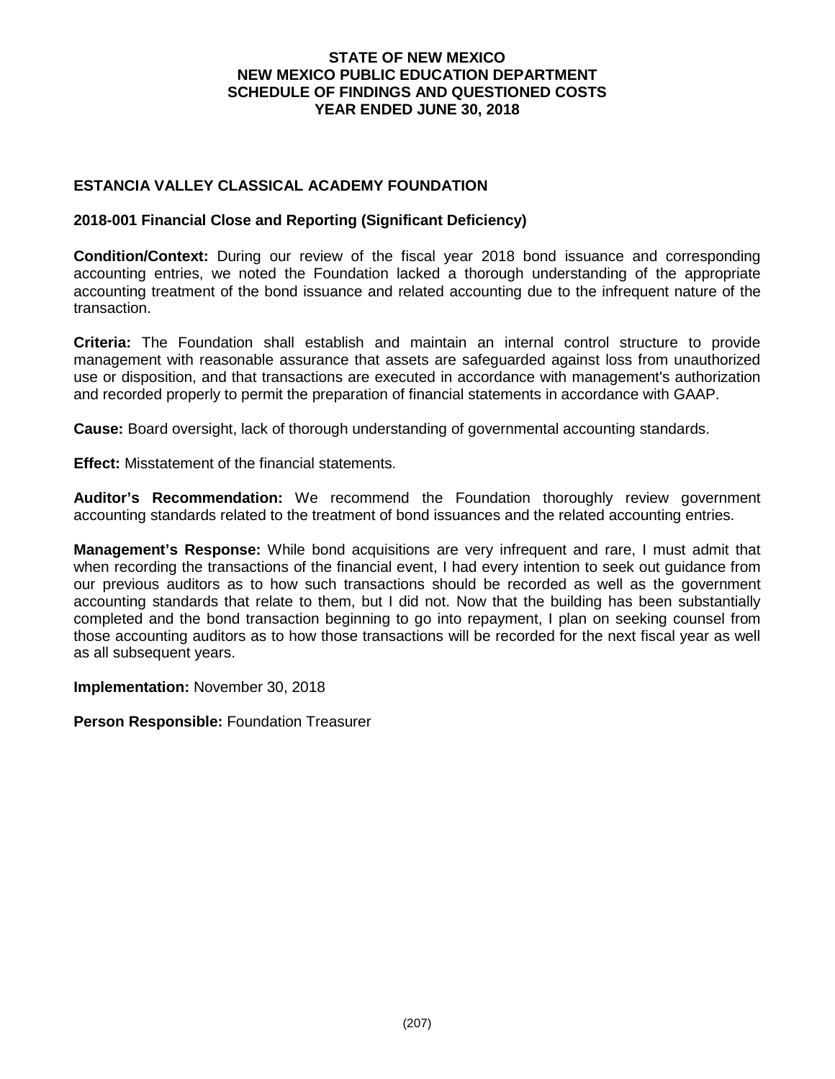## **ESTANCIA VALLEY CLASSICAL ACADEMY FOUNDATION**

## **2018-001 Financial Close and Reporting (Significant Deficiency)**

**Condition/Context:** During our review of the fiscal year 2018 bond issuance and corresponding accounting entries, we noted the Foundation lacked a thorough understanding of the appropriate accounting treatment of the bond issuance and related accounting due to the infrequent nature of the transaction.

**Criteria:** The Foundation shall establish and maintain an internal control structure to provide management with reasonable assurance that assets are safeguarded against loss from unauthorized use or disposition, and that transactions are executed in accordance with management's authorization and recorded properly to permit the preparation of financial statements in accordance with GAAP.

**Cause:** Board oversight, lack of thorough understanding of governmental accounting standards.

**Effect:** Misstatement of the financial statements.

**Auditor's Recommendation:** We recommend the Foundation thoroughly review government accounting standards related to the treatment of bond issuances and the related accounting entries.

**Management's Response:** While bond acquisitions are very infrequent and rare, I must admit that when recording the transactions of the financial event, I had every intention to seek out guidance from our previous auditors as to how such transactions should be recorded as well as the government accounting standards that relate to them, but I did not. Now that the building has been substantially completed and the bond transaction beginning to go into repayment, I plan on seeking counsel from those accounting auditors as to how those transactions will be recorded for the next fiscal year as well as all subsequent years.

**Implementation:** November 30, 2018

**Person Responsible:** Foundation Treasurer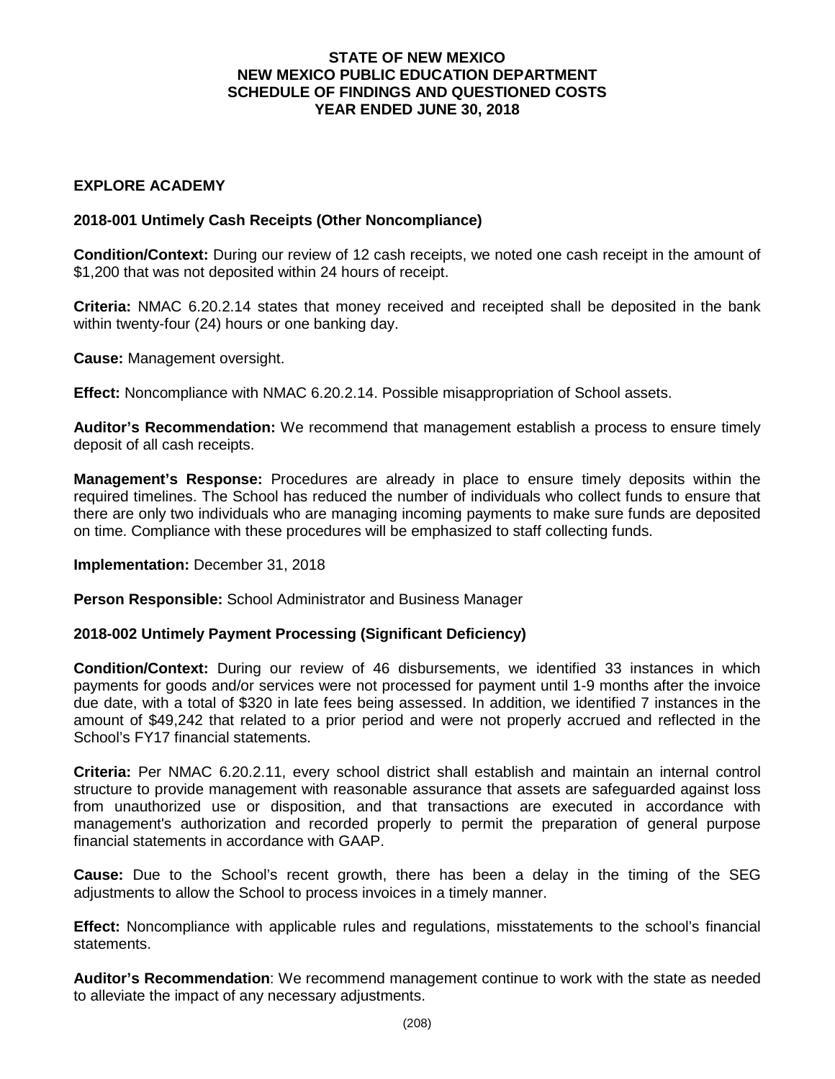## **EXPLORE ACADEMY**

### **2018-001 Untimely Cash Receipts (Other Noncompliance)**

**Condition/Context:** During our review of 12 cash receipts, we noted one cash receipt in the amount of \$1,200 that was not deposited within 24 hours of receipt.

**Criteria:** NMAC 6.20.2.14 states that money received and receipted shall be deposited in the bank within twenty-four (24) hours or one banking day.

**Cause:** Management oversight.

**Effect:** Noncompliance with NMAC 6.20.2.14. Possible misappropriation of School assets.

**Auditor's Recommendation:** We recommend that management establish a process to ensure timely deposit of all cash receipts.

**Management's Response:** Procedures are already in place to ensure timely deposits within the required timelines. The School has reduced the number of individuals who collect funds to ensure that there are only two individuals who are managing incoming payments to make sure funds are deposited on time. Compliance with these procedures will be emphasized to staff collecting funds.

**Implementation:** December 31, 2018

**Person Responsible:** School Administrator and Business Manager

### **2018-002 Untimely Payment Processing (Significant Deficiency)**

**Condition/Context:** During our review of 46 disbursements, we identified 33 instances in which payments for goods and/or services were not processed for payment until 1-9 months after the invoice due date, with a total of \$320 in late fees being assessed. In addition, we identified 7 instances in the amount of \$49,242 that related to a prior period and were not properly accrued and reflected in the School's FY17 financial statements.

**Criteria:** Per NMAC 6.20.2.11, every school district shall establish and maintain an internal control structure to provide management with reasonable assurance that assets are safeguarded against loss from unauthorized use or disposition, and that transactions are executed in accordance with management's authorization and recorded properly to permit the preparation of general purpose financial statements in accordance with GAAP.

**Cause:** Due to the School's recent growth, there has been a delay in the timing of the SEG adjustments to allow the School to process invoices in a timely manner.

**Effect:** Noncompliance with applicable rules and regulations, misstatements to the school's financial statements.

**Auditor's Recommendation**: We recommend management continue to work with the state as needed to alleviate the impact of any necessary adjustments.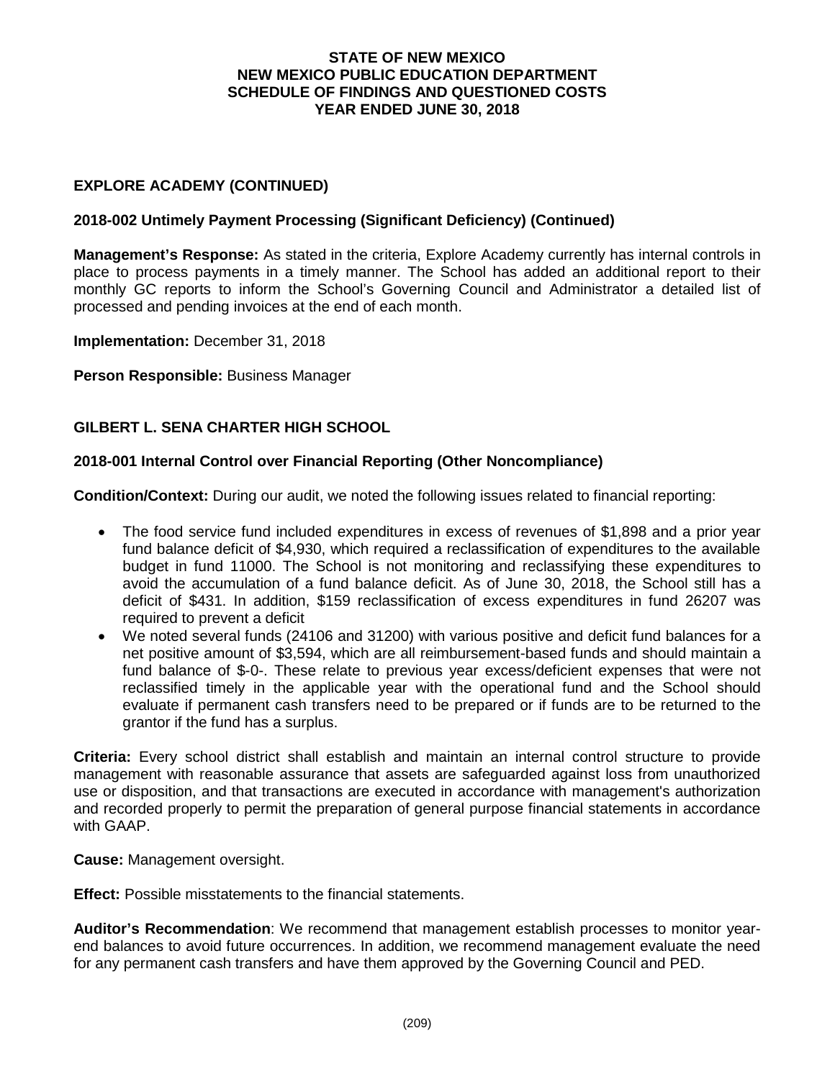# **EXPLORE ACADEMY (CONTINUED)**

## **2018-002 Untimely Payment Processing (Significant Deficiency) (Continued)**

**Management's Response:** As stated in the criteria, Explore Academy currently has internal controls in place to process payments in a timely manner. The School has added an additional report to their monthly GC reports to inform the School's Governing Council and Administrator a detailed list of processed and pending invoices at the end of each month.

**Implementation:** December 31, 2018

**Person Responsible:** Business Manager

## **GILBERT L. SENA CHARTER HIGH SCHOOL**

### **2018-001 Internal Control over Financial Reporting (Other Noncompliance)**

**Condition/Context:** During our audit, we noted the following issues related to financial reporting:

- The food service fund included expenditures in excess of revenues of \$1,898 and a prior year fund balance deficit of \$4,930, which required a reclassification of expenditures to the available budget in fund 11000. The School is not monitoring and reclassifying these expenditures to avoid the accumulation of a fund balance deficit. As of June 30, 2018, the School still has a deficit of \$431. In addition, \$159 reclassification of excess expenditures in fund 26207 was required to prevent a deficit
- We noted several funds (24106 and 31200) with various positive and deficit fund balances for a net positive amount of \$3,594, which are all reimbursement-based funds and should maintain a fund balance of \$-0-. These relate to previous year excess/deficient expenses that were not reclassified timely in the applicable year with the operational fund and the School should evaluate if permanent cash transfers need to be prepared or if funds are to be returned to the grantor if the fund has a surplus.

**Criteria:** Every school district shall establish and maintain an internal control structure to provide management with reasonable assurance that assets are safeguarded against loss from unauthorized use or disposition, and that transactions are executed in accordance with management's authorization and recorded properly to permit the preparation of general purpose financial statements in accordance with GAAP.

**Cause:** Management oversight.

**Effect:** Possible misstatements to the financial statements.

**Auditor's Recommendation**: We recommend that management establish processes to monitor yearend balances to avoid future occurrences. In addition, we recommend management evaluate the need for any permanent cash transfers and have them approved by the Governing Council and PED.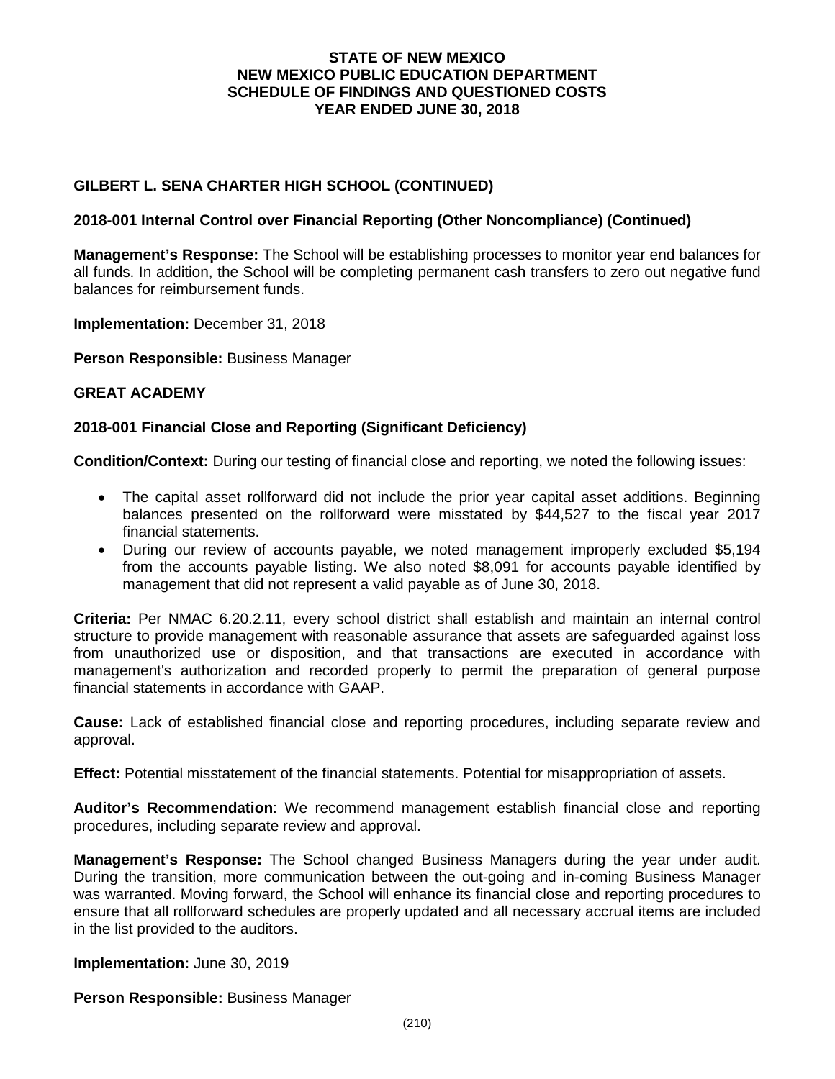## **GILBERT L. SENA CHARTER HIGH SCHOOL (CONTINUED)**

### **2018-001 Internal Control over Financial Reporting (Other Noncompliance) (Continued)**

**Management's Response:** The School will be establishing processes to monitor year end balances for all funds. In addition, the School will be completing permanent cash transfers to zero out negative fund balances for reimbursement funds.

**Implementation:** December 31, 2018

**Person Responsible:** Business Manager

#### **GREAT ACADEMY**

#### **2018-001 Financial Close and Reporting (Significant Deficiency)**

**Condition/Context:** During our testing of financial close and reporting, we noted the following issues:

- The capital asset rollforward did not include the prior year capital asset additions. Beginning balances presented on the rollforward were misstated by \$44,527 to the fiscal year 2017 financial statements.
- During our review of accounts payable, we noted management improperly excluded \$5,194 from the accounts payable listing. We also noted \$8,091 for accounts payable identified by management that did not represent a valid payable as of June 30, 2018.

**Criteria:** Per NMAC 6.20.2.11, every school district shall establish and maintain an internal control structure to provide management with reasonable assurance that assets are safeguarded against loss from unauthorized use or disposition, and that transactions are executed in accordance with management's authorization and recorded properly to permit the preparation of general purpose financial statements in accordance with GAAP.

**Cause:** Lack of established financial close and reporting procedures, including separate review and approval.

**Effect:** Potential misstatement of the financial statements. Potential for misappropriation of assets.

**Auditor's Recommendation**: We recommend management establish financial close and reporting procedures, including separate review and approval.

**Management's Response:** The School changed Business Managers during the year under audit. During the transition, more communication between the out-going and in-coming Business Manager was warranted. Moving forward, the School will enhance its financial close and reporting procedures to ensure that all rollforward schedules are properly updated and all necessary accrual items are included in the list provided to the auditors.

#### **Implementation:** June 30, 2019

#### **Person Responsible:** Business Manager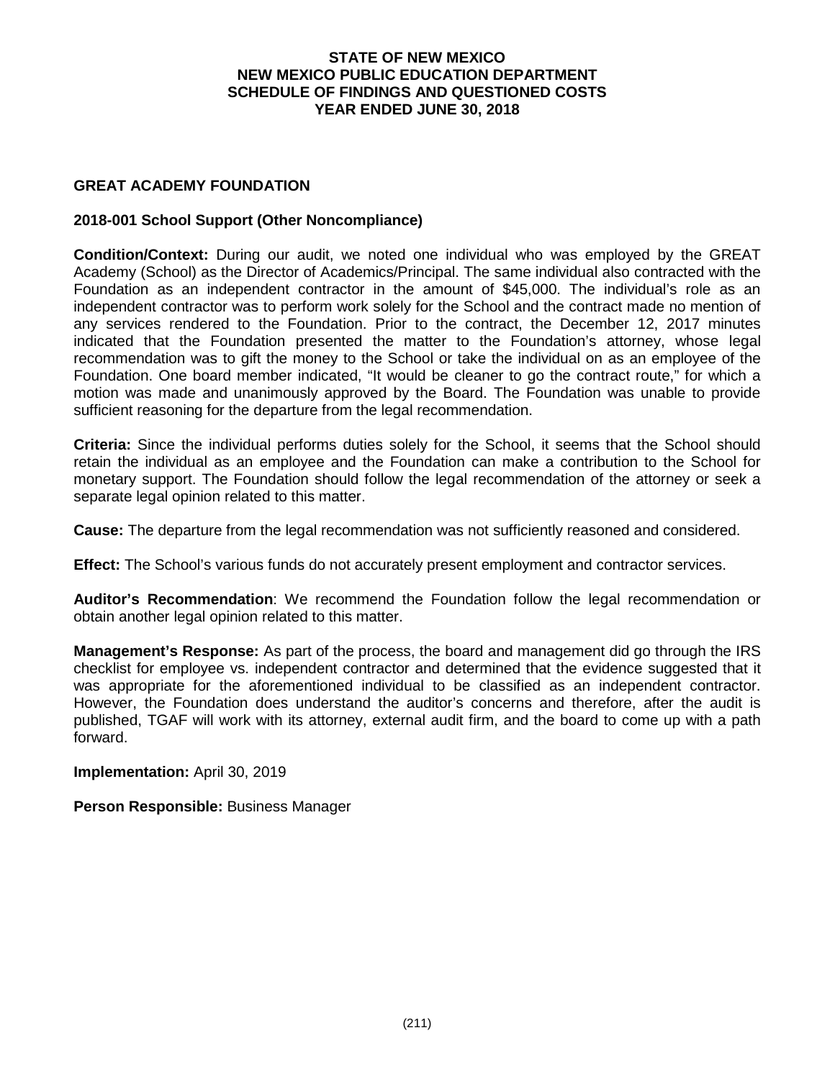### **GREAT ACADEMY FOUNDATION**

### **2018-001 School Support (Other Noncompliance)**

**Condition/Context:** During our audit, we noted one individual who was employed by the GREAT Academy (School) as the Director of Academics/Principal. The same individual also contracted with the Foundation as an independent contractor in the amount of \$45,000. The individual's role as an independent contractor was to perform work solely for the School and the contract made no mention of any services rendered to the Foundation. Prior to the contract, the December 12, 2017 minutes indicated that the Foundation presented the matter to the Foundation's attorney, whose legal recommendation was to gift the money to the School or take the individual on as an employee of the Foundation. One board member indicated, "It would be cleaner to go the contract route," for which a motion was made and unanimously approved by the Board. The Foundation was unable to provide sufficient reasoning for the departure from the legal recommendation.

**Criteria:** Since the individual performs duties solely for the School, it seems that the School should retain the individual as an employee and the Foundation can make a contribution to the School for monetary support. The Foundation should follow the legal recommendation of the attorney or seek a separate legal opinion related to this matter.

**Cause:** The departure from the legal recommendation was not sufficiently reasoned and considered.

**Effect:** The School's various funds do not accurately present employment and contractor services.

**Auditor's Recommendation**: We recommend the Foundation follow the legal recommendation or obtain another legal opinion related to this matter.

**Management's Response:** As part of the process, the board and management did go through the IRS checklist for employee vs. independent contractor and determined that the evidence suggested that it was appropriate for the aforementioned individual to be classified as an independent contractor. However, the Foundation does understand the auditor's concerns and therefore, after the audit is published, TGAF will work with its attorney, external audit firm, and the board to come up with a path forward.

**Implementation:** April 30, 2019

**Person Responsible:** Business Manager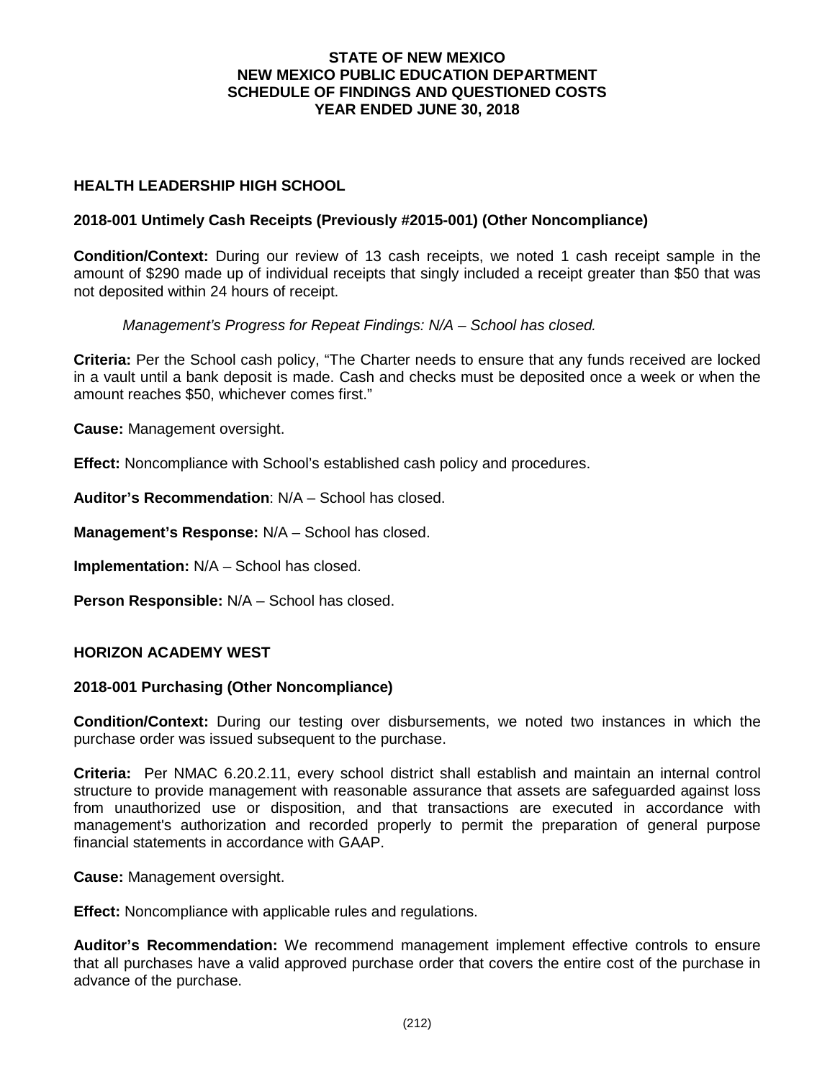## **HEALTH LEADERSHIP HIGH SCHOOL**

## **2018-001 Untimely Cash Receipts (Previously #2015-001) (Other Noncompliance)**

**Condition/Context:** During our review of 13 cash receipts, we noted 1 cash receipt sample in the amount of \$290 made up of individual receipts that singly included a receipt greater than \$50 that was not deposited within 24 hours of receipt.

*Management's Progress for Repeat Findings: N/A – School has closed.*

**Criteria:** Per the School cash policy, "The Charter needs to ensure that any funds received are locked in a vault until a bank deposit is made. Cash and checks must be deposited once a week or when the amount reaches \$50, whichever comes first."

**Cause:** Management oversight.

**Effect:** Noncompliance with School's established cash policy and procedures.

**Auditor's Recommendation**: N/A – School has closed.

**Management's Response:** N/A – School has closed.

**Implementation:** N/A – School has closed.

**Person Responsible:** N/A – School has closed.

### **HORIZON ACADEMY WEST**

#### **2018-001 Purchasing (Other Noncompliance)**

**Condition/Context:** During our testing over disbursements, we noted two instances in which the purchase order was issued subsequent to the purchase.

**Criteria:** Per NMAC 6.20.2.11, every school district shall establish and maintain an internal control structure to provide management with reasonable assurance that assets are safeguarded against loss from unauthorized use or disposition, and that transactions are executed in accordance with management's authorization and recorded properly to permit the preparation of general purpose financial statements in accordance with GAAP.

**Cause:** Management oversight.

**Effect:** Noncompliance with applicable rules and regulations.

**Auditor's Recommendation:** We recommend management implement effective controls to ensure that all purchases have a valid approved purchase order that covers the entire cost of the purchase in advance of the purchase.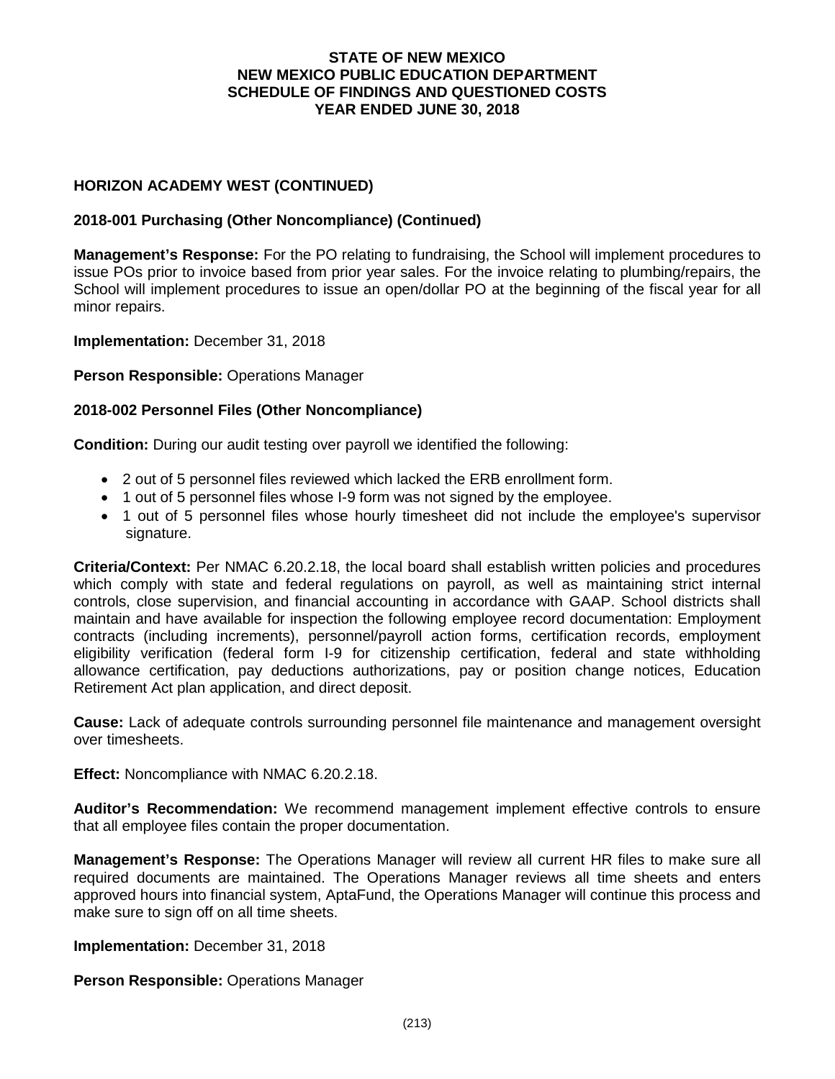## **HORIZON ACADEMY WEST (CONTINUED)**

### **2018-001 Purchasing (Other Noncompliance) (Continued)**

**Management's Response:** For the PO relating to fundraising, the School will implement procedures to issue POs prior to invoice based from prior year sales. For the invoice relating to plumbing/repairs, the School will implement procedures to issue an open/dollar PO at the beginning of the fiscal year for all minor repairs.

**Implementation:** December 31, 2018

#### **Person Responsible:** Operations Manager

#### **2018-002 Personnel Files (Other Noncompliance)**

**Condition:** During our audit testing over payroll we identified the following:

- 2 out of 5 personnel files reviewed which lacked the ERB enrollment form.
- 1 out of 5 personnel files whose I-9 form was not signed by the employee.
- 1 out of 5 personnel files whose hourly timesheet did not include the employee's supervisor signature.

**Criteria/Context:** Per NMAC 6.20.2.18, the local board shall establish written policies and procedures which comply with state and federal regulations on payroll, as well as maintaining strict internal controls, close supervision, and financial accounting in accordance with GAAP. School districts shall maintain and have available for inspection the following employee record documentation: Employment contracts (including increments), personnel/payroll action forms, certification records, employment eligibility verification (federal form I-9 for citizenship certification, federal and state withholding allowance certification, pay deductions authorizations, pay or position change notices, Education Retirement Act plan application, and direct deposit.

**Cause:** Lack of adequate controls surrounding personnel file maintenance and management oversight over timesheets.

**Effect:** Noncompliance with NMAC 6.20.2.18.

**Auditor's Recommendation:** We recommend management implement effective controls to ensure that all employee files contain the proper documentation.

**Management's Response:** The Operations Manager will review all current HR files to make sure all required documents are maintained. The Operations Manager reviews all time sheets and enters approved hours into financial system, AptaFund, the Operations Manager will continue this process and make sure to sign off on all time sheets.

**Implementation:** December 31, 2018

**Person Responsible:** Operations Manager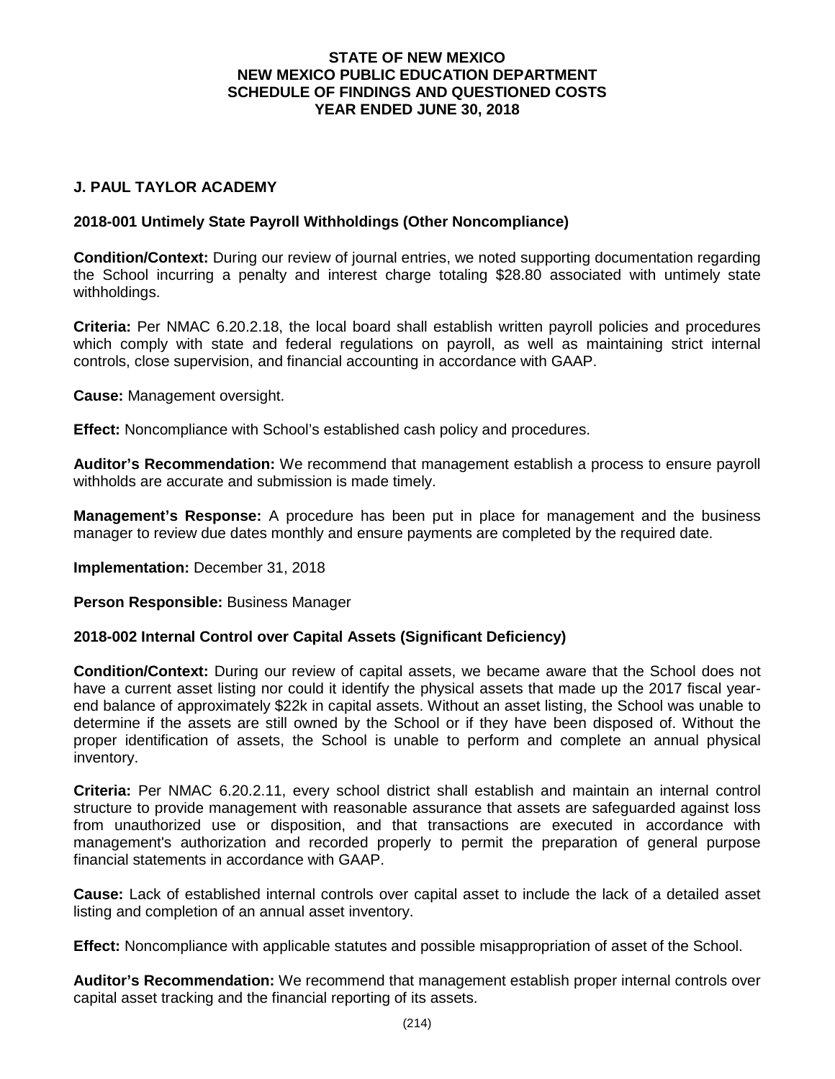### **J. PAUL TAYLOR ACADEMY**

## **2018-001 Untimely State Payroll Withholdings (Other Noncompliance)**

**Condition/Context:** During our review of journal entries, we noted supporting documentation regarding the School incurring a penalty and interest charge totaling \$28.80 associated with untimely state withholdings.

**Criteria:** Per NMAC 6.20.2.18, the local board shall establish written payroll policies and procedures which comply with state and federal regulations on payroll, as well as maintaining strict internal controls, close supervision, and financial accounting in accordance with GAAP.

**Cause:** Management oversight.

**Effect:** Noncompliance with School's established cash policy and procedures.

**Auditor's Recommendation:** We recommend that management establish a process to ensure payroll withholds are accurate and submission is made timely.

**Management's Response:** A procedure has been put in place for management and the business manager to review due dates monthly and ensure payments are completed by the required date.

**Implementation:** December 31, 2018

**Person Responsible:** Business Manager

### **2018-002 Internal Control over Capital Assets (Significant Deficiency)**

**Condition/Context:** During our review of capital assets, we became aware that the School does not have a current asset listing nor could it identify the physical assets that made up the 2017 fiscal yearend balance of approximately \$22k in capital assets. Without an asset listing, the School was unable to determine if the assets are still owned by the School or if they have been disposed of. Without the proper identification of assets, the School is unable to perform and complete an annual physical inventory.

**Criteria:** Per NMAC 6.20.2.11, every school district shall establish and maintain an internal control structure to provide management with reasonable assurance that assets are safeguarded against loss from unauthorized use or disposition, and that transactions are executed in accordance with management's authorization and recorded properly to permit the preparation of general purpose financial statements in accordance with GAAP.

**Cause:** Lack of established internal controls over capital asset to include the lack of a detailed asset listing and completion of an annual asset inventory.

**Effect:** Noncompliance with applicable statutes and possible misappropriation of asset of the School.

**Auditor's Recommendation:** We recommend that management establish proper internal controls over capital asset tracking and the financial reporting of its assets.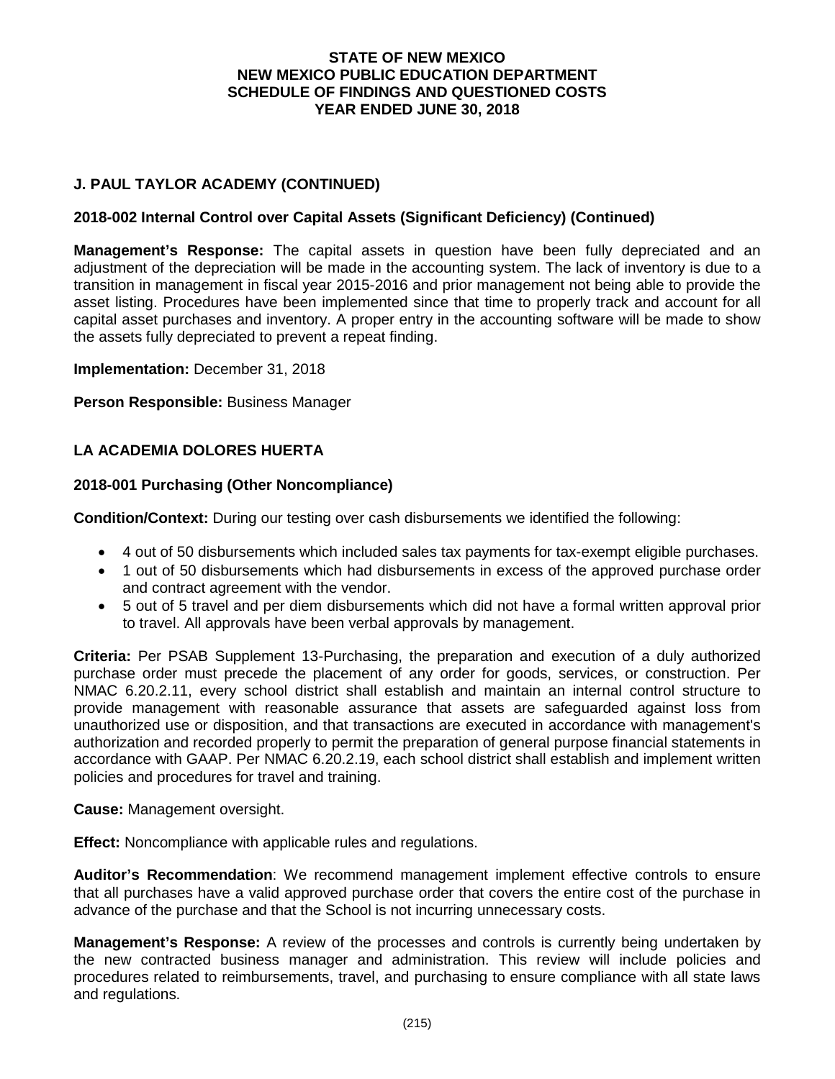## **J. PAUL TAYLOR ACADEMY (CONTINUED)**

## **2018-002 Internal Control over Capital Assets (Significant Deficiency) (Continued)**

**Management's Response:** The capital assets in question have been fully depreciated and an adjustment of the depreciation will be made in the accounting system. The lack of inventory is due to a transition in management in fiscal year 2015-2016 and prior management not being able to provide the asset listing. Procedures have been implemented since that time to properly track and account for all capital asset purchases and inventory. A proper entry in the accounting software will be made to show the assets fully depreciated to prevent a repeat finding.

**Implementation:** December 31, 2018

**Person Responsible:** Business Manager

## **LA ACADEMIA DOLORES HUERTA**

#### **2018-001 Purchasing (Other Noncompliance)**

**Condition/Context:** During our testing over cash disbursements we identified the following:

- 4 out of 50 disbursements which included sales tax payments for tax-exempt eligible purchases.
- 1 out of 50 disbursements which had disbursements in excess of the approved purchase order and contract agreement with the vendor.
- 5 out of 5 travel and per diem disbursements which did not have a formal written approval prior to travel. All approvals have been verbal approvals by management.

**Criteria:** Per PSAB Supplement 13-Purchasing, the preparation and execution of a duly authorized purchase order must precede the placement of any order for goods, services, or construction. Per NMAC 6.20.2.11, every school district shall establish and maintain an internal control structure to provide management with reasonable assurance that assets are safeguarded against loss from unauthorized use or disposition, and that transactions are executed in accordance with management's authorization and recorded properly to permit the preparation of general purpose financial statements in accordance with GAAP. Per NMAC 6.20.2.19, each school district shall establish and implement written policies and procedures for travel and training.

**Cause:** Management oversight.

**Effect:** Noncompliance with applicable rules and regulations.

**Auditor's Recommendation**: We recommend management implement effective controls to ensure that all purchases have a valid approved purchase order that covers the entire cost of the purchase in advance of the purchase and that the School is not incurring unnecessary costs.

**Management's Response:** A review of the processes and controls is currently being undertaken by the new contracted business manager and administration. This review will include policies and procedures related to reimbursements, travel, and purchasing to ensure compliance with all state laws and regulations.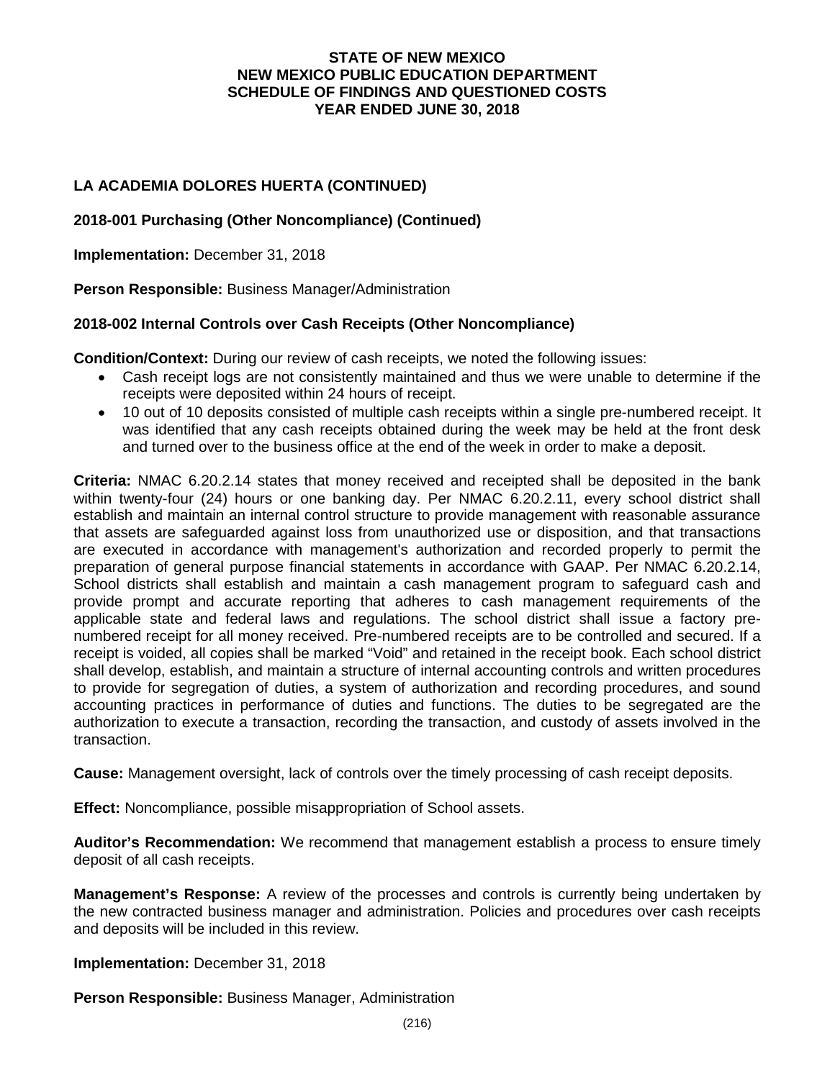# **LA ACADEMIA DOLORES HUERTA (CONTINUED)**

## **2018-001 Purchasing (Other Noncompliance) (Continued)**

**Implementation:** December 31, 2018

**Person Responsible:** Business Manager/Administration

### **2018-002 Internal Controls over Cash Receipts (Other Noncompliance)**

**Condition/Context:** During our review of cash receipts, we noted the following issues:

- Cash receipt logs are not consistently maintained and thus we were unable to determine if the receipts were deposited within 24 hours of receipt.
- 10 out of 10 deposits consisted of multiple cash receipts within a single pre-numbered receipt. It was identified that any cash receipts obtained during the week may be held at the front desk and turned over to the business office at the end of the week in order to make a deposit.

**Criteria:** NMAC 6.20.2.14 states that money received and receipted shall be deposited in the bank within twenty-four (24) hours or one banking day. Per NMAC 6.20.2.11, every school district shall establish and maintain an internal control structure to provide management with reasonable assurance that assets are safeguarded against loss from unauthorized use or disposition, and that transactions are executed in accordance with management's authorization and recorded properly to permit the preparation of general purpose financial statements in accordance with GAAP. Per NMAC 6.20.2.14, School districts shall establish and maintain a cash management program to safeguard cash and provide prompt and accurate reporting that adheres to cash management requirements of the applicable state and federal laws and regulations. The school district shall issue a factory prenumbered receipt for all money received. Pre-numbered receipts are to be controlled and secured. If a receipt is voided, all copies shall be marked "Void" and retained in the receipt book. Each school district shall develop, establish, and maintain a structure of internal accounting controls and written procedures to provide for segregation of duties, a system of authorization and recording procedures, and sound accounting practices in performance of duties and functions. The duties to be segregated are the authorization to execute a transaction, recording the transaction, and custody of assets involved in the transaction.

**Cause:** Management oversight, lack of controls over the timely processing of cash receipt deposits.

**Effect:** Noncompliance, possible misappropriation of School assets.

**Auditor's Recommendation:** We recommend that management establish a process to ensure timely deposit of all cash receipts.

**Management's Response:** A review of the processes and controls is currently being undertaken by the new contracted business manager and administration. Policies and procedures over cash receipts and deposits will be included in this review.

**Implementation:** December 31, 2018

**Person Responsible:** Business Manager, Administration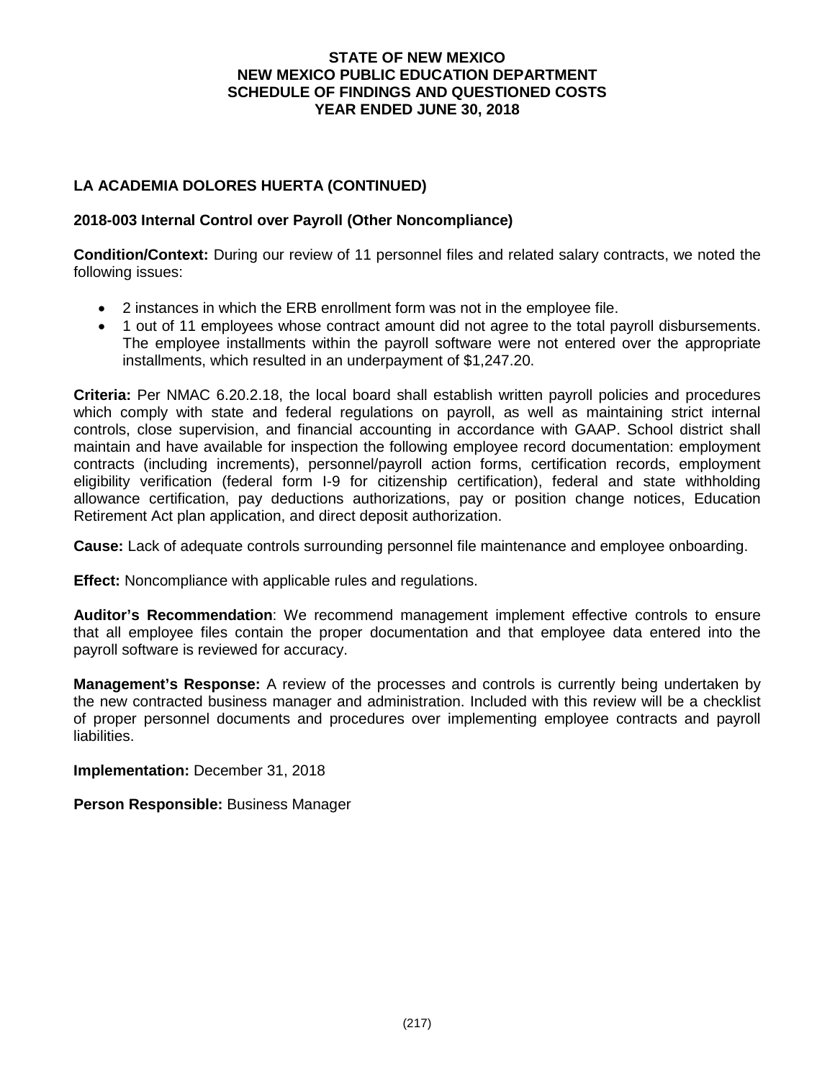# **LA ACADEMIA DOLORES HUERTA (CONTINUED)**

## **2018-003 Internal Control over Payroll (Other Noncompliance)**

**Condition/Context:** During our review of 11 personnel files and related salary contracts, we noted the following issues:

- 2 instances in which the ERB enrollment form was not in the employee file.
- 1 out of 11 employees whose contract amount did not agree to the total payroll disbursements. The employee installments within the payroll software were not entered over the appropriate installments, which resulted in an underpayment of \$1,247.20.

**Criteria:** Per NMAC 6.20.2.18, the local board shall establish written payroll policies and procedures which comply with state and federal regulations on payroll, as well as maintaining strict internal controls, close supervision, and financial accounting in accordance with GAAP. School district shall maintain and have available for inspection the following employee record documentation: employment contracts (including increments), personnel/payroll action forms, certification records, employment eligibility verification (federal form I-9 for citizenship certification), federal and state withholding allowance certification, pay deductions authorizations, pay or position change notices, Education Retirement Act plan application, and direct deposit authorization.

**Cause:** Lack of adequate controls surrounding personnel file maintenance and employee onboarding.

**Effect:** Noncompliance with applicable rules and regulations.

**Auditor's Recommendation**: We recommend management implement effective controls to ensure that all employee files contain the proper documentation and that employee data entered into the payroll software is reviewed for accuracy.

**Management's Response:** A review of the processes and controls is currently being undertaken by the new contracted business manager and administration. Included with this review will be a checklist of proper personnel documents and procedures over implementing employee contracts and payroll liabilities.

**Implementation:** December 31, 2018

**Person Responsible:** Business Manager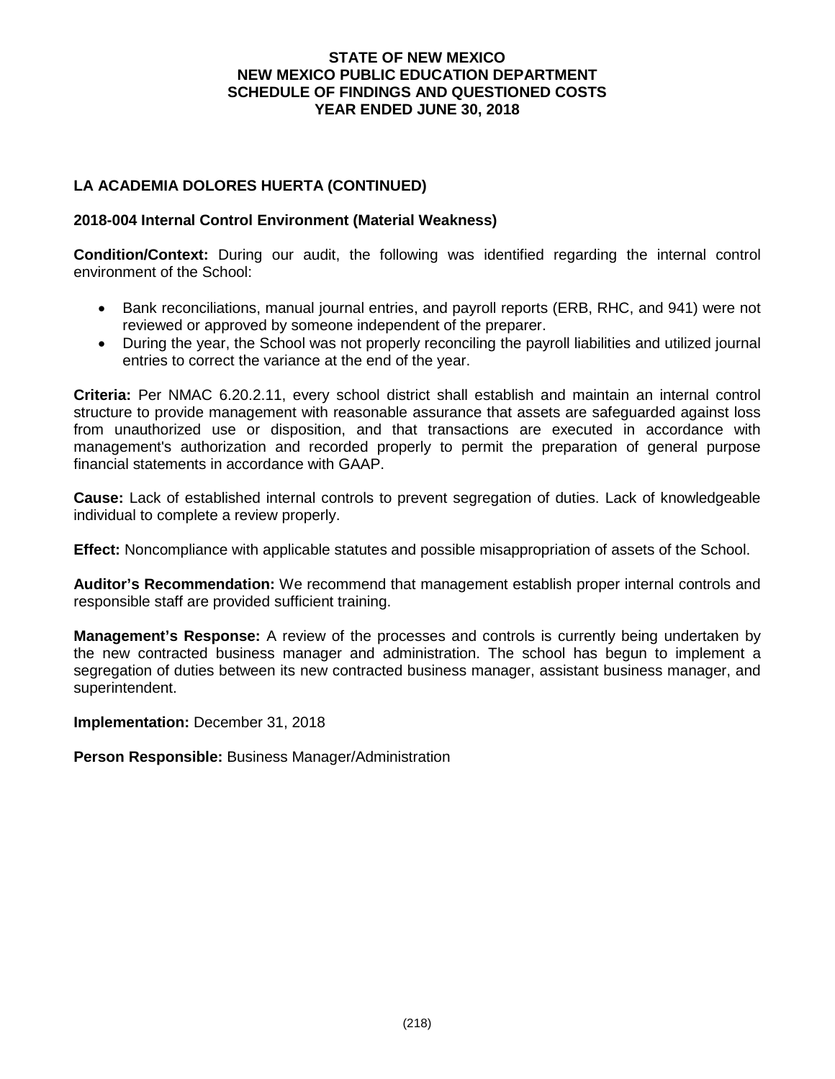# **LA ACADEMIA DOLORES HUERTA (CONTINUED)**

## **2018-004 Internal Control Environment (Material Weakness)**

**Condition/Context:** During our audit, the following was identified regarding the internal control environment of the School:

- Bank reconciliations, manual journal entries, and payroll reports (ERB, RHC, and 941) were not reviewed or approved by someone independent of the preparer.
- During the year, the School was not properly reconciling the payroll liabilities and utilized journal entries to correct the variance at the end of the year.

**Criteria:** Per NMAC 6.20.2.11, every school district shall establish and maintain an internal control structure to provide management with reasonable assurance that assets are safeguarded against loss from unauthorized use or disposition, and that transactions are executed in accordance with management's authorization and recorded properly to permit the preparation of general purpose financial statements in accordance with GAAP.

**Cause:** Lack of established internal controls to prevent segregation of duties. Lack of knowledgeable individual to complete a review properly.

**Effect:** Noncompliance with applicable statutes and possible misappropriation of assets of the School.

**Auditor's Recommendation:** We recommend that management establish proper internal controls and responsible staff are provided sufficient training.

**Management's Response:** A review of the processes and controls is currently being undertaken by the new contracted business manager and administration. The school has begun to implement a segregation of duties between its new contracted business manager, assistant business manager, and superintendent.

**Implementation:** December 31, 2018

**Person Responsible:** Business Manager/Administration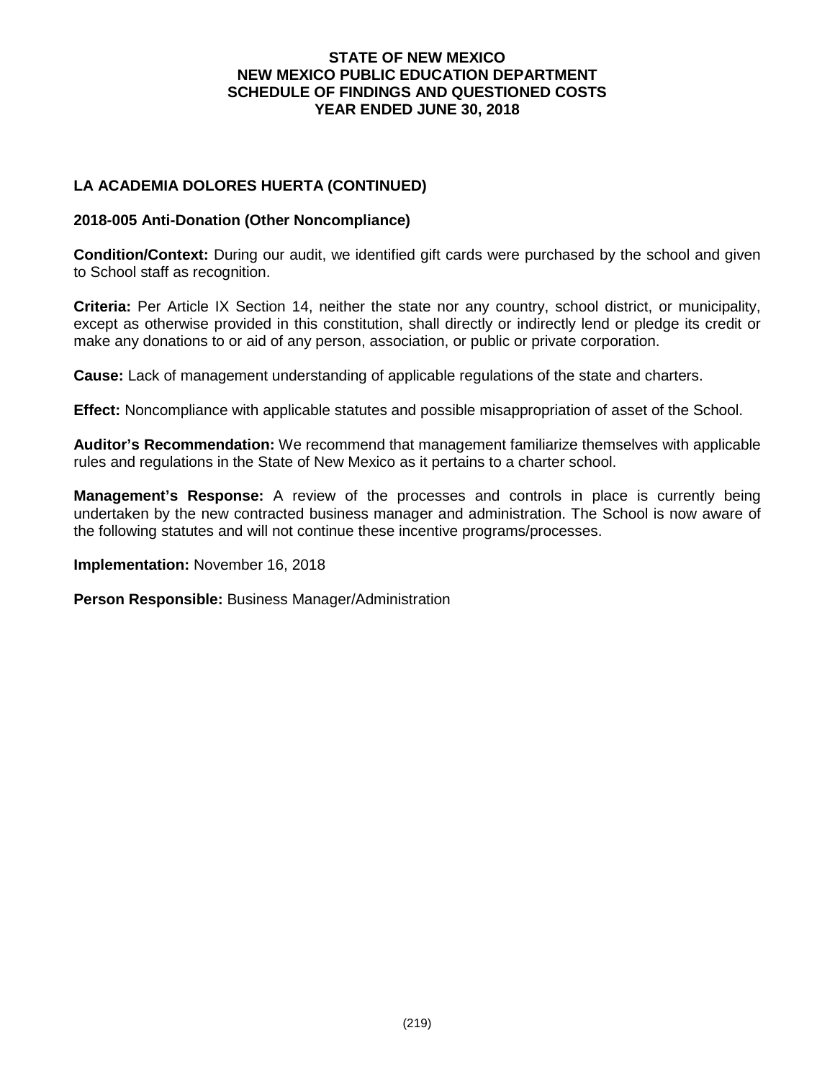# **LA ACADEMIA DOLORES HUERTA (CONTINUED)**

## **2018-005 Anti-Donation (Other Noncompliance)**

**Condition/Context:** During our audit, we identified gift cards were purchased by the school and given to School staff as recognition.

**Criteria:** Per Article IX Section 14, neither the state nor any country, school district, or municipality, except as otherwise provided in this constitution, shall directly or indirectly lend or pledge its credit or make any donations to or aid of any person, association, or public or private corporation.

**Cause:** Lack of management understanding of applicable regulations of the state and charters.

**Effect:** Noncompliance with applicable statutes and possible misappropriation of asset of the School.

**Auditor's Recommendation:** We recommend that management familiarize themselves with applicable rules and regulations in the State of New Mexico as it pertains to a charter school.

**Management's Response:** A review of the processes and controls in place is currently being undertaken by the new contracted business manager and administration. The School is now aware of the following statutes and will not continue these incentive programs/processes.

**Implementation:** November 16, 2018

**Person Responsible:** Business Manager/Administration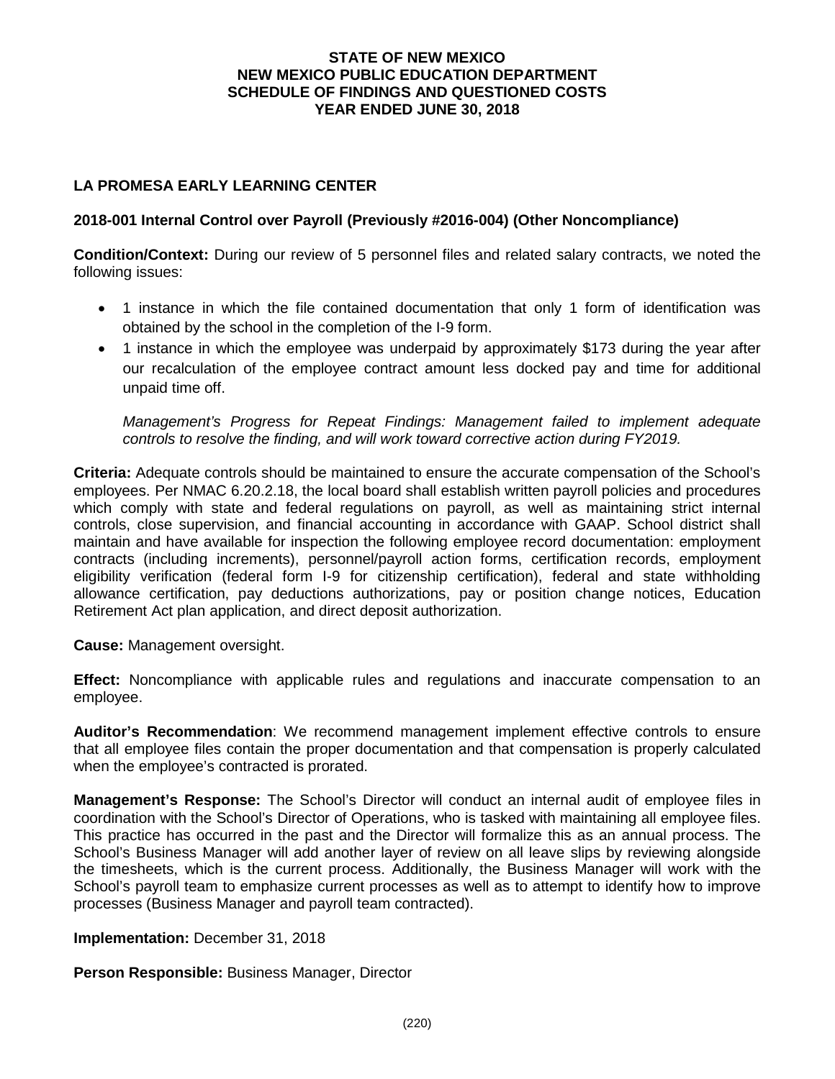## **LA PROMESA EARLY LEARNING CENTER**

### **2018-001 Internal Control over Payroll (Previously #2016-004) (Other Noncompliance)**

**Condition/Context:** During our review of 5 personnel files and related salary contracts, we noted the following issues:

- 1 instance in which the file contained documentation that only 1 form of identification was obtained by the school in the completion of the I-9 form.
- 1 instance in which the employee was underpaid by approximately \$173 during the year after our recalculation of the employee contract amount less docked pay and time for additional unpaid time off.

*Management's Progress for Repeat Findings: Management failed to implement adequate controls to resolve the finding, and will work toward corrective action during FY2019.*

**Criteria:** Adequate controls should be maintained to ensure the accurate compensation of the School's employees. Per NMAC 6.20.2.18, the local board shall establish written payroll policies and procedures which comply with state and federal regulations on payroll, as well as maintaining strict internal controls, close supervision, and financial accounting in accordance with GAAP. School district shall maintain and have available for inspection the following employee record documentation: employment contracts (including increments), personnel/payroll action forms, certification records, employment eligibility verification (federal form I-9 for citizenship certification), federal and state withholding allowance certification, pay deductions authorizations, pay or position change notices, Education Retirement Act plan application, and direct deposit authorization.

**Cause:** Management oversight.

**Effect:** Noncompliance with applicable rules and regulations and inaccurate compensation to an employee.

**Auditor's Recommendation**: We recommend management implement effective controls to ensure that all employee files contain the proper documentation and that compensation is properly calculated when the employee's contracted is prorated.

**Management's Response:** The School's Director will conduct an internal audit of employee files in coordination with the School's Director of Operations, who is tasked with maintaining all employee files. This practice has occurred in the past and the Director will formalize this as an annual process. The School's Business Manager will add another layer of review on all leave slips by reviewing alongside the timesheets, which is the current process. Additionally, the Business Manager will work with the School's payroll team to emphasize current processes as well as to attempt to identify how to improve processes (Business Manager and payroll team contracted).

**Implementation:** December 31, 2018

**Person Responsible:** Business Manager, Director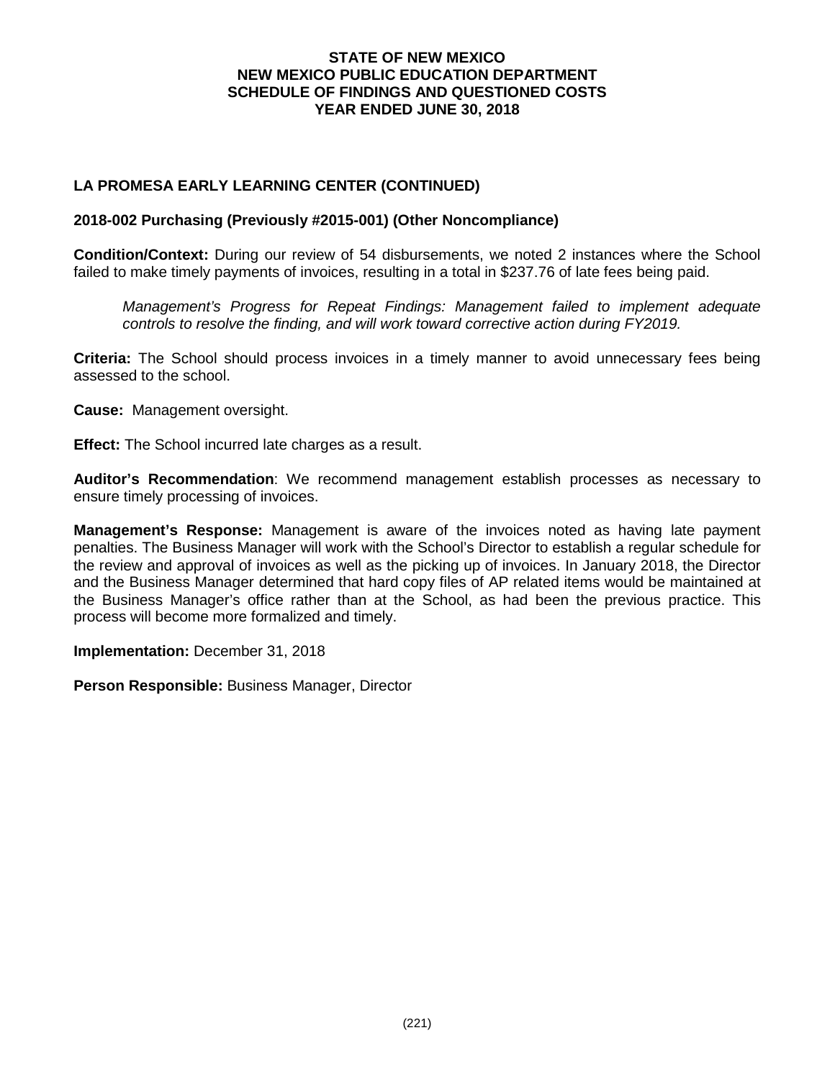## **LA PROMESA EARLY LEARNING CENTER (CONTINUED)**

## **2018-002 Purchasing (Previously #2015-001) (Other Noncompliance)**

**Condition/Context:** During our review of 54 disbursements, we noted 2 instances where the School failed to make timely payments of invoices, resulting in a total in \$237.76 of late fees being paid.

*Management's Progress for Repeat Findings: Management failed to implement adequate controls to resolve the finding, and will work toward corrective action during FY2019.*

**Criteria:** The School should process invoices in a timely manner to avoid unnecessary fees being assessed to the school.

**Cause:** Management oversight.

**Effect:** The School incurred late charges as a result.

**Auditor's Recommendation**: We recommend management establish processes as necessary to ensure timely processing of invoices.

**Management's Response:** Management is aware of the invoices noted as having late payment penalties. The Business Manager will work with the School's Director to establish a regular schedule for the review and approval of invoices as well as the picking up of invoices. In January 2018, the Director and the Business Manager determined that hard copy files of AP related items would be maintained at the Business Manager's office rather than at the School, as had been the previous practice. This process will become more formalized and timely.

**Implementation:** December 31, 2018

**Person Responsible:** Business Manager, Director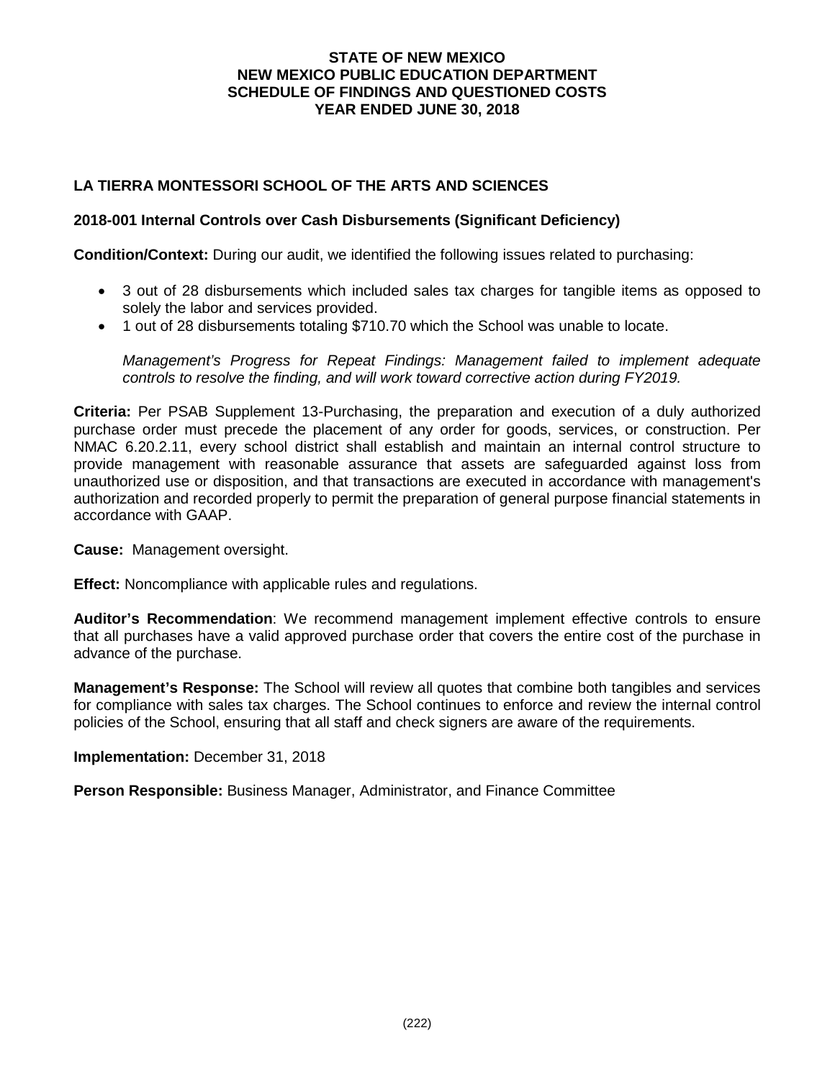## **LA TIERRA MONTESSORI SCHOOL OF THE ARTS AND SCIENCES**

## **2018-001 Internal Controls over Cash Disbursements (Significant Deficiency)**

**Condition/Context:** During our audit, we identified the following issues related to purchasing:

- 3 out of 28 disbursements which included sales tax charges for tangible items as opposed to solely the labor and services provided.
- 1 out of 28 disbursements totaling \$710.70 which the School was unable to locate.

*Management's Progress for Repeat Findings: Management failed to implement adequate controls to resolve the finding, and will work toward corrective action during FY2019.*

**Criteria:** Per PSAB Supplement 13-Purchasing, the preparation and execution of a duly authorized purchase order must precede the placement of any order for goods, services, or construction. Per NMAC 6.20.2.11, every school district shall establish and maintain an internal control structure to provide management with reasonable assurance that assets are safeguarded against loss from unauthorized use or disposition, and that transactions are executed in accordance with management's authorization and recorded properly to permit the preparation of general purpose financial statements in accordance with GAAP.

**Cause:** Management oversight.

**Effect:** Noncompliance with applicable rules and regulations.

**Auditor's Recommendation**: We recommend management implement effective controls to ensure that all purchases have a valid approved purchase order that covers the entire cost of the purchase in advance of the purchase.

**Management's Response:** The School will review all quotes that combine both tangibles and services for compliance with sales tax charges. The School continues to enforce and review the internal control policies of the School, ensuring that all staff and check signers are aware of the requirements.

**Implementation:** December 31, 2018

**Person Responsible:** Business Manager, Administrator, and Finance Committee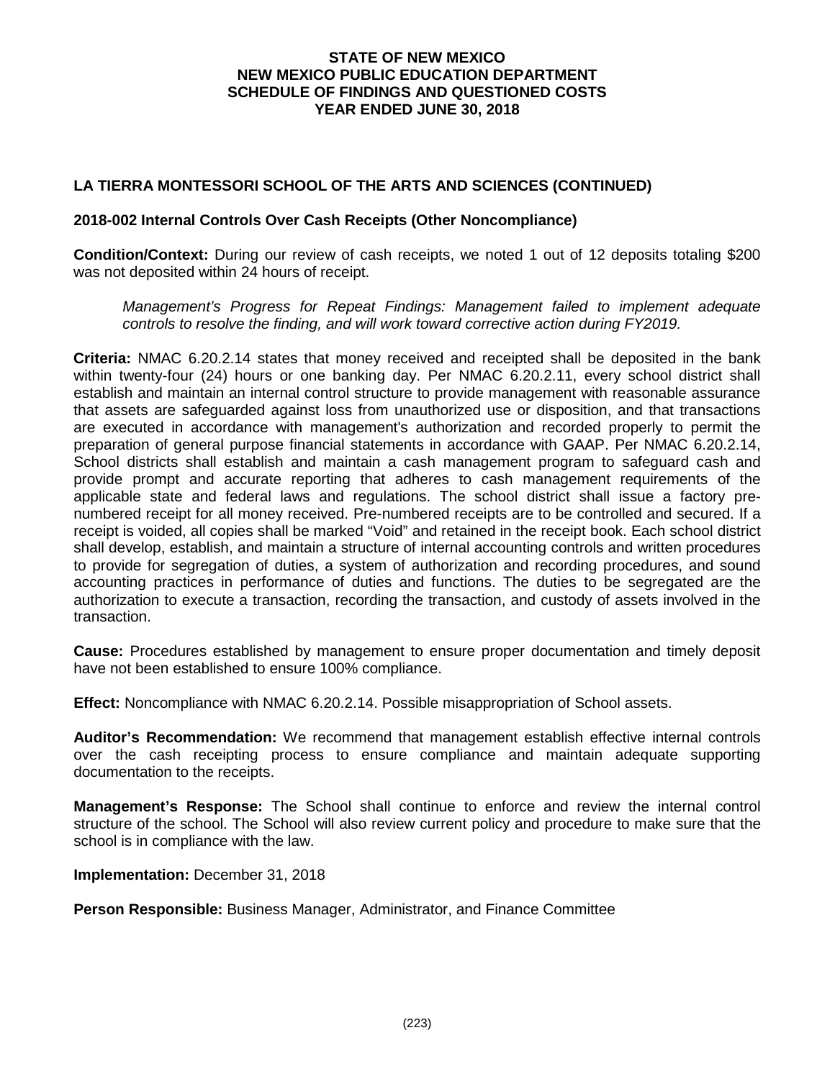## **LA TIERRA MONTESSORI SCHOOL OF THE ARTS AND SCIENCES (CONTINUED)**

### **2018-002 Internal Controls Over Cash Receipts (Other Noncompliance)**

**Condition/Context:** During our review of cash receipts, we noted 1 out of 12 deposits totaling \$200 was not deposited within 24 hours of receipt.

*Management's Progress for Repeat Findings: Management failed to implement adequate controls to resolve the finding, and will work toward corrective action during FY2019.*

**Criteria:** NMAC 6.20.2.14 states that money received and receipted shall be deposited in the bank within twenty-four (24) hours or one banking day. Per NMAC 6.20.2.11, every school district shall establish and maintain an internal control structure to provide management with reasonable assurance that assets are safeguarded against loss from unauthorized use or disposition, and that transactions are executed in accordance with management's authorization and recorded properly to permit the preparation of general purpose financial statements in accordance with GAAP. Per NMAC 6.20.2.14, School districts shall establish and maintain a cash management program to safeguard cash and provide prompt and accurate reporting that adheres to cash management requirements of the applicable state and federal laws and regulations. The school district shall issue a factory prenumbered receipt for all money received. Pre-numbered receipts are to be controlled and secured. If a receipt is voided, all copies shall be marked "Void" and retained in the receipt book. Each school district shall develop, establish, and maintain a structure of internal accounting controls and written procedures to provide for segregation of duties, a system of authorization and recording procedures, and sound accounting practices in performance of duties and functions. The duties to be segregated are the authorization to execute a transaction, recording the transaction, and custody of assets involved in the transaction.

**Cause:** Procedures established by management to ensure proper documentation and timely deposit have not been established to ensure 100% compliance.

**Effect:** Noncompliance with NMAC 6.20.2.14. Possible misappropriation of School assets.

**Auditor's Recommendation:** We recommend that management establish effective internal controls over the cash receipting process to ensure compliance and maintain adequate supporting documentation to the receipts.

**Management's Response:** The School shall continue to enforce and review the internal control structure of the school. The School will also review current policy and procedure to make sure that the school is in compliance with the law.

**Implementation:** December 31, 2018

**Person Responsible:** Business Manager, Administrator, and Finance Committee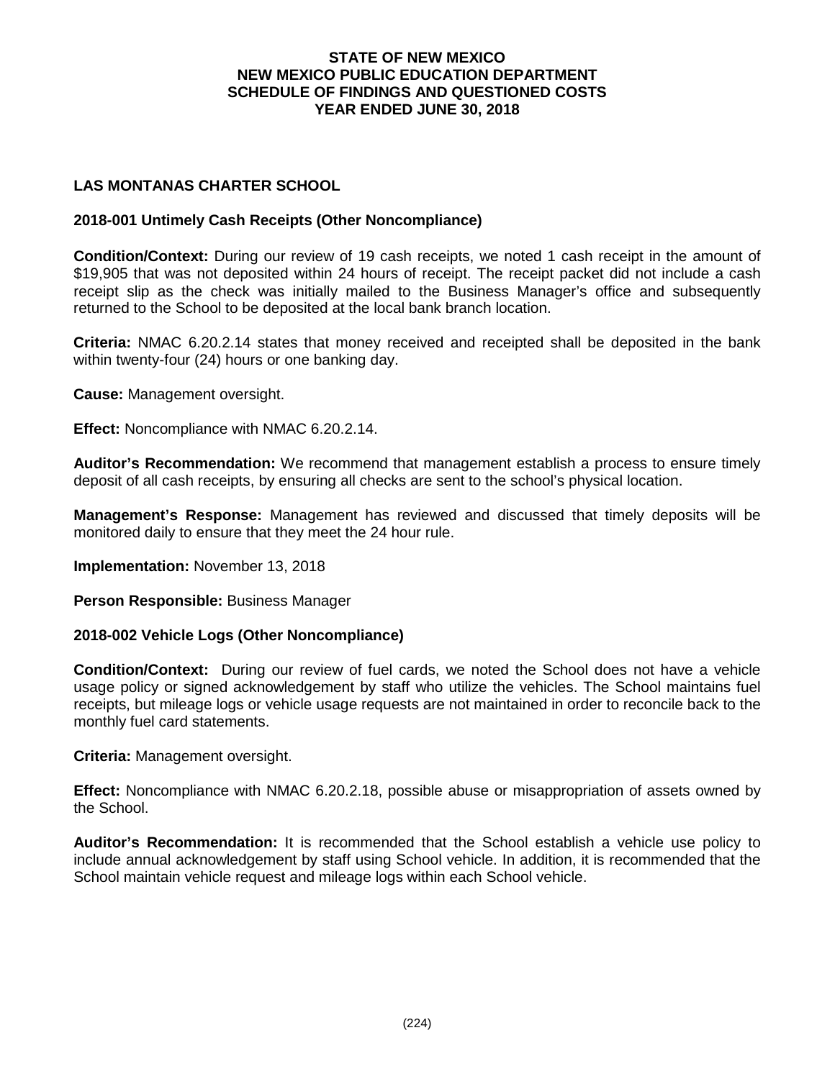## **LAS MONTANAS CHARTER SCHOOL**

### **2018-001 Untimely Cash Receipts (Other Noncompliance)**

**Condition/Context:** During our review of 19 cash receipts, we noted 1 cash receipt in the amount of \$19,905 that was not deposited within 24 hours of receipt. The receipt packet did not include a cash receipt slip as the check was initially mailed to the Business Manager's office and subsequently returned to the School to be deposited at the local bank branch location.

**Criteria:** NMAC 6.20.2.14 states that money received and receipted shall be deposited in the bank within twenty-four (24) hours or one banking day.

**Cause:** Management oversight.

**Effect:** Noncompliance with NMAC 6.20.2.14.

**Auditor's Recommendation:** We recommend that management establish a process to ensure timely deposit of all cash receipts, by ensuring all checks are sent to the school's physical location.

**Management's Response:** Management has reviewed and discussed that timely deposits will be monitored daily to ensure that they meet the 24 hour rule.

**Implementation:** November 13, 2018

**Person Responsible:** Business Manager

#### **2018-002 Vehicle Logs (Other Noncompliance)**

**Condition/Context:** During our review of fuel cards, we noted the School does not have a vehicle usage policy or signed acknowledgement by staff who utilize the vehicles. The School maintains fuel receipts, but mileage logs or vehicle usage requests are not maintained in order to reconcile back to the monthly fuel card statements.

**Criteria:** Management oversight.

**Effect:** Noncompliance with NMAC 6.20.2.18, possible abuse or misappropriation of assets owned by the School.

**Auditor's Recommendation:** It is recommended that the School establish a vehicle use policy to include annual acknowledgement by staff using School vehicle. In addition, it is recommended that the School maintain vehicle request and mileage logs within each School vehicle.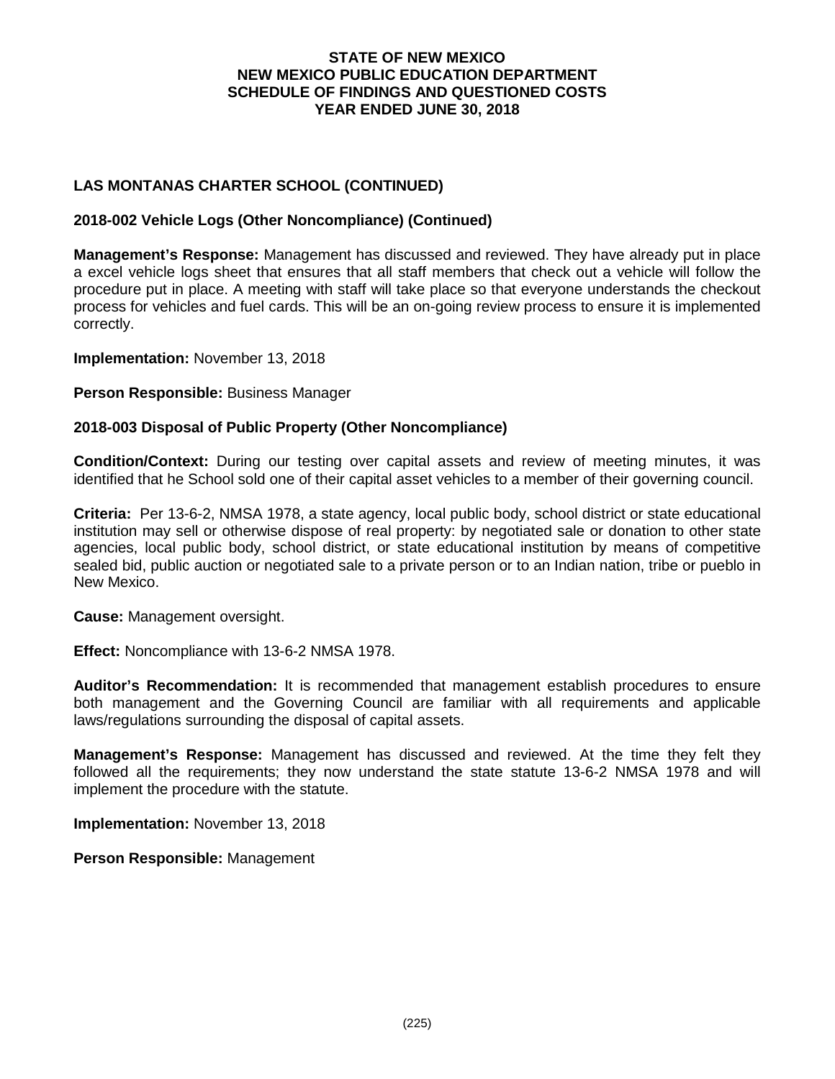# **LAS MONTANAS CHARTER SCHOOL (CONTINUED)**

## **2018-002 Vehicle Logs (Other Noncompliance) (Continued)**

**Management's Response:** Management has discussed and reviewed. They have already put in place a excel vehicle logs sheet that ensures that all staff members that check out a vehicle will follow the procedure put in place. A meeting with staff will take place so that everyone understands the checkout process for vehicles and fuel cards. This will be an on-going review process to ensure it is implemented correctly.

**Implementation:** November 13, 2018

#### **Person Responsible:** Business Manager

### **2018-003 Disposal of Public Property (Other Noncompliance)**

**Condition/Context:** During our testing over capital assets and review of meeting minutes, it was identified that he School sold one of their capital asset vehicles to a member of their governing council.

**Criteria:** Per 13-6-2, NMSA 1978, a state agency, local public body, school district or state educational institution may sell or otherwise dispose of real property: by negotiated sale or donation to other state agencies, local public body, school district, or state educational institution by means of competitive sealed bid, public auction or negotiated sale to a private person or to an Indian nation, tribe or pueblo in New Mexico.

**Cause:** Management oversight.

**Effect:** Noncompliance with 13-6-2 NMSA 1978.

**Auditor's Recommendation:** It is recommended that management establish procedures to ensure both management and the Governing Council are familiar with all requirements and applicable laws/regulations surrounding the disposal of capital assets.

**Management's Response:** Management has discussed and reviewed. At the time they felt they followed all the requirements; they now understand the state statute 13-6-2 NMSA 1978 and will implement the procedure with the statute.

**Implementation:** November 13, 2018

**Person Responsible:** Management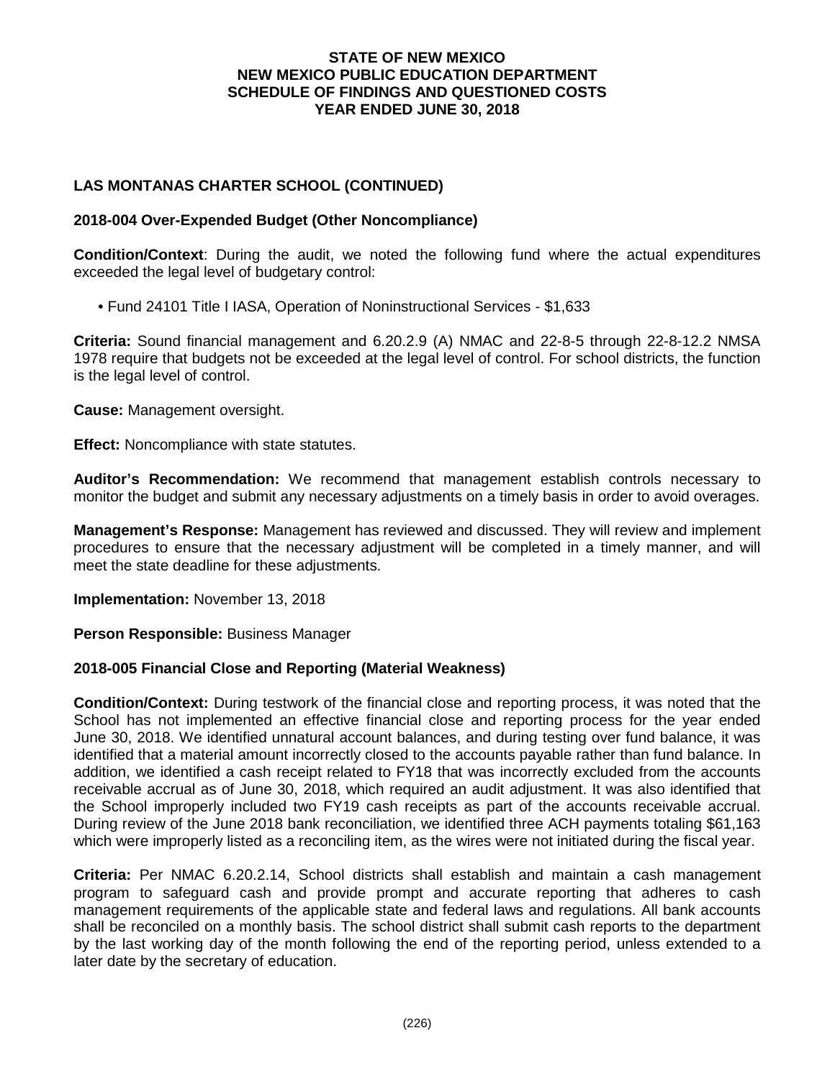## **LAS MONTANAS CHARTER SCHOOL (CONTINUED)**

## **2018-004 Over-Expended Budget (Other Noncompliance)**

**Condition/Context**: During the audit, we noted the following fund where the actual expenditures exceeded the legal level of budgetary control:

• Fund 24101 Title I IASA, Operation of Noninstructional Services - \$1,633

**Criteria:** Sound financial management and 6.20.2.9 (A) NMAC and 22-8-5 through 22-8-12.2 NMSA 1978 require that budgets not be exceeded at the legal level of control. For school districts, the function is the legal level of control.

**Cause:** Management oversight.

**Effect:** Noncompliance with state statutes.

**Auditor's Recommendation:** We recommend that management establish controls necessary to monitor the budget and submit any necessary adjustments on a timely basis in order to avoid overages.

**Management's Response:** Management has reviewed and discussed. They will review and implement procedures to ensure that the necessary adjustment will be completed in a timely manner, and will meet the state deadline for these adjustments.

**Implementation:** November 13, 2018

**Person Responsible:** Business Manager

### **2018-005 Financial Close and Reporting (Material Weakness)**

**Condition/Context:** During testwork of the financial close and reporting process, it was noted that the School has not implemented an effective financial close and reporting process for the year ended June 30, 2018. We identified unnatural account balances, and during testing over fund balance, it was identified that a material amount incorrectly closed to the accounts payable rather than fund balance. In addition, we identified a cash receipt related to FY18 that was incorrectly excluded from the accounts receivable accrual as of June 30, 2018, which required an audit adjustment. It was also identified that the School improperly included two FY19 cash receipts as part of the accounts receivable accrual. During review of the June 2018 bank reconciliation, we identified three ACH payments totaling \$61,163 which were improperly listed as a reconciling item, as the wires were not initiated during the fiscal year.

**Criteria:** Per NMAC 6.20.2.14, School districts shall establish and maintain a cash management program to safeguard cash and provide prompt and accurate reporting that adheres to cash management requirements of the applicable state and federal laws and regulations. All bank accounts shall be reconciled on a monthly basis. The school district shall submit cash reports to the department by the last working day of the month following the end of the reporting period, unless extended to a later date by the secretary of education.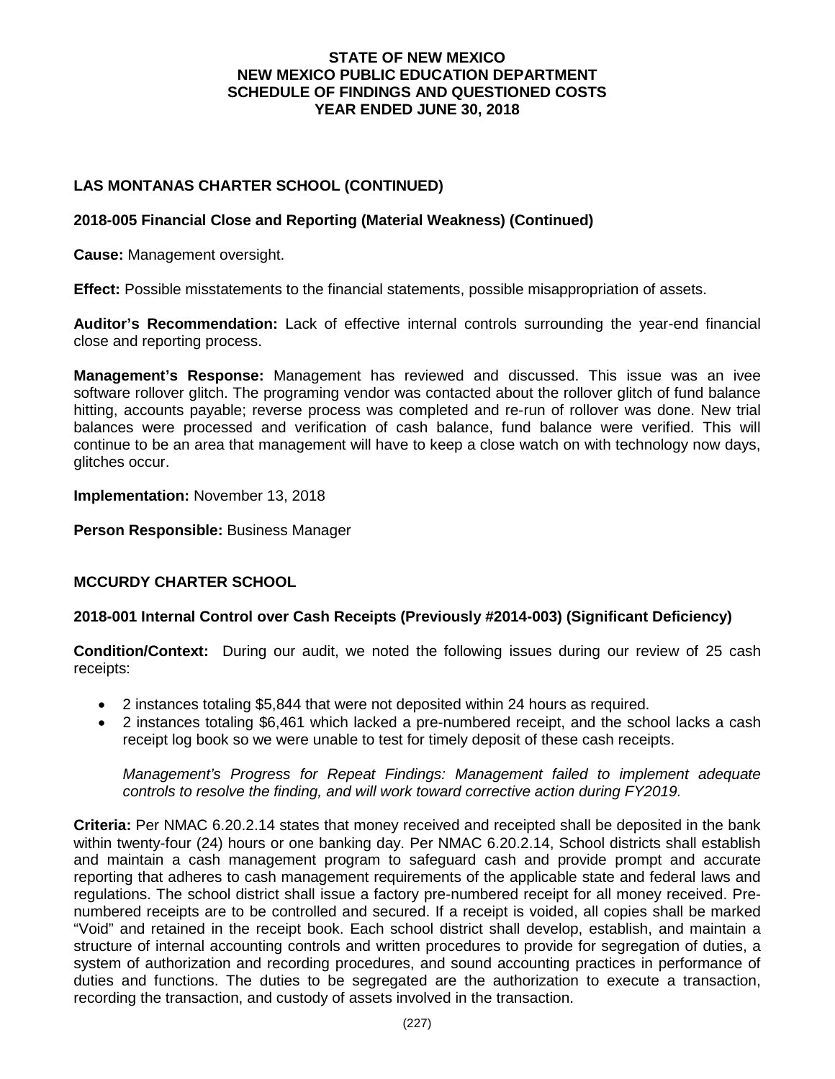# **LAS MONTANAS CHARTER SCHOOL (CONTINUED)**

## **2018-005 Financial Close and Reporting (Material Weakness) (Continued)**

**Cause:** Management oversight.

**Effect:** Possible misstatements to the financial statements, possible misappropriation of assets.

**Auditor's Recommendation:** Lack of effective internal controls surrounding the year-end financial close and reporting process.

**Management's Response:** Management has reviewed and discussed. This issue was an ivee software rollover glitch. The programing vendor was contacted about the rollover glitch of fund balance hitting, accounts payable; reverse process was completed and re-run of rollover was done. New trial balances were processed and verification of cash balance, fund balance were verified. This will continue to be an area that management will have to keep a close watch on with technology now days, glitches occur.

### **Implementation:** November 13, 2018

**Person Responsible:** Business Manager

## **MCCURDY CHARTER SCHOOL**

### **2018-001 Internal Control over Cash Receipts (Previously #2014-003) (Significant Deficiency)**

**Condition/Context:** During our audit, we noted the following issues during our review of 25 cash receipts:

- 2 instances totaling \$5,844 that were not deposited within 24 hours as required.
- 2 instances totaling \$6,461 which lacked a pre-numbered receipt, and the school lacks a cash receipt log book so we were unable to test for timely deposit of these cash receipts.

#### *Management's Progress for Repeat Findings: Management failed to implement adequate controls to resolve the finding, and will work toward corrective action during FY2019.*

**Criteria:** Per NMAC 6.20.2.14 states that money received and receipted shall be deposited in the bank within twenty-four (24) hours or one banking day. Per NMAC 6.20.2.14, School districts shall establish and maintain a cash management program to safeguard cash and provide prompt and accurate reporting that adheres to cash management requirements of the applicable state and federal laws and regulations. The school district shall issue a factory pre-numbered receipt for all money received. Prenumbered receipts are to be controlled and secured. If a receipt is voided, all copies shall be marked "Void" and retained in the receipt book. Each school district shall develop, establish, and maintain a structure of internal accounting controls and written procedures to provide for segregation of duties, a system of authorization and recording procedures, and sound accounting practices in performance of duties and functions. The duties to be segregated are the authorization to execute a transaction, recording the transaction, and custody of assets involved in the transaction.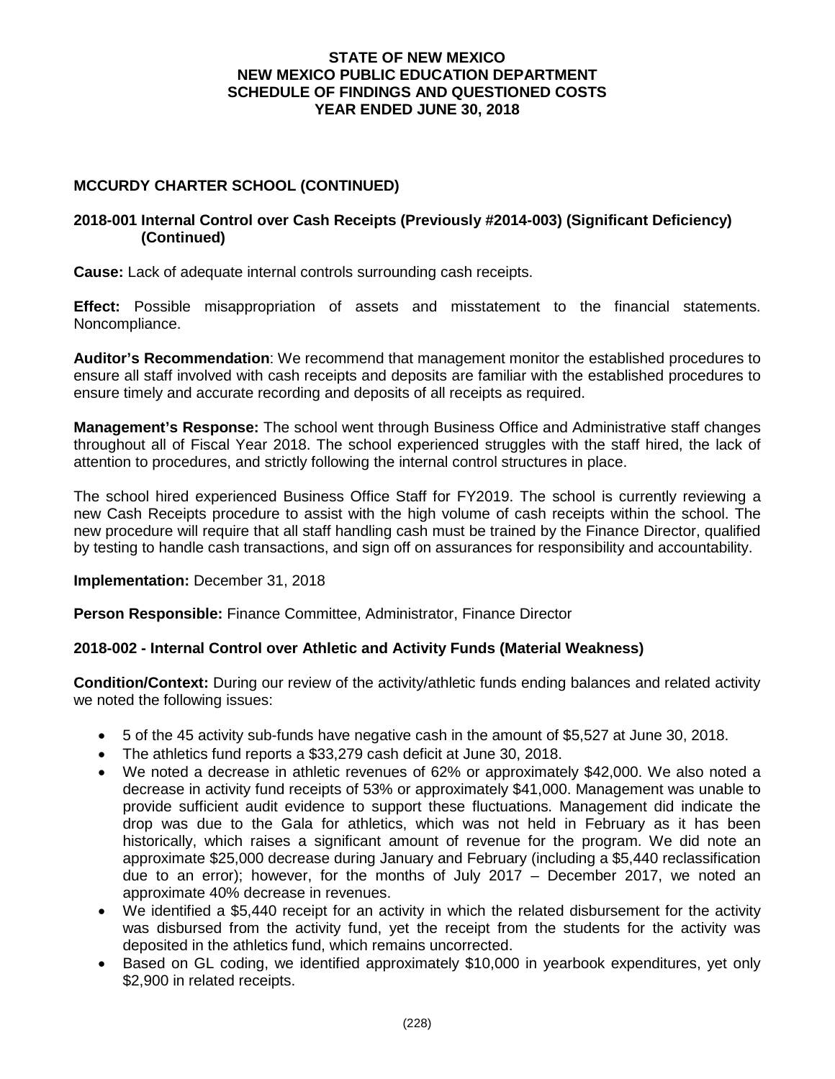# **MCCURDY CHARTER SCHOOL (CONTINUED)**

### **2018-001 Internal Control over Cash Receipts (Previously #2014-003) (Significant Deficiency) (Continued)**

**Cause:** Lack of adequate internal controls surrounding cash receipts.

**Effect:** Possible misappropriation of assets and misstatement to the financial statements. Noncompliance.

**Auditor's Recommendation**: We recommend that management monitor the established procedures to ensure all staff involved with cash receipts and deposits are familiar with the established procedures to ensure timely and accurate recording and deposits of all receipts as required.

**Management's Response:** The school went through Business Office and Administrative staff changes throughout all of Fiscal Year 2018. The school experienced struggles with the staff hired, the lack of attention to procedures, and strictly following the internal control structures in place.

The school hired experienced Business Office Staff for FY2019. The school is currently reviewing a new Cash Receipts procedure to assist with the high volume of cash receipts within the school. The new procedure will require that all staff handling cash must be trained by the Finance Director, qualified by testing to handle cash transactions, and sign off on assurances for responsibility and accountability.

### **Implementation:** December 31, 2018

**Person Responsible:** Finance Committee, Administrator, Finance Director

### **2018-002 - Internal Control over Athletic and Activity Funds (Material Weakness)**

**Condition/Context:** During our review of the activity/athletic funds ending balances and related activity we noted the following issues:

- 5 of the 45 activity sub-funds have negative cash in the amount of \$5,527 at June 30, 2018.
- The athletics fund reports a \$33,279 cash deficit at June 30, 2018.
- We noted a decrease in athletic revenues of 62% or approximately \$42,000. We also noted a decrease in activity fund receipts of 53% or approximately \$41,000. Management was unable to provide sufficient audit evidence to support these fluctuations. Management did indicate the drop was due to the Gala for athletics, which was not held in February as it has been historically, which raises a significant amount of revenue for the program. We did note an approximate \$25,000 decrease during January and February (including a \$5,440 reclassification due to an error); however, for the months of July 2017 – December 2017, we noted an approximate 40% decrease in revenues.
- We identified a \$5,440 receipt for an activity in which the related disbursement for the activity was disbursed from the activity fund, yet the receipt from the students for the activity was deposited in the athletics fund, which remains uncorrected.
- Based on GL coding, we identified approximately \$10,000 in yearbook expenditures, yet only \$2,900 in related receipts.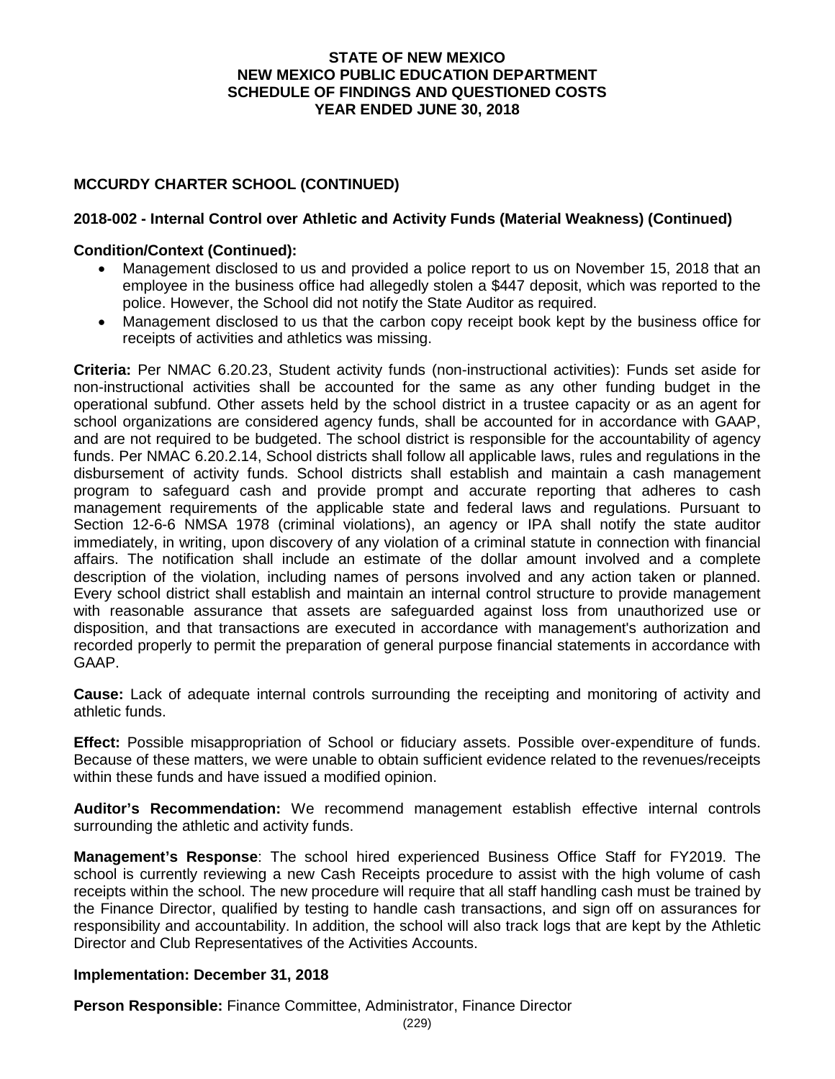# **MCCURDY CHARTER SCHOOL (CONTINUED)**

## **2018-002 - Internal Control over Athletic and Activity Funds (Material Weakness) (Continued)**

## **Condition/Context (Continued):**

- Management disclosed to us and provided a police report to us on November 15, 2018 that an employee in the business office had allegedly stolen a \$447 deposit, which was reported to the police. However, the School did not notify the State Auditor as required.
- Management disclosed to us that the carbon copy receipt book kept by the business office for receipts of activities and athletics was missing.

**Criteria:** Per NMAC 6.20.23, Student activity funds (non-instructional activities): Funds set aside for non-instructional activities shall be accounted for the same as any other funding budget in the operational subfund. Other assets held by the school district in a trustee capacity or as an agent for school organizations are considered agency funds, shall be accounted for in accordance with GAAP, and are not required to be budgeted. The school district is responsible for the accountability of agency funds. Per NMAC 6.20.2.14, School districts shall follow all applicable laws, rules and regulations in the disbursement of activity funds. School districts shall establish and maintain a cash management program to safeguard cash and provide prompt and accurate reporting that adheres to cash management requirements of the applicable state and federal laws and regulations. Pursuant to Section 12-6-6 NMSA 1978 (criminal violations), an agency or IPA shall notify the state auditor immediately, in writing, upon discovery of any violation of a criminal statute in connection with financial affairs. The notification shall include an estimate of the dollar amount involved and a complete description of the violation, including names of persons involved and any action taken or planned. Every school district shall establish and maintain an internal control structure to provide management with reasonable assurance that assets are safeguarded against loss from unauthorized use or disposition, and that transactions are executed in accordance with management's authorization and recorded properly to permit the preparation of general purpose financial statements in accordance with GAAP.

**Cause:** Lack of adequate internal controls surrounding the receipting and monitoring of activity and athletic funds.

**Effect:** Possible misappropriation of School or fiduciary assets. Possible over-expenditure of funds. Because of these matters, we were unable to obtain sufficient evidence related to the revenues/receipts within these funds and have issued a modified opinion.

**Auditor's Recommendation:** We recommend management establish effective internal controls surrounding the athletic and activity funds.

**Management's Response**: The school hired experienced Business Office Staff for FY2019. The school is currently reviewing a new Cash Receipts procedure to assist with the high volume of cash receipts within the school. The new procedure will require that all staff handling cash must be trained by the Finance Director, qualified by testing to handle cash transactions, and sign off on assurances for responsibility and accountability. In addition, the school will also track logs that are kept by the Athletic Director and Club Representatives of the Activities Accounts.

### **Implementation: December 31, 2018**

**Person Responsible:** Finance Committee, Administrator, Finance Director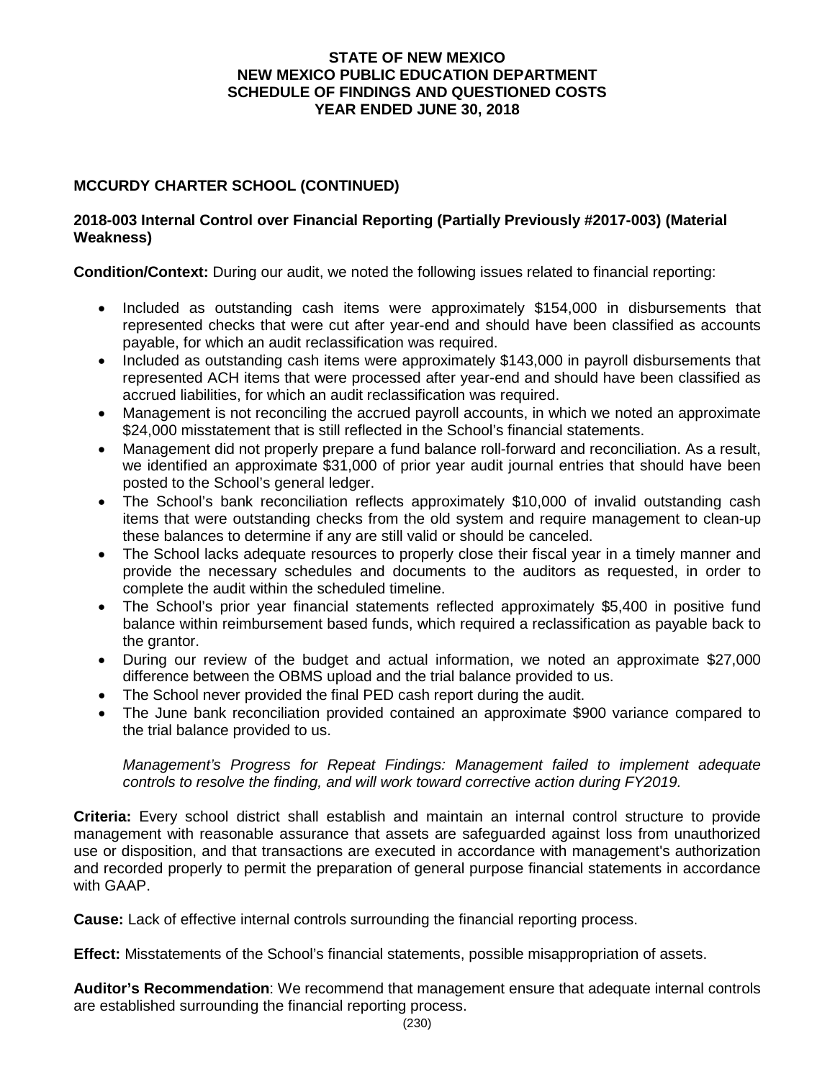# **MCCURDY CHARTER SCHOOL (CONTINUED)**

### **2018-003 Internal Control over Financial Reporting (Partially Previously #2017-003) (Material Weakness)**

**Condition/Context:** During our audit, we noted the following issues related to financial reporting:

- Included as outstanding cash items were approximately \$154,000 in disbursements that represented checks that were cut after year-end and should have been classified as accounts payable, for which an audit reclassification was required.
- Included as outstanding cash items were approximately \$143,000 in payroll disbursements that represented ACH items that were processed after year-end and should have been classified as accrued liabilities, for which an audit reclassification was required.
- Management is not reconciling the accrued payroll accounts, in which we noted an approximate \$24,000 misstatement that is still reflected in the School's financial statements.
- Management did not properly prepare a fund balance roll-forward and reconciliation. As a result, we identified an approximate \$31,000 of prior year audit journal entries that should have been posted to the School's general ledger.
- The School's bank reconciliation reflects approximately \$10,000 of invalid outstanding cash items that were outstanding checks from the old system and require management to clean-up these balances to determine if any are still valid or should be canceled.
- The School lacks adequate resources to properly close their fiscal year in a timely manner and provide the necessary schedules and documents to the auditors as requested, in order to complete the audit within the scheduled timeline.
- The School's prior year financial statements reflected approximately \$5,400 in positive fund balance within reimbursement based funds, which required a reclassification as payable back to the grantor.
- During our review of the budget and actual information, we noted an approximate \$27,000 difference between the OBMS upload and the trial balance provided to us.
- The School never provided the final PED cash report during the audit.
- The June bank reconciliation provided contained an approximate \$900 variance compared to the trial balance provided to us.

### *Management's Progress for Repeat Findings: Management failed to implement adequate controls to resolve the finding, and will work toward corrective action during FY2019.*

**Criteria:** Every school district shall establish and maintain an internal control structure to provide management with reasonable assurance that assets are safeguarded against loss from unauthorized use or disposition, and that transactions are executed in accordance with management's authorization and recorded properly to permit the preparation of general purpose financial statements in accordance with GAAP.

**Cause:** Lack of effective internal controls surrounding the financial reporting process.

**Effect:** Misstatements of the School's financial statements, possible misappropriation of assets.

**Auditor's Recommendation**: We recommend that management ensure that adequate internal controls are established surrounding the financial reporting process.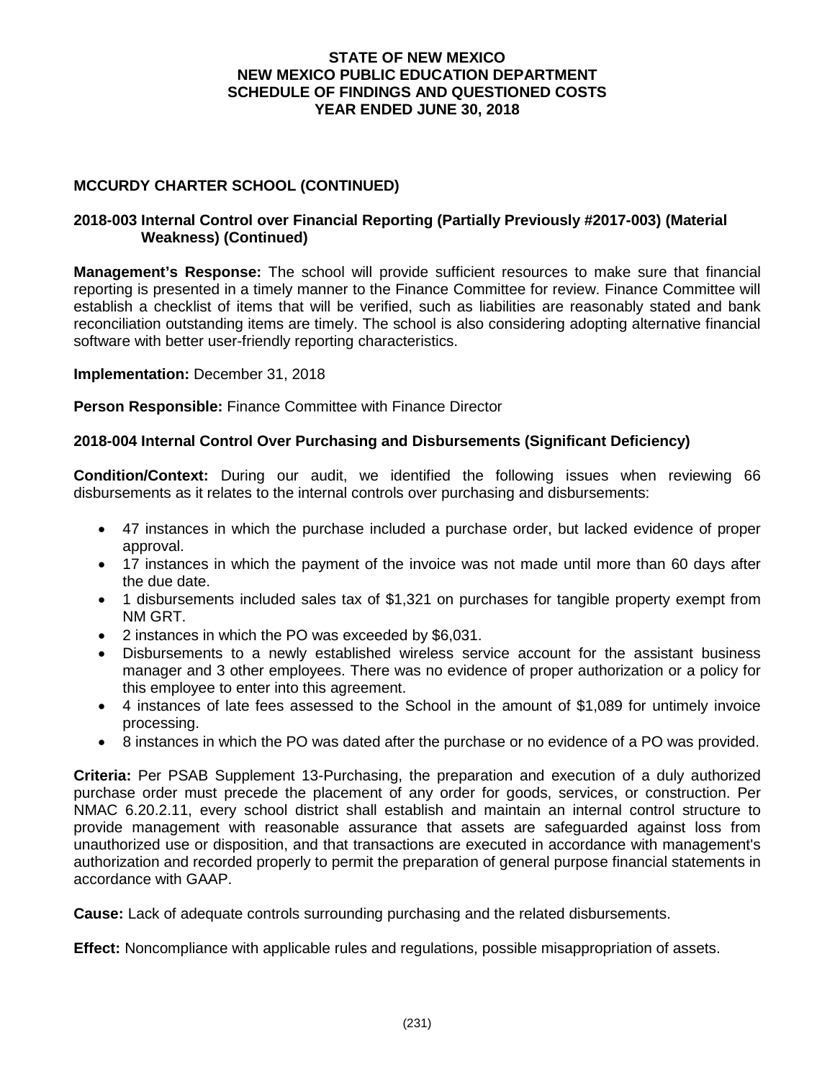## **MCCURDY CHARTER SCHOOL (CONTINUED)**

## **2018-003 Internal Control over Financial Reporting (Partially Previously #2017-003) (Material Weakness) (Continued)**

**Management's Response:** The school will provide sufficient resources to make sure that financial reporting is presented in a timely manner to the Finance Committee for review. Finance Committee will establish a checklist of items that will be verified, such as liabilities are reasonably stated and bank reconciliation outstanding items are timely. The school is also considering adopting alternative financial software with better user-friendly reporting characteristics.

**Implementation:** December 31, 2018

**Person Responsible:** Finance Committee with Finance Director

### **2018-004 Internal Control Over Purchasing and Disbursements (Significant Deficiency)**

**Condition/Context:** During our audit, we identified the following issues when reviewing 66 disbursements as it relates to the internal controls over purchasing and disbursements:

- 47 instances in which the purchase included a purchase order, but lacked evidence of proper approval.
- 17 instances in which the payment of the invoice was not made until more than 60 days after the due date.
- 1 disbursements included sales tax of \$1,321 on purchases for tangible property exempt from NM GRT.
- 2 instances in which the PO was exceeded by \$6,031.
- Disbursements to a newly established wireless service account for the assistant business manager and 3 other employees. There was no evidence of proper authorization or a policy for this employee to enter into this agreement.
- 4 instances of late fees assessed to the School in the amount of \$1,089 for untimely invoice processing.
- 8 instances in which the PO was dated after the purchase or no evidence of a PO was provided.

**Criteria:** Per PSAB Supplement 13-Purchasing, the preparation and execution of a duly authorized purchase order must precede the placement of any order for goods, services, or construction. Per NMAC 6.20.2.11, every school district shall establish and maintain an internal control structure to provide management with reasonable assurance that assets are safeguarded against loss from unauthorized use or disposition, and that transactions are executed in accordance with management's authorization and recorded properly to permit the preparation of general purpose financial statements in accordance with GAAP.

**Cause:** Lack of adequate controls surrounding purchasing and the related disbursements.

**Effect:** Noncompliance with applicable rules and regulations, possible misappropriation of assets.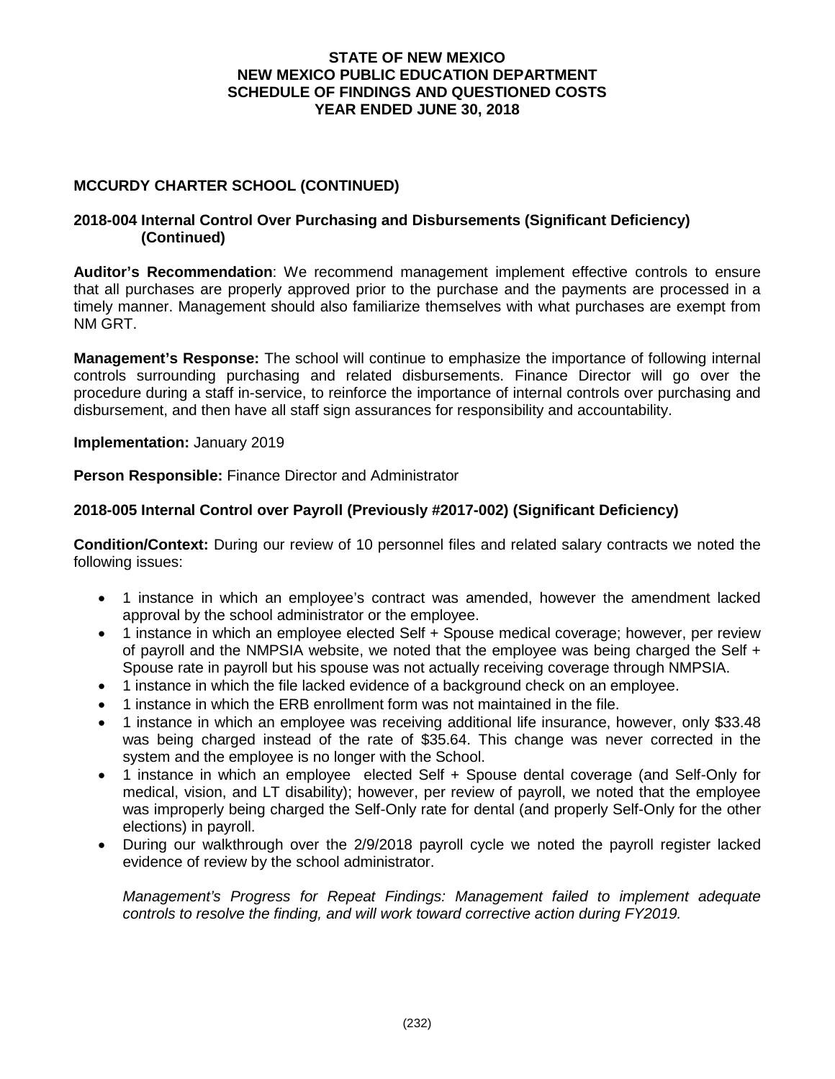# **MCCURDY CHARTER SCHOOL (CONTINUED)**

### **2018-004 Internal Control Over Purchasing and Disbursements (Significant Deficiency) (Continued)**

**Auditor's Recommendation**: We recommend management implement effective controls to ensure that all purchases are properly approved prior to the purchase and the payments are processed in a timely manner. Management should also familiarize themselves with what purchases are exempt from NM GRT.

**Management's Response:** The school will continue to emphasize the importance of following internal controls surrounding purchasing and related disbursements. Finance Director will go over the procedure during a staff in-service, to reinforce the importance of internal controls over purchasing and disbursement, and then have all staff sign assurances for responsibility and accountability.

**Implementation:** January 2019

**Person Responsible:** Finance Director and Administrator

## **2018-005 Internal Control over Payroll (Previously #2017-002) (Significant Deficiency)**

**Condition/Context:** During our review of 10 personnel files and related salary contracts we noted the following issues:

- 1 instance in which an employee's contract was amended, however the amendment lacked approval by the school administrator or the employee.
- 1 instance in which an employee elected Self + Spouse medical coverage; however, per review of payroll and the NMPSIA website, we noted that the employee was being charged the Self + Spouse rate in payroll but his spouse was not actually receiving coverage through NMPSIA.
- 1 instance in which the file lacked evidence of a background check on an employee.
- 1 instance in which the ERB enrollment form was not maintained in the file.
- 1 instance in which an employee was receiving additional life insurance, however, only \$33.48 was being charged instead of the rate of \$35.64. This change was never corrected in the system and the employee is no longer with the School.
- 1 instance in which an employee elected Self + Spouse dental coverage (and Self-Only for medical, vision, and LT disability); however, per review of payroll, we noted that the employee was improperly being charged the Self-Only rate for dental (and properly Self-Only for the other elections) in payroll.
- During our walkthrough over the 2/9/2018 payroll cycle we noted the payroll register lacked evidence of review by the school administrator.

*Management's Progress for Repeat Findings: Management failed to implement adequate controls to resolve the finding, and will work toward corrective action during FY2019.*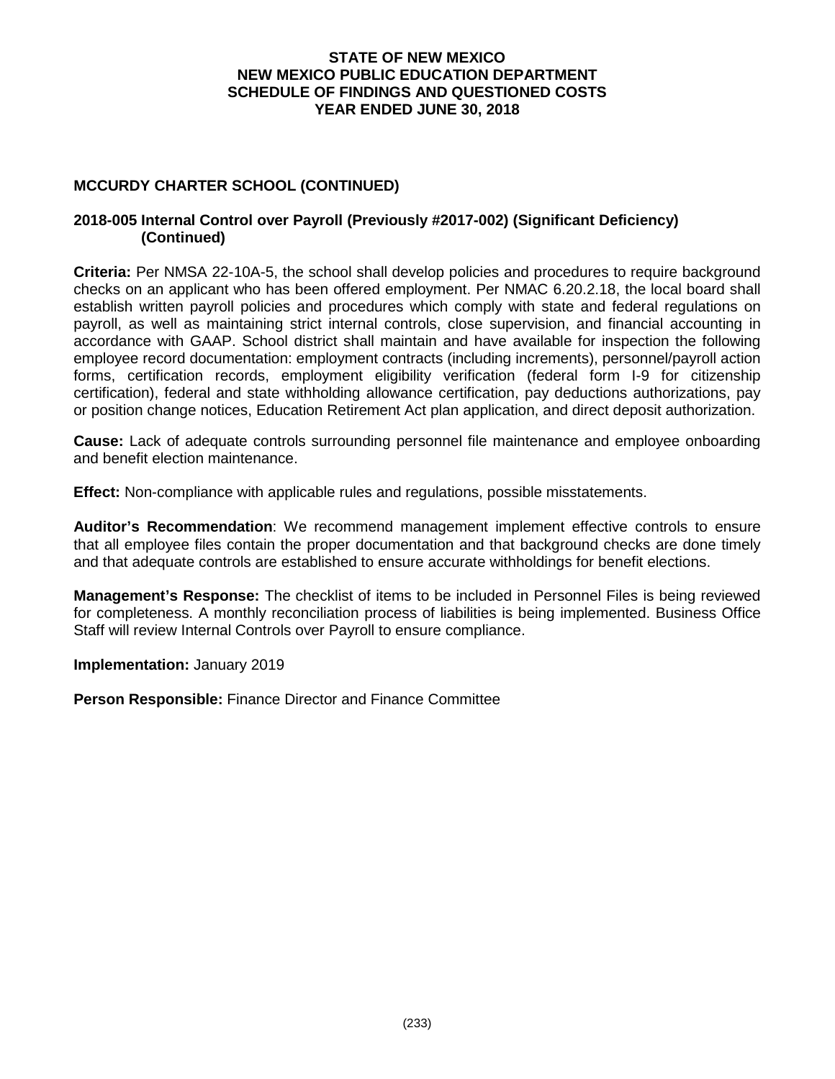# **MCCURDY CHARTER SCHOOL (CONTINUED)**

## **2018-005 Internal Control over Payroll (Previously #2017-002) (Significant Deficiency) (Continued)**

**Criteria:** Per NMSA 22-10A-5, the school shall develop policies and procedures to require background checks on an applicant who has been offered employment. Per NMAC 6.20.2.18, the local board shall establish written payroll policies and procedures which comply with state and federal regulations on payroll, as well as maintaining strict internal controls, close supervision, and financial accounting in accordance with GAAP. School district shall maintain and have available for inspection the following employee record documentation: employment contracts (including increments), personnel/payroll action forms, certification records, employment eligibility verification (federal form I-9 for citizenship certification), federal and state withholding allowance certification, pay deductions authorizations, pay or position change notices, Education Retirement Act plan application, and direct deposit authorization.

**Cause:** Lack of adequate controls surrounding personnel file maintenance and employee onboarding and benefit election maintenance.

**Effect:** Non-compliance with applicable rules and regulations, possible misstatements.

**Auditor's Recommendation**: We recommend management implement effective controls to ensure that all employee files contain the proper documentation and that background checks are done timely and that adequate controls are established to ensure accurate withholdings for benefit elections.

**Management's Response:** The checklist of items to be included in Personnel Files is being reviewed for completeness. A monthly reconciliation process of liabilities is being implemented. Business Office Staff will review Internal Controls over Payroll to ensure compliance.

**Implementation:** January 2019

**Person Responsible:** Finance Director and Finance Committee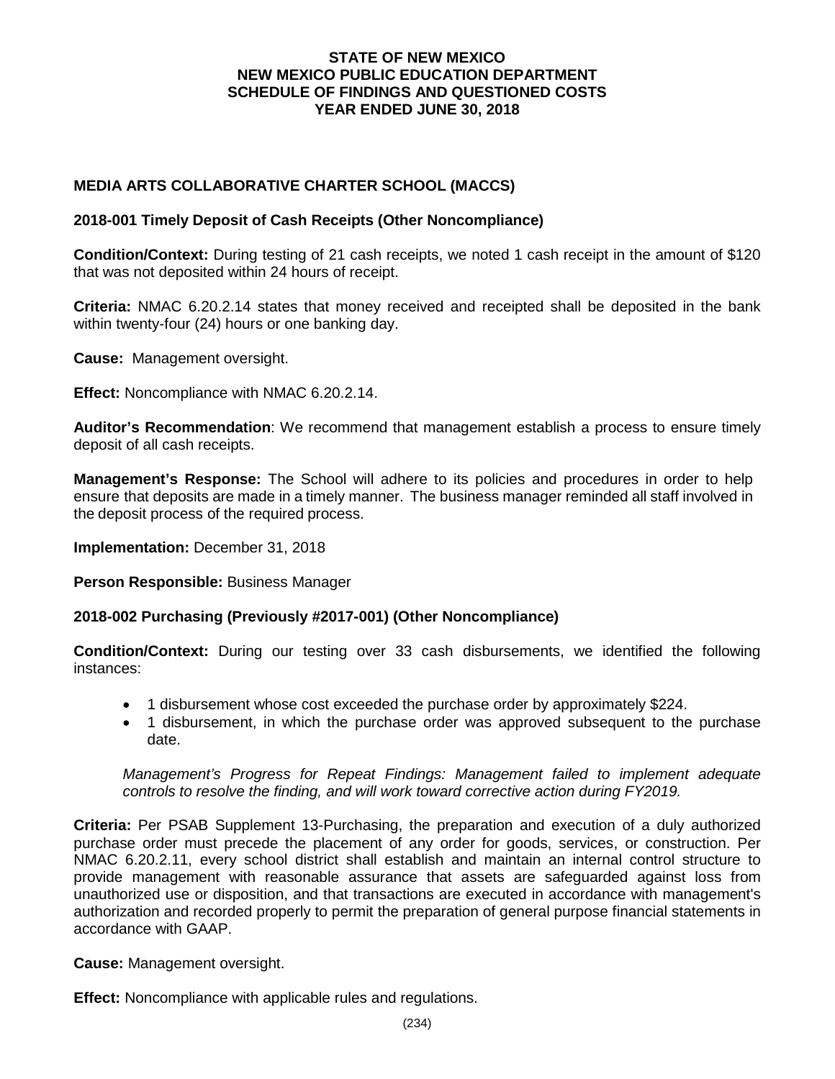## **MEDIA ARTS COLLABORATIVE CHARTER SCHOOL (MACCS)**

### **2018-001 Timely Deposit of Cash Receipts (Other Noncompliance)**

**Condition/Context:** During testing of 21 cash receipts, we noted 1 cash receipt in the amount of \$120 that was not deposited within 24 hours of receipt.

**Criteria:** NMAC 6.20.2.14 states that money received and receipted shall be deposited in the bank within twenty-four (24) hours or one banking day.

**Cause:** Management oversight.

**Effect:** Noncompliance with NMAC 6.20.2.14.

**Auditor's Recommendation**: We recommend that management establish a process to ensure timely deposit of all cash receipts.

**Management's Response:** The School will adhere to its policies and procedures in order to help ensure that deposits are made in a timely manner. The business manager reminded all staff involved in the deposit process of the required process.

**Implementation:** December 31, 2018

**Person Responsible:** Business Manager

### **2018-002 Purchasing (Previously #2017-001) (Other Noncompliance)**

**Condition/Context:** During our testing over 33 cash disbursements, we identified the following instances:

- 1 disbursement whose cost exceeded the purchase order by approximately \$224.
- 1 disbursement, in which the purchase order was approved subsequent to the purchase date.

*Management's Progress for Repeat Findings: Management failed to implement adequate controls to resolve the finding, and will work toward corrective action during FY2019.*

**Criteria:** Per PSAB Supplement 13-Purchasing, the preparation and execution of a duly authorized purchase order must precede the placement of any order for goods, services, or construction. Per NMAC 6.20.2.11, every school district shall establish and maintain an internal control structure to provide management with reasonable assurance that assets are safeguarded against loss from unauthorized use or disposition, and that transactions are executed in accordance with management's authorization and recorded properly to permit the preparation of general purpose financial statements in accordance with GAAP.

**Cause:** Management oversight.

**Effect:** Noncompliance with applicable rules and regulations.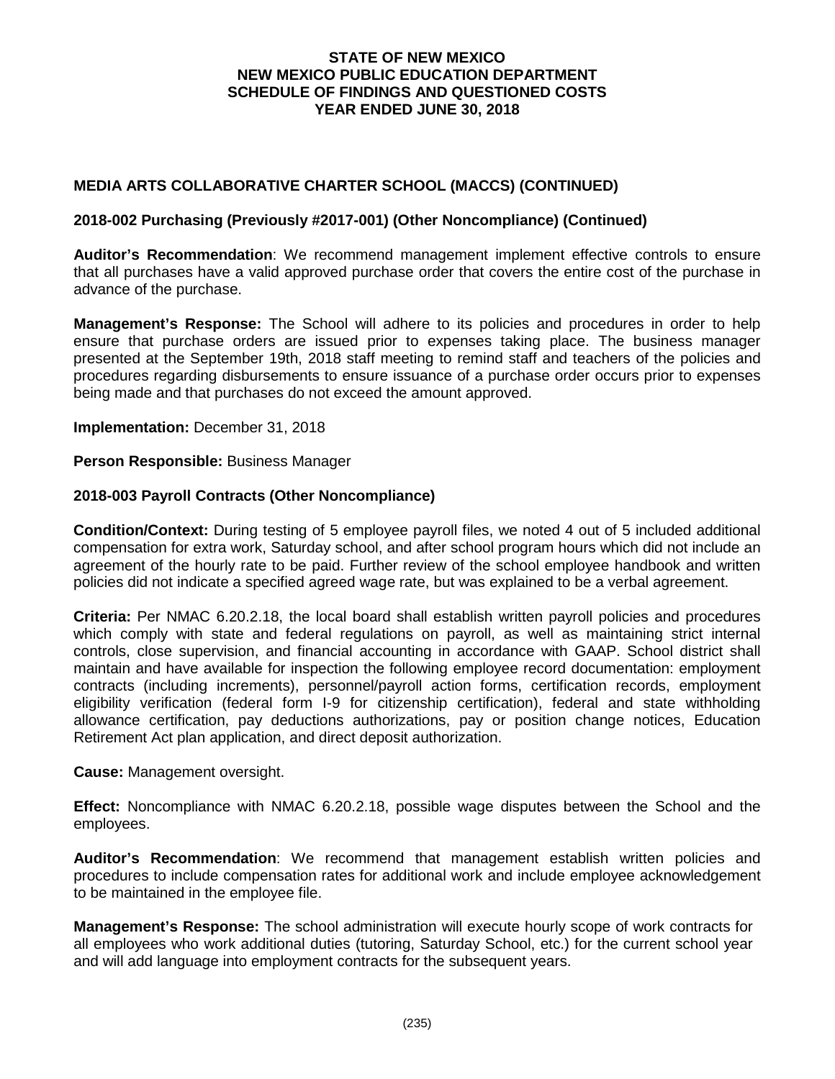## **MEDIA ARTS COLLABORATIVE CHARTER SCHOOL (MACCS) (CONTINUED)**

### **2018-002 Purchasing (Previously #2017-001) (Other Noncompliance) (Continued)**

**Auditor's Recommendation**: We recommend management implement effective controls to ensure that all purchases have a valid approved purchase order that covers the entire cost of the purchase in advance of the purchase.

**Management's Response:** The School will adhere to its policies and procedures in order to help ensure that purchase orders are issued prior to expenses taking place. The business manager presented at the September 19th, 2018 staff meeting to remind staff and teachers of the policies and procedures regarding disbursements to ensure issuance of a purchase order occurs prior to expenses being made and that purchases do not exceed the amount approved.

**Implementation:** December 31, 2018

**Person Responsible:** Business Manager

#### **2018-003 Payroll Contracts (Other Noncompliance)**

**Condition/Context:** During testing of 5 employee payroll files, we noted 4 out of 5 included additional compensation for extra work, Saturday school, and after school program hours which did not include an agreement of the hourly rate to be paid. Further review of the school employee handbook and written policies did not indicate a specified agreed wage rate, but was explained to be a verbal agreement.

**Criteria:** Per NMAC 6.20.2.18, the local board shall establish written payroll policies and procedures which comply with state and federal regulations on payroll, as well as maintaining strict internal controls, close supervision, and financial accounting in accordance with GAAP. School district shall maintain and have available for inspection the following employee record documentation: employment contracts (including increments), personnel/payroll action forms, certification records, employment eligibility verification (federal form I-9 for citizenship certification), federal and state withholding allowance certification, pay deductions authorizations, pay or position change notices, Education Retirement Act plan application, and direct deposit authorization.

**Cause:** Management oversight.

**Effect:** Noncompliance with NMAC 6.20.2.18, possible wage disputes between the School and the employees.

**Auditor's Recommendation**: We recommend that management establish written policies and procedures to include compensation rates for additional work and include employee acknowledgement to be maintained in the employee file.

**Management's Response:** The school administration will execute hourly scope of work contracts for all employees who work additional duties (tutoring, Saturday School, etc.) for the current school year and will add language into employment contracts for the subsequent years.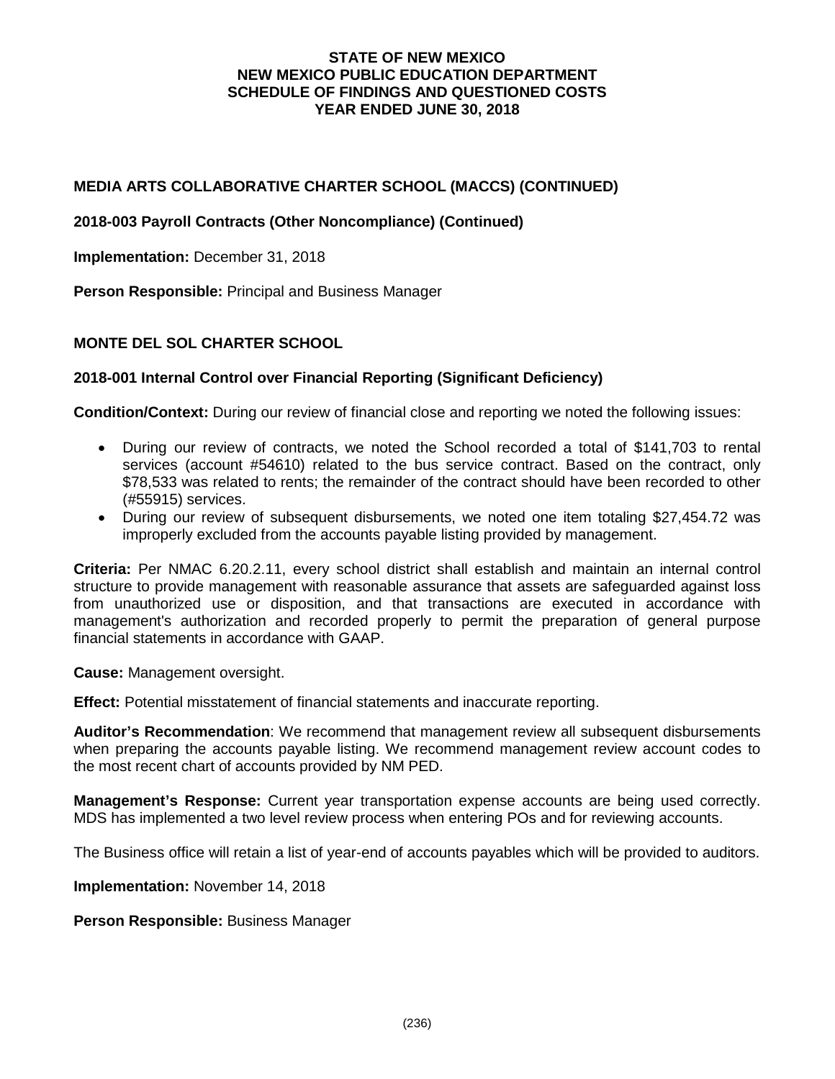## **MEDIA ARTS COLLABORATIVE CHARTER SCHOOL (MACCS) (CONTINUED)**

## **2018-003 Payroll Contracts (Other Noncompliance) (Continued)**

**Implementation:** December 31, 2018

**Person Responsible:** Principal and Business Manager

### **MONTE DEL SOL CHARTER SCHOOL**

### **2018-001 Internal Control over Financial Reporting (Significant Deficiency)**

**Condition/Context:** During our review of financial close and reporting we noted the following issues:

- During our review of contracts, we noted the School recorded a total of \$141,703 to rental services (account #54610) related to the bus service contract. Based on the contract, only \$78,533 was related to rents; the remainder of the contract should have been recorded to other (#55915) services.
- During our review of subsequent disbursements, we noted one item totaling \$27,454.72 was improperly excluded from the accounts payable listing provided by management.

**Criteria:** Per NMAC 6.20.2.11, every school district shall establish and maintain an internal control structure to provide management with reasonable assurance that assets are safeguarded against loss from unauthorized use or disposition, and that transactions are executed in accordance with management's authorization and recorded properly to permit the preparation of general purpose financial statements in accordance with GAAP.

**Cause:** Management oversight.

**Effect:** Potential misstatement of financial statements and inaccurate reporting.

**Auditor's Recommendation**: We recommend that management review all subsequent disbursements when preparing the accounts payable listing. We recommend management review account codes to the most recent chart of accounts provided by NM PED.

**Management's Response:** Current year transportation expense accounts are being used correctly. MDS has implemented a two level review process when entering POs and for reviewing accounts.

The Business office will retain a list of year-end of accounts payables which will be provided to auditors.

**Implementation:** November 14, 2018

**Person Responsible:** Business Manager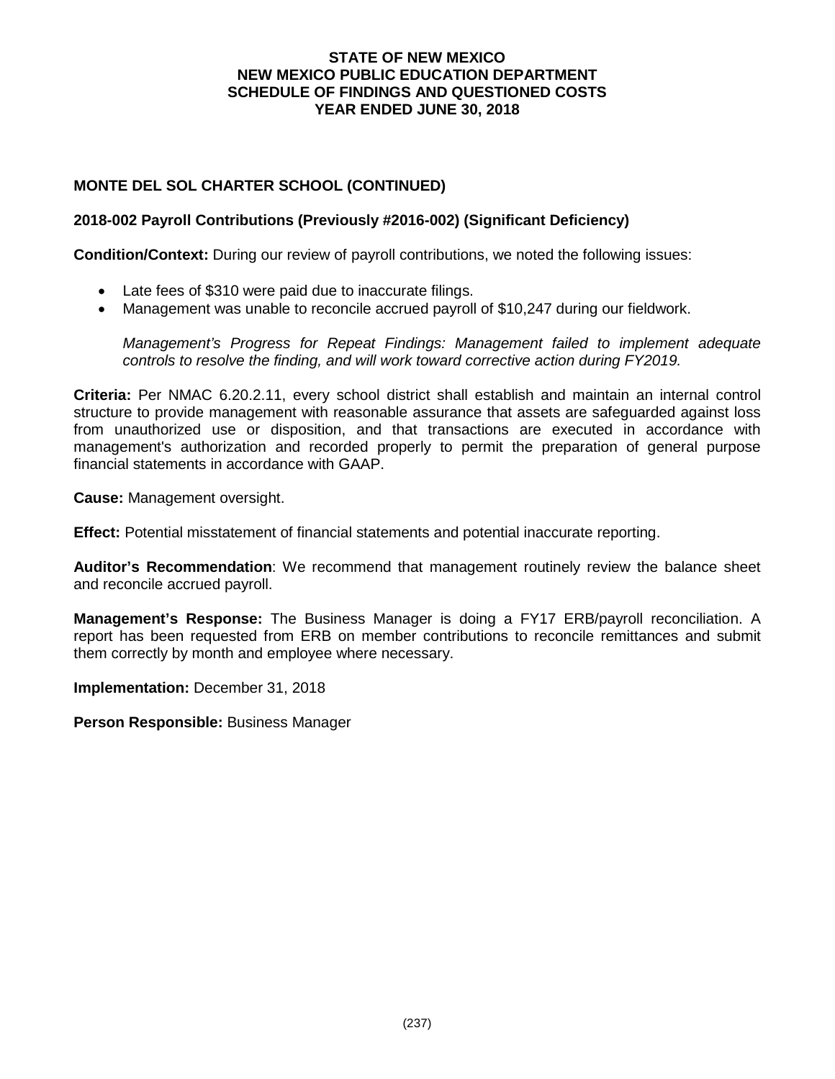## **MONTE DEL SOL CHARTER SCHOOL (CONTINUED)**

## **2018-002 Payroll Contributions (Previously #2016-002) (Significant Deficiency)**

**Condition/Context:** During our review of payroll contributions, we noted the following issues:

- Late fees of \$310 were paid due to inaccurate filings.
- Management was unable to reconcile accrued payroll of \$10,247 during our fieldwork.

*Management's Progress for Repeat Findings: Management failed to implement adequate controls to resolve the finding, and will work toward corrective action during FY2019.*

**Criteria:** Per NMAC 6.20.2.11, every school district shall establish and maintain an internal control structure to provide management with reasonable assurance that assets are safeguarded against loss from unauthorized use or disposition, and that transactions are executed in accordance with management's authorization and recorded properly to permit the preparation of general purpose financial statements in accordance with GAAP.

**Cause:** Management oversight.

**Effect:** Potential misstatement of financial statements and potential inaccurate reporting.

**Auditor's Recommendation**: We recommend that management routinely review the balance sheet and reconcile accrued payroll.

**Management's Response:** The Business Manager is doing a FY17 ERB/payroll reconciliation. A report has been requested from ERB on member contributions to reconcile remittances and submit them correctly by month and employee where necessary.

**Implementation:** December 31, 2018

**Person Responsible:** Business Manager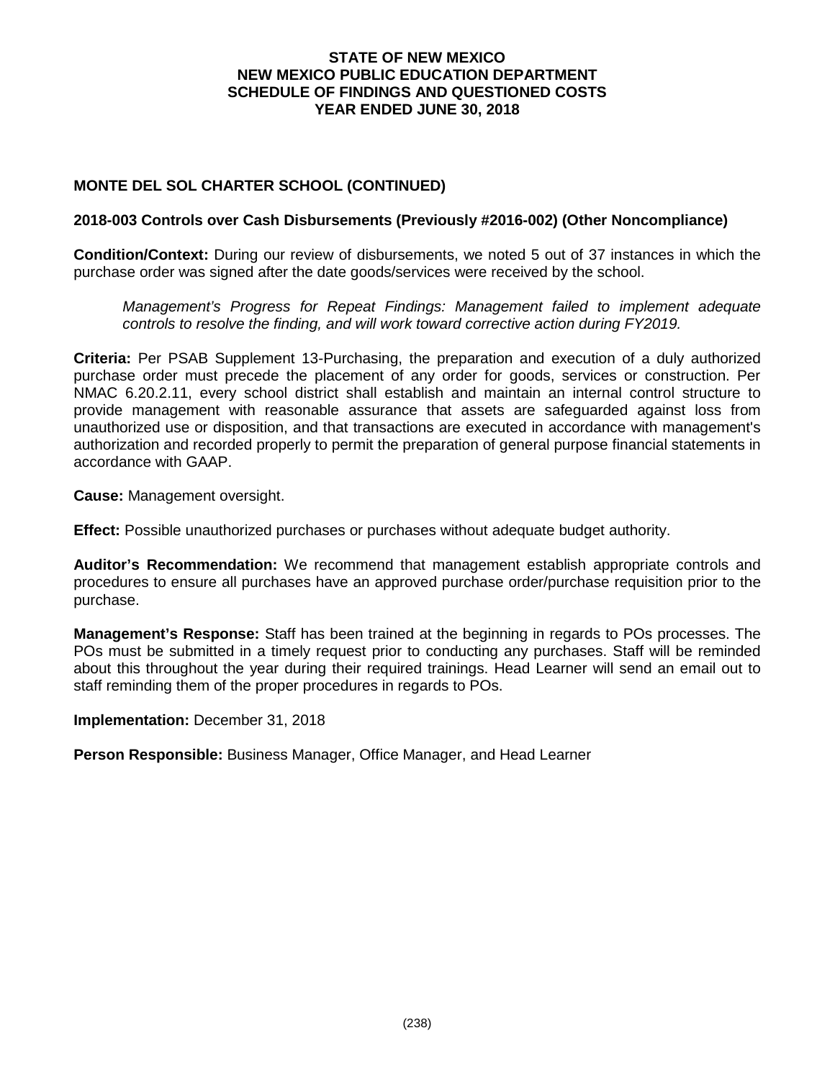## **MONTE DEL SOL CHARTER SCHOOL (CONTINUED)**

## **2018-003 Controls over Cash Disbursements (Previously #2016-002) (Other Noncompliance)**

**Condition/Context:** During our review of disbursements, we noted 5 out of 37 instances in which the purchase order was signed after the date goods/services were received by the school.

*Management's Progress for Repeat Findings: Management failed to implement adequate controls to resolve the finding, and will work toward corrective action during FY2019.*

**Criteria:** Per PSAB Supplement 13-Purchasing, the preparation and execution of a duly authorized purchase order must precede the placement of any order for goods, services or construction. Per NMAC 6.20.2.11, every school district shall establish and maintain an internal control structure to provide management with reasonable assurance that assets are safeguarded against loss from unauthorized use or disposition, and that transactions are executed in accordance with management's authorization and recorded properly to permit the preparation of general purpose financial statements in accordance with GAAP.

**Cause:** Management oversight.

**Effect:** Possible unauthorized purchases or purchases without adequate budget authority.

**Auditor's Recommendation:** We recommend that management establish appropriate controls and procedures to ensure all purchases have an approved purchase order/purchase requisition prior to the purchase.

**Management's Response:** Staff has been trained at the beginning in regards to POs processes. The POs must be submitted in a timely request prior to conducting any purchases. Staff will be reminded about this throughout the year during their required trainings. Head Learner will send an email out to staff reminding them of the proper procedures in regards to POs.

**Implementation:** December 31, 2018

**Person Responsible:** Business Manager, Office Manager, and Head Learner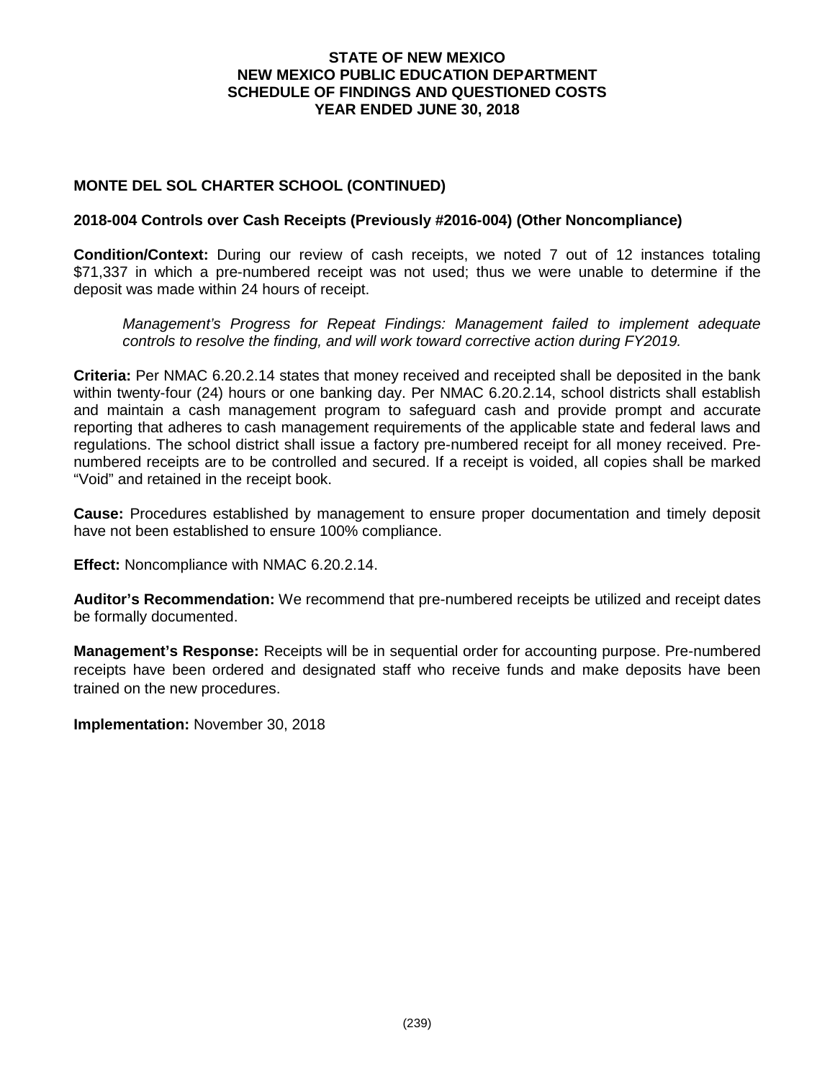## **MONTE DEL SOL CHARTER SCHOOL (CONTINUED)**

### **2018-004 Controls over Cash Receipts (Previously #2016-004) (Other Noncompliance)**

**Condition/Context:** During our review of cash receipts, we noted 7 out of 12 instances totaling \$71,337 in which a pre-numbered receipt was not used; thus we were unable to determine if the deposit was made within 24 hours of receipt.

*Management's Progress for Repeat Findings: Management failed to implement adequate controls to resolve the finding, and will work toward corrective action during FY2019.*

**Criteria:** Per NMAC 6.20.2.14 states that money received and receipted shall be deposited in the bank within twenty-four (24) hours or one banking day. Per NMAC 6.20.2.14, school districts shall establish and maintain a cash management program to safeguard cash and provide prompt and accurate reporting that adheres to cash management requirements of the applicable state and federal laws and regulations. The school district shall issue a factory pre-numbered receipt for all money received. Prenumbered receipts are to be controlled and secured. If a receipt is voided, all copies shall be marked "Void" and retained in the receipt book.

**Cause:** Procedures established by management to ensure proper documentation and timely deposit have not been established to ensure 100% compliance.

**Effect:** Noncompliance with NMAC 6.20.2.14.

**Auditor's Recommendation:** We recommend that pre-numbered receipts be utilized and receipt dates be formally documented.

**Management's Response:** Receipts will be in sequential order for accounting purpose. Pre-numbered receipts have been ordered and designated staff who receive funds and make deposits have been trained on the new procedures.

**Implementation:** November 30, 2018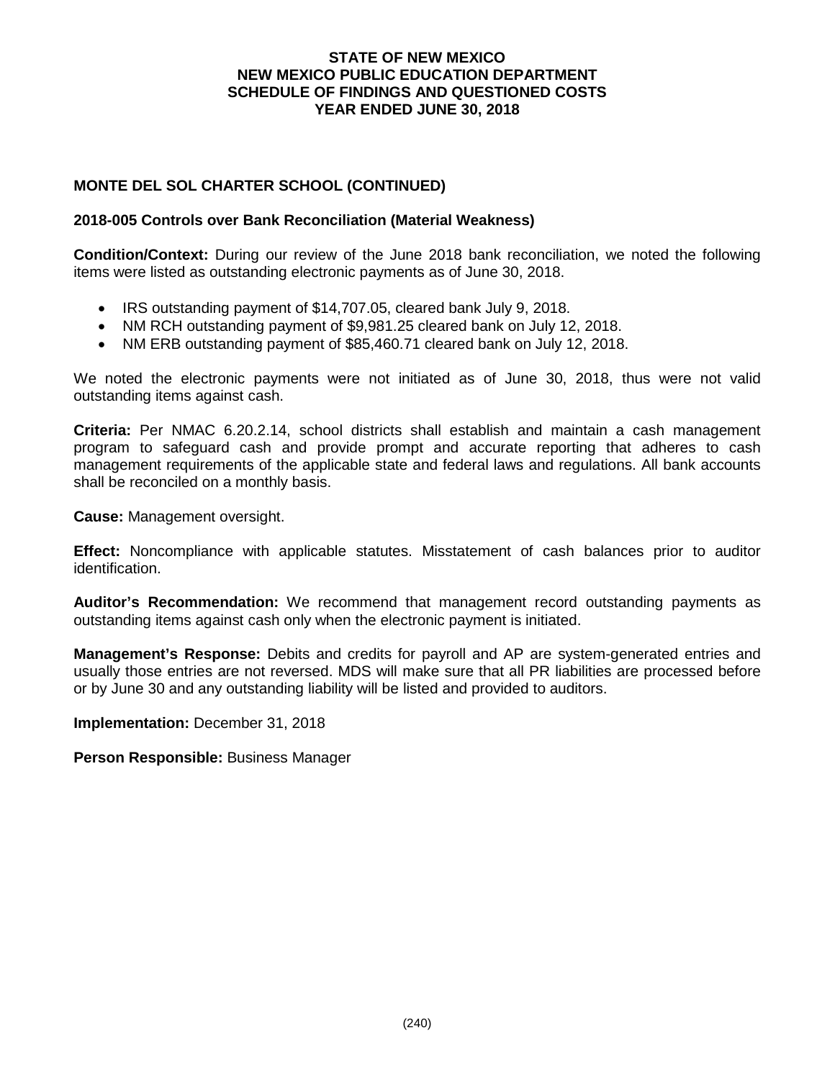## **MONTE DEL SOL CHARTER SCHOOL (CONTINUED)**

### **2018-005 Controls over Bank Reconciliation (Material Weakness)**

**Condition/Context:** During our review of the June 2018 bank reconciliation, we noted the following items were listed as outstanding electronic payments as of June 30, 2018.

- IRS outstanding payment of \$14,707.05, cleared bank July 9, 2018.
- NM RCH outstanding payment of \$9,981.25 cleared bank on July 12, 2018.
- NM ERB outstanding payment of \$85,460.71 cleared bank on July 12, 2018.

We noted the electronic payments were not initiated as of June 30, 2018, thus were not valid outstanding items against cash.

**Criteria:** Per NMAC 6.20.2.14, school districts shall establish and maintain a cash management program to safeguard cash and provide prompt and accurate reporting that adheres to cash management requirements of the applicable state and federal laws and regulations. All bank accounts shall be reconciled on a monthly basis.

**Cause:** Management oversight.

**Effect:** Noncompliance with applicable statutes. Misstatement of cash balances prior to auditor identification.

**Auditor's Recommendation:** We recommend that management record outstanding payments as outstanding items against cash only when the electronic payment is initiated.

**Management's Response:** Debits and credits for payroll and AP are system-generated entries and usually those entries are not reversed. MDS will make sure that all PR liabilities are processed before or by June 30 and any outstanding liability will be listed and provided to auditors.

**Implementation:** December 31, 2018

**Person Responsible:** Business Manager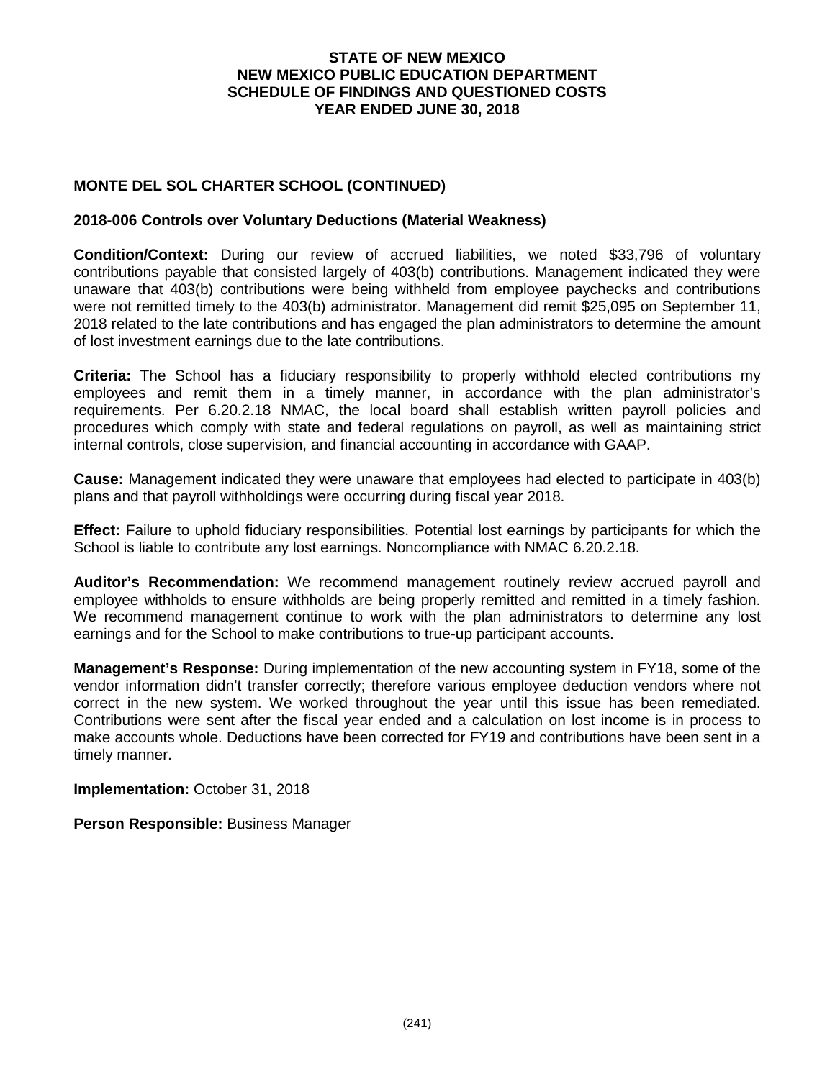## **MONTE DEL SOL CHARTER SCHOOL (CONTINUED)**

### **2018-006 Controls over Voluntary Deductions (Material Weakness)**

**Condition/Context:** During our review of accrued liabilities, we noted \$33,796 of voluntary contributions payable that consisted largely of 403(b) contributions. Management indicated they were unaware that 403(b) contributions were being withheld from employee paychecks and contributions were not remitted timely to the 403(b) administrator. Management did remit \$25,095 on September 11, 2018 related to the late contributions and has engaged the plan administrators to determine the amount of lost investment earnings due to the late contributions.

**Criteria:** The School has a fiduciary responsibility to properly withhold elected contributions my employees and remit them in a timely manner, in accordance with the plan administrator's requirements. Per 6.20.2.18 NMAC, the local board shall establish written payroll policies and procedures which comply with state and federal regulations on payroll, as well as maintaining strict internal controls, close supervision, and financial accounting in accordance with GAAP.

**Cause:** Management indicated they were unaware that employees had elected to participate in 403(b) plans and that payroll withholdings were occurring during fiscal year 2018.

**Effect:** Failure to uphold fiduciary responsibilities. Potential lost earnings by participants for which the School is liable to contribute any lost earnings. Noncompliance with NMAC 6.20.2.18.

**Auditor's Recommendation:** We recommend management routinely review accrued payroll and employee withholds to ensure withholds are being properly remitted and remitted in a timely fashion. We recommend management continue to work with the plan administrators to determine any lost earnings and for the School to make contributions to true-up participant accounts.

**Management's Response:** During implementation of the new accounting system in FY18, some of the vendor information didn't transfer correctly; therefore various employee deduction vendors where not correct in the new system. We worked throughout the year until this issue has been remediated. Contributions were sent after the fiscal year ended and a calculation on lost income is in process to make accounts whole. Deductions have been corrected for FY19 and contributions have been sent in a timely manner.

**Implementation:** October 31, 2018

**Person Responsible:** Business Manager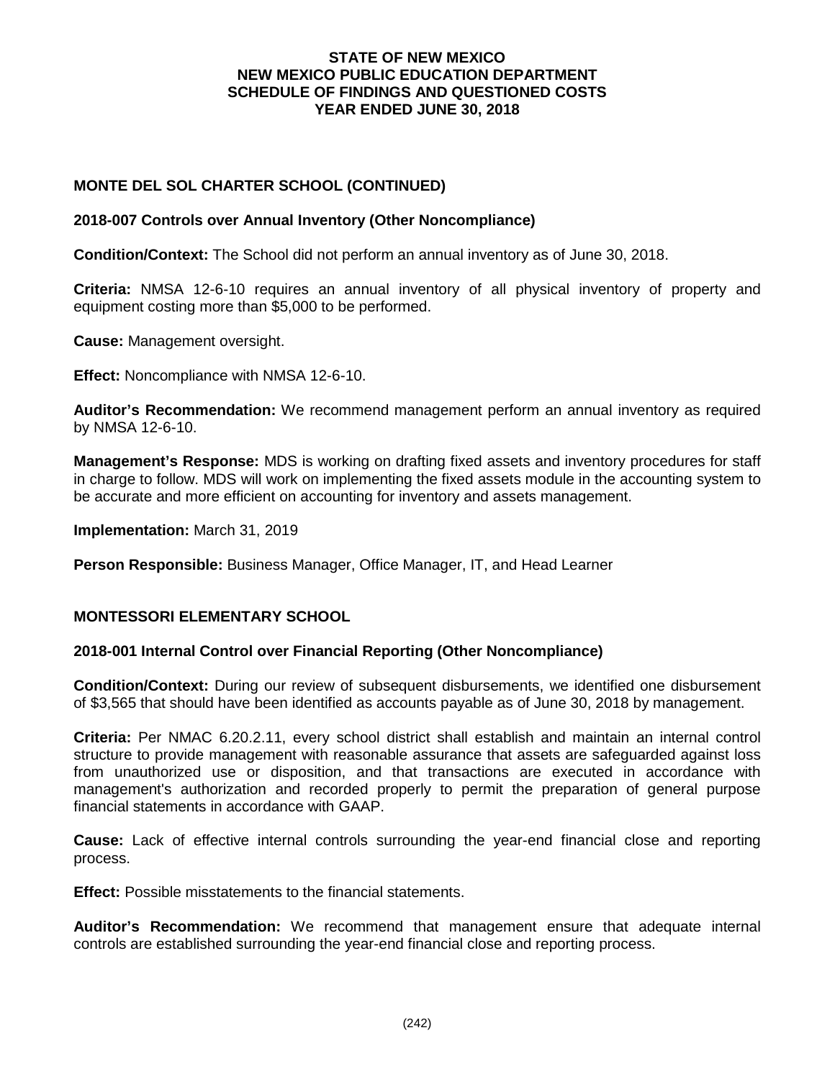# **MONTE DEL SOL CHARTER SCHOOL (CONTINUED)**

### **2018-007 Controls over Annual Inventory (Other Noncompliance)**

**Condition/Context:** The School did not perform an annual inventory as of June 30, 2018.

**Criteria:** NMSA 12-6-10 requires an annual inventory of all physical inventory of property and equipment costing more than \$5,000 to be performed.

**Cause:** Management oversight.

**Effect:** Noncompliance with NMSA 12-6-10.

**Auditor's Recommendation:** We recommend management perform an annual inventory as required by NMSA 12-6-10.

**Management's Response:** MDS is working on drafting fixed assets and inventory procedures for staff in charge to follow. MDS will work on implementing the fixed assets module in the accounting system to be accurate and more efficient on accounting for inventory and assets management.

**Implementation:** March 31, 2019

**Person Responsible:** Business Manager, Office Manager, IT, and Head Learner

### **MONTESSORI ELEMENTARY SCHOOL**

#### **2018-001 Internal Control over Financial Reporting (Other Noncompliance)**

**Condition/Context:** During our review of subsequent disbursements, we identified one disbursement of \$3,565 that should have been identified as accounts payable as of June 30, 2018 by management.

**Criteria:** Per NMAC 6.20.2.11, every school district shall establish and maintain an internal control structure to provide management with reasonable assurance that assets are safeguarded against loss from unauthorized use or disposition, and that transactions are executed in accordance with management's authorization and recorded properly to permit the preparation of general purpose financial statements in accordance with GAAP.

**Cause:** Lack of effective internal controls surrounding the year-end financial close and reporting process.

**Effect:** Possible misstatements to the financial statements.

**Auditor's Recommendation:** We recommend that management ensure that adequate internal controls are established surrounding the year-end financial close and reporting process.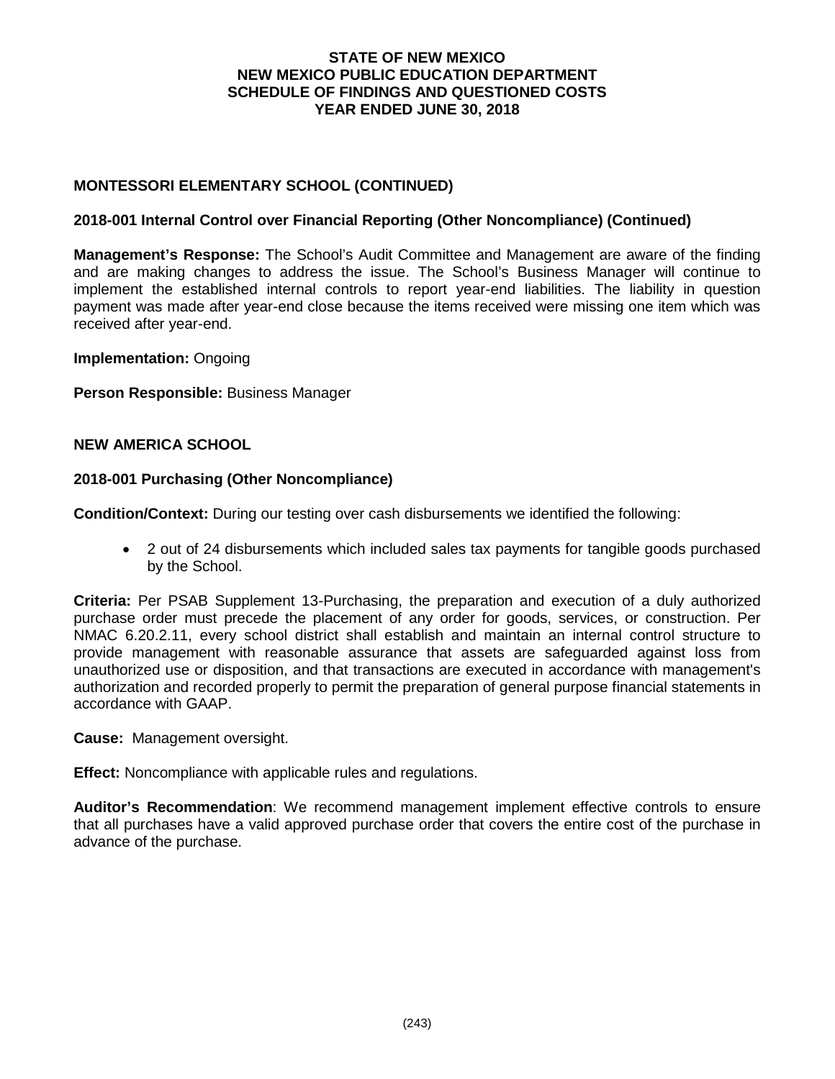# **MONTESSORI ELEMENTARY SCHOOL (CONTINUED)**

## **2018-001 Internal Control over Financial Reporting (Other Noncompliance) (Continued)**

**Management's Response:** The School's Audit Committee and Management are aware of the finding and are making changes to address the issue. The School's Business Manager will continue to implement the established internal controls to report year-end liabilities. The liability in question payment was made after year-end close because the items received were missing one item which was received after year-end.

**Implementation:** Ongoing

#### **Person Responsible:** Business Manager

### **NEW AMERICA SCHOOL**

#### **2018-001 Purchasing (Other Noncompliance)**

**Condition/Context:** During our testing over cash disbursements we identified the following:

• 2 out of 24 disbursements which included sales tax payments for tangible goods purchased by the School.

**Criteria:** Per PSAB Supplement 13-Purchasing, the preparation and execution of a duly authorized purchase order must precede the placement of any order for goods, services, or construction. Per NMAC 6.20.2.11, every school district shall establish and maintain an internal control structure to provide management with reasonable assurance that assets are safeguarded against loss from unauthorized use or disposition, and that transactions are executed in accordance with management's authorization and recorded properly to permit the preparation of general purpose financial statements in accordance with GAAP.

**Cause:** Management oversight.

**Effect:** Noncompliance with applicable rules and regulations.

**Auditor's Recommendation**: We recommend management implement effective controls to ensure that all purchases have a valid approved purchase order that covers the entire cost of the purchase in advance of the purchase.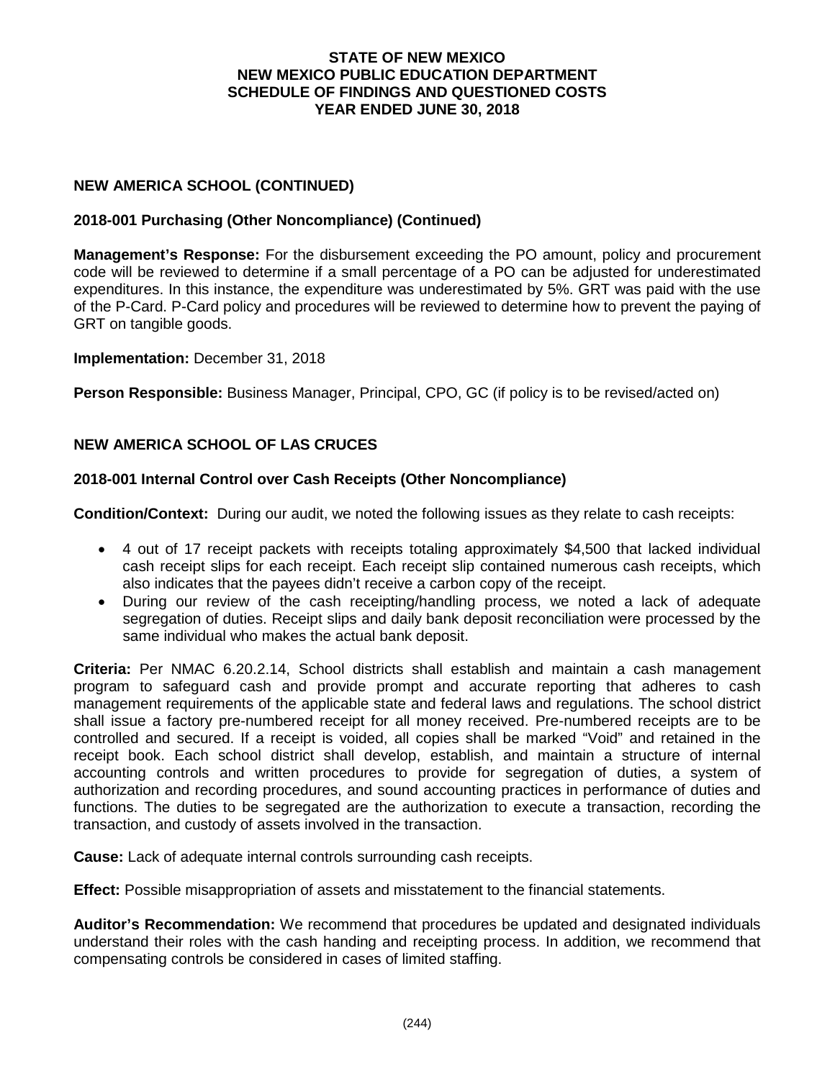## **NEW AMERICA SCHOOL (CONTINUED)**

## **2018-001 Purchasing (Other Noncompliance) (Continued)**

**Management's Response:** For the disbursement exceeding the PO amount, policy and procurement code will be reviewed to determine if a small percentage of a PO can be adjusted for underestimated expenditures. In this instance, the expenditure was underestimated by 5%. GRT was paid with the use of the P-Card. P-Card policy and procedures will be reviewed to determine how to prevent the paying of GRT on tangible goods.

#### **Implementation:** December 31, 2018

**Person Responsible:** Business Manager, Principal, CPO, GC (if policy is to be revised/acted on)

#### **NEW AMERICA SCHOOL OF LAS CRUCES**

#### **2018-001 Internal Control over Cash Receipts (Other Noncompliance)**

**Condition/Context:** During our audit, we noted the following issues as they relate to cash receipts:

- 4 out of 17 receipt packets with receipts totaling approximately \$4,500 that lacked individual cash receipt slips for each receipt. Each receipt slip contained numerous cash receipts, which also indicates that the payees didn't receive a carbon copy of the receipt.
- During our review of the cash receipting/handling process, we noted a lack of adequate segregation of duties. Receipt slips and daily bank deposit reconciliation were processed by the same individual who makes the actual bank deposit.

**Criteria:** Per NMAC 6.20.2.14, School districts shall establish and maintain a cash management program to safeguard cash and provide prompt and accurate reporting that adheres to cash management requirements of the applicable state and federal laws and regulations. The school district shall issue a factory pre-numbered receipt for all money received. Pre-numbered receipts are to be controlled and secured. If a receipt is voided, all copies shall be marked "Void" and retained in the receipt book. Each school district shall develop, establish, and maintain a structure of internal accounting controls and written procedures to provide for segregation of duties, a system of authorization and recording procedures, and sound accounting practices in performance of duties and functions. The duties to be segregated are the authorization to execute a transaction, recording the transaction, and custody of assets involved in the transaction.

**Cause:** Lack of adequate internal controls surrounding cash receipts.

**Effect:** Possible misappropriation of assets and misstatement to the financial statements.

**Auditor's Recommendation:** We recommend that procedures be updated and designated individuals understand their roles with the cash handing and receipting process. In addition, we recommend that compensating controls be considered in cases of limited staffing.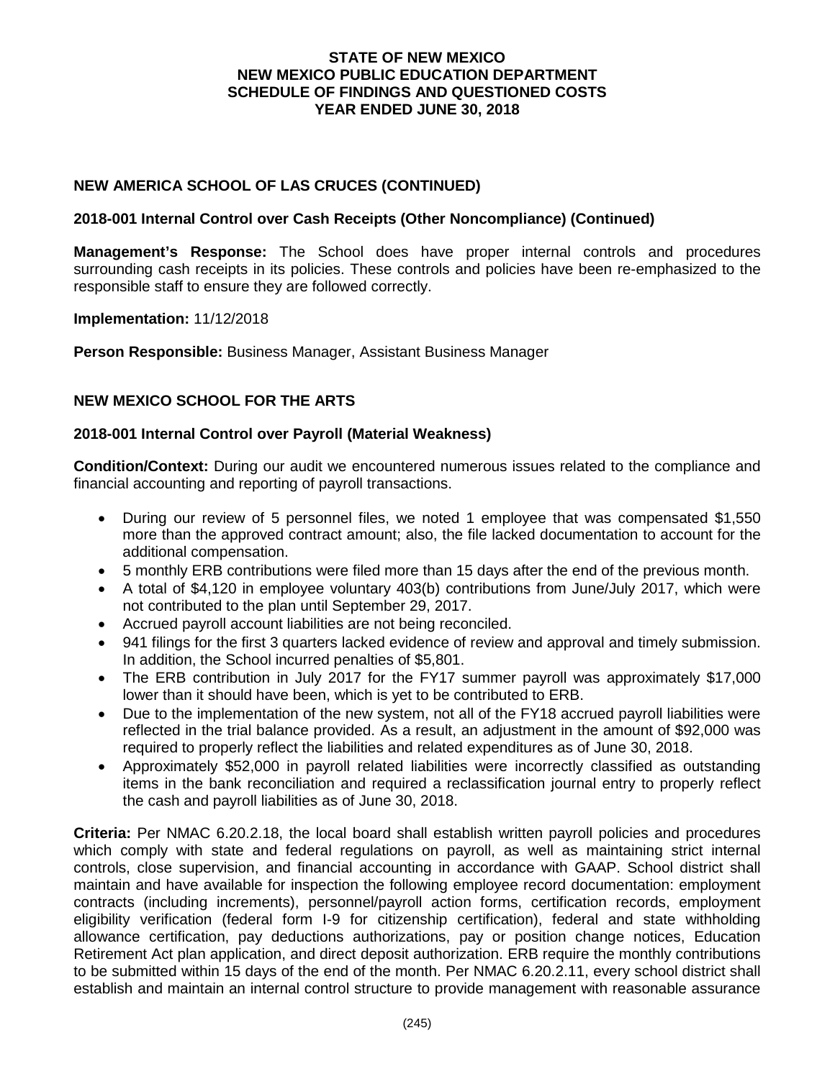# **NEW AMERICA SCHOOL OF LAS CRUCES (CONTINUED)**

## **2018-001 Internal Control over Cash Receipts (Other Noncompliance) (Continued)**

**Management's Response:** The School does have proper internal controls and procedures surrounding cash receipts in its policies. These controls and policies have been re-emphasized to the responsible staff to ensure they are followed correctly.

**Implementation:** 11/12/2018

**Person Responsible:** Business Manager, Assistant Business Manager

## **NEW MEXICO SCHOOL FOR THE ARTS**

## **2018-001 Internal Control over Payroll (Material Weakness)**

**Condition/Context:** During our audit we encountered numerous issues related to the compliance and financial accounting and reporting of payroll transactions.

- During our review of 5 personnel files, we noted 1 employee that was compensated \$1,550 more than the approved contract amount; also, the file lacked documentation to account for the additional compensation.
- 5 monthly ERB contributions were filed more than 15 days after the end of the previous month.
- A total of \$4,120 in employee voluntary 403(b) contributions from June/July 2017, which were not contributed to the plan until September 29, 2017.
- Accrued payroll account liabilities are not being reconciled.
- 941 filings for the first 3 quarters lacked evidence of review and approval and timely submission. In addition, the School incurred penalties of \$5,801.
- The ERB contribution in July 2017 for the FY17 summer payroll was approximately \$17,000 lower than it should have been, which is yet to be contributed to ERB.
- Due to the implementation of the new system, not all of the FY18 accrued payroll liabilities were reflected in the trial balance provided. As a result, an adjustment in the amount of \$92,000 was required to properly reflect the liabilities and related expenditures as of June 30, 2018.
- Approximately \$52,000 in payroll related liabilities were incorrectly classified as outstanding items in the bank reconciliation and required a reclassification journal entry to properly reflect the cash and payroll liabilities as of June 30, 2018.

**Criteria:** Per NMAC 6.20.2.18, the local board shall establish written payroll policies and procedures which comply with state and federal regulations on payroll, as well as maintaining strict internal controls, close supervision, and financial accounting in accordance with GAAP. School district shall maintain and have available for inspection the following employee record documentation: employment contracts (including increments), personnel/payroll action forms, certification records, employment eligibility verification (federal form I-9 for citizenship certification), federal and state withholding allowance certification, pay deductions authorizations, pay or position change notices, Education Retirement Act plan application, and direct deposit authorization. ERB require the monthly contributions to be submitted within 15 days of the end of the month. Per NMAC 6.20.2.11, every school district shall establish and maintain an internal control structure to provide management with reasonable assurance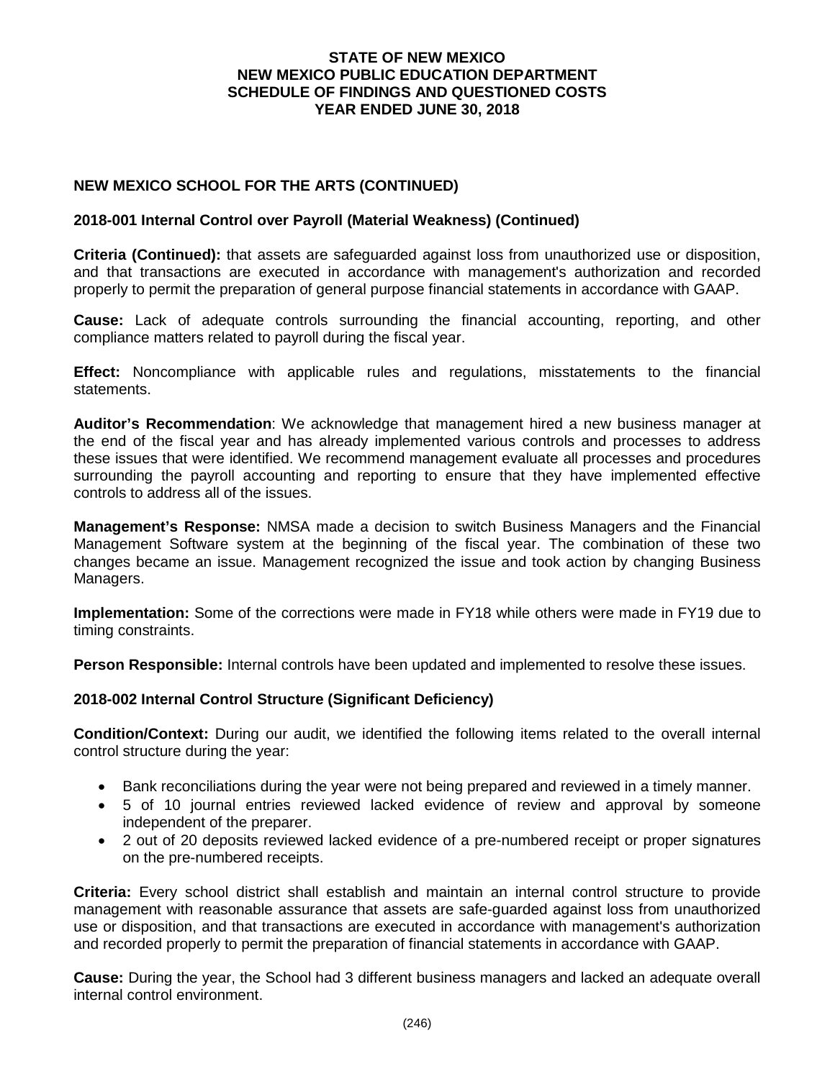# **NEW MEXICO SCHOOL FOR THE ARTS (CONTINUED)**

### **2018-001 Internal Control over Payroll (Material Weakness) (Continued)**

**Criteria (Continued):** that assets are safeguarded against loss from unauthorized use or disposition, and that transactions are executed in accordance with management's authorization and recorded properly to permit the preparation of general purpose financial statements in accordance with GAAP.

**Cause:** Lack of adequate controls surrounding the financial accounting, reporting, and other compliance matters related to payroll during the fiscal year.

**Effect:** Noncompliance with applicable rules and regulations, misstatements to the financial statements.

**Auditor's Recommendation**: We acknowledge that management hired a new business manager at the end of the fiscal year and has already implemented various controls and processes to address these issues that were identified. We recommend management evaluate all processes and procedures surrounding the payroll accounting and reporting to ensure that they have implemented effective controls to address all of the issues.

**Management's Response:** NMSA made a decision to switch Business Managers and the Financial Management Software system at the beginning of the fiscal year. The combination of these two changes became an issue. Management recognized the issue and took action by changing Business Managers.

**Implementation:** Some of the corrections were made in FY18 while others were made in FY19 due to timing constraints.

**Person Responsible:** Internal controls have been updated and implemented to resolve these issues.

## **2018-002 Internal Control Structure (Significant Deficiency)**

**Condition/Context:** During our audit, we identified the following items related to the overall internal control structure during the year:

- Bank reconciliations during the year were not being prepared and reviewed in a timely manner.
- 5 of 10 journal entries reviewed lacked evidence of review and approval by someone independent of the preparer.
- 2 out of 20 deposits reviewed lacked evidence of a pre-numbered receipt or proper signatures on the pre-numbered receipts.

**Criteria:** Every school district shall establish and maintain an internal control structure to provide management with reasonable assurance that assets are safe-guarded against loss from unauthorized use or disposition, and that transactions are executed in accordance with management's authorization and recorded properly to permit the preparation of financial statements in accordance with GAAP.

**Cause:** During the year, the School had 3 different business managers and lacked an adequate overall internal control environment.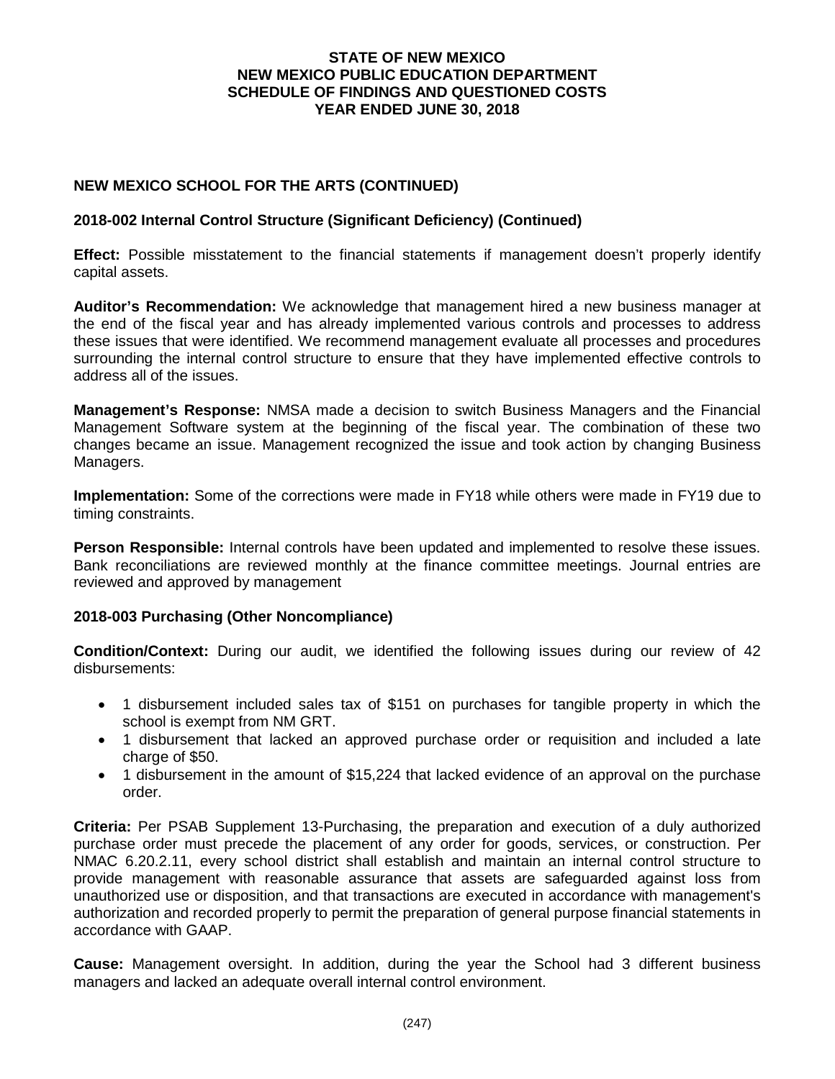# **NEW MEXICO SCHOOL FOR THE ARTS (CONTINUED)**

### **2018-002 Internal Control Structure (Significant Deficiency) (Continued)**

**Effect:** Possible misstatement to the financial statements if management doesn't properly identify capital assets.

**Auditor's Recommendation:** We acknowledge that management hired a new business manager at the end of the fiscal year and has already implemented various controls and processes to address these issues that were identified. We recommend management evaluate all processes and procedures surrounding the internal control structure to ensure that they have implemented effective controls to address all of the issues.

**Management's Response:** NMSA made a decision to switch Business Managers and the Financial Management Software system at the beginning of the fiscal year. The combination of these two changes became an issue. Management recognized the issue and took action by changing Business Managers.

**Implementation:** Some of the corrections were made in FY18 while others were made in FY19 due to timing constraints.

**Person Responsible:** Internal controls have been updated and implemented to resolve these issues. Bank reconciliations are reviewed monthly at the finance committee meetings. Journal entries are reviewed and approved by management

#### **2018-003 Purchasing (Other Noncompliance)**

**Condition/Context:** During our audit, we identified the following issues during our review of 42 disbursements:

- 1 disbursement included sales tax of \$151 on purchases for tangible property in which the school is exempt from NM GRT.
- 1 disbursement that lacked an approved purchase order or requisition and included a late charge of \$50.
- 1 disbursement in the amount of \$15,224 that lacked evidence of an approval on the purchase order.

**Criteria:** Per PSAB Supplement 13-Purchasing, the preparation and execution of a duly authorized purchase order must precede the placement of any order for goods, services, or construction. Per NMAC 6.20.2.11, every school district shall establish and maintain an internal control structure to provide management with reasonable assurance that assets are safeguarded against loss from unauthorized use or disposition, and that transactions are executed in accordance with management's authorization and recorded properly to permit the preparation of general purpose financial statements in accordance with GAAP.

**Cause:** Management oversight. In addition, during the year the School had 3 different business managers and lacked an adequate overall internal control environment.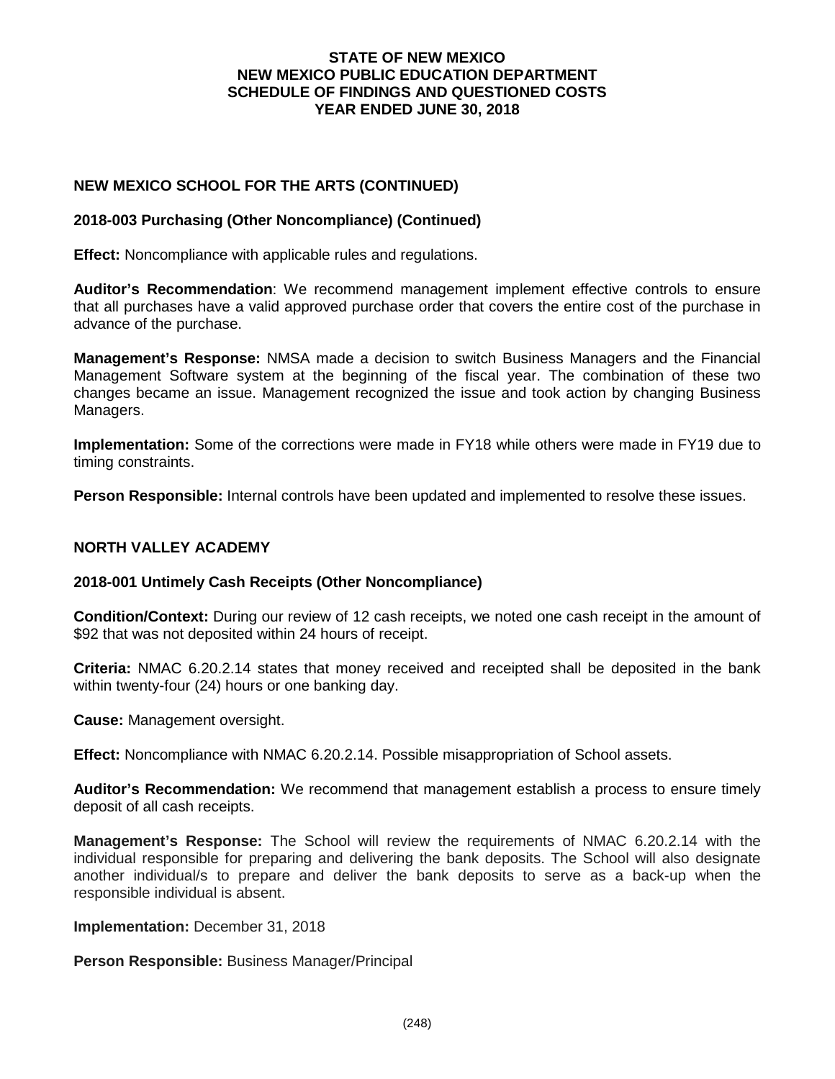## **NEW MEXICO SCHOOL FOR THE ARTS (CONTINUED)**

### **2018-003 Purchasing (Other Noncompliance) (Continued)**

**Effect:** Noncompliance with applicable rules and regulations.

**Auditor's Recommendation**: We recommend management implement effective controls to ensure that all purchases have a valid approved purchase order that covers the entire cost of the purchase in advance of the purchase.

**Management's Response:** NMSA made a decision to switch Business Managers and the Financial Management Software system at the beginning of the fiscal year. The combination of these two changes became an issue. Management recognized the issue and took action by changing Business Managers.

**Implementation:** Some of the corrections were made in FY18 while others were made in FY19 due to timing constraints.

**Person Responsible:** Internal controls have been updated and implemented to resolve these issues.

## **NORTH VALLEY ACADEMY**

#### **2018-001 Untimely Cash Receipts (Other Noncompliance)**

**Condition/Context:** During our review of 12 cash receipts, we noted one cash receipt in the amount of \$92 that was not deposited within 24 hours of receipt.

**Criteria:** NMAC 6.20.2.14 states that money received and receipted shall be deposited in the bank within twenty-four (24) hours or one banking day.

**Cause:** Management oversight.

**Effect:** Noncompliance with NMAC 6.20.2.14. Possible misappropriation of School assets.

**Auditor's Recommendation:** We recommend that management establish a process to ensure timely deposit of all cash receipts.

**Management's Response:** The School will review the requirements of NMAC 6.20.2.14 with the individual responsible for preparing and delivering the bank deposits. The School will also designate another individual/s to prepare and deliver the bank deposits to serve as a back-up when the responsible individual is absent.

**Implementation:** December 31, 2018

**Person Responsible:** Business Manager/Principal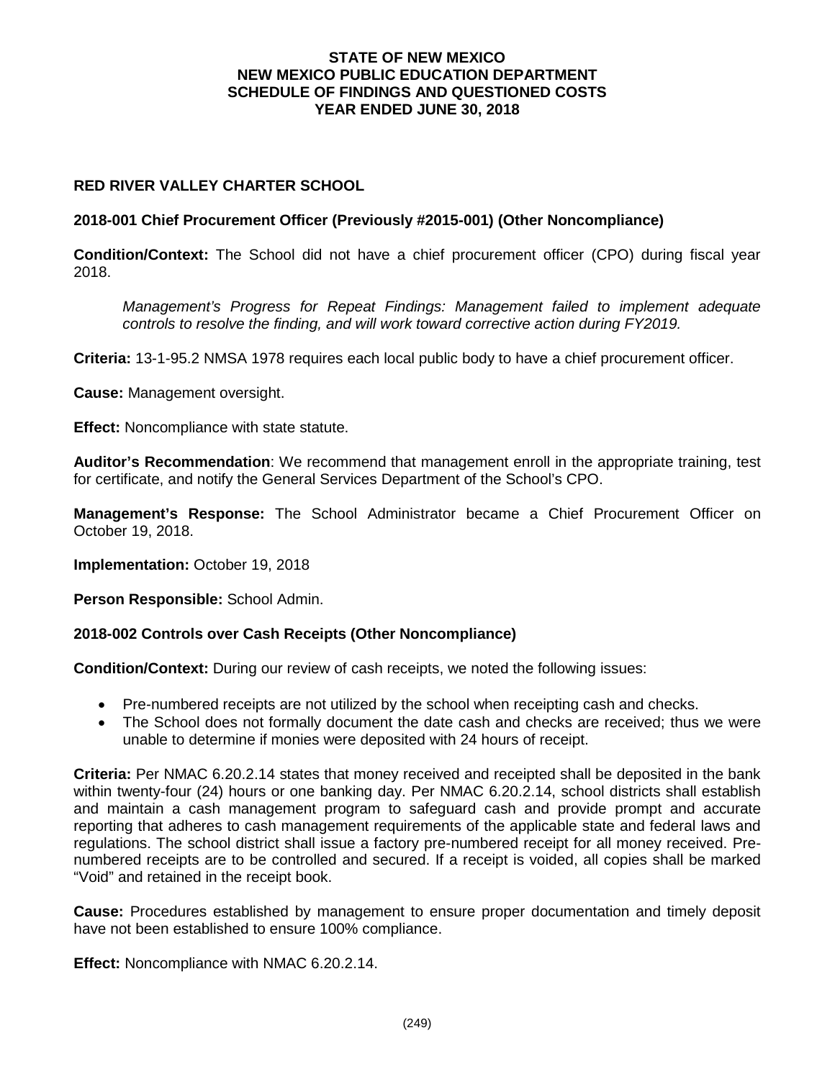## **RED RIVER VALLEY CHARTER SCHOOL**

#### **2018-001 Chief Procurement Officer (Previously #2015-001) (Other Noncompliance)**

**Condition/Context:** The School did not have a chief procurement officer (CPO) during fiscal year 2018.

*Management's Progress for Repeat Findings: Management failed to implement adequate controls to resolve the finding, and will work toward corrective action during FY2019.*

**Criteria:** 13-1-95.2 NMSA 1978 requires each local public body to have a chief procurement officer.

**Cause:** Management oversight.

**Effect:** Noncompliance with state statute.

**Auditor's Recommendation**: We recommend that management enroll in the appropriate training, test for certificate, and notify the General Services Department of the School's CPO.

**Management's Response:** The School Administrator became a Chief Procurement Officer on October 19, 2018.

**Implementation:** October 19, 2018

**Person Responsible:** School Admin.

#### **2018-002 Controls over Cash Receipts (Other Noncompliance)**

**Condition/Context:** During our review of cash receipts, we noted the following issues:

- Pre-numbered receipts are not utilized by the school when receipting cash and checks.
- The School does not formally document the date cash and checks are received; thus we were unable to determine if monies were deposited with 24 hours of receipt.

**Criteria:** Per NMAC 6.20.2.14 states that money received and receipted shall be deposited in the bank within twenty-four (24) hours or one banking day. Per NMAC 6.20.2.14, school districts shall establish and maintain a cash management program to safeguard cash and provide prompt and accurate reporting that adheres to cash management requirements of the applicable state and federal laws and regulations. The school district shall issue a factory pre-numbered receipt for all money received. Prenumbered receipts are to be controlled and secured. If a receipt is voided, all copies shall be marked "Void" and retained in the receipt book.

**Cause:** Procedures established by management to ensure proper documentation and timely deposit have not been established to ensure 100% compliance.

**Effect:** Noncompliance with NMAC 6.20.2.14.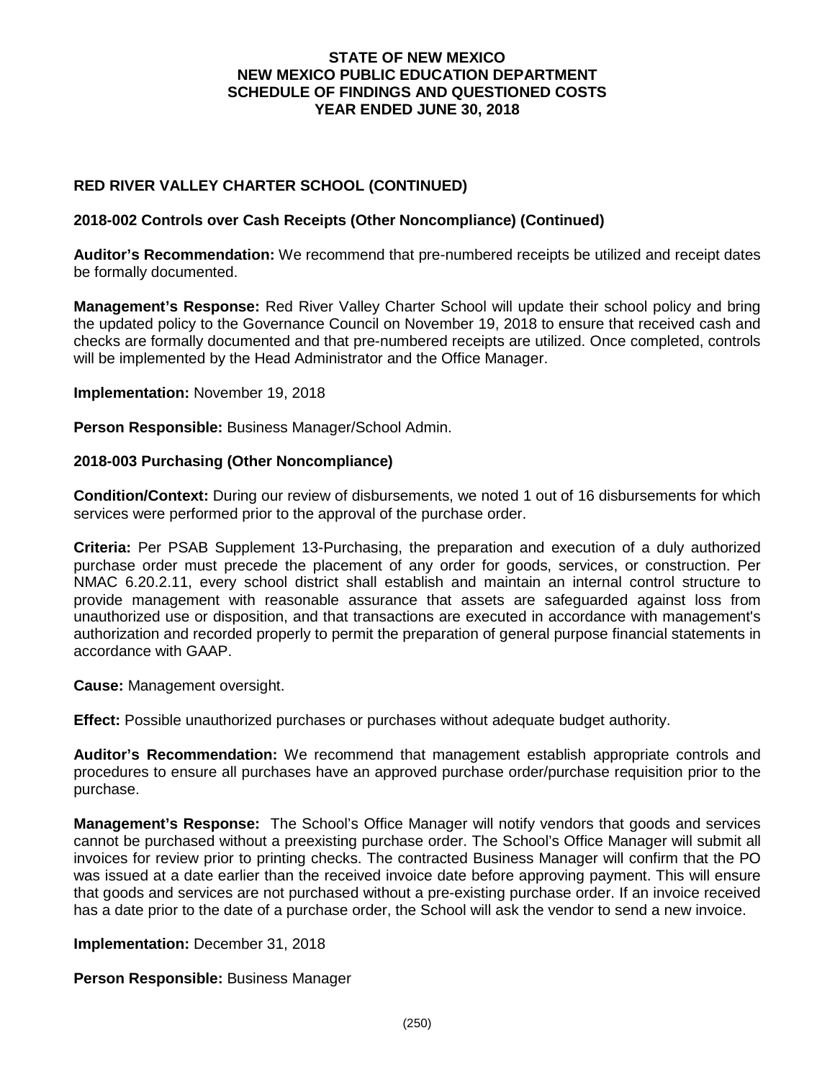# **RED RIVER VALLEY CHARTER SCHOOL (CONTINUED)**

### **2018-002 Controls over Cash Receipts (Other Noncompliance) (Continued)**

**Auditor's Recommendation:** We recommend that pre-numbered receipts be utilized and receipt dates be formally documented.

**Management's Response:** Red River Valley Charter School will update their school policy and bring the updated policy to the Governance Council on November 19, 2018 to ensure that received cash and checks are formally documented and that pre-numbered receipts are utilized. Once completed, controls will be implemented by the Head Administrator and the Office Manager.

**Implementation:** November 19, 2018

**Person Responsible:** Business Manager/School Admin.

#### **2018-003 Purchasing (Other Noncompliance)**

**Condition/Context:** During our review of disbursements, we noted 1 out of 16 disbursements for which services were performed prior to the approval of the purchase order.

**Criteria:** Per PSAB Supplement 13-Purchasing, the preparation and execution of a duly authorized purchase order must precede the placement of any order for goods, services, or construction. Per NMAC 6.20.2.11, every school district shall establish and maintain an internal control structure to provide management with reasonable assurance that assets are safeguarded against loss from unauthorized use or disposition, and that transactions are executed in accordance with management's authorization and recorded properly to permit the preparation of general purpose financial statements in accordance with GAAP.

**Cause:** Management oversight.

**Effect:** Possible unauthorized purchases or purchases without adequate budget authority.

**Auditor's Recommendation:** We recommend that management establish appropriate controls and procedures to ensure all purchases have an approved purchase order/purchase requisition prior to the purchase.

**Management's Response:** The School's Office Manager will notify vendors that goods and services cannot be purchased without a preexisting purchase order. The School's Office Manager will submit all invoices for review prior to printing checks. The contracted Business Manager will confirm that the PO was issued at a date earlier than the received invoice date before approving payment. This will ensure that goods and services are not purchased without a pre-existing purchase order. If an invoice received has a date prior to the date of a purchase order, the School will ask the vendor to send a new invoice.

**Implementation:** December 31, 2018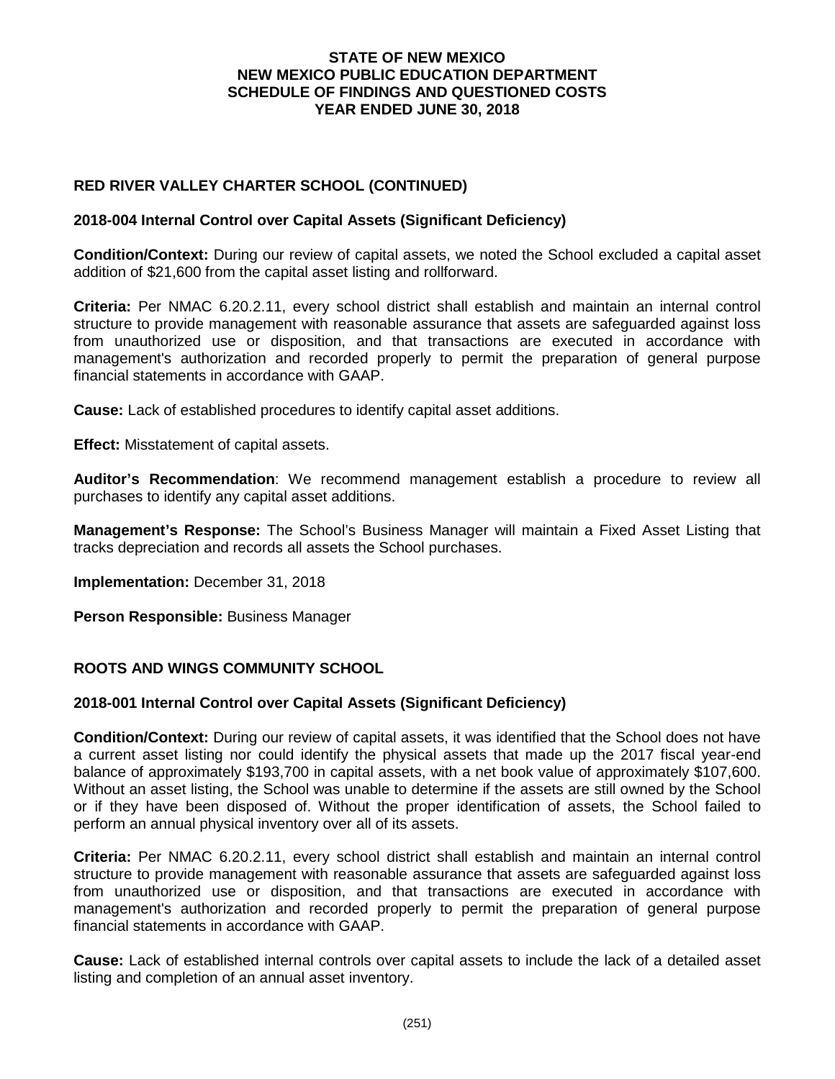# **RED RIVER VALLEY CHARTER SCHOOL (CONTINUED)**

## **2018-004 Internal Control over Capital Assets (Significant Deficiency)**

**Condition/Context:** During our review of capital assets, we noted the School excluded a capital asset addition of \$21,600 from the capital asset listing and rollforward.

**Criteria:** Per NMAC 6.20.2.11, every school district shall establish and maintain an internal control structure to provide management with reasonable assurance that assets are safeguarded against loss from unauthorized use or disposition, and that transactions are executed in accordance with management's authorization and recorded properly to permit the preparation of general purpose financial statements in accordance with GAAP.

**Cause:** Lack of established procedures to identify capital asset additions.

**Effect:** Misstatement of capital assets.

**Auditor's Recommendation**: We recommend management establish a procedure to review all purchases to identify any capital asset additions.

**Management's Response:** The School's Business Manager will maintain a Fixed Asset Listing that tracks depreciation and records all assets the School purchases.

**Implementation:** December 31, 2018

**Person Responsible:** Business Manager

## **ROOTS AND WINGS COMMUNITY SCHOOL**

## **2018-001 Internal Control over Capital Assets (Significant Deficiency)**

**Condition/Context:** During our review of capital assets, it was identified that the School does not have a current asset listing nor could identify the physical assets that made up the 2017 fiscal year-end balance of approximately \$193,700 in capital assets, with a net book value of approximately \$107,600. Without an asset listing, the School was unable to determine if the assets are still owned by the School or if they have been disposed of. Without the proper identification of assets, the School failed to perform an annual physical inventory over all of its assets.

**Criteria:** Per NMAC 6.20.2.11, every school district shall establish and maintain an internal control structure to provide management with reasonable assurance that assets are safeguarded against loss from unauthorized use or disposition, and that transactions are executed in accordance with management's authorization and recorded properly to permit the preparation of general purpose financial statements in accordance with GAAP.

**Cause:** Lack of established internal controls over capital assets to include the lack of a detailed asset listing and completion of an annual asset inventory.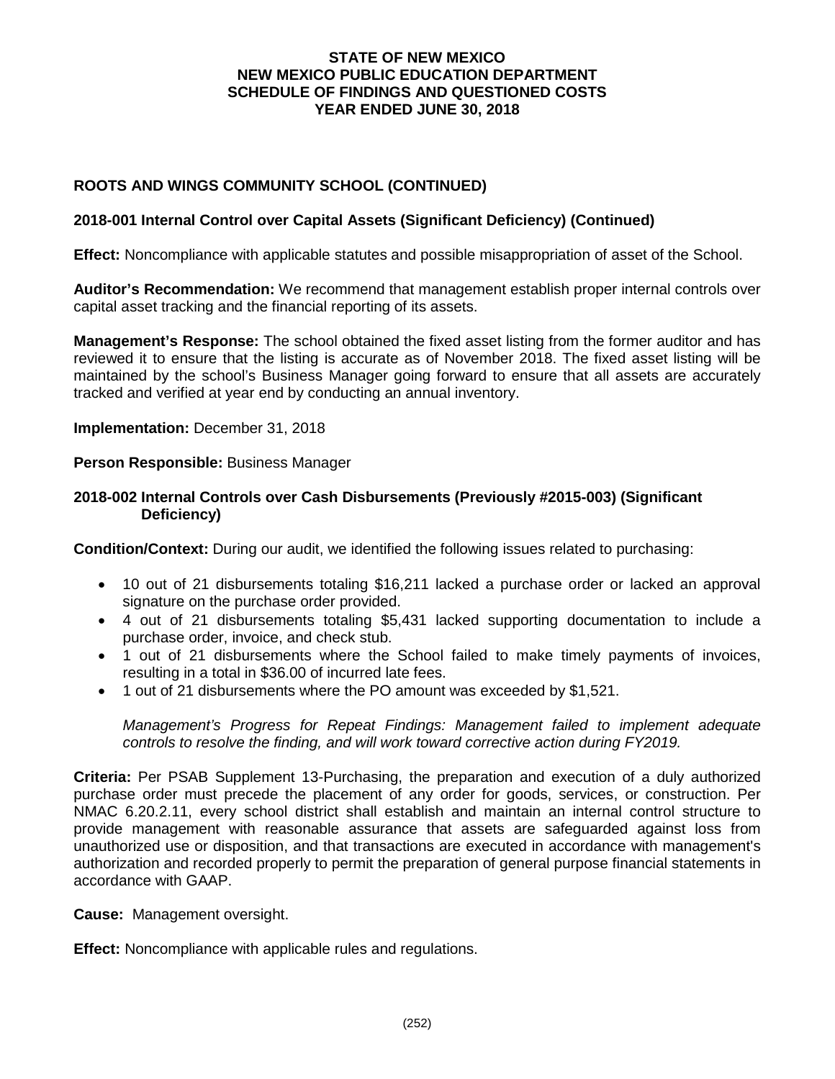# **ROOTS AND WINGS COMMUNITY SCHOOL (CONTINUED)**

## **2018-001 Internal Control over Capital Assets (Significant Deficiency) (Continued)**

**Effect:** Noncompliance with applicable statutes and possible misappropriation of asset of the School.

**Auditor's Recommendation:** We recommend that management establish proper internal controls over capital asset tracking and the financial reporting of its assets.

**Management's Response:** The school obtained the fixed asset listing from the former auditor and has reviewed it to ensure that the listing is accurate as of November 2018. The fixed asset listing will be maintained by the school's Business Manager going forward to ensure that all assets are accurately tracked and verified at year end by conducting an annual inventory.

**Implementation:** December 31, 2018

#### **Person Responsible:** Business Manager

#### **2018-002 Internal Controls over Cash Disbursements (Previously #2015-003) (Significant Deficiency)**

**Condition/Context:** During our audit, we identified the following issues related to purchasing:

- 10 out of 21 disbursements totaling \$16,211 lacked a purchase order or lacked an approval signature on the purchase order provided.
- 4 out of 21 disbursements totaling \$5,431 lacked supporting documentation to include a purchase order, invoice, and check stub.
- 1 out of 21 disbursements where the School failed to make timely payments of invoices, resulting in a total in \$36.00 of incurred late fees.
- 1 out of 21 disbursements where the PO amount was exceeded by \$1,521.

*Management's Progress for Repeat Findings: Management failed to implement adequate controls to resolve the finding, and will work toward corrective action during FY2019.*

**Criteria:** Per PSAB Supplement 13-Purchasing, the preparation and execution of a duly authorized purchase order must precede the placement of any order for goods, services, or construction. Per NMAC 6.20.2.11, every school district shall establish and maintain an internal control structure to provide management with reasonable assurance that assets are safeguarded against loss from unauthorized use or disposition, and that transactions are executed in accordance with management's authorization and recorded properly to permit the preparation of general purpose financial statements in accordance with GAAP.

**Cause:** Management oversight.

**Effect:** Noncompliance with applicable rules and regulations.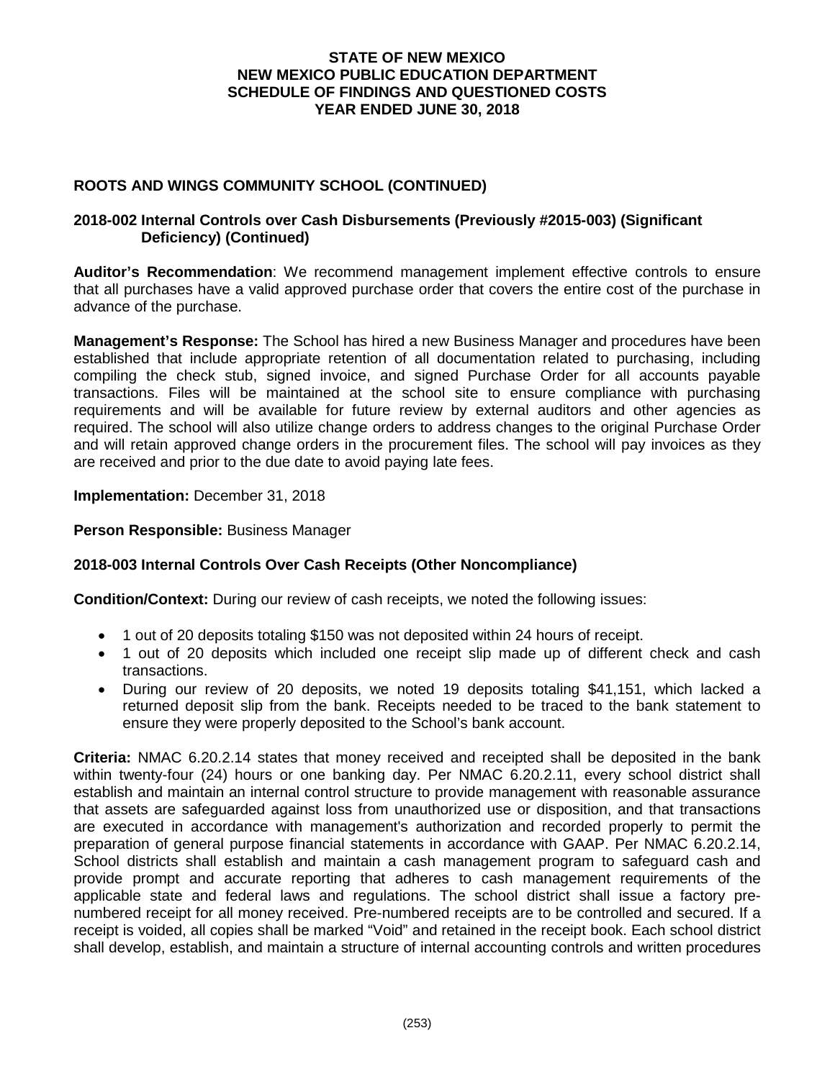# **ROOTS AND WINGS COMMUNITY SCHOOL (CONTINUED)**

## **2018-002 Internal Controls over Cash Disbursements (Previously #2015-003) (Significant Deficiency) (Continued)**

**Auditor's Recommendation**: We recommend management implement effective controls to ensure that all purchases have a valid approved purchase order that covers the entire cost of the purchase in advance of the purchase.

**Management's Response:** The School has hired a new Business Manager and procedures have been established that include appropriate retention of all documentation related to purchasing, including compiling the check stub, signed invoice, and signed Purchase Order for all accounts payable transactions. Files will be maintained at the school site to ensure compliance with purchasing requirements and will be available for future review by external auditors and other agencies as required. The school will also utilize change orders to address changes to the original Purchase Order and will retain approved change orders in the procurement files. The school will pay invoices as they are received and prior to the due date to avoid paying late fees.

#### **Implementation:** December 31, 2018

#### **Person Responsible:** Business Manager

## **2018-003 Internal Controls Over Cash Receipts (Other Noncompliance)**

**Condition/Context:** During our review of cash receipts, we noted the following issues:

- 1 out of 20 deposits totaling \$150 was not deposited within 24 hours of receipt.
- 1 out of 20 deposits which included one receipt slip made up of different check and cash transactions.
- During our review of 20 deposits, we noted 19 deposits totaling \$41,151, which lacked a returned deposit slip from the bank. Receipts needed to be traced to the bank statement to ensure they were properly deposited to the School's bank account.

**Criteria:** NMAC 6.20.2.14 states that money received and receipted shall be deposited in the bank within twenty-four (24) hours or one banking day. Per NMAC 6.20.2.11, every school district shall establish and maintain an internal control structure to provide management with reasonable assurance that assets are safeguarded against loss from unauthorized use or disposition, and that transactions are executed in accordance with management's authorization and recorded properly to permit the preparation of general purpose financial statements in accordance with GAAP. Per NMAC 6.20.2.14, School districts shall establish and maintain a cash management program to safeguard cash and provide prompt and accurate reporting that adheres to cash management requirements of the applicable state and federal laws and regulations. The school district shall issue a factory prenumbered receipt for all money received. Pre-numbered receipts are to be controlled and secured. If a receipt is voided, all copies shall be marked "Void" and retained in the receipt book. Each school district shall develop, establish, and maintain a structure of internal accounting controls and written procedures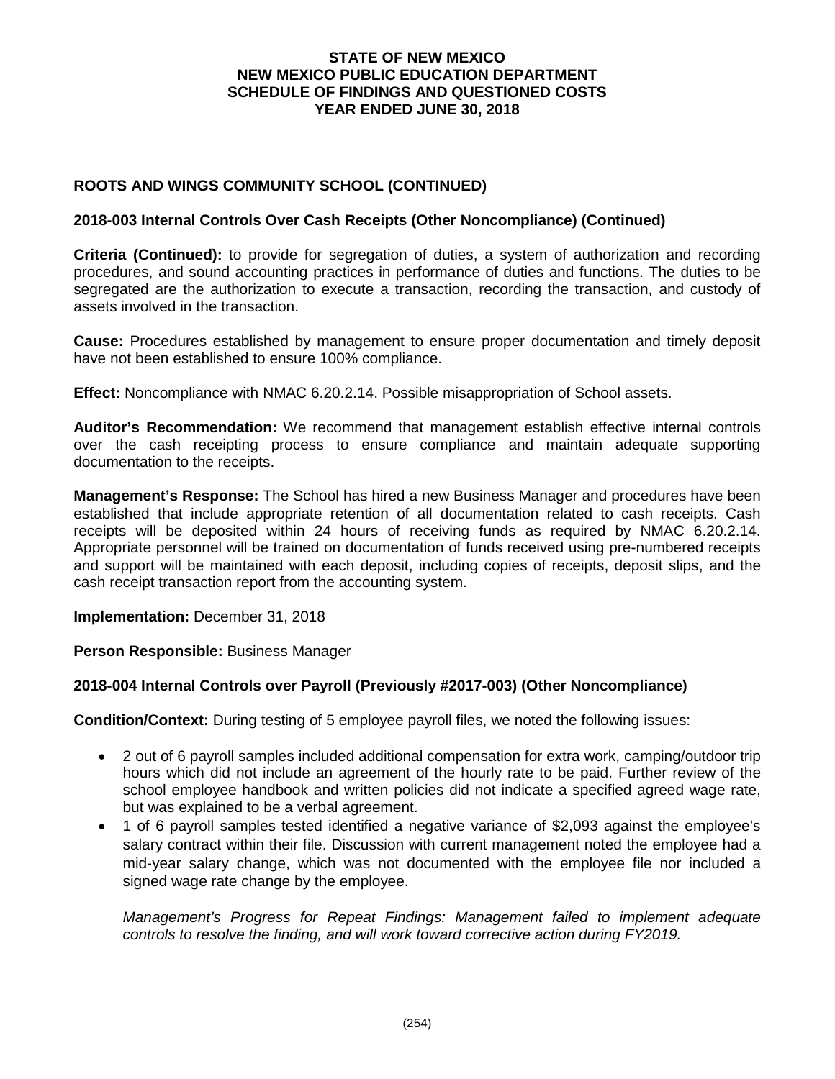# **ROOTS AND WINGS COMMUNITY SCHOOL (CONTINUED)**

### **2018-003 Internal Controls Over Cash Receipts (Other Noncompliance) (Continued)**

**Criteria (Continued):** to provide for segregation of duties, a system of authorization and recording procedures, and sound accounting practices in performance of duties and functions. The duties to be segregated are the authorization to execute a transaction, recording the transaction, and custody of assets involved in the transaction.

**Cause:** Procedures established by management to ensure proper documentation and timely deposit have not been established to ensure 100% compliance.

**Effect:** Noncompliance with NMAC 6.20.2.14. Possible misappropriation of School assets.

**Auditor's Recommendation:** We recommend that management establish effective internal controls over the cash receipting process to ensure compliance and maintain adequate supporting documentation to the receipts.

**Management's Response:** The School has hired a new Business Manager and procedures have been established that include appropriate retention of all documentation related to cash receipts. Cash receipts will be deposited within 24 hours of receiving funds as required by NMAC 6.20.2.14. Appropriate personnel will be trained on documentation of funds received using pre-numbered receipts and support will be maintained with each deposit, including copies of receipts, deposit slips, and the cash receipt transaction report from the accounting system.

**Implementation:** December 31, 2018

**Person Responsible:** Business Manager

## **2018-004 Internal Controls over Payroll (Previously #2017-003) (Other Noncompliance)**

**Condition/Context:** During testing of 5 employee payroll files, we noted the following issues:

- 2 out of 6 payroll samples included additional compensation for extra work, camping/outdoor trip hours which did not include an agreement of the hourly rate to be paid. Further review of the school employee handbook and written policies did not indicate a specified agreed wage rate, but was explained to be a verbal agreement.
- 1 of 6 payroll samples tested identified a negative variance of \$2,093 against the employee's salary contract within their file. Discussion with current management noted the employee had a mid-year salary change, which was not documented with the employee file nor included a signed wage rate change by the employee.

*Management's Progress for Repeat Findings: Management failed to implement adequate controls to resolve the finding, and will work toward corrective action during FY2019.*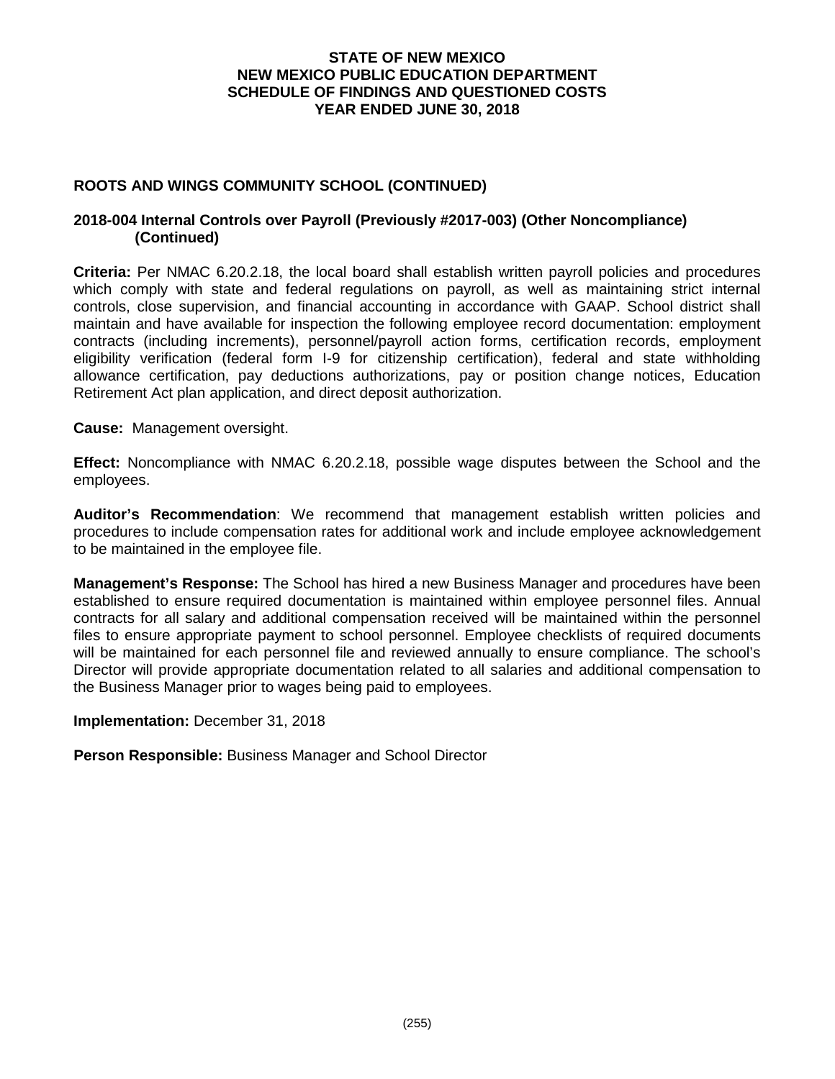## **ROOTS AND WINGS COMMUNITY SCHOOL (CONTINUED)**

## **2018-004 Internal Controls over Payroll (Previously #2017-003) (Other Noncompliance) (Continued)**

**Criteria:** Per NMAC 6.20.2.18, the local board shall establish written payroll policies and procedures which comply with state and federal regulations on payroll, as well as maintaining strict internal controls, close supervision, and financial accounting in accordance with GAAP. School district shall maintain and have available for inspection the following employee record documentation: employment contracts (including increments), personnel/payroll action forms, certification records, employment eligibility verification (federal form I-9 for citizenship certification), federal and state withholding allowance certification, pay deductions authorizations, pay or position change notices, Education Retirement Act plan application, and direct deposit authorization.

**Cause:** Management oversight.

**Effect:** Noncompliance with NMAC 6.20.2.18, possible wage disputes between the School and the employees.

**Auditor's Recommendation**: We recommend that management establish written policies and procedures to include compensation rates for additional work and include employee acknowledgement to be maintained in the employee file.

**Management's Response:** The School has hired a new Business Manager and procedures have been established to ensure required documentation is maintained within employee personnel files. Annual contracts for all salary and additional compensation received will be maintained within the personnel files to ensure appropriate payment to school personnel. Employee checklists of required documents will be maintained for each personnel file and reviewed annually to ensure compliance. The school's Director will provide appropriate documentation related to all salaries and additional compensation to the Business Manager prior to wages being paid to employees.

**Implementation:** December 31, 2018

**Person Responsible:** Business Manager and School Director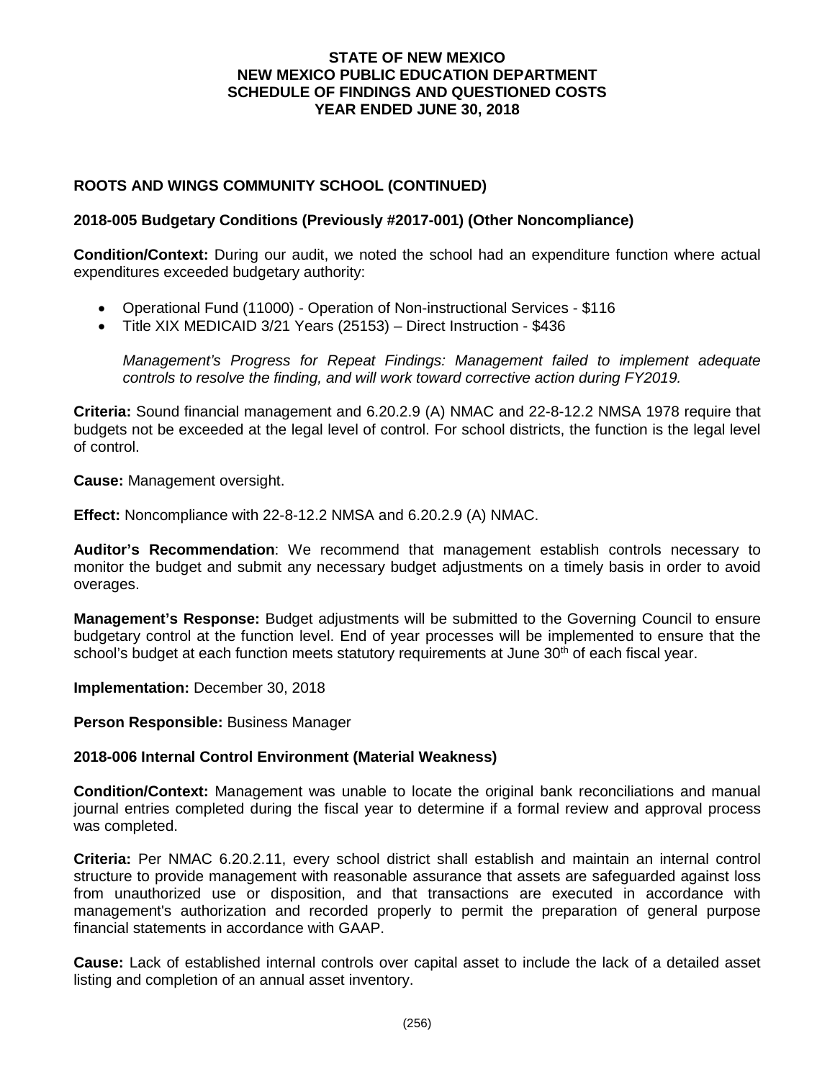# **ROOTS AND WINGS COMMUNITY SCHOOL (CONTINUED)**

## **2018-005 Budgetary Conditions (Previously #2017-001) (Other Noncompliance)**

**Condition/Context:** During our audit, we noted the school had an expenditure function where actual expenditures exceeded budgetary authority:

- Operational Fund (11000) Operation of Non-instructional Services \$116
- Title XIX MEDICAID 3/21 Years (25153) Direct Instruction \$436

*Management's Progress for Repeat Findings: Management failed to implement adequate controls to resolve the finding, and will work toward corrective action during FY2019.*

**Criteria:** Sound financial management and 6.20.2.9 (A) NMAC and 22-8-12.2 NMSA 1978 require that budgets not be exceeded at the legal level of control. For school districts, the function is the legal level of control.

**Cause:** Management oversight.

**Effect:** Noncompliance with 22-8-12.2 NMSA and 6.20.2.9 (A) NMAC.

**Auditor's Recommendation**: We recommend that management establish controls necessary to monitor the budget and submit any necessary budget adjustments on a timely basis in order to avoid overages.

**Management's Response:** Budget adjustments will be submitted to the Governing Council to ensure budgetary control at the function level. End of year processes will be implemented to ensure that the school's budget at each function meets statutory requirements at June 30<sup>th</sup> of each fiscal year.

**Implementation:** December 30, 2018

#### **Person Responsible:** Business Manager

## **2018-006 Internal Control Environment (Material Weakness)**

**Condition/Context:** Management was unable to locate the original bank reconciliations and manual journal entries completed during the fiscal year to determine if a formal review and approval process was completed.

**Criteria:** Per NMAC 6.20.2.11, every school district shall establish and maintain an internal control structure to provide management with reasonable assurance that assets are safeguarded against loss from unauthorized use or disposition, and that transactions are executed in accordance with management's authorization and recorded properly to permit the preparation of general purpose financial statements in accordance with GAAP.

**Cause:** Lack of established internal controls over capital asset to include the lack of a detailed asset listing and completion of an annual asset inventory.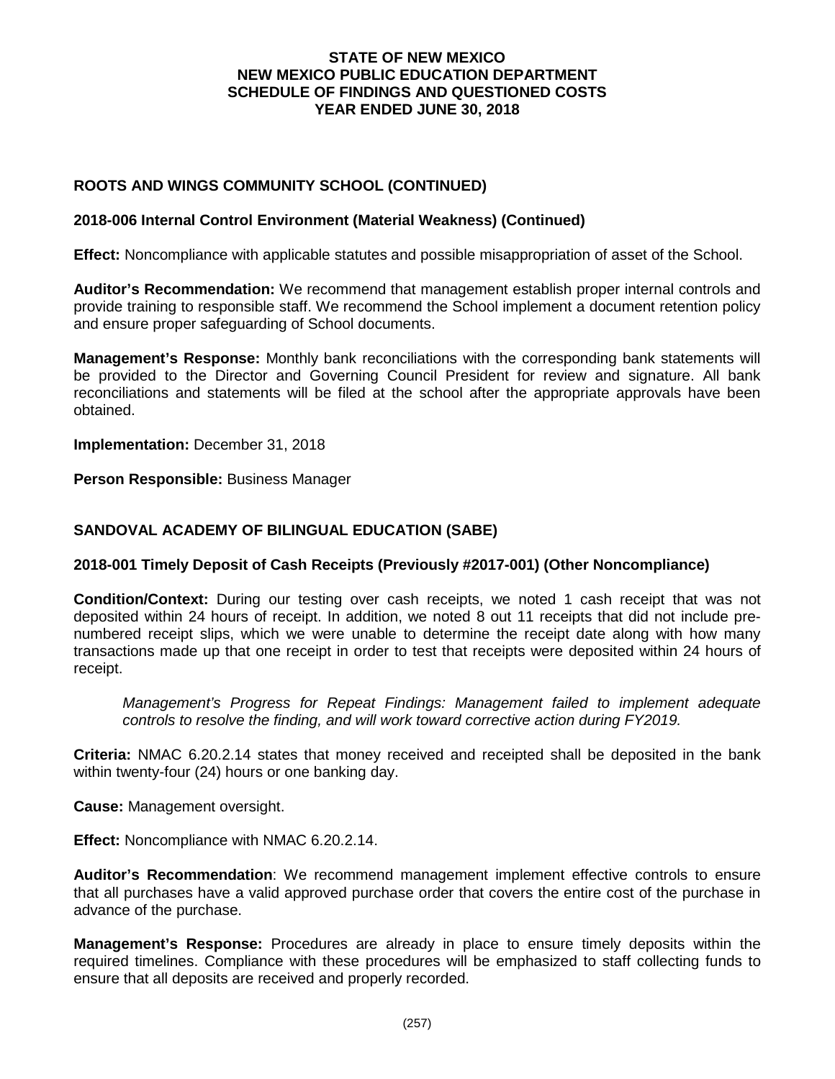## **ROOTS AND WINGS COMMUNITY SCHOOL (CONTINUED)**

### **2018-006 Internal Control Environment (Material Weakness) (Continued)**

**Effect:** Noncompliance with applicable statutes and possible misappropriation of asset of the School.

**Auditor's Recommendation:** We recommend that management establish proper internal controls and provide training to responsible staff. We recommend the School implement a document retention policy and ensure proper safeguarding of School documents.

**Management's Response:** Monthly bank reconciliations with the corresponding bank statements will be provided to the Director and Governing Council President for review and signature. All bank reconciliations and statements will be filed at the school after the appropriate approvals have been obtained.

**Implementation:** December 31, 2018

**Person Responsible:** Business Manager

## **SANDOVAL ACADEMY OF BILINGUAL EDUCATION (SABE)**

#### **2018-001 Timely Deposit of Cash Receipts (Previously #2017-001) (Other Noncompliance)**

**Condition/Context:** During our testing over cash receipts, we noted 1 cash receipt that was not deposited within 24 hours of receipt. In addition, we noted 8 out 11 receipts that did not include prenumbered receipt slips, which we were unable to determine the receipt date along with how many transactions made up that one receipt in order to test that receipts were deposited within 24 hours of receipt.

*Management's Progress for Repeat Findings: Management failed to implement adequate controls to resolve the finding, and will work toward corrective action during FY2019.*

**Criteria:** NMAC 6.20.2.14 states that money received and receipted shall be deposited in the bank within twenty-four (24) hours or one banking day.

**Cause:** Management oversight.

**Effect:** Noncompliance with NMAC 6.20.2.14.

**Auditor's Recommendation**: We recommend management implement effective controls to ensure that all purchases have a valid approved purchase order that covers the entire cost of the purchase in advance of the purchase.

**Management's Response:** Procedures are already in place to ensure timely deposits within the required timelines. Compliance with these procedures will be emphasized to staff collecting funds to ensure that all deposits are received and properly recorded.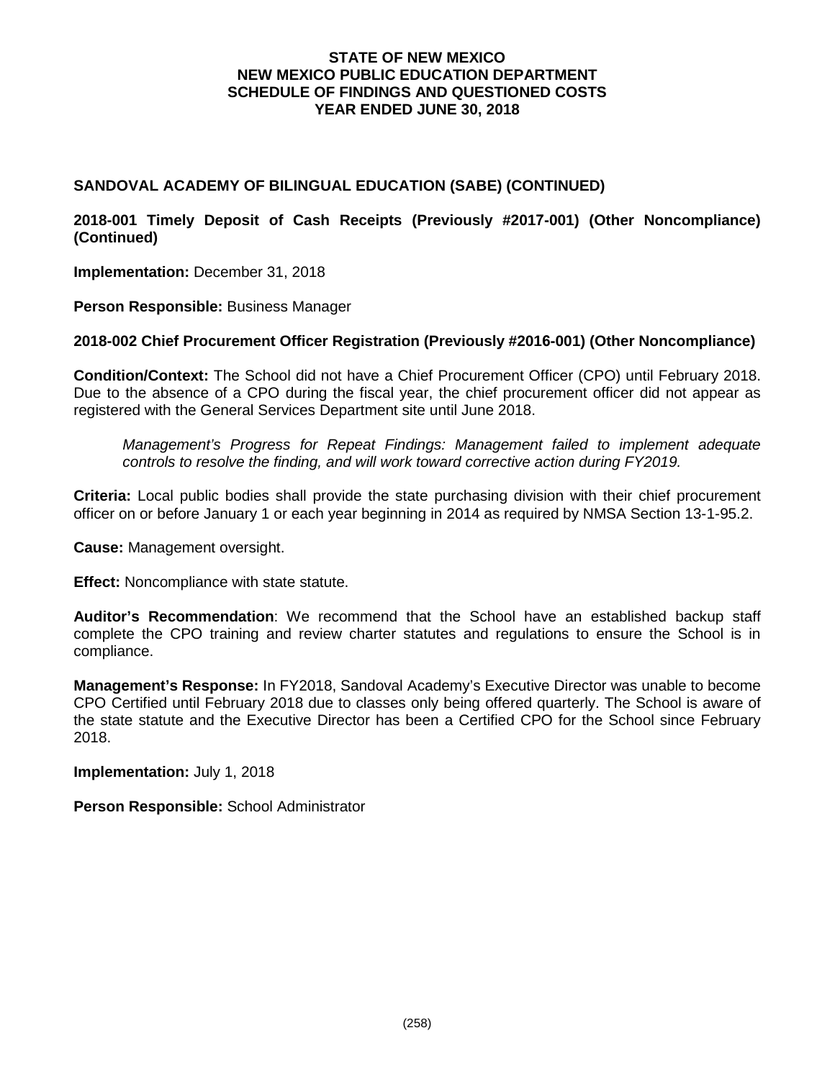## **SANDOVAL ACADEMY OF BILINGUAL EDUCATION (SABE) (CONTINUED)**

**2018-001 Timely Deposit of Cash Receipts (Previously #2017-001) (Other Noncompliance) (Continued)**

**Implementation:** December 31, 2018

**Person Responsible:** Business Manager

## **2018-002 Chief Procurement Officer Registration (Previously #2016-001) (Other Noncompliance)**

**Condition/Context:** The School did not have a Chief Procurement Officer (CPO) until February 2018. Due to the absence of a CPO during the fiscal year, the chief procurement officer did not appear as registered with the General Services Department site until June 2018.

*Management's Progress for Repeat Findings: Management failed to implement adequate controls to resolve the finding, and will work toward corrective action during FY2019.*

**Criteria:** Local public bodies shall provide the state purchasing division with their chief procurement officer on or before January 1 or each year beginning in 2014 as required by NMSA Section 13-1-95.2.

**Cause:** Management oversight.

**Effect:** Noncompliance with state statute.

**Auditor's Recommendation**: We recommend that the School have an established backup staff complete the CPO training and review charter statutes and regulations to ensure the School is in compliance.

**Management's Response:** In FY2018, Sandoval Academy's Executive Director was unable to become CPO Certified until February 2018 due to classes only being offered quarterly. The School is aware of the state statute and the Executive Director has been a Certified CPO for the School since February 2018.

**Implementation:** July 1, 2018

**Person Responsible:** School Administrator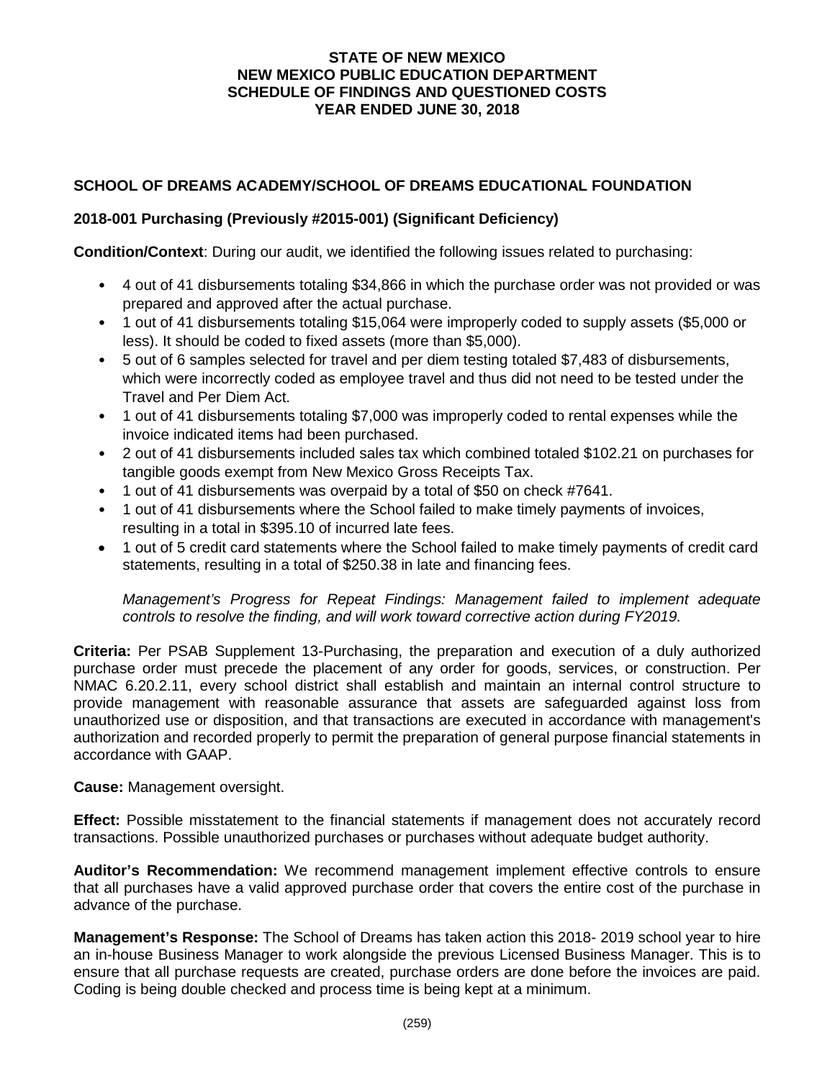# **SCHOOL OF DREAMS ACADEMY/SCHOOL OF DREAMS EDUCATIONAL FOUNDATION**

## **2018-001 Purchasing (Previously #2015-001) (Significant Deficiency)**

**Condition/Context**: During our audit, we identified the following issues related to purchasing:

- 4 out of 41 disbursements totaling \$34,866 in which the purchase order was not provided or was prepared and approved after the actual purchase.
- 1 out of 41 disbursements totaling \$15,064 were improperly coded to supply assets (\$5,000 or less). It should be coded to fixed assets (more than \$5,000).
- 5 out of 6 samples selected for travel and per diem testing totaled \$7,483 of disbursements, which were incorrectly coded as employee travel and thus did not need to be tested under the Travel and Per Diem Act.
- 1 out of 41 disbursements totaling \$7,000 was improperly coded to rental expenses while the invoice indicated items had been purchased.
- 2 out of 41 disbursements included sales tax which combined totaled \$102.21 on purchases for tangible goods exempt from New Mexico Gross Receipts Tax.
- 1 out of 41 disbursements was overpaid by a total of \$50 on check #7641.
- 1 out of 41 disbursements where the School failed to make timely payments of invoices, resulting in a total in \$395.10 of incurred late fees.
- 1 out of 5 credit card statements where the School failed to make timely payments of credit card statements, resulting in a total of \$250.38 in late and financing fees.

*Management's Progress for Repeat Findings: Management failed to implement adequate controls to resolve the finding, and will work toward corrective action during FY2019.*

**Criteria:** Per PSAB Supplement 13-Purchasing, the preparation and execution of a duly authorized purchase order must precede the placement of any order for goods, services, or construction. Per NMAC 6.20.2.11, every school district shall establish and maintain an internal control structure to provide management with reasonable assurance that assets are safeguarded against loss from unauthorized use or disposition, and that transactions are executed in accordance with management's authorization and recorded properly to permit the preparation of general purpose financial statements in accordance with GAAP.

**Cause:** Management oversight.

**Effect:** Possible misstatement to the financial statements if management does not accurately record transactions. Possible unauthorized purchases or purchases without adequate budget authority.

**Auditor's Recommendation:** We recommend management implement effective controls to ensure that all purchases have a valid approved purchase order that covers the entire cost of the purchase in advance of the purchase.

**Management's Response:** The School of Dreams has taken action this 2018- 2019 school year to hire an in-house Business Manager to work alongside the previous Licensed Business Manager. This is to ensure that all purchase requests are created, purchase orders are done before the invoices are paid. Coding is being double checked and process time is being kept at a minimum.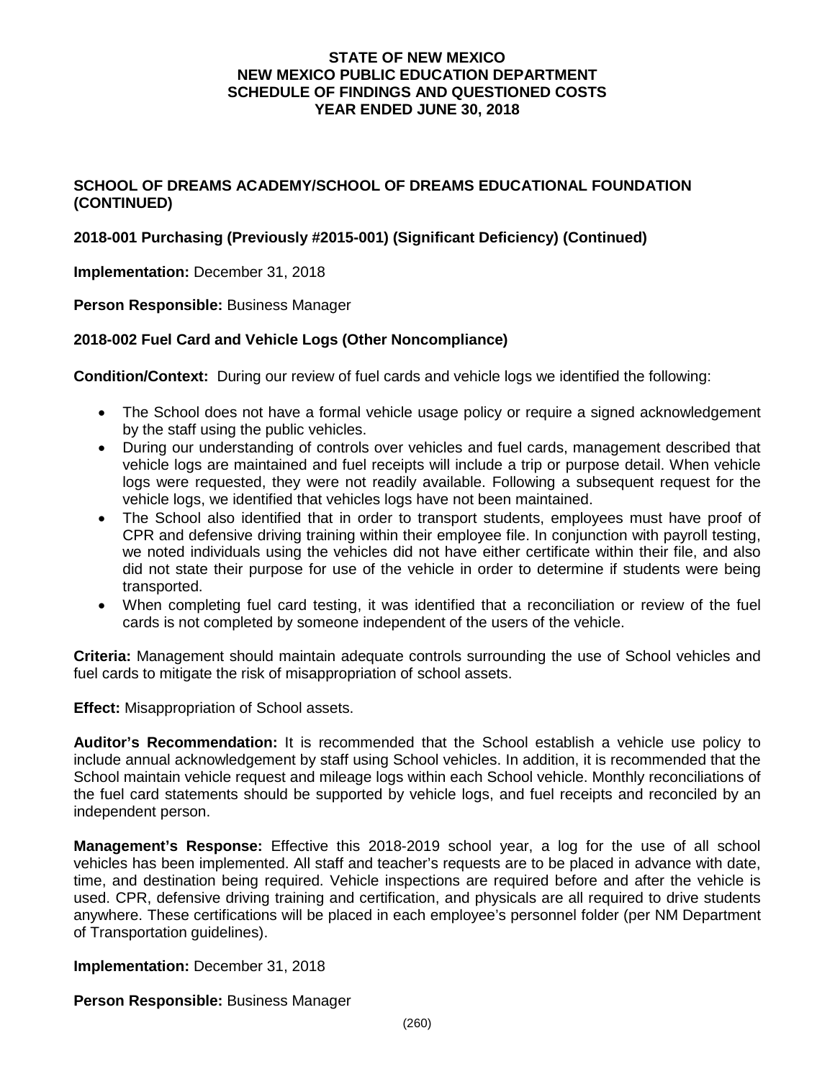## **SCHOOL OF DREAMS ACADEMY/SCHOOL OF DREAMS EDUCATIONAL FOUNDATION (CONTINUED)**

## **2018-001 Purchasing (Previously #2015-001) (Significant Deficiency) (Continued)**

**Implementation:** December 31, 2018

**Person Responsible:** Business Manager

## **2018-002 Fuel Card and Vehicle Logs (Other Noncompliance)**

**Condition/Context:** During our review of fuel cards and vehicle logs we identified the following:

- The School does not have a formal vehicle usage policy or require a signed acknowledgement by the staff using the public vehicles.
- During our understanding of controls over vehicles and fuel cards, management described that vehicle logs are maintained and fuel receipts will include a trip or purpose detail. When vehicle logs were requested, they were not readily available. Following a subsequent request for the vehicle logs, we identified that vehicles logs have not been maintained.
- The School also identified that in order to transport students, employees must have proof of CPR and defensive driving training within their employee file. In conjunction with payroll testing, we noted individuals using the vehicles did not have either certificate within their file, and also did not state their purpose for use of the vehicle in order to determine if students were being transported.
- When completing fuel card testing, it was identified that a reconciliation or review of the fuel cards is not completed by someone independent of the users of the vehicle.

**Criteria:** Management should maintain adequate controls surrounding the use of School vehicles and fuel cards to mitigate the risk of misappropriation of school assets.

**Effect:** Misappropriation of School assets.

**Auditor's Recommendation:** It is recommended that the School establish a vehicle use policy to include annual acknowledgement by staff using School vehicles. In addition, it is recommended that the School maintain vehicle request and mileage logs within each School vehicle. Monthly reconciliations of the fuel card statements should be supported by vehicle logs, and fuel receipts and reconciled by an independent person.

**Management's Response:** Effective this 2018-2019 school year, a log for the use of all school vehicles has been implemented. All staff and teacher's requests are to be placed in advance with date, time, and destination being required. Vehicle inspections are required before and after the vehicle is used. CPR, defensive driving training and certification, and physicals are all required to drive students anywhere. These certifications will be placed in each employee's personnel folder (per NM Department of Transportation guidelines).

**Implementation:** December 31, 2018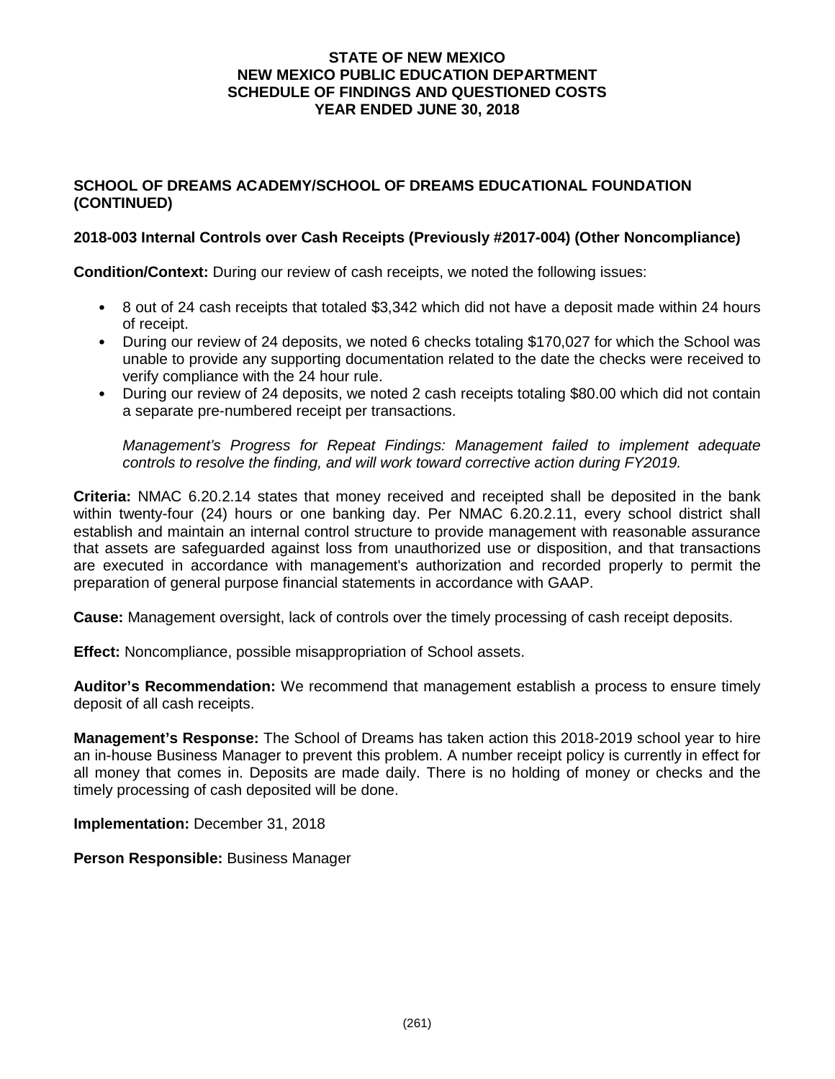# **SCHOOL OF DREAMS ACADEMY/SCHOOL OF DREAMS EDUCATIONAL FOUNDATION (CONTINUED)**

## **2018-003 Internal Controls over Cash Receipts (Previously #2017-004) (Other Noncompliance)**

**Condition/Context:** During our review of cash receipts, we noted the following issues:

- 8 out of 24 cash receipts that totaled \$3,342 which did not have a deposit made within 24 hours of receipt.
- During our review of 24 deposits, we noted 6 checks totaling \$170,027 for which the School was unable to provide any supporting documentation related to the date the checks were received to verify compliance with the 24 hour rule.
- During our review of 24 deposits, we noted 2 cash receipts totaling \$80.00 which did not contain a separate pre-numbered receipt per transactions.

*Management's Progress for Repeat Findings: Management failed to implement adequate controls to resolve the finding, and will work toward corrective action during FY2019.*

**Criteria:** NMAC 6.20.2.14 states that money received and receipted shall be deposited in the bank within twenty-four (24) hours or one banking day. Per NMAC 6.20.2.11, every school district shall establish and maintain an internal control structure to provide management with reasonable assurance that assets are safeguarded against loss from unauthorized use or disposition, and that transactions are executed in accordance with management's authorization and recorded properly to permit the preparation of general purpose financial statements in accordance with GAAP.

**Cause:** Management oversight, lack of controls over the timely processing of cash receipt deposits.

**Effect:** Noncompliance, possible misappropriation of School assets.

**Auditor's Recommendation:** We recommend that management establish a process to ensure timely deposit of all cash receipts.

**Management's Response:** The School of Dreams has taken action this 2018-2019 school year to hire an in-house Business Manager to prevent this problem. A number receipt policy is currently in effect for all money that comes in. Deposits are made daily. There is no holding of money or checks and the timely processing of cash deposited will be done.

**Implementation:** December 31, 2018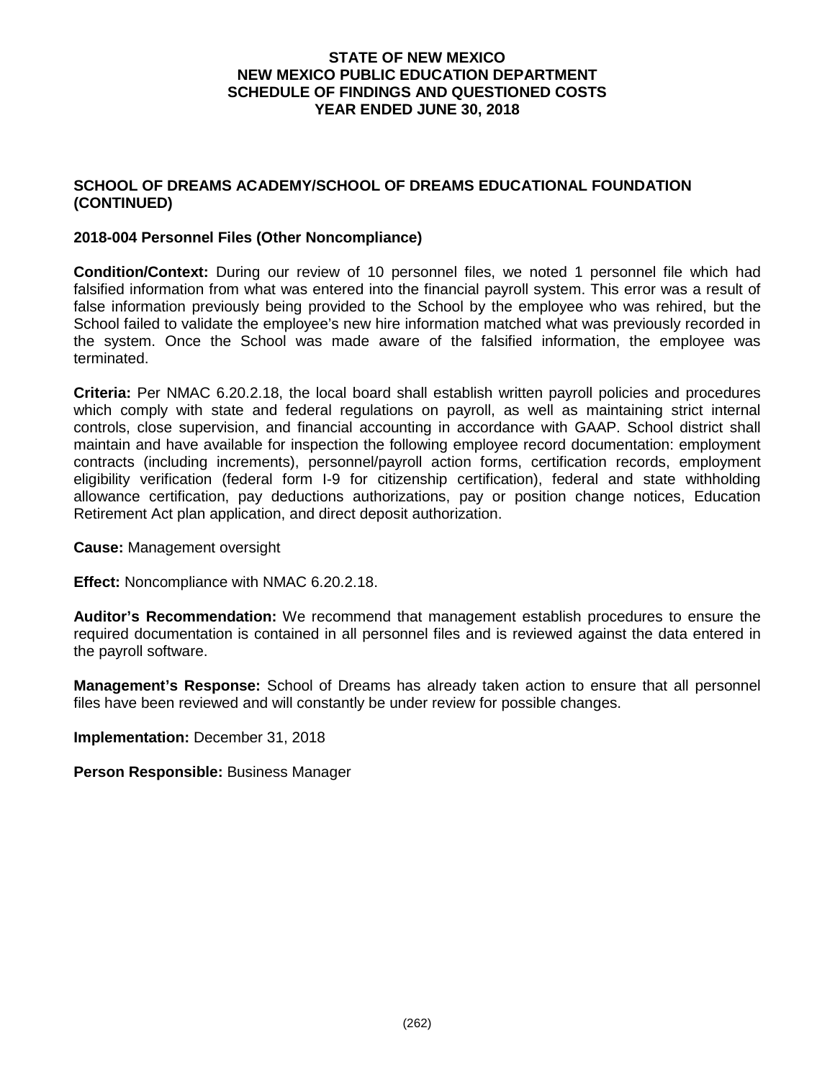## **SCHOOL OF DREAMS ACADEMY/SCHOOL OF DREAMS EDUCATIONAL FOUNDATION (CONTINUED)**

### **2018-004 Personnel Files (Other Noncompliance)**

**Condition/Context:** During our review of 10 personnel files, we noted 1 personnel file which had falsified information from what was entered into the financial payroll system. This error was a result of false information previously being provided to the School by the employee who was rehired, but the School failed to validate the employee's new hire information matched what was previously recorded in the system. Once the School was made aware of the falsified information, the employee was terminated.

**Criteria:** Per NMAC 6.20.2.18, the local board shall establish written payroll policies and procedures which comply with state and federal regulations on payroll, as well as maintaining strict internal controls, close supervision, and financial accounting in accordance with GAAP. School district shall maintain and have available for inspection the following employee record documentation: employment contracts (including increments), personnel/payroll action forms, certification records, employment eligibility verification (federal form I-9 for citizenship certification), federal and state withholding allowance certification, pay deductions authorizations, pay or position change notices, Education Retirement Act plan application, and direct deposit authorization.

**Cause:** Management oversight

**Effect:** Noncompliance with NMAC 6.20.2.18.

**Auditor's Recommendation:** We recommend that management establish procedures to ensure the required documentation is contained in all personnel files and is reviewed against the data entered in the payroll software.

**Management's Response:** School of Dreams has already taken action to ensure that all personnel files have been reviewed and will constantly be under review for possible changes.

**Implementation:** December 31, 2018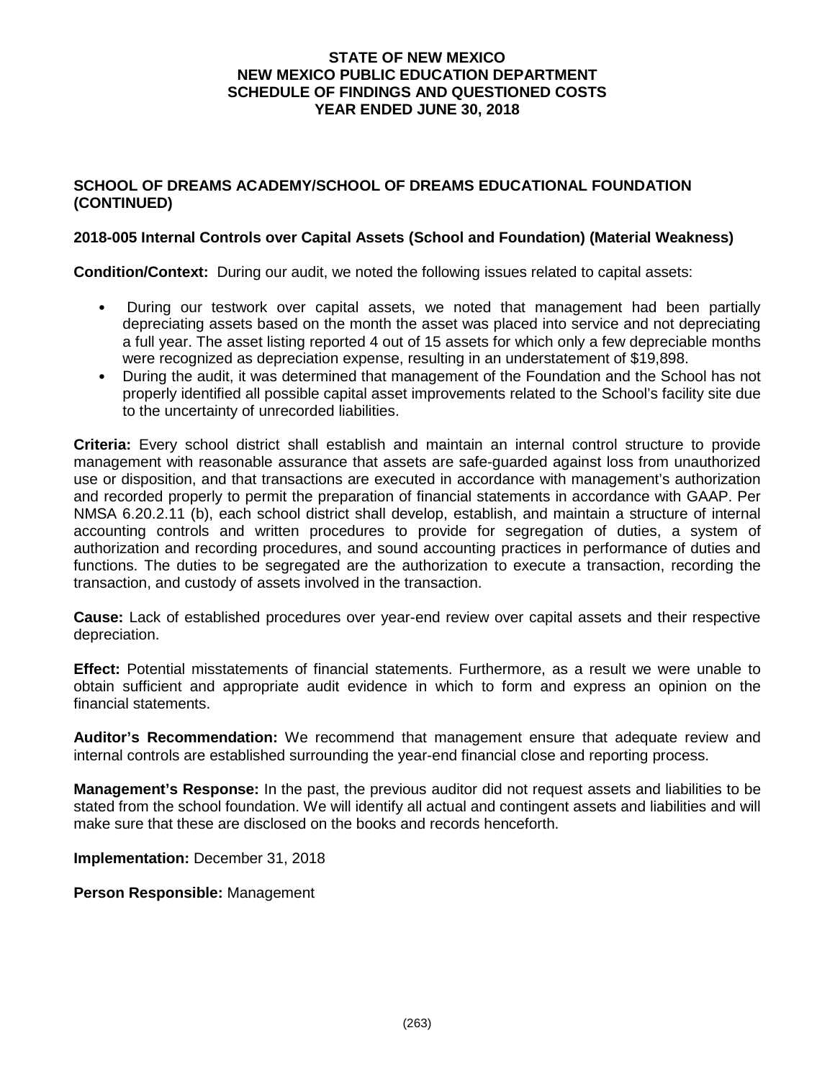## **SCHOOL OF DREAMS ACADEMY/SCHOOL OF DREAMS EDUCATIONAL FOUNDATION (CONTINUED)**

### **2018-005 Internal Controls over Capital Assets (School and Foundation) (Material Weakness)**

**Condition/Context:** During our audit, we noted the following issues related to capital assets:

- During our testwork over capital assets, we noted that management had been partially depreciating assets based on the month the asset was placed into service and not depreciating a full year. The asset listing reported 4 out of 15 assets for which only a few depreciable months were recognized as depreciation expense, resulting in an understatement of \$19,898.
- During the audit, it was determined that management of the Foundation and the School has not properly identified all possible capital asset improvements related to the School's facility site due to the uncertainty of unrecorded liabilities.

**Criteria:** Every school district shall establish and maintain an internal control structure to provide management with reasonable assurance that assets are safe-guarded against loss from unauthorized use or disposition, and that transactions are executed in accordance with management's authorization and recorded properly to permit the preparation of financial statements in accordance with GAAP. Per NMSA 6.20.2.11 (b), each school district shall develop, establish, and maintain a structure of internal accounting controls and written procedures to provide for segregation of duties, a system of authorization and recording procedures, and sound accounting practices in performance of duties and functions. The duties to be segregated are the authorization to execute a transaction, recording the transaction, and custody of assets involved in the transaction.

**Cause:** Lack of established procedures over year-end review over capital assets and their respective depreciation.

**Effect:** Potential misstatements of financial statements. Furthermore, as a result we were unable to obtain sufficient and appropriate audit evidence in which to form and express an opinion on the financial statements.

**Auditor's Recommendation:** We recommend that management ensure that adequate review and internal controls are established surrounding the year-end financial close and reporting process.

**Management's Response:** In the past, the previous auditor did not request assets and liabilities to be stated from the school foundation. We will identify all actual and contingent assets and liabilities and will make sure that these are disclosed on the books and records henceforth.

**Implementation:** December 31, 2018

**Person Responsible:** Management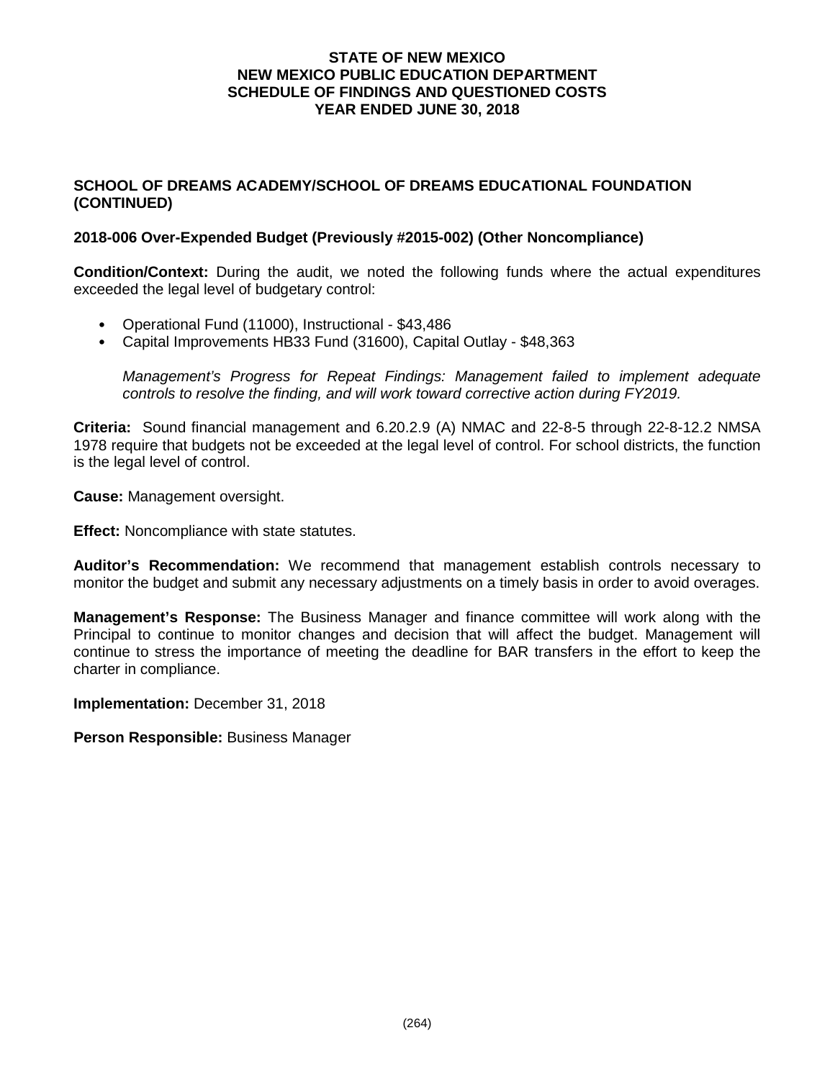# **SCHOOL OF DREAMS ACADEMY/SCHOOL OF DREAMS EDUCATIONAL FOUNDATION (CONTINUED)**

## **2018-006 Over-Expended Budget (Previously #2015-002) (Other Noncompliance)**

**Condition/Context:** During the audit, we noted the following funds where the actual expenditures exceeded the legal level of budgetary control:

- Operational Fund (11000), Instructional \$43,486
- Capital Improvements HB33 Fund (31600), Capital Outlay \$48,363

*Management's Progress for Repeat Findings: Management failed to implement adequate controls to resolve the finding, and will work toward corrective action during FY2019.*

**Criteria:** Sound financial management and 6.20.2.9 (A) NMAC and 22-8-5 through 22-8-12.2 NMSA 1978 require that budgets not be exceeded at the legal level of control. For school districts, the function is the legal level of control.

**Cause:** Management oversight.

**Effect:** Noncompliance with state statutes.

**Auditor's Recommendation:** We recommend that management establish controls necessary to monitor the budget and submit any necessary adjustments on a timely basis in order to avoid overages.

**Management's Response:** The Business Manager and finance committee will work along with the Principal to continue to monitor changes and decision that will affect the budget. Management will continue to stress the importance of meeting the deadline for BAR transfers in the effort to keep the charter in compliance.

**Implementation:** December 31, 2018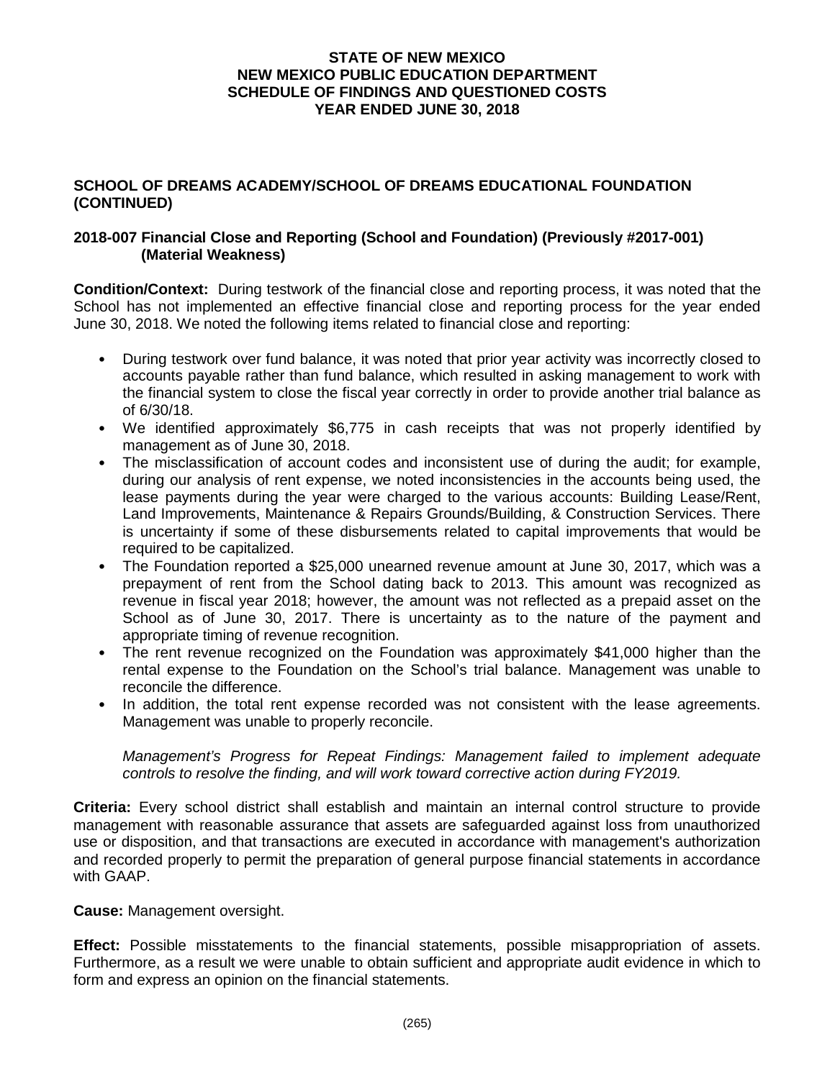# **SCHOOL OF DREAMS ACADEMY/SCHOOL OF DREAMS EDUCATIONAL FOUNDATION (CONTINUED)**

## **2018-007 Financial Close and Reporting (School and Foundation) (Previously #2017-001) (Material Weakness)**

**Condition/Context:** During testwork of the financial close and reporting process, it was noted that the School has not implemented an effective financial close and reporting process for the year ended June 30, 2018. We noted the following items related to financial close and reporting:

- During testwork over fund balance, it was noted that prior year activity was incorrectly closed to accounts payable rather than fund balance, which resulted in asking management to work with the financial system to close the fiscal year correctly in order to provide another trial balance as of 6/30/18.
- We identified approximately \$6,775 in cash receipts that was not properly identified by management as of June 30, 2018.
- The misclassification of account codes and inconsistent use of during the audit; for example, during our analysis of rent expense, we noted inconsistencies in the accounts being used, the lease payments during the year were charged to the various accounts: Building Lease/Rent, Land Improvements, Maintenance & Repairs Grounds/Building, & Construction Services. There is uncertainty if some of these disbursements related to capital improvements that would be required to be capitalized.
- The Foundation reported a \$25,000 unearned revenue amount at June 30, 2017, which was a prepayment of rent from the School dating back to 2013. This amount was recognized as revenue in fiscal year 2018; however, the amount was not reflected as a prepaid asset on the School as of June 30, 2017. There is uncertainty as to the nature of the payment and appropriate timing of revenue recognition.
- The rent revenue recognized on the Foundation was approximately \$41,000 higher than the rental expense to the Foundation on the School's trial balance. Management was unable to reconcile the difference.
- In addition, the total rent expense recorded was not consistent with the lease agreements. Management was unable to properly reconcile.

*Management's Progress for Repeat Findings: Management failed to implement adequate controls to resolve the finding, and will work toward corrective action during FY2019.*

**Criteria:** Every school district shall establish and maintain an internal control structure to provide management with reasonable assurance that assets are safeguarded against loss from unauthorized use or disposition, and that transactions are executed in accordance with management's authorization and recorded properly to permit the preparation of general purpose financial statements in accordance with GAAP.

**Cause:** Management oversight.

**Effect:** Possible misstatements to the financial statements, possible misappropriation of assets. Furthermore, as a result we were unable to obtain sufficient and appropriate audit evidence in which to form and express an opinion on the financial statements.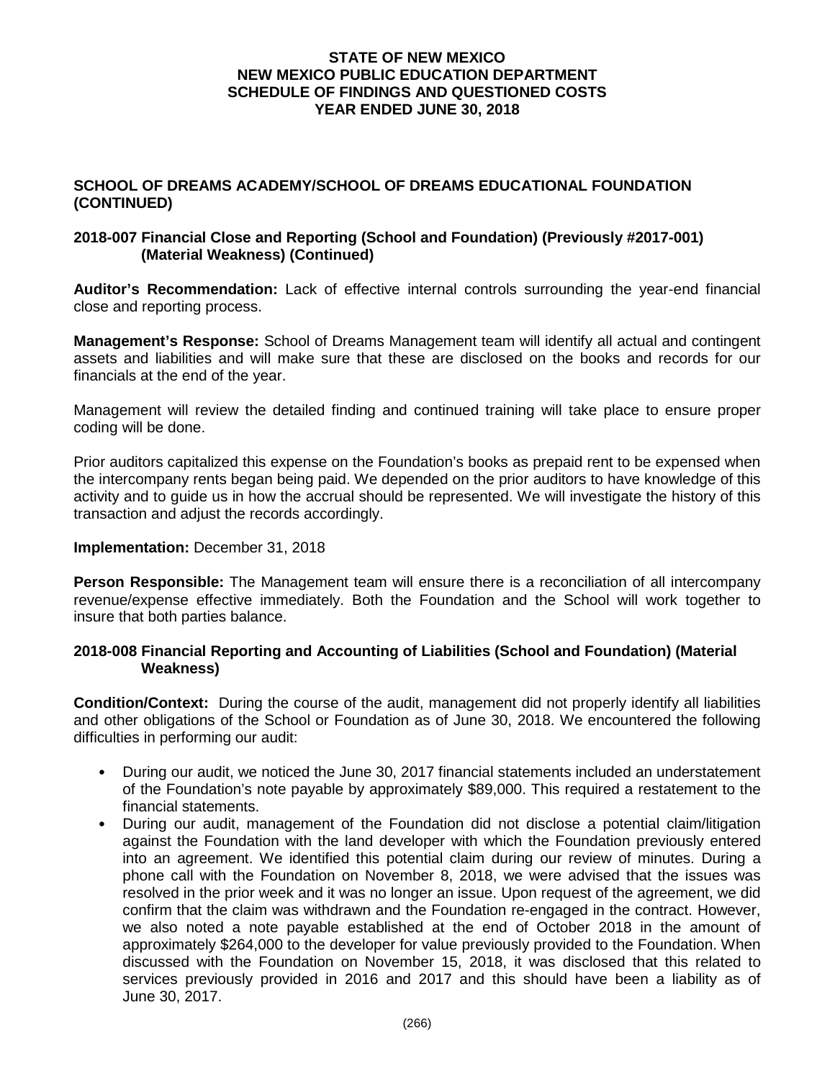## **SCHOOL OF DREAMS ACADEMY/SCHOOL OF DREAMS EDUCATIONAL FOUNDATION (CONTINUED)**

## **2018-007 Financial Close and Reporting (School and Foundation) (Previously #2017-001) (Material Weakness) (Continued)**

**Auditor's Recommendation:** Lack of effective internal controls surrounding the year-end financial close and reporting process.

**Management's Response:** School of Dreams Management team will identify all actual and contingent assets and liabilities and will make sure that these are disclosed on the books and records for our financials at the end of the year.

Management will review the detailed finding and continued training will take place to ensure proper coding will be done.

Prior auditors capitalized this expense on the Foundation's books as prepaid rent to be expensed when the intercompany rents began being paid. We depended on the prior auditors to have knowledge of this activity and to guide us in how the accrual should be represented. We will investigate the history of this transaction and adjust the records accordingly.

#### **Implementation:** December 31, 2018

**Person Responsible:** The Management team will ensure there is a reconciliation of all intercompany revenue/expense effective immediately. Both the Foundation and the School will work together to insure that both parties balance.

#### **2018-008 Financial Reporting and Accounting of Liabilities (School and Foundation) (Material Weakness)**

**Condition/Context:** During the course of the audit, management did not properly identify all liabilities and other obligations of the School or Foundation as of June 30, 2018. We encountered the following difficulties in performing our audit:

- During our audit, we noticed the June 30, 2017 financial statements included an understatement of the Foundation's note payable by approximately \$89,000. This required a restatement to the financial statements.
- During our audit, management of the Foundation did not disclose a potential claim/litigation against the Foundation with the land developer with which the Foundation previously entered into an agreement. We identified this potential claim during our review of minutes. During a phone call with the Foundation on November 8, 2018, we were advised that the issues was resolved in the prior week and it was no longer an issue. Upon request of the agreement, we did confirm that the claim was withdrawn and the Foundation re-engaged in the contract. However, we also noted a note payable established at the end of October 2018 in the amount of approximately \$264,000 to the developer for value previously provided to the Foundation. When discussed with the Foundation on November 15, 2018, it was disclosed that this related to services previously provided in 2016 and 2017 and this should have been a liability as of June 30, 2017.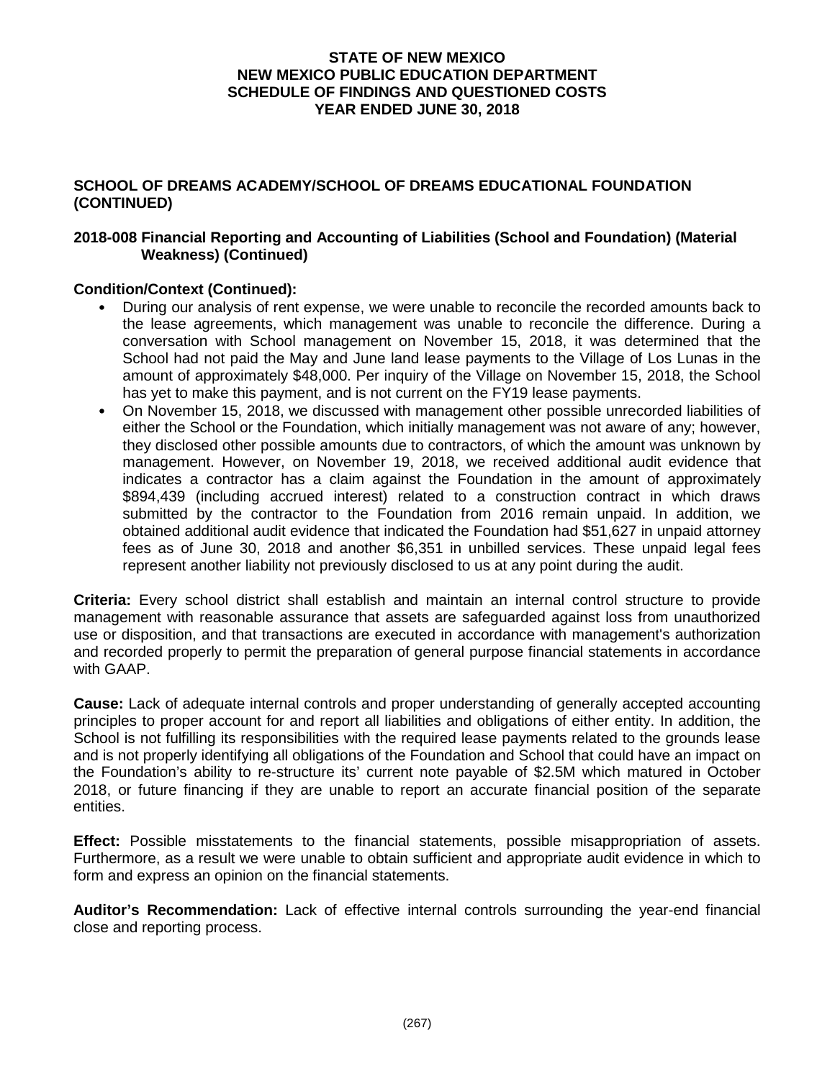# **SCHOOL OF DREAMS ACADEMY/SCHOOL OF DREAMS EDUCATIONAL FOUNDATION (CONTINUED)**

## **2018-008 Financial Reporting and Accounting of Liabilities (School and Foundation) (Material Weakness) (Continued)**

## **Condition/Context (Continued):**

- During our analysis of rent expense, we were unable to reconcile the recorded amounts back to the lease agreements, which management was unable to reconcile the difference. During a conversation with School management on November 15, 2018, it was determined that the School had not paid the May and June land lease payments to the Village of Los Lunas in the amount of approximately \$48,000. Per inquiry of the Village on November 15, 2018, the School has yet to make this payment, and is not current on the FY19 lease payments.
- On November 15, 2018, we discussed with management other possible unrecorded liabilities of either the School or the Foundation, which initially management was not aware of any; however, they disclosed other possible amounts due to contractors, of which the amount was unknown by management. However, on November 19, 2018, we received additional audit evidence that indicates a contractor has a claim against the Foundation in the amount of approximately \$894,439 (including accrued interest) related to a construction contract in which draws submitted by the contractor to the Foundation from 2016 remain unpaid. In addition, we obtained additional audit evidence that indicated the Foundation had \$51,627 in unpaid attorney fees as of June 30, 2018 and another \$6,351 in unbilled services. These unpaid legal fees represent another liability not previously disclosed to us at any point during the audit.

**Criteria:** Every school district shall establish and maintain an internal control structure to provide management with reasonable assurance that assets are safeguarded against loss from unauthorized use or disposition, and that transactions are executed in accordance with management's authorization and recorded properly to permit the preparation of general purpose financial statements in accordance with GAAP.

**Cause:** Lack of adequate internal controls and proper understanding of generally accepted accounting principles to proper account for and report all liabilities and obligations of either entity. In addition, the School is not fulfilling its responsibilities with the required lease payments related to the grounds lease and is not properly identifying all obligations of the Foundation and School that could have an impact on the Foundation's ability to re-structure its' current note payable of \$2.5M which matured in October 2018, or future financing if they are unable to report an accurate financial position of the separate entities.

**Effect:** Possible misstatements to the financial statements, possible misappropriation of assets. Furthermore, as a result we were unable to obtain sufficient and appropriate audit evidence in which to form and express an opinion on the financial statements.

**Auditor's Recommendation:** Lack of effective internal controls surrounding the year-end financial close and reporting process.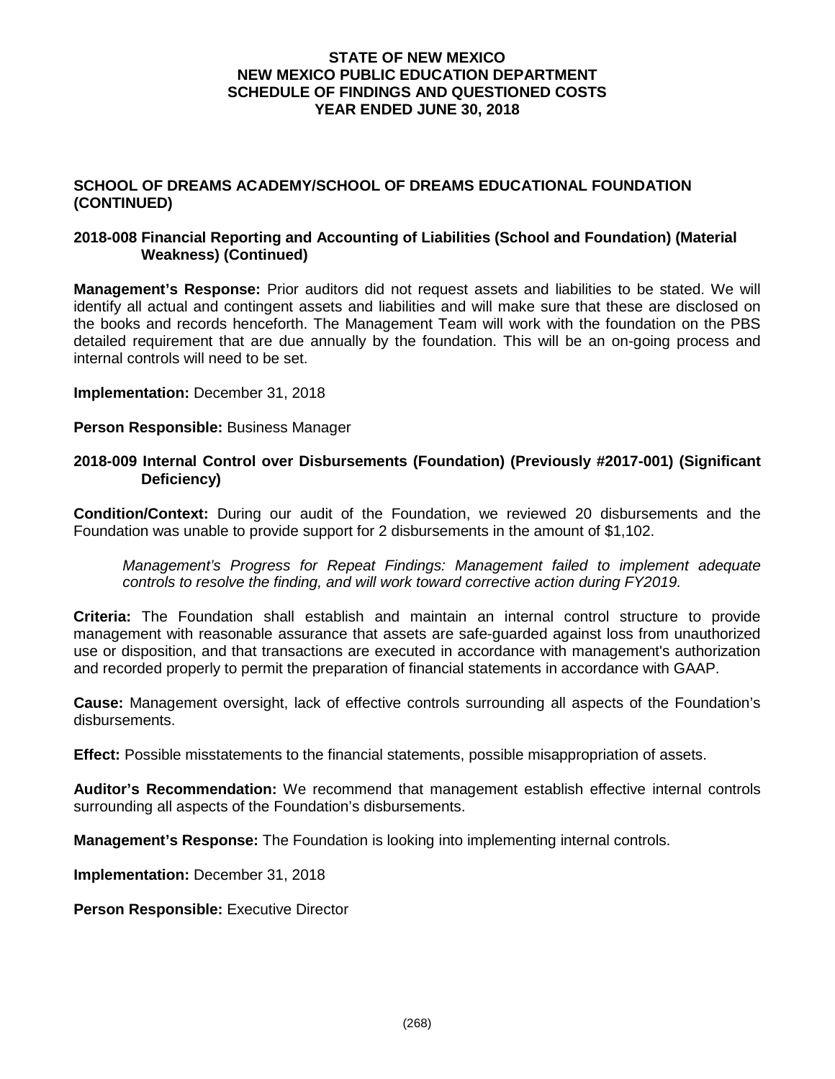## **SCHOOL OF DREAMS ACADEMY/SCHOOL OF DREAMS EDUCATIONAL FOUNDATION (CONTINUED)**

## **2018-008 Financial Reporting and Accounting of Liabilities (School and Foundation) (Material Weakness) (Continued)**

**Management's Response:** Prior auditors did not request assets and liabilities to be stated. We will identify all actual and contingent assets and liabilities and will make sure that these are disclosed on the books and records henceforth. The Management Team will work with the foundation on the PBS detailed requirement that are due annually by the foundation. This will be an on-going process and internal controls will need to be set.

**Implementation:** December 31, 2018

#### **Person Responsible:** Business Manager

## **2018-009 Internal Control over Disbursements (Foundation) (Previously #2017-001) (Significant Deficiency)**

**Condition/Context:** During our audit of the Foundation, we reviewed 20 disbursements and the Foundation was unable to provide support for 2 disbursements in the amount of \$1,102.

*Management's Progress for Repeat Findings: Management failed to implement adequate controls to resolve the finding, and will work toward corrective action during FY2019.*

**Criteria:** The Foundation shall establish and maintain an internal control structure to provide management with reasonable assurance that assets are safe-guarded against loss from unauthorized use or disposition, and that transactions are executed in accordance with management's authorization and recorded properly to permit the preparation of financial statements in accordance with GAAP.

**Cause:** Management oversight, lack of effective controls surrounding all aspects of the Foundation's disbursements.

**Effect:** Possible misstatements to the financial statements, possible misappropriation of assets.

**Auditor's Recommendation:** We recommend that management establish effective internal controls surrounding all aspects of the Foundation's disbursements.

**Management's Response:** The Foundation is looking into implementing internal controls.

**Implementation:** December 31, 2018

**Person Responsible:** Executive Director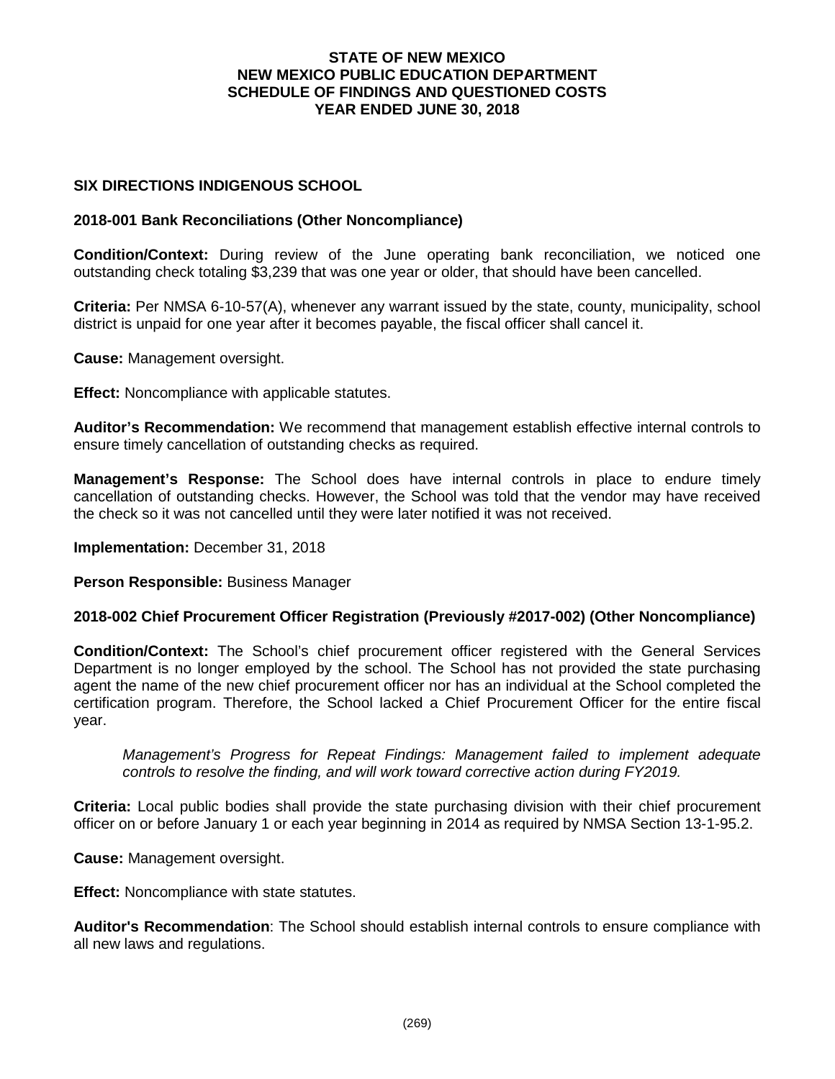## **SIX DIRECTIONS INDIGENOUS SCHOOL**

## **2018-001 Bank Reconciliations (Other Noncompliance)**

**Condition/Context:** During review of the June operating bank reconciliation, we noticed one outstanding check totaling \$3,239 that was one year or older, that should have been cancelled.

**Criteria:** Per NMSA 6-10-57(A), whenever any warrant issued by the state, county, municipality, school district is unpaid for one year after it becomes payable, the fiscal officer shall cancel it.

**Cause:** Management oversight.

**Effect:** Noncompliance with applicable statutes.

**Auditor's Recommendation:** We recommend that management establish effective internal controls to ensure timely cancellation of outstanding checks as required.

**Management's Response:** The School does have internal controls in place to endure timely cancellation of outstanding checks. However, the School was told that the vendor may have received the check so it was not cancelled until they were later notified it was not received.

**Implementation:** December 31, 2018

**Person Responsible:** Business Manager

#### **2018-002 Chief Procurement Officer Registration (Previously #2017-002) (Other Noncompliance)**

**Condition/Context:** The School's chief procurement officer registered with the General Services Department is no longer employed by the school. The School has not provided the state purchasing agent the name of the new chief procurement officer nor has an individual at the School completed the certification program. Therefore, the School lacked a Chief Procurement Officer for the entire fiscal year.

*Management's Progress for Repeat Findings: Management failed to implement adequate controls to resolve the finding, and will work toward corrective action during FY2019.*

**Criteria:** Local public bodies shall provide the state purchasing division with their chief procurement officer on or before January 1 or each year beginning in 2014 as required by NMSA Section 13-1-95.2.

**Cause:** Management oversight.

**Effect:** Noncompliance with state statutes.

**Auditor's Recommendation**: The School should establish internal controls to ensure compliance with all new laws and regulations.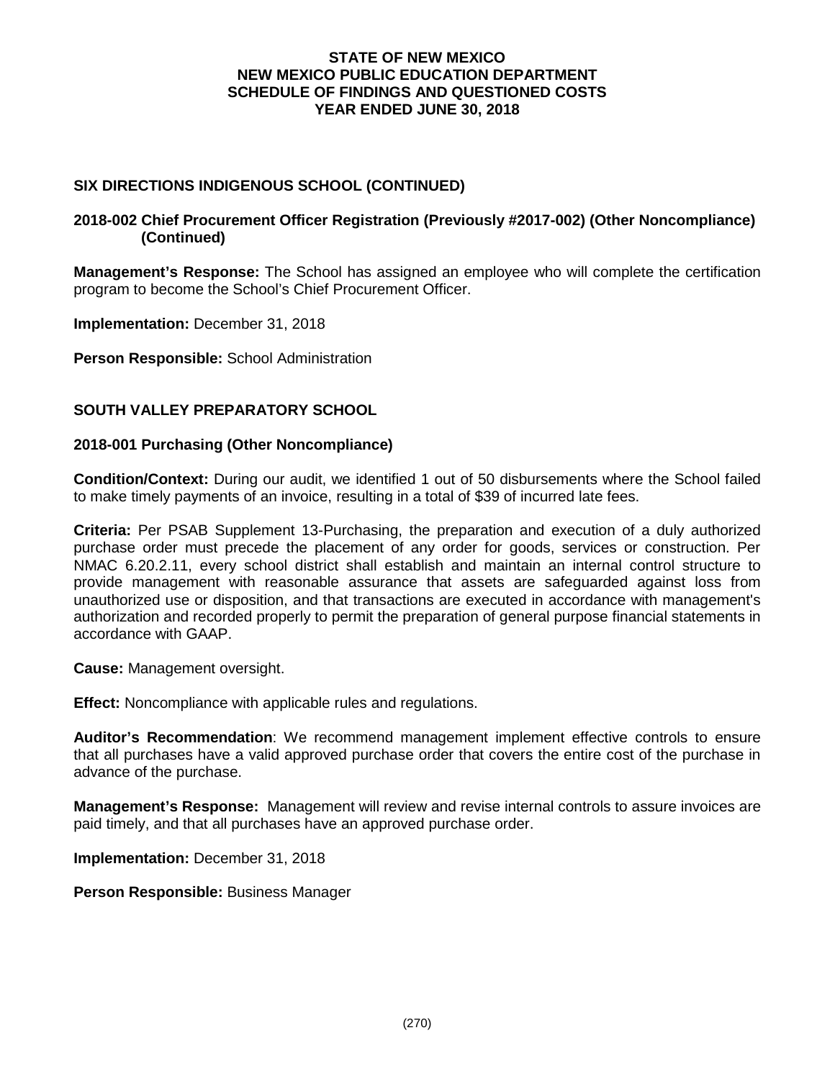# **SIX DIRECTIONS INDIGENOUS SCHOOL (CONTINUED)**

## **2018-002 Chief Procurement Officer Registration (Previously #2017-002) (Other Noncompliance) (Continued)**

**Management's Response:** The School has assigned an employee who will complete the certification program to become the School's Chief Procurement Officer.

**Implementation:** December 31, 2018

**Person Responsible:** School Administration

## **SOUTH VALLEY PREPARATORY SCHOOL**

#### **2018-001 Purchasing (Other Noncompliance)**

**Condition/Context:** During our audit, we identified 1 out of 50 disbursements where the School failed to make timely payments of an invoice, resulting in a total of \$39 of incurred late fees.

**Criteria:** Per PSAB Supplement 13-Purchasing, the preparation and execution of a duly authorized purchase order must precede the placement of any order for goods, services or construction. Per NMAC 6.20.2.11, every school district shall establish and maintain an internal control structure to provide management with reasonable assurance that assets are safeguarded against loss from unauthorized use or disposition, and that transactions are executed in accordance with management's authorization and recorded properly to permit the preparation of general purpose financial statements in accordance with GAAP.

**Cause:** Management oversight.

**Effect:** Noncompliance with applicable rules and regulations.

**Auditor's Recommendation**: We recommend management implement effective controls to ensure that all purchases have a valid approved purchase order that covers the entire cost of the purchase in advance of the purchase.

**Management's Response:** Management will review and revise internal controls to assure invoices are paid timely, and that all purchases have an approved purchase order.

**Implementation:** December 31, 2018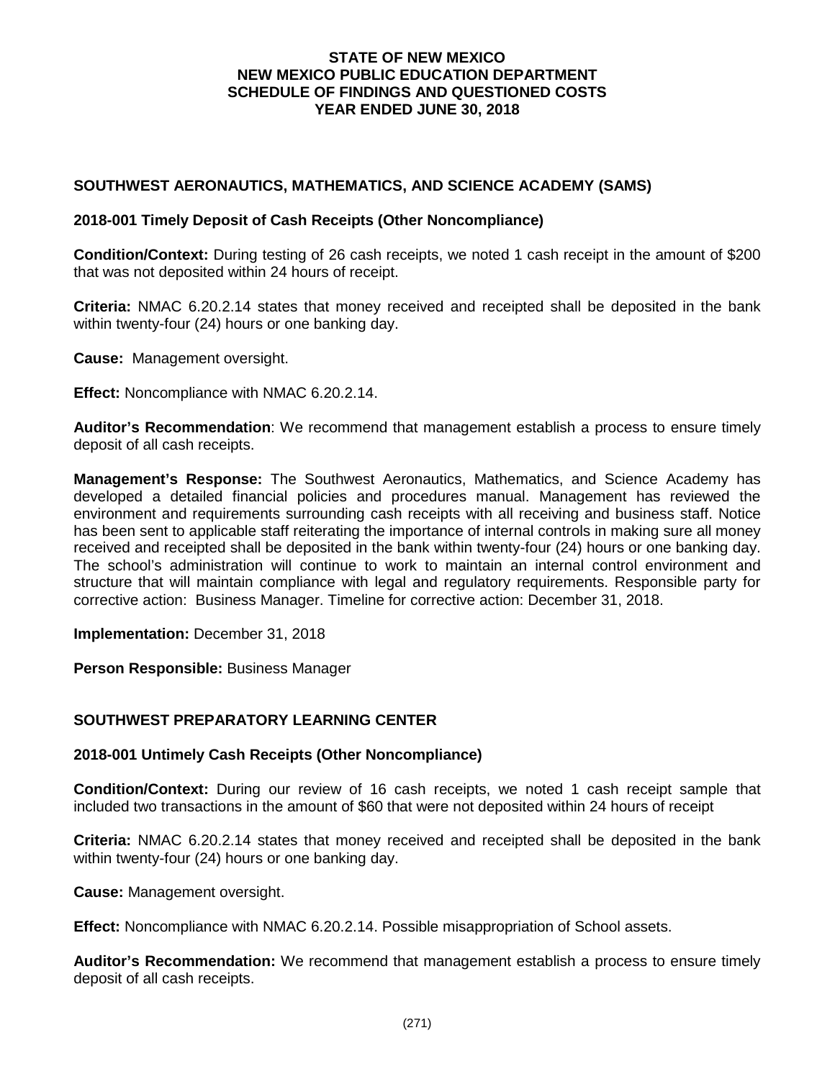## **SOUTHWEST AERONAUTICS, MATHEMATICS, AND SCIENCE ACADEMY (SAMS)**

## **2018-001 Timely Deposit of Cash Receipts (Other Noncompliance)**

**Condition/Context:** During testing of 26 cash receipts, we noted 1 cash receipt in the amount of \$200 that was not deposited within 24 hours of receipt.

**Criteria:** NMAC 6.20.2.14 states that money received and receipted shall be deposited in the bank within twenty-four (24) hours or one banking day.

**Cause:** Management oversight.

**Effect:** Noncompliance with NMAC 6.20.2.14.

**Auditor's Recommendation**: We recommend that management establish a process to ensure timely deposit of all cash receipts.

**Management's Response:** The Southwest Aeronautics, Mathematics, and Science Academy has developed a detailed financial policies and procedures manual. Management has reviewed the environment and requirements surrounding cash receipts with all receiving and business staff. Notice has been sent to applicable staff reiterating the importance of internal controls in making sure all money received and receipted shall be deposited in the bank within twenty-four (24) hours or one banking day. The school's administration will continue to work to maintain an internal control environment and structure that will maintain compliance with legal and regulatory requirements. Responsible party for corrective action: Business Manager. Timeline for corrective action: December 31, 2018.

**Implementation:** December 31, 2018

**Person Responsible:** Business Manager

## **SOUTHWEST PREPARATORY LEARNING CENTER**

## **2018-001 Untimely Cash Receipts (Other Noncompliance)**

**Condition/Context:** During our review of 16 cash receipts, we noted 1 cash receipt sample that included two transactions in the amount of \$60 that were not deposited within 24 hours of receipt

**Criteria:** NMAC 6.20.2.14 states that money received and receipted shall be deposited in the bank within twenty-four (24) hours or one banking day.

**Cause:** Management oversight.

**Effect:** Noncompliance with NMAC 6.20.2.14. Possible misappropriation of School assets.

**Auditor's Recommendation:** We recommend that management establish a process to ensure timely deposit of all cash receipts.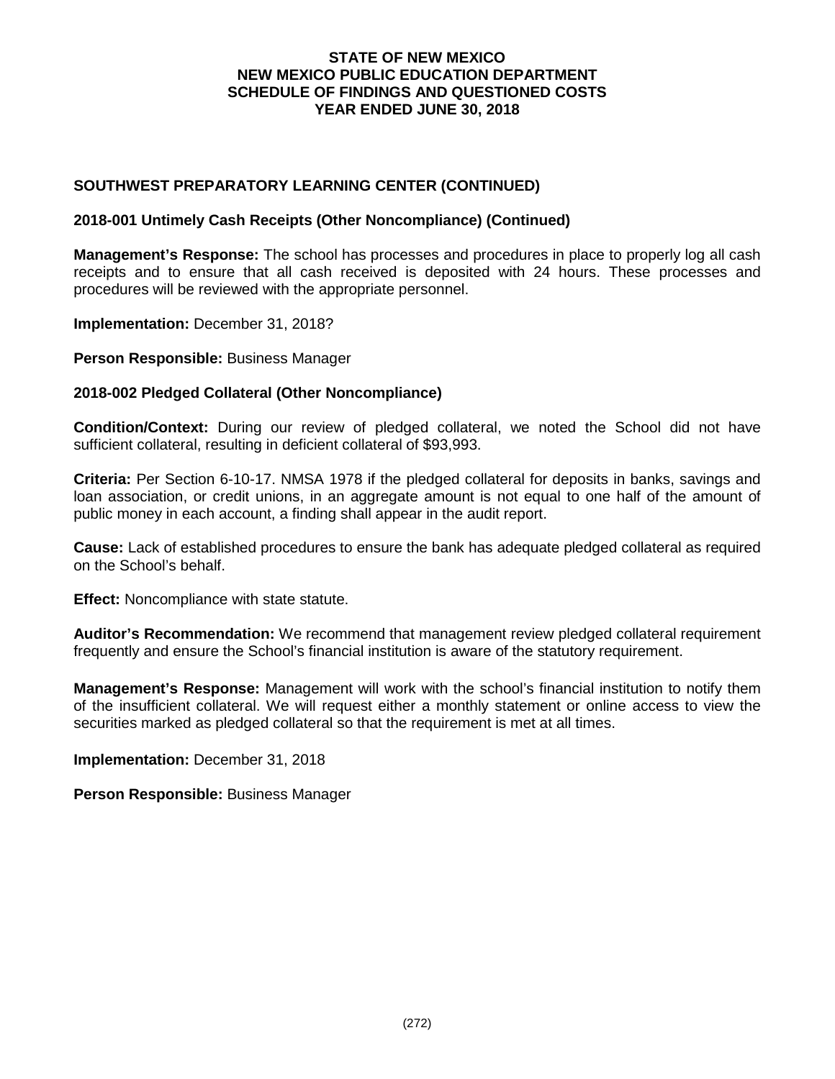## **SOUTHWEST PREPARATORY LEARNING CENTER (CONTINUED)**

## **2018-001 Untimely Cash Receipts (Other Noncompliance) (Continued)**

**Management's Response:** The school has processes and procedures in place to properly log all cash receipts and to ensure that all cash received is deposited with 24 hours. These processes and procedures will be reviewed with the appropriate personnel.

**Implementation:** December 31, 2018?

**Person Responsible:** Business Manager

#### **2018-002 Pledged Collateral (Other Noncompliance)**

**Condition/Context:** During our review of pledged collateral, we noted the School did not have sufficient collateral, resulting in deficient collateral of \$93,993.

**Criteria:** Per Section 6-10-17. NMSA 1978 if the pledged collateral for deposits in banks, savings and loan association, or credit unions, in an aggregate amount is not equal to one half of the amount of public money in each account, a finding shall appear in the audit report.

**Cause:** Lack of established procedures to ensure the bank has adequate pledged collateral as required on the School's behalf.

**Effect:** Noncompliance with state statute.

**Auditor's Recommendation:** We recommend that management review pledged collateral requirement frequently and ensure the School's financial institution is aware of the statutory requirement.

**Management's Response:** Management will work with the school's financial institution to notify them of the insufficient collateral. We will request either a monthly statement or online access to view the securities marked as pledged collateral so that the requirement is met at all times.

**Implementation:** December 31, 2018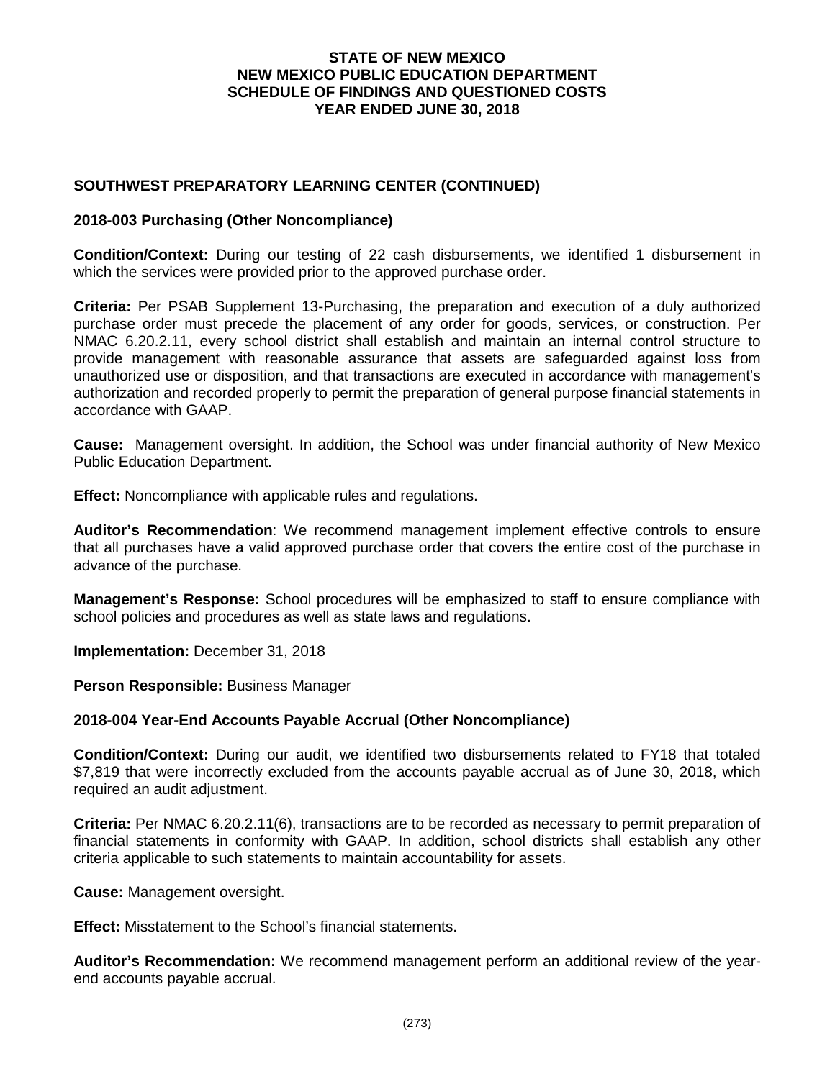## **SOUTHWEST PREPARATORY LEARNING CENTER (CONTINUED)**

## **2018-003 Purchasing (Other Noncompliance)**

**Condition/Context:** During our testing of 22 cash disbursements, we identified 1 disbursement in which the services were provided prior to the approved purchase order.

**Criteria:** Per PSAB Supplement 13-Purchasing, the preparation and execution of a duly authorized purchase order must precede the placement of any order for goods, services, or construction. Per NMAC 6.20.2.11, every school district shall establish and maintain an internal control structure to provide management with reasonable assurance that assets are safeguarded against loss from unauthorized use or disposition, and that transactions are executed in accordance with management's authorization and recorded properly to permit the preparation of general purpose financial statements in accordance with GAAP.

**Cause:** Management oversight. In addition, the School was under financial authority of New Mexico Public Education Department.

**Effect:** Noncompliance with applicable rules and regulations.

**Auditor's Recommendation**: We recommend management implement effective controls to ensure that all purchases have a valid approved purchase order that covers the entire cost of the purchase in advance of the purchase.

**Management's Response:** School procedures will be emphasized to staff to ensure compliance with school policies and procedures as well as state laws and regulations.

**Implementation:** December 31, 2018

**Person Responsible:** Business Manager

## **2018-004 Year-End Accounts Payable Accrual (Other Noncompliance)**

**Condition/Context:** During our audit, we identified two disbursements related to FY18 that totaled \$7,819 that were incorrectly excluded from the accounts payable accrual as of June 30, 2018, which required an audit adjustment.

**Criteria:** Per NMAC 6.20.2.11(6), transactions are to be recorded as necessary to permit preparation of financial statements in conformity with GAAP. In addition, school districts shall establish any other criteria applicable to such statements to maintain accountability for assets.

**Cause:** Management oversight.

**Effect:** Misstatement to the School's financial statements.

**Auditor's Recommendation:** We recommend management perform an additional review of the yearend accounts payable accrual.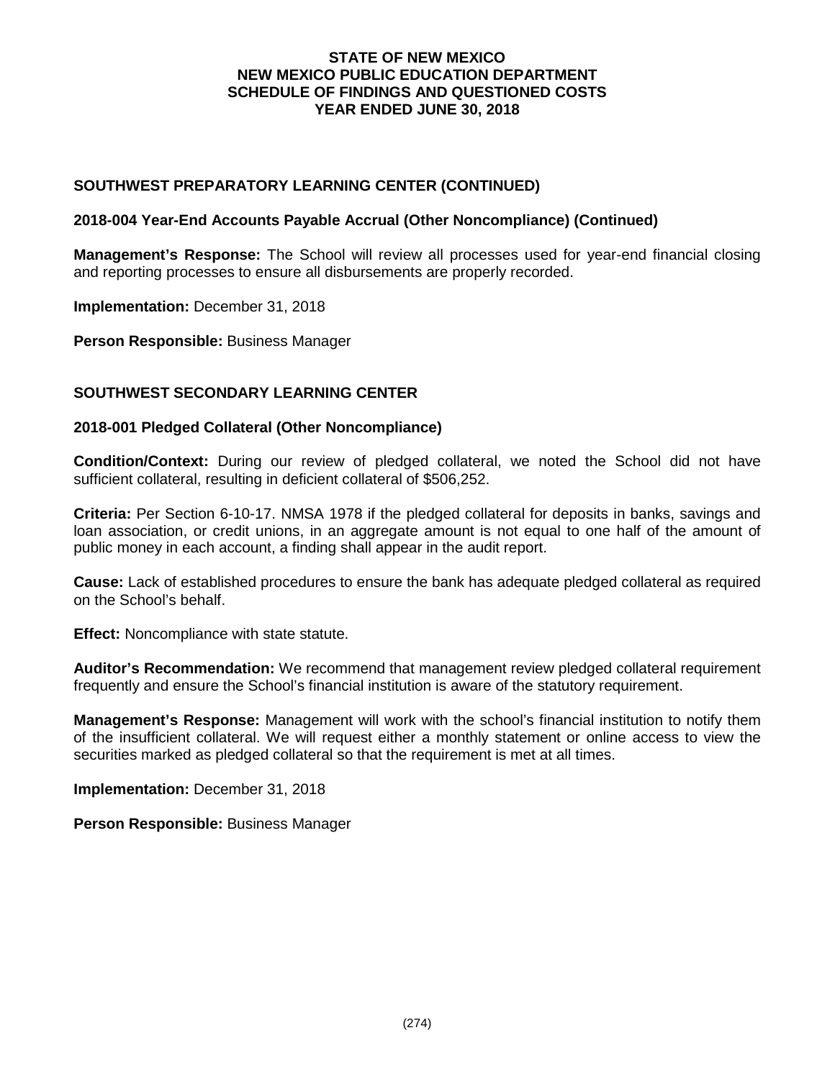## **SOUTHWEST PREPARATORY LEARNING CENTER (CONTINUED)**

## **2018-004 Year-End Accounts Payable Accrual (Other Noncompliance) (Continued)**

**Management's Response:** The School will review all processes used for year-end financial closing and reporting processes to ensure all disbursements are properly recorded.

**Implementation:** December 31, 2018

**Person Responsible:** Business Manager

## **SOUTHWEST SECONDARY LEARNING CENTER**

#### **2018-001 Pledged Collateral (Other Noncompliance)**

**Condition/Context:** During our review of pledged collateral, we noted the School did not have sufficient collateral, resulting in deficient collateral of \$506,252.

**Criteria:** Per Section 6-10-17. NMSA 1978 if the pledged collateral for deposits in banks, savings and loan association, or credit unions, in an aggregate amount is not equal to one half of the amount of public money in each account, a finding shall appear in the audit report.

**Cause:** Lack of established procedures to ensure the bank has adequate pledged collateral as required on the School's behalf.

**Effect:** Noncompliance with state statute.

**Auditor's Recommendation:** We recommend that management review pledged collateral requirement frequently and ensure the School's financial institution is aware of the statutory requirement.

**Management's Response:** Management will work with the school's financial institution to notify them of the insufficient collateral. We will request either a monthly statement or online access to view the securities marked as pledged collateral so that the requirement is met at all times.

**Implementation:** December 31, 2018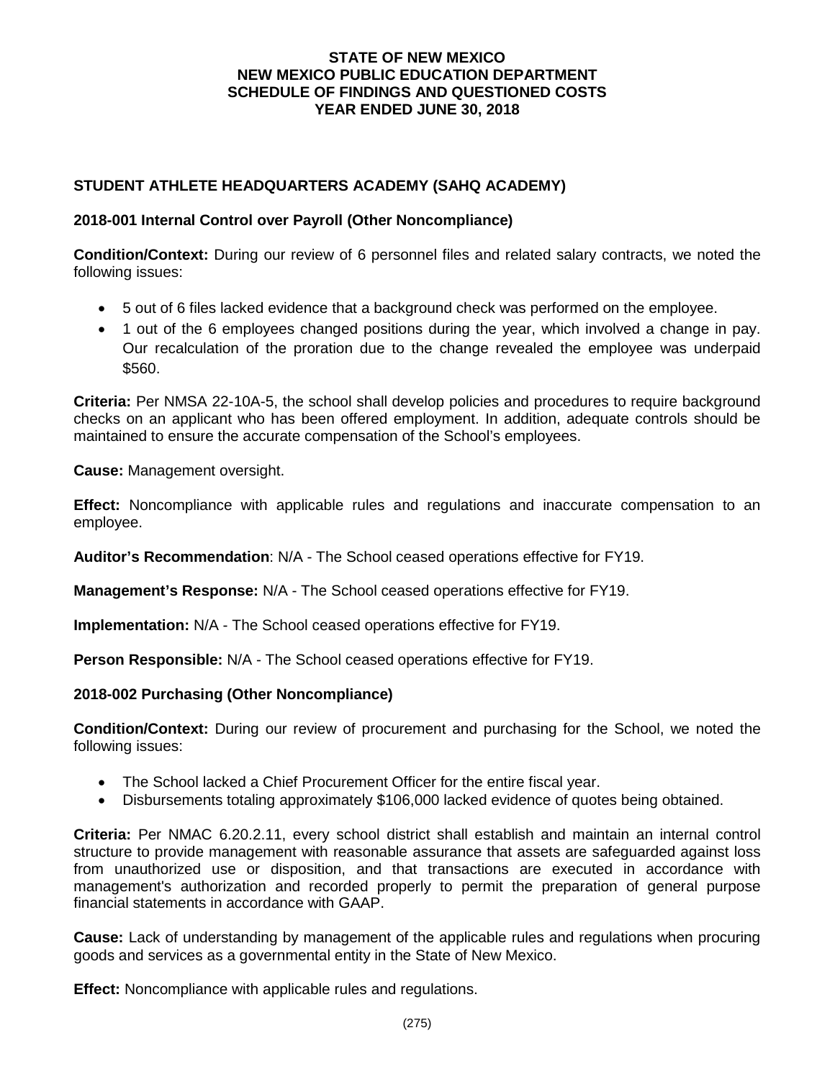# **STUDENT ATHLETE HEADQUARTERS ACADEMY (SAHQ ACADEMY)**

## **2018-001 Internal Control over Payroll (Other Noncompliance)**

**Condition/Context:** During our review of 6 personnel files and related salary contracts, we noted the following issues:

- 5 out of 6 files lacked evidence that a background check was performed on the employee.
- 1 out of the 6 employees changed positions during the year, which involved a change in pay. Our recalculation of the proration due to the change revealed the employee was underpaid \$560.

**Criteria:** Per NMSA 22-10A-5, the school shall develop policies and procedures to require background checks on an applicant who has been offered employment. In addition, adequate controls should be maintained to ensure the accurate compensation of the School's employees.

**Cause:** Management oversight.

**Effect:** Noncompliance with applicable rules and regulations and inaccurate compensation to an employee.

**Auditor's Recommendation**: N/A - The School ceased operations effective for FY19.

**Management's Response:** N/A - The School ceased operations effective for FY19.

**Implementation:** N/A - The School ceased operations effective for FY19.

**Person Responsible:** N/A - The School ceased operations effective for FY19.

# **2018-002 Purchasing (Other Noncompliance)**

**Condition/Context:** During our review of procurement and purchasing for the School, we noted the following issues:

- The School lacked a Chief Procurement Officer for the entire fiscal year.
- Disbursements totaling approximately \$106,000 lacked evidence of quotes being obtained.

**Criteria:** Per NMAC 6.20.2.11, every school district shall establish and maintain an internal control structure to provide management with reasonable assurance that assets are safeguarded against loss from unauthorized use or disposition, and that transactions are executed in accordance with management's authorization and recorded properly to permit the preparation of general purpose financial statements in accordance with GAAP.

**Cause:** Lack of understanding by management of the applicable rules and regulations when procuring goods and services as a governmental entity in the State of New Mexico.

**Effect:** Noncompliance with applicable rules and regulations.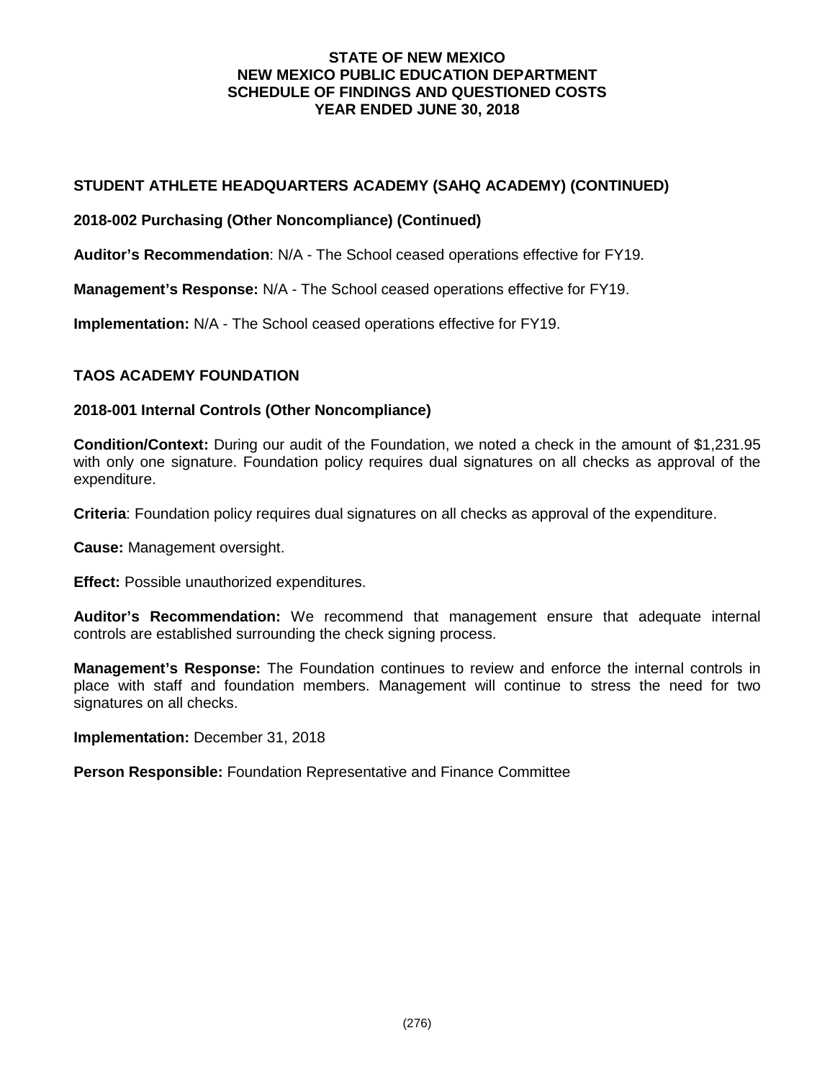# **STUDENT ATHLETE HEADQUARTERS ACADEMY (SAHQ ACADEMY) (CONTINUED)**

## **2018-002 Purchasing (Other Noncompliance) (Continued)**

**Auditor's Recommendation**: N/A - The School ceased operations effective for FY19.

**Management's Response:** N/A - The School ceased operations effective for FY19.

**Implementation:** N/A - The School ceased operations effective for FY19.

## **TAOS ACADEMY FOUNDATION**

## **2018-001 Internal Controls (Other Noncompliance)**

**Condition/Context:** During our audit of the Foundation, we noted a check in the amount of \$1,231.95 with only one signature. Foundation policy requires dual signatures on all checks as approval of the expenditure.

**Criteria**: Foundation policy requires dual signatures on all checks as approval of the expenditure.

**Cause:** Management oversight.

**Effect:** Possible unauthorized expenditures.

**Auditor's Recommendation:** We recommend that management ensure that adequate internal controls are established surrounding the check signing process.

**Management's Response:** The Foundation continues to review and enforce the internal controls in place with staff and foundation members. Management will continue to stress the need for two signatures on all checks.

**Implementation:** December 31, 2018

**Person Responsible:** Foundation Representative and Finance Committee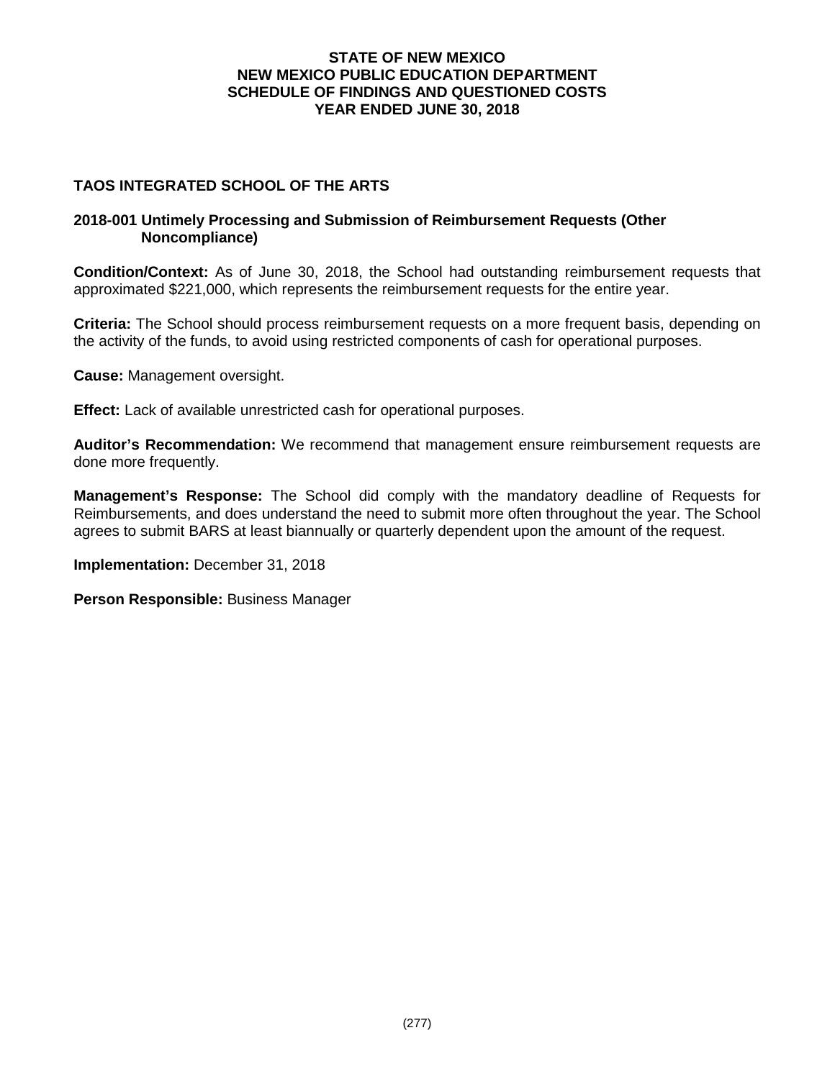# **TAOS INTEGRATED SCHOOL OF THE ARTS**

### **2018-001 Untimely Processing and Submission of Reimbursement Requests (Other Noncompliance)**

**Condition/Context:** As of June 30, 2018, the School had outstanding reimbursement requests that approximated \$221,000, which represents the reimbursement requests for the entire year.

**Criteria:** The School should process reimbursement requests on a more frequent basis, depending on the activity of the funds, to avoid using restricted components of cash for operational purposes.

**Cause:** Management oversight.

**Effect:** Lack of available unrestricted cash for operational purposes.

**Auditor's Recommendation:** We recommend that management ensure reimbursement requests are done more frequently.

**Management's Response:** The School did comply with the mandatory deadline of Requests for Reimbursements, and does understand the need to submit more often throughout the year. The School agrees to submit BARS at least biannually or quarterly dependent upon the amount of the request.

**Implementation:** December 31, 2018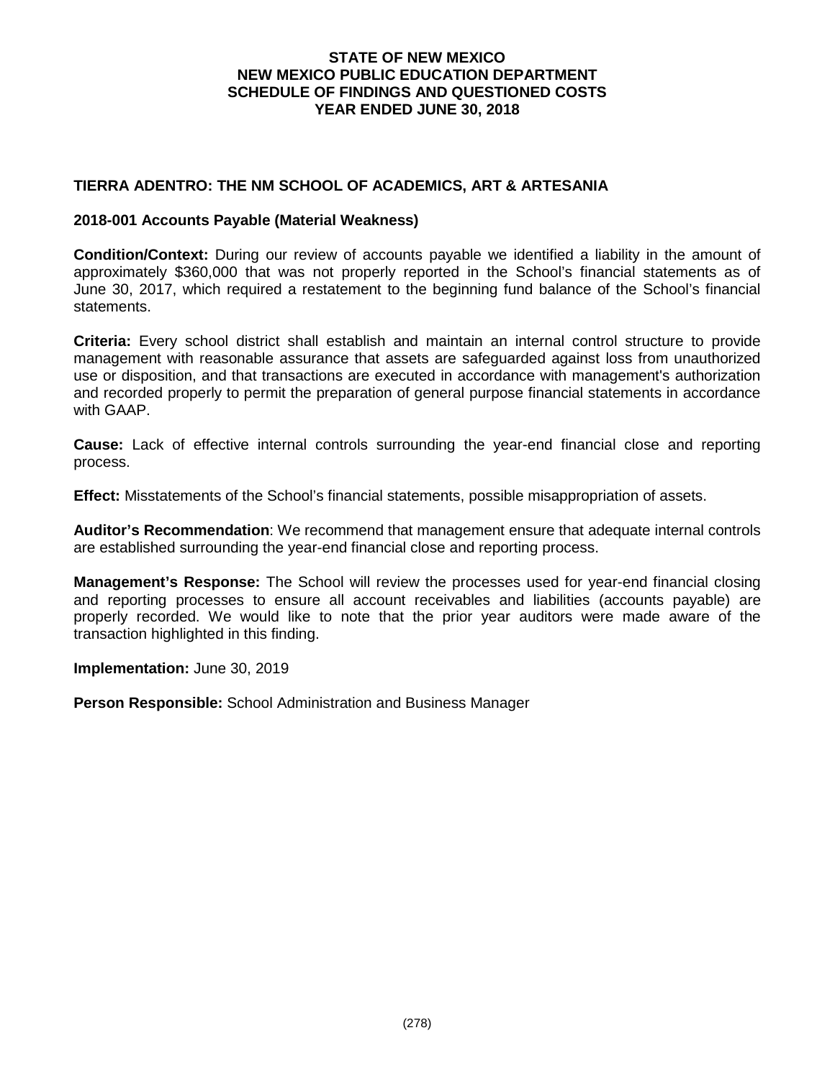# **TIERRA ADENTRO: THE NM SCHOOL OF ACADEMICS, ART & ARTESANIA**

## **2018-001 Accounts Payable (Material Weakness)**

**Condition/Context:** During our review of accounts payable we identified a liability in the amount of approximately \$360,000 that was not properly reported in the School's financial statements as of June 30, 2017, which required a restatement to the beginning fund balance of the School's financial statements.

**Criteria:** Every school district shall establish and maintain an internal control structure to provide management with reasonable assurance that assets are safeguarded against loss from unauthorized use or disposition, and that transactions are executed in accordance with management's authorization and recorded properly to permit the preparation of general purpose financial statements in accordance with GAAP.

**Cause:** Lack of effective internal controls surrounding the year-end financial close and reporting process.

**Effect:** Misstatements of the School's financial statements, possible misappropriation of assets.

**Auditor's Recommendation**: We recommend that management ensure that adequate internal controls are established surrounding the year-end financial close and reporting process.

**Management's Response:** The School will review the processes used for year-end financial closing and reporting processes to ensure all account receivables and liabilities (accounts payable) are properly recorded. We would like to note that the prior year auditors were made aware of the transaction highlighted in this finding.

**Implementation:** June 30, 2019

**Person Responsible:** School Administration and Business Manager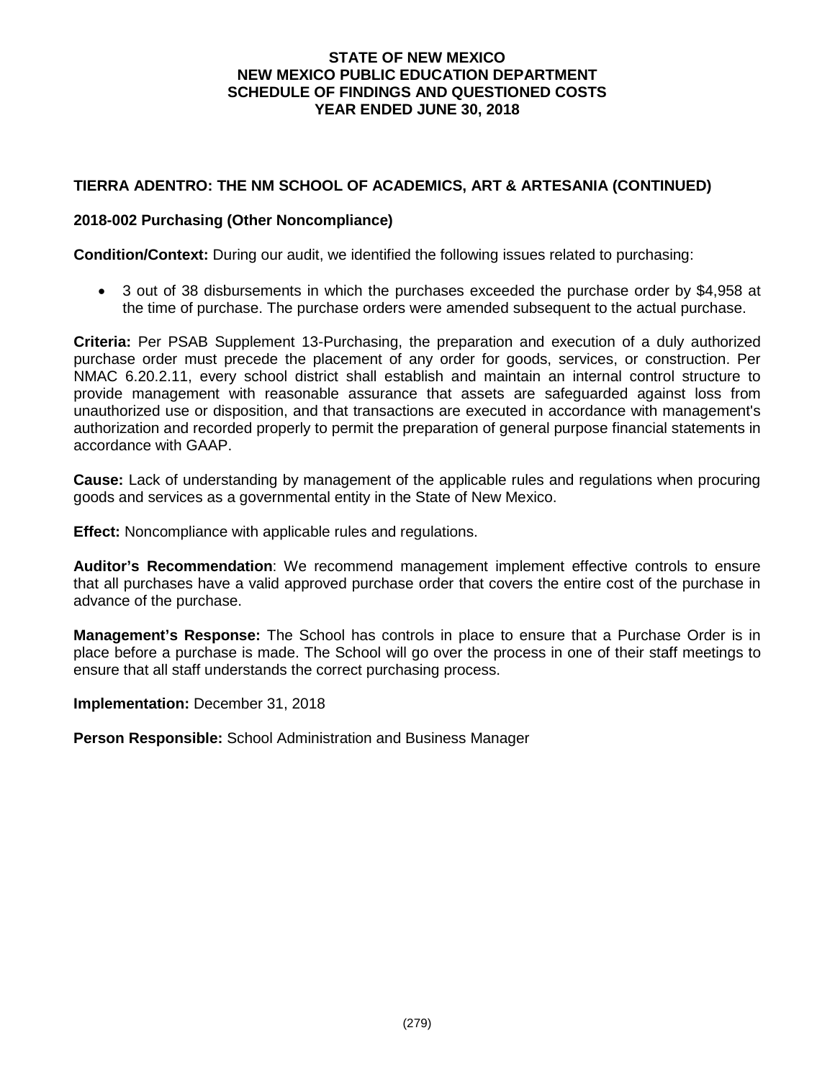# **TIERRA ADENTRO: THE NM SCHOOL OF ACADEMICS, ART & ARTESANIA (CONTINUED)**

# **2018-002 Purchasing (Other Noncompliance)**

**Condition/Context:** During our audit, we identified the following issues related to purchasing:

• 3 out of 38 disbursements in which the purchases exceeded the purchase order by \$4,958 at the time of purchase. The purchase orders were amended subsequent to the actual purchase.

**Criteria:** Per PSAB Supplement 13-Purchasing, the preparation and execution of a duly authorized purchase order must precede the placement of any order for goods, services, or construction. Per NMAC 6.20.2.11, every school district shall establish and maintain an internal control structure to provide management with reasonable assurance that assets are safeguarded against loss from unauthorized use or disposition, and that transactions are executed in accordance with management's authorization and recorded properly to permit the preparation of general purpose financial statements in accordance with GAAP.

**Cause:** Lack of understanding by management of the applicable rules and regulations when procuring goods and services as a governmental entity in the State of New Mexico.

**Effect:** Noncompliance with applicable rules and regulations.

**Auditor's Recommendation**: We recommend management implement effective controls to ensure that all purchases have a valid approved purchase order that covers the entire cost of the purchase in advance of the purchase.

**Management's Response:** The School has controls in place to ensure that a Purchase Order is in place before a purchase is made. The School will go over the process in one of their staff meetings to ensure that all staff understands the correct purchasing process.

**Implementation:** December 31, 2018

**Person Responsible:** School Administration and Business Manager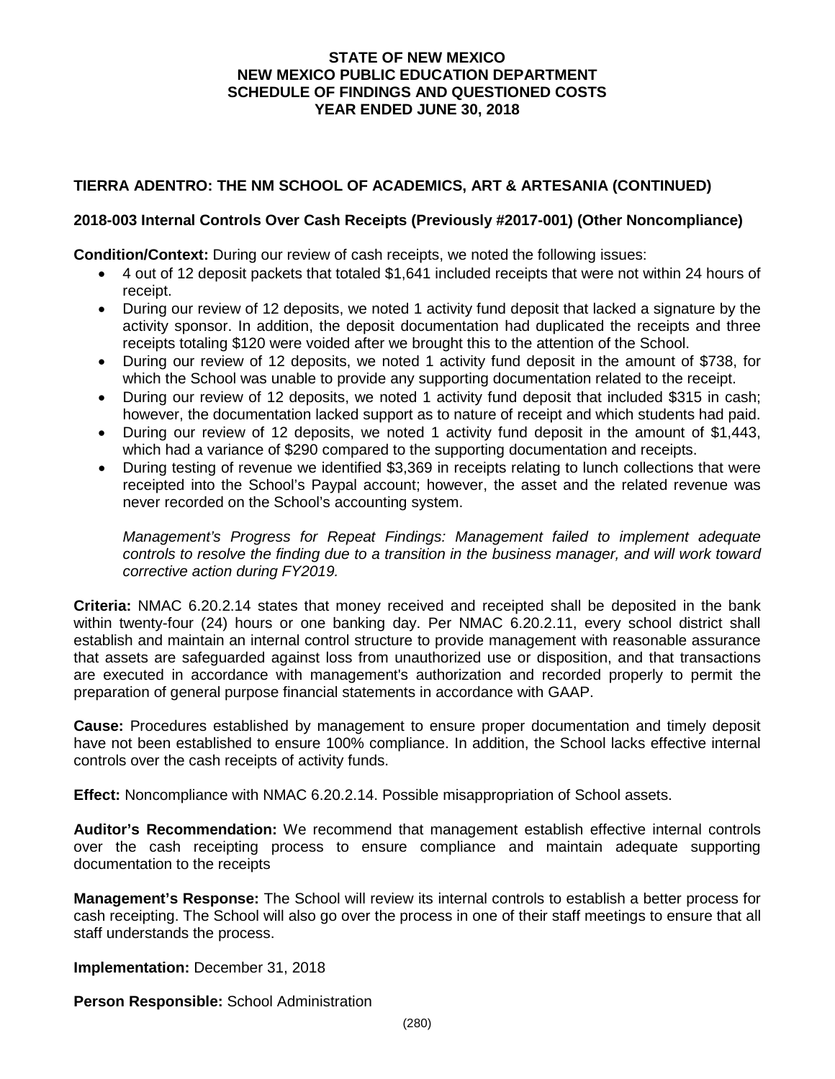# **TIERRA ADENTRO: THE NM SCHOOL OF ACADEMICS, ART & ARTESANIA (CONTINUED)**

## **2018-003 Internal Controls Over Cash Receipts (Previously #2017-001) (Other Noncompliance)**

**Condition/Context:** During our review of cash receipts, we noted the following issues:

- 4 out of 12 deposit packets that totaled \$1,641 included receipts that were not within 24 hours of receipt.
- During our review of 12 deposits, we noted 1 activity fund deposit that lacked a signature by the activity sponsor. In addition, the deposit documentation had duplicated the receipts and three receipts totaling \$120 were voided after we brought this to the attention of the School.
- During our review of 12 deposits, we noted 1 activity fund deposit in the amount of \$738, for which the School was unable to provide any supporting documentation related to the receipt.
- During our review of 12 deposits, we noted 1 activity fund deposit that included \$315 in cash; however, the documentation lacked support as to nature of receipt and which students had paid.
- During our review of 12 deposits, we noted 1 activity fund deposit in the amount of \$1,443, which had a variance of \$290 compared to the supporting documentation and receipts.
- During testing of revenue we identified \$3,369 in receipts relating to lunch collections that were receipted into the School's Paypal account; however, the asset and the related revenue was never recorded on the School's accounting system.

*Management's Progress for Repeat Findings: Management failed to implement adequate controls to resolve the finding due to a transition in the business manager, and will work toward corrective action during FY2019.*

**Criteria:** NMAC 6.20.2.14 states that money received and receipted shall be deposited in the bank within twenty-four (24) hours or one banking day. Per NMAC 6.20.2.11, every school district shall establish and maintain an internal control structure to provide management with reasonable assurance that assets are safeguarded against loss from unauthorized use or disposition, and that transactions are executed in accordance with management's authorization and recorded properly to permit the preparation of general purpose financial statements in accordance with GAAP.

**Cause:** Procedures established by management to ensure proper documentation and timely deposit have not been established to ensure 100% compliance. In addition, the School lacks effective internal controls over the cash receipts of activity funds.

**Effect:** Noncompliance with NMAC 6.20.2.14. Possible misappropriation of School assets.

**Auditor's Recommendation:** We recommend that management establish effective internal controls over the cash receipting process to ensure compliance and maintain adequate supporting documentation to the receipts

**Management's Response:** The School will review its internal controls to establish a better process for cash receipting. The School will also go over the process in one of their staff meetings to ensure that all staff understands the process.

**Implementation:** December 31, 2018

**Person Responsible:** School Administration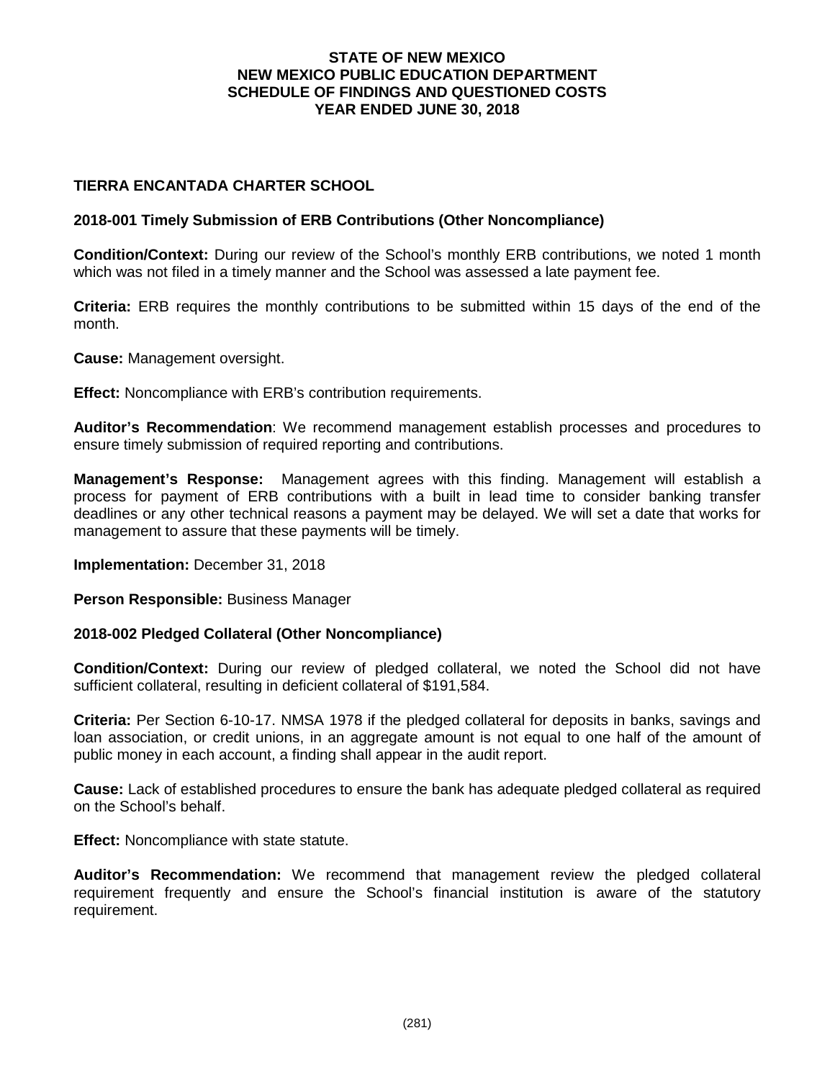# **TIERRA ENCANTADA CHARTER SCHOOL**

## **2018-001 Timely Submission of ERB Contributions (Other Noncompliance)**

**Condition/Context:** During our review of the School's monthly ERB contributions, we noted 1 month which was not filed in a timely manner and the School was assessed a late payment fee.

**Criteria:** ERB requires the monthly contributions to be submitted within 15 days of the end of the month.

**Cause:** Management oversight.

**Effect:** Noncompliance with ERB's contribution requirements.

**Auditor's Recommendation**: We recommend management establish processes and procedures to ensure timely submission of required reporting and contributions.

**Management's Response:** Management agrees with this finding. Management will establish a process for payment of ERB contributions with a built in lead time to consider banking transfer deadlines or any other technical reasons a payment may be delayed. We will set a date that works for management to assure that these payments will be timely.

**Implementation:** December 31, 2018

**Person Responsible:** Business Manager

## **2018-002 Pledged Collateral (Other Noncompliance)**

**Condition/Context:** During our review of pledged collateral, we noted the School did not have sufficient collateral, resulting in deficient collateral of \$191,584.

**Criteria:** Per Section 6-10-17. NMSA 1978 if the pledged collateral for deposits in banks, savings and loan association, or credit unions, in an aggregate amount is not equal to one half of the amount of public money in each account, a finding shall appear in the audit report.

**Cause:** Lack of established procedures to ensure the bank has adequate pledged collateral as required on the School's behalf.

**Effect:** Noncompliance with state statute.

**Auditor's Recommendation:** We recommend that management review the pledged collateral requirement frequently and ensure the School's financial institution is aware of the statutory requirement.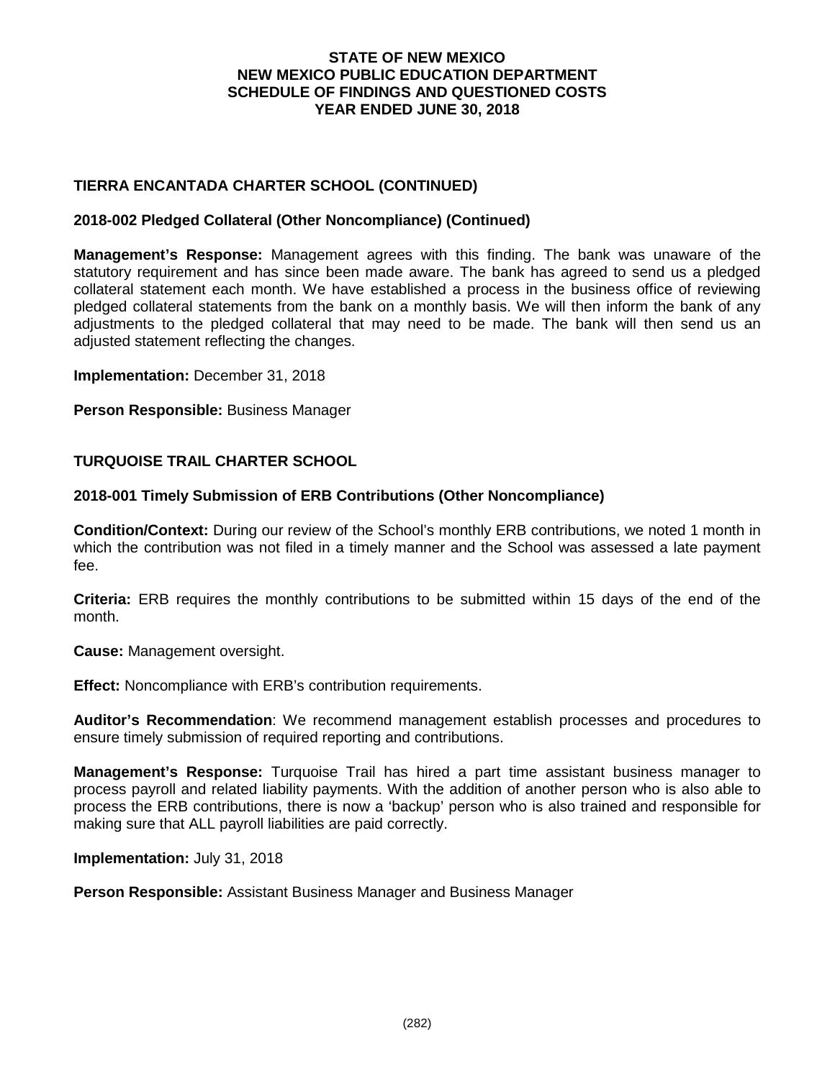# **TIERRA ENCANTADA CHARTER SCHOOL (CONTINUED)**

## **2018-002 Pledged Collateral (Other Noncompliance) (Continued)**

**Management's Response:** Management agrees with this finding. The bank was unaware of the statutory requirement and has since been made aware. The bank has agreed to send us a pledged collateral statement each month. We have established a process in the business office of reviewing pledged collateral statements from the bank on a monthly basis. We will then inform the bank of any adjustments to the pledged collateral that may need to be made. The bank will then send us an adjusted statement reflecting the changes.

**Implementation:** December 31, 2018

**Person Responsible:** Business Manager

## **TURQUOISE TRAIL CHARTER SCHOOL**

#### **2018-001 Timely Submission of ERB Contributions (Other Noncompliance)**

**Condition/Context:** During our review of the School's monthly ERB contributions, we noted 1 month in which the contribution was not filed in a timely manner and the School was assessed a late payment fee.

**Criteria:** ERB requires the monthly contributions to be submitted within 15 days of the end of the month.

**Cause:** Management oversight.

**Effect:** Noncompliance with ERB's contribution requirements.

**Auditor's Recommendation**: We recommend management establish processes and procedures to ensure timely submission of required reporting and contributions.

**Management's Response:** Turquoise Trail has hired a part time assistant business manager to process payroll and related liability payments. With the addition of another person who is also able to process the ERB contributions, there is now a 'backup' person who is also trained and responsible for making sure that ALL payroll liabilities are paid correctly.

**Implementation:** July 31, 2018

**Person Responsible:** Assistant Business Manager and Business Manager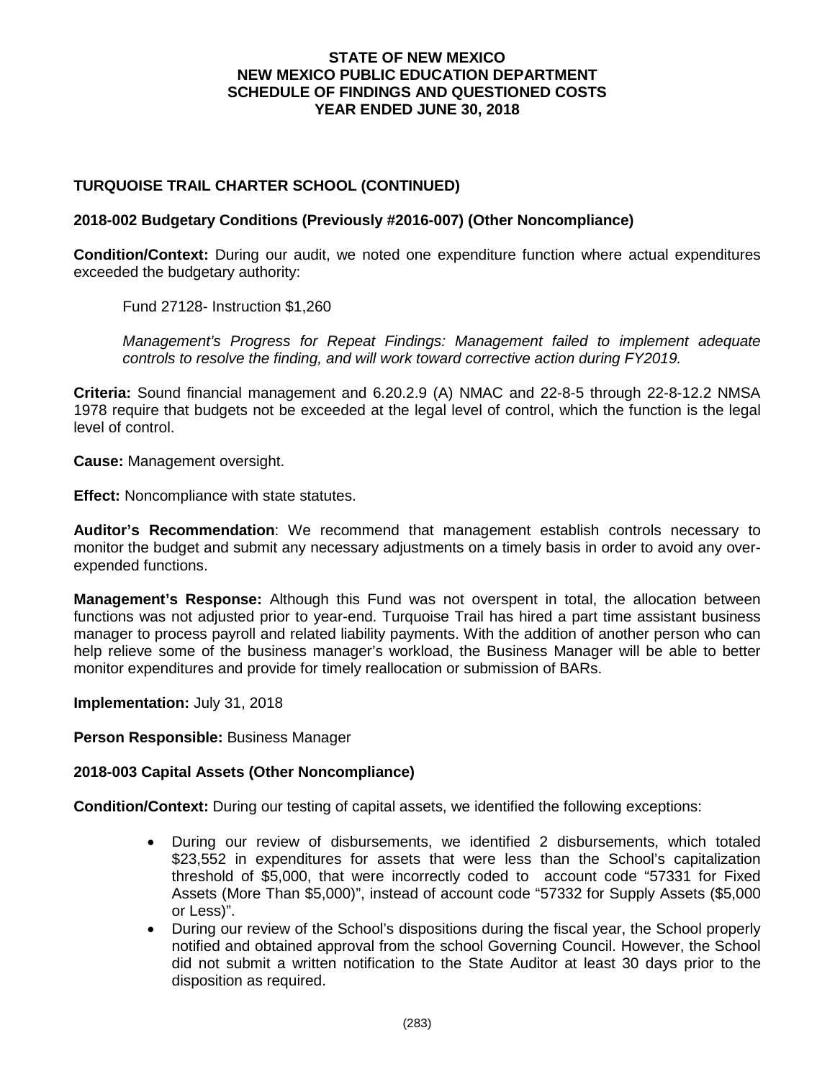# **TURQUOISE TRAIL CHARTER SCHOOL (CONTINUED)**

# **2018-002 Budgetary Conditions (Previously #2016-007) (Other Noncompliance)**

**Condition/Context:** During our audit, we noted one expenditure function where actual expenditures exceeded the budgetary authority:

Fund 27128- Instruction \$1,260

*Management's Progress for Repeat Findings: Management failed to implement adequate controls to resolve the finding, and will work toward corrective action during FY2019.*

**Criteria:** Sound financial management and 6.20.2.9 (A) NMAC and 22-8-5 through 22-8-12.2 NMSA 1978 require that budgets not be exceeded at the legal level of control, which the function is the legal level of control.

**Cause:** Management oversight.

**Effect:** Noncompliance with state statutes.

**Auditor's Recommendation**: We recommend that management establish controls necessary to monitor the budget and submit any necessary adjustments on a timely basis in order to avoid any overexpended functions.

**Management's Response:** Although this Fund was not overspent in total, the allocation between functions was not adjusted prior to year-end. Turquoise Trail has hired a part time assistant business manager to process payroll and related liability payments. With the addition of another person who can help relieve some of the business manager's workload, the Business Manager will be able to better monitor expenditures and provide for timely reallocation or submission of BARs.

**Implementation:** July 31, 2018

## **Person Responsible:** Business Manager

## **2018-003 Capital Assets (Other Noncompliance)**

**Condition/Context:** During our testing of capital assets, we identified the following exceptions:

- During our review of disbursements, we identified 2 disbursements, which totaled \$23,552 in expenditures for assets that were less than the School's capitalization threshold of \$5,000, that were incorrectly coded to account code "57331 for Fixed Assets (More Than \$5,000)", instead of account code "57332 for Supply Assets (\$5,000 or Less)".
- During our review of the School's dispositions during the fiscal year, the School properly notified and obtained approval from the school Governing Council. However, the School did not submit a written notification to the State Auditor at least 30 days prior to the disposition as required.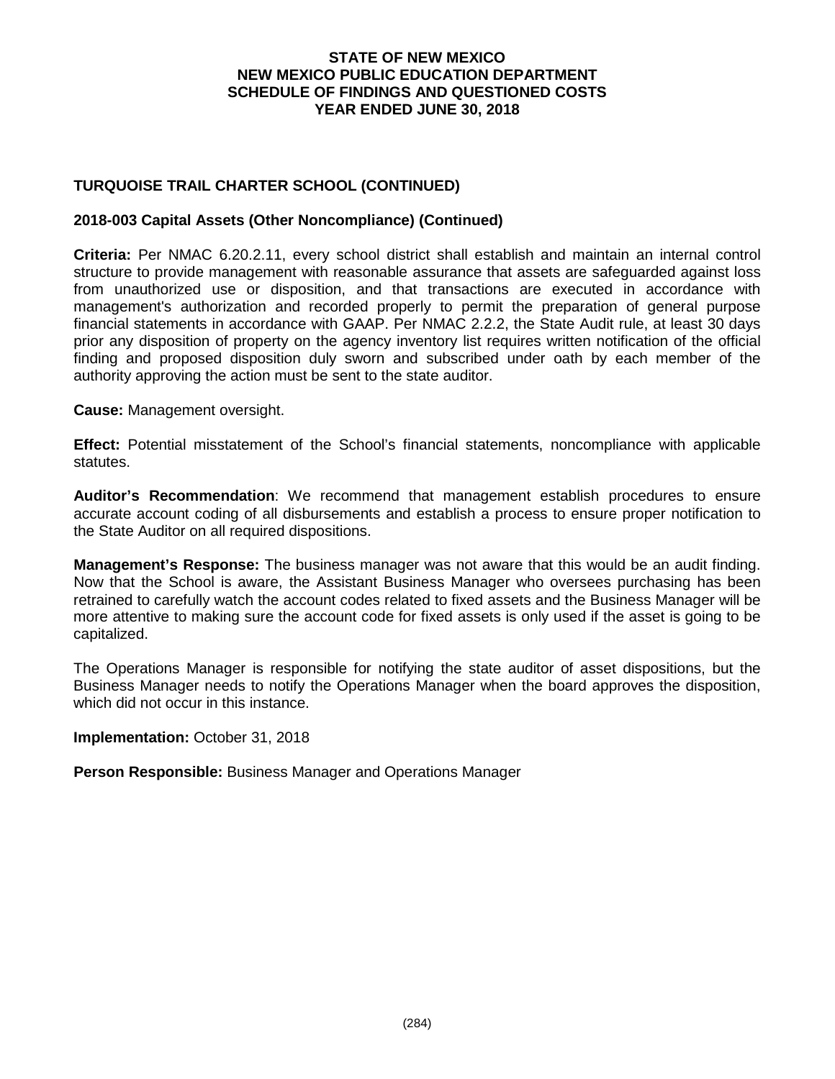# **TURQUOISE TRAIL CHARTER SCHOOL (CONTINUED)**

## **2018-003 Capital Assets (Other Noncompliance) (Continued)**

**Criteria:** Per NMAC 6.20.2.11, every school district shall establish and maintain an internal control structure to provide management with reasonable assurance that assets are safeguarded against loss from unauthorized use or disposition, and that transactions are executed in accordance with management's authorization and recorded properly to permit the preparation of general purpose financial statements in accordance with GAAP. Per NMAC 2.2.2, the State Audit rule, at least 30 days prior any disposition of property on the agency inventory list requires written notification of the official finding and proposed disposition duly sworn and subscribed under oath by each member of the authority approving the action must be sent to the state auditor.

**Cause:** Management oversight.

**Effect:** Potential misstatement of the School's financial statements, noncompliance with applicable statutes.

**Auditor's Recommendation**: We recommend that management establish procedures to ensure accurate account coding of all disbursements and establish a process to ensure proper notification to the State Auditor on all required dispositions.

**Management's Response:** The business manager was not aware that this would be an audit finding. Now that the School is aware, the Assistant Business Manager who oversees purchasing has been retrained to carefully watch the account codes related to fixed assets and the Business Manager will be more attentive to making sure the account code for fixed assets is only used if the asset is going to be capitalized.

The Operations Manager is responsible for notifying the state auditor of asset dispositions, but the Business Manager needs to notify the Operations Manager when the board approves the disposition, which did not occur in this instance.

**Implementation:** October 31, 2018

**Person Responsible:** Business Manager and Operations Manager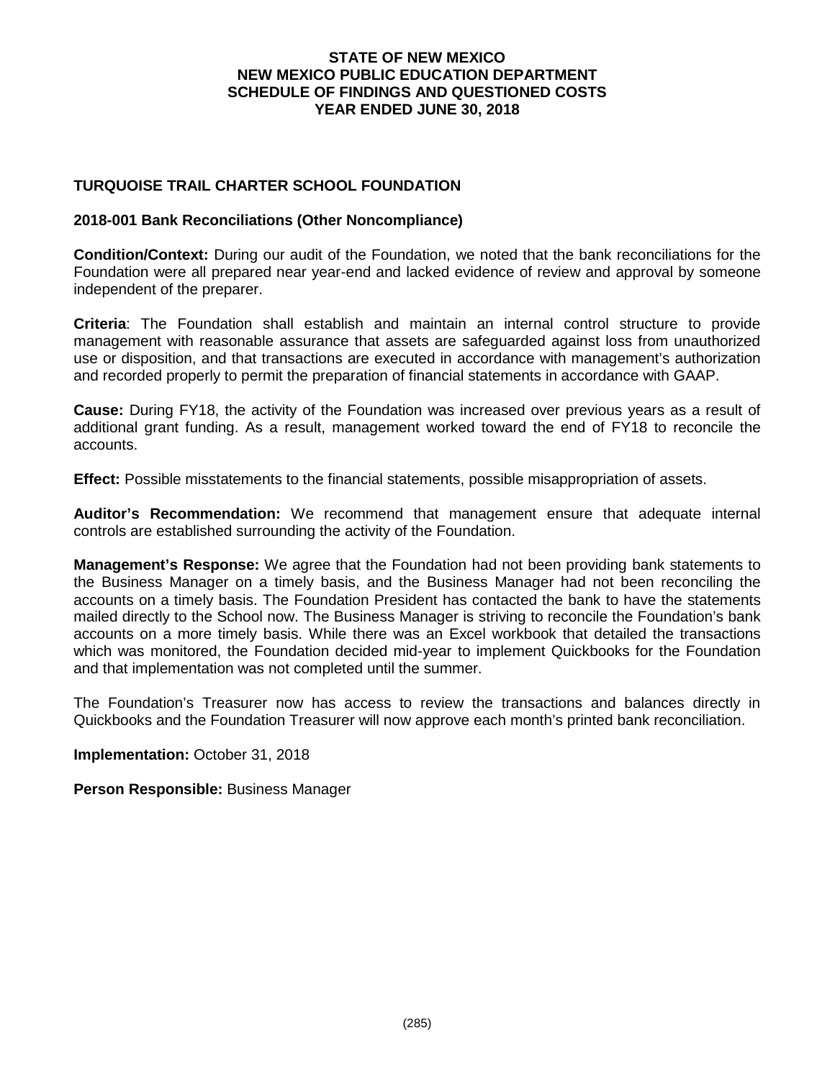# **TURQUOISE TRAIL CHARTER SCHOOL FOUNDATION**

## **2018-001 Bank Reconciliations (Other Noncompliance)**

**Condition/Context:** During our audit of the Foundation, we noted that the bank reconciliations for the Foundation were all prepared near year-end and lacked evidence of review and approval by someone independent of the preparer.

**Criteria**: The Foundation shall establish and maintain an internal control structure to provide management with reasonable assurance that assets are safeguarded against loss from unauthorized use or disposition, and that transactions are executed in accordance with management's authorization and recorded properly to permit the preparation of financial statements in accordance with GAAP.

**Cause:** During FY18, the activity of the Foundation was increased over previous years as a result of additional grant funding. As a result, management worked toward the end of FY18 to reconcile the accounts.

**Effect:** Possible misstatements to the financial statements, possible misappropriation of assets.

**Auditor's Recommendation:** We recommend that management ensure that adequate internal controls are established surrounding the activity of the Foundation.

**Management's Response:** We agree that the Foundation had not been providing bank statements to the Business Manager on a timely basis, and the Business Manager had not been reconciling the accounts on a timely basis. The Foundation President has contacted the bank to have the statements mailed directly to the School now. The Business Manager is striving to reconcile the Foundation's bank accounts on a more timely basis. While there was an Excel workbook that detailed the transactions which was monitored, the Foundation decided mid-year to implement Quickbooks for the Foundation and that implementation was not completed until the summer.

The Foundation's Treasurer now has access to review the transactions and balances directly in Quickbooks and the Foundation Treasurer will now approve each month's printed bank reconciliation.

#### **Implementation:** October 31, 2018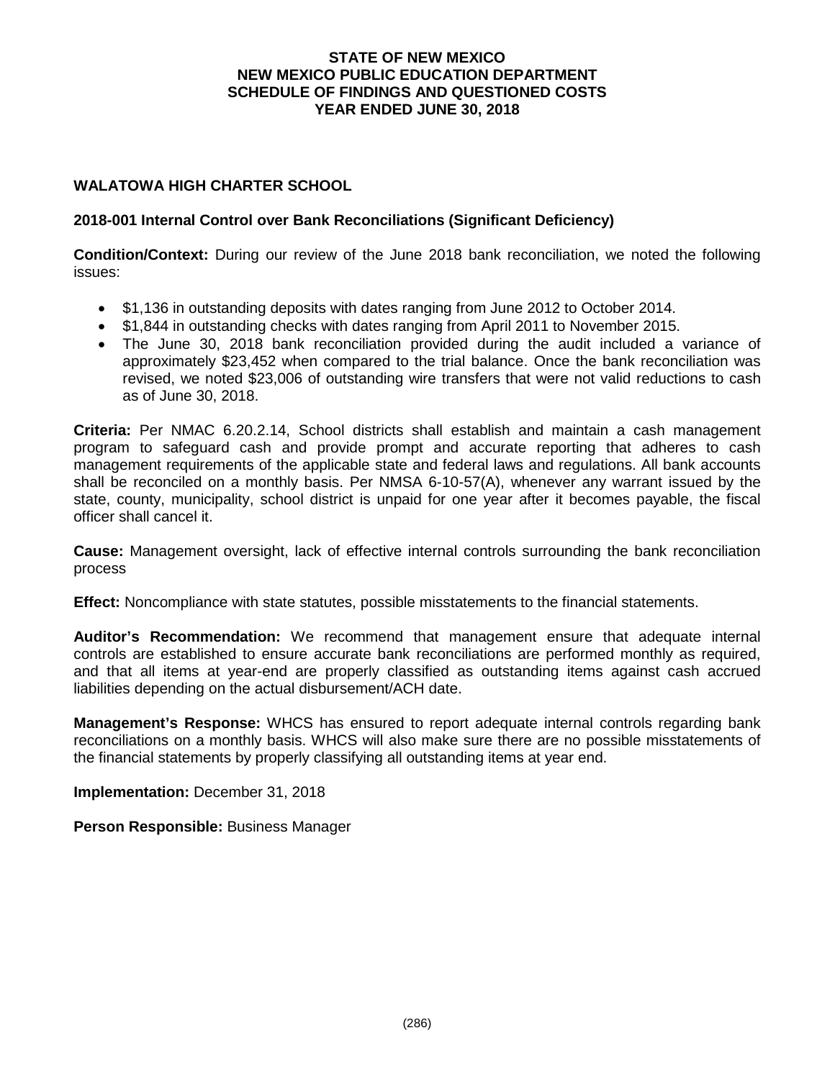# **WALATOWA HIGH CHARTER SCHOOL**

# **2018-001 Internal Control over Bank Reconciliations (Significant Deficiency)**

**Condition/Context:** During our review of the June 2018 bank reconciliation, we noted the following issues:

- \$1,136 in outstanding deposits with dates ranging from June 2012 to October 2014.
- \$1,844 in outstanding checks with dates ranging from April 2011 to November 2015.
- The June 30, 2018 bank reconciliation provided during the audit included a variance of approximately \$23,452 when compared to the trial balance. Once the bank reconciliation was revised, we noted \$23,006 of outstanding wire transfers that were not valid reductions to cash as of June 30, 2018.

**Criteria:** Per NMAC 6.20.2.14, School districts shall establish and maintain a cash management program to safeguard cash and provide prompt and accurate reporting that adheres to cash management requirements of the applicable state and federal laws and regulations. All bank accounts shall be reconciled on a monthly basis. Per NMSA 6-10-57(A), whenever any warrant issued by the state, county, municipality, school district is unpaid for one year after it becomes payable, the fiscal officer shall cancel it.

**Cause:** Management oversight, lack of effective internal controls surrounding the bank reconciliation process

**Effect:** Noncompliance with state statutes, possible misstatements to the financial statements.

**Auditor's Recommendation:** We recommend that management ensure that adequate internal controls are established to ensure accurate bank reconciliations are performed monthly as required, and that all items at year-end are properly classified as outstanding items against cash accrued liabilities depending on the actual disbursement/ACH date.

**Management's Response:** WHCS has ensured to report adequate internal controls regarding bank reconciliations on a monthly basis. WHCS will also make sure there are no possible misstatements of the financial statements by properly classifying all outstanding items at year end.

**Implementation:** December 31, 2018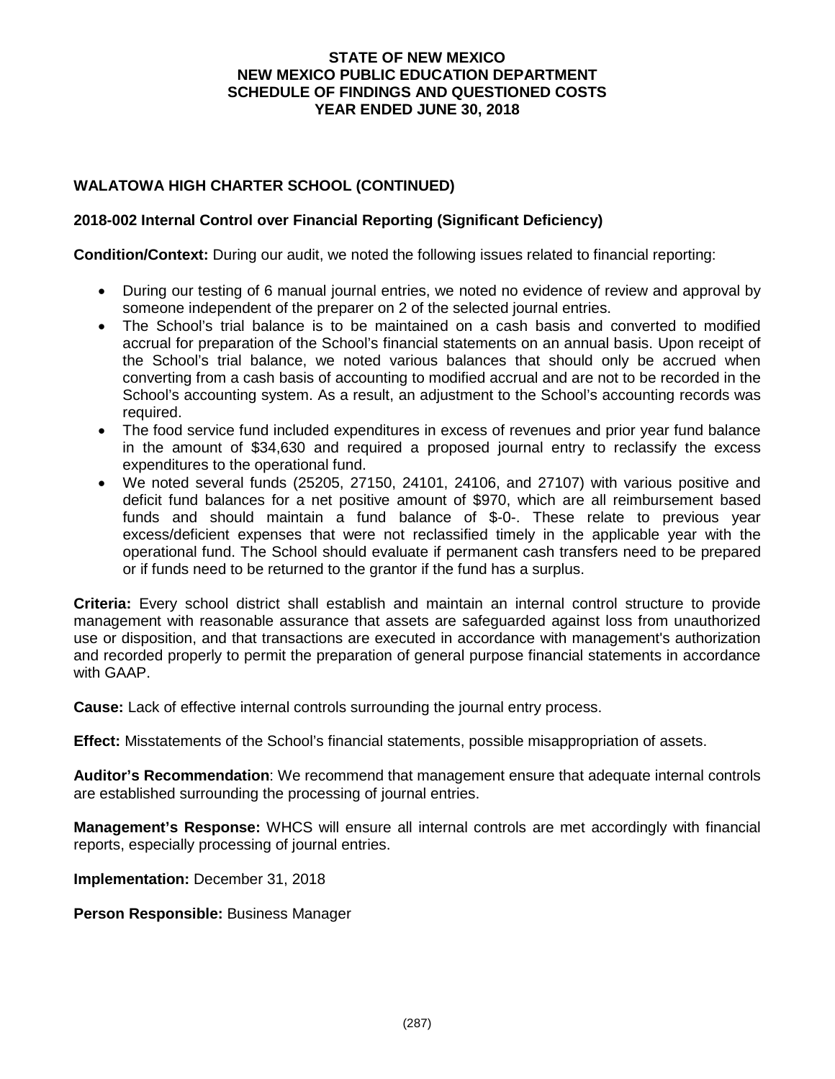# **WALATOWA HIGH CHARTER SCHOOL (CONTINUED)**

# **2018-002 Internal Control over Financial Reporting (Significant Deficiency)**

**Condition/Context:** During our audit, we noted the following issues related to financial reporting:

- During our testing of 6 manual journal entries, we noted no evidence of review and approval by someone independent of the preparer on 2 of the selected journal entries.
- The School's trial balance is to be maintained on a cash basis and converted to modified accrual for preparation of the School's financial statements on an annual basis. Upon receipt of the School's trial balance, we noted various balances that should only be accrued when converting from a cash basis of accounting to modified accrual and are not to be recorded in the School's accounting system. As a result, an adjustment to the School's accounting records was required.
- The food service fund included expenditures in excess of revenues and prior year fund balance in the amount of \$34,630 and required a proposed journal entry to reclassify the excess expenditures to the operational fund.
- We noted several funds (25205, 27150, 24101, 24106, and 27107) with various positive and deficit fund balances for a net positive amount of \$970, which are all reimbursement based funds and should maintain a fund balance of \$-0-. These relate to previous year excess/deficient expenses that were not reclassified timely in the applicable year with the operational fund. The School should evaluate if permanent cash transfers need to be prepared or if funds need to be returned to the grantor if the fund has a surplus.

**Criteria:** Every school district shall establish and maintain an internal control structure to provide management with reasonable assurance that assets are safeguarded against loss from unauthorized use or disposition, and that transactions are executed in accordance with management's authorization and recorded properly to permit the preparation of general purpose financial statements in accordance with GAAP.

**Cause:** Lack of effective internal controls surrounding the journal entry process.

**Effect:** Misstatements of the School's financial statements, possible misappropriation of assets.

**Auditor's Recommendation**: We recommend that management ensure that adequate internal controls are established surrounding the processing of journal entries.

**Management's Response:** WHCS will ensure all internal controls are met accordingly with financial reports, especially processing of journal entries.

**Implementation:** December 31, 2018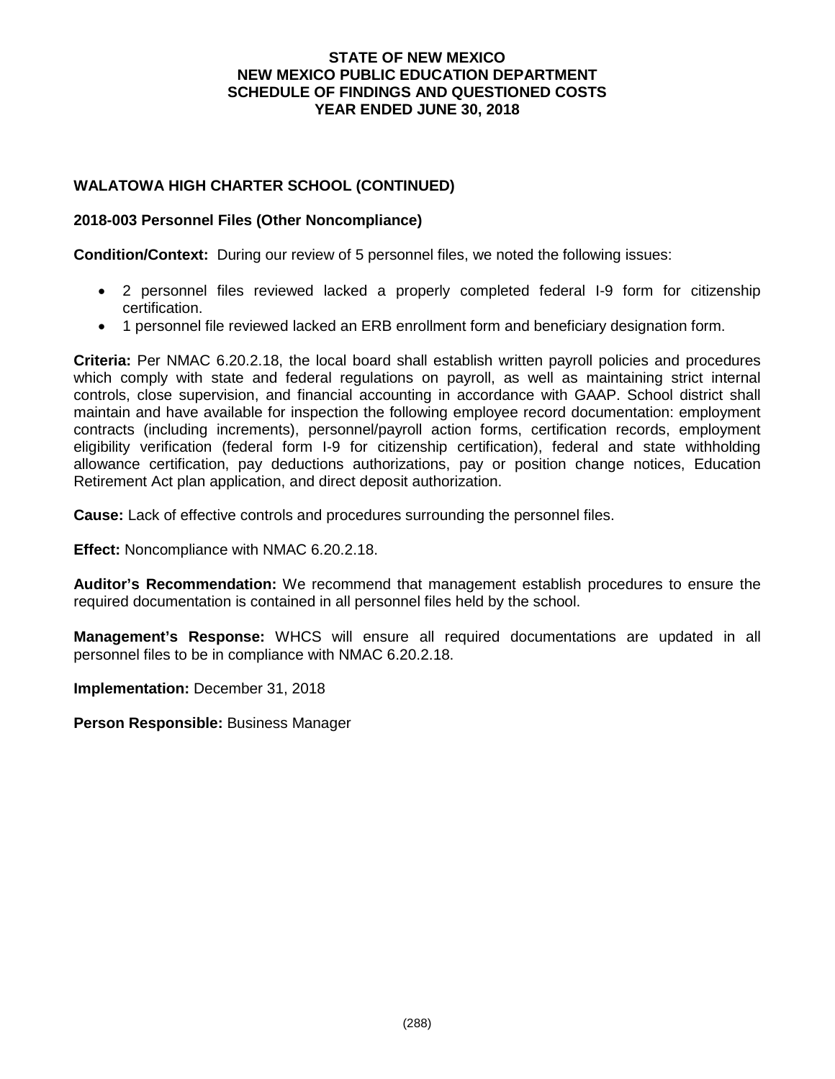# **WALATOWA HIGH CHARTER SCHOOL (CONTINUED)**

# **2018-003 Personnel Files (Other Noncompliance)**

**Condition/Context:** During our review of 5 personnel files, we noted the following issues:

- 2 personnel files reviewed lacked a properly completed federal I-9 form for citizenship certification.
- 1 personnel file reviewed lacked an ERB enrollment form and beneficiary designation form.

**Criteria:** Per NMAC 6.20.2.18, the local board shall establish written payroll policies and procedures which comply with state and federal regulations on payroll, as well as maintaining strict internal controls, close supervision, and financial accounting in accordance with GAAP. School district shall maintain and have available for inspection the following employee record documentation: employment contracts (including increments), personnel/payroll action forms, certification records, employment eligibility verification (federal form I-9 for citizenship certification), federal and state withholding allowance certification, pay deductions authorizations, pay or position change notices, Education Retirement Act plan application, and direct deposit authorization.

**Cause:** Lack of effective controls and procedures surrounding the personnel files.

**Effect:** Noncompliance with NMAC 6.20.2.18.

**Auditor's Recommendation:** We recommend that management establish procedures to ensure the required documentation is contained in all personnel files held by the school.

**Management's Response:** WHCS will ensure all required documentations are updated in all personnel files to be in compliance with NMAC 6.20.2.18.

**Implementation:** December 31, 2018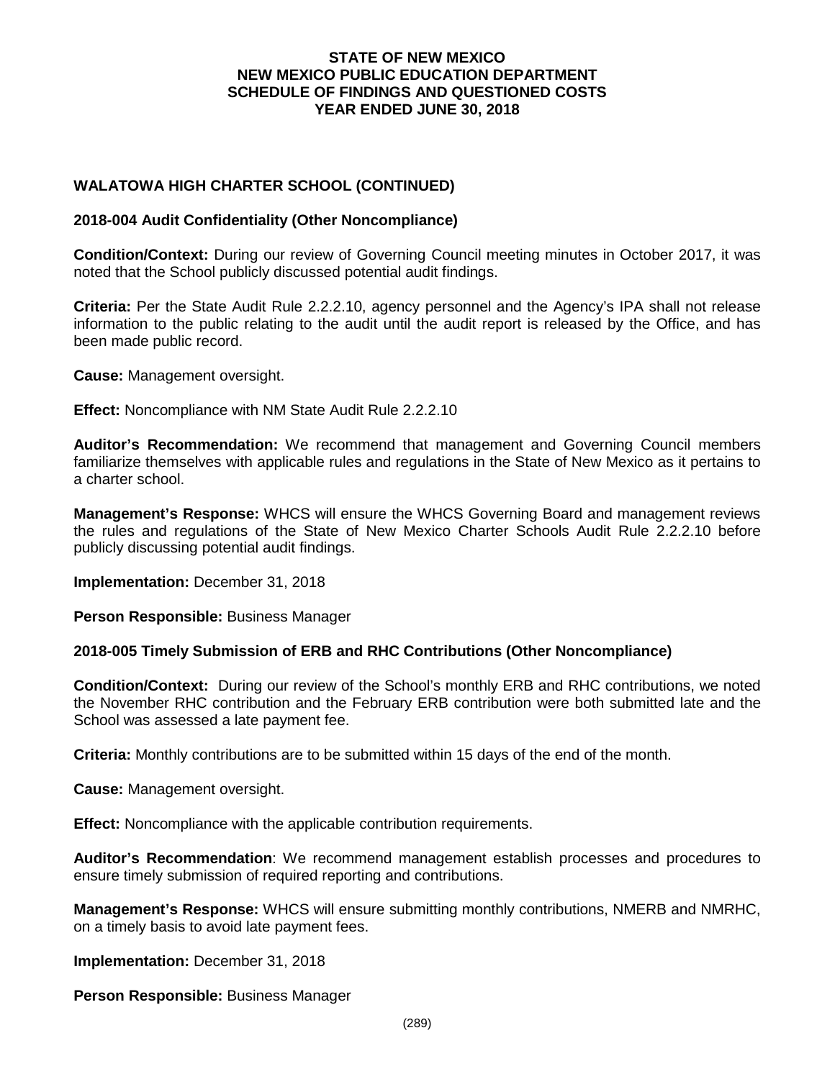# **WALATOWA HIGH CHARTER SCHOOL (CONTINUED)**

## **2018-004 Audit Confidentiality (Other Noncompliance)**

**Condition/Context:** During our review of Governing Council meeting minutes in October 2017, it was noted that the School publicly discussed potential audit findings.

**Criteria:** Per the State Audit Rule 2.2.2.10, agency personnel and the Agency's IPA shall not release information to the public relating to the audit until the audit report is released by the Office, and has been made public record.

**Cause:** Management oversight.

**Effect:** Noncompliance with NM State Audit Rule 2.2.2.10

**Auditor's Recommendation:** We recommend that management and Governing Council members familiarize themselves with applicable rules and regulations in the State of New Mexico as it pertains to a charter school.

**Management's Response:** WHCS will ensure the WHCS Governing Board and management reviews the rules and regulations of the State of New Mexico Charter Schools Audit Rule 2.2.2.10 before publicly discussing potential audit findings.

**Implementation:** December 31, 2018

**Person Responsible:** Business Manager

#### **2018-005 Timely Submission of ERB and RHC Contributions (Other Noncompliance)**

**Condition/Context:** During our review of the School's monthly ERB and RHC contributions, we noted the November RHC contribution and the February ERB contribution were both submitted late and the School was assessed a late payment fee.

**Criteria:** Monthly contributions are to be submitted within 15 days of the end of the month.

**Cause:** Management oversight.

**Effect:** Noncompliance with the applicable contribution requirements.

**Auditor's Recommendation**: We recommend management establish processes and procedures to ensure timely submission of required reporting and contributions.

**Management's Response:** WHCS will ensure submitting monthly contributions, NMERB and NMRHC, on a timely basis to avoid late payment fees.

**Implementation:** December 31, 2018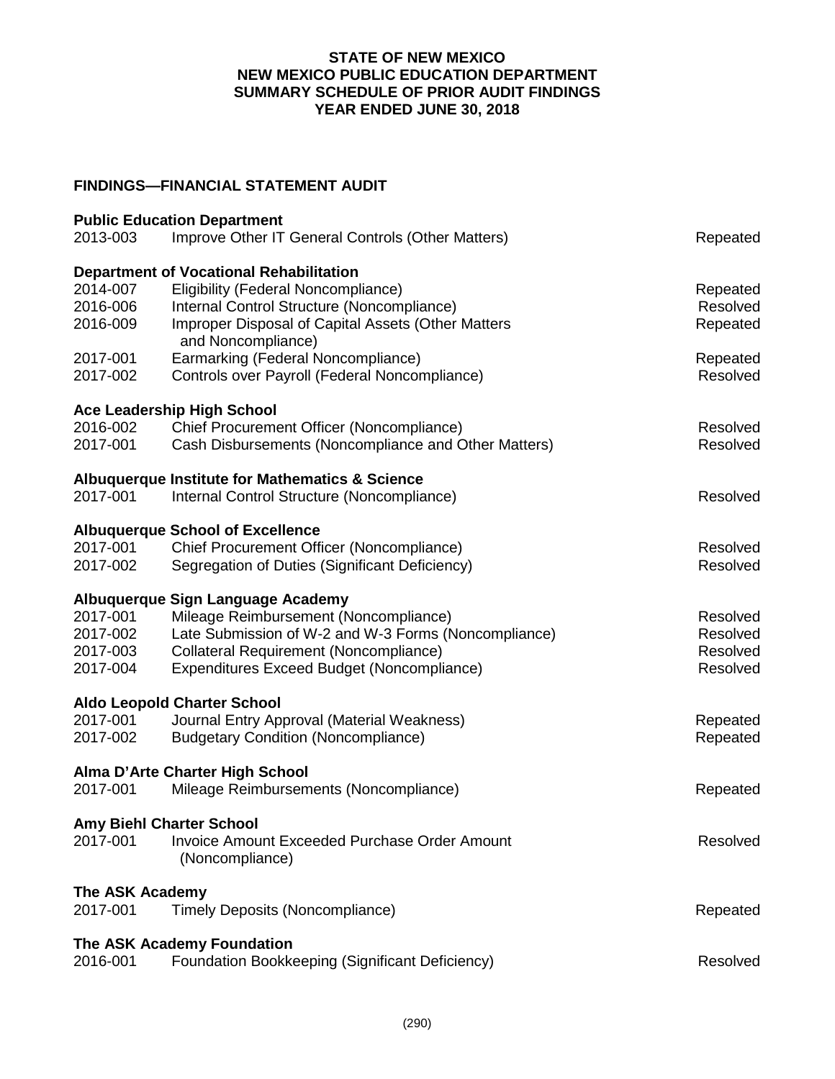# **FINDINGS—FINANCIAL STATEMENT AUDIT**

|                 | <b>Public Education Department</b>                                       |          |
|-----------------|--------------------------------------------------------------------------|----------|
| 2013-003        | Improve Other IT General Controls (Other Matters)                        | Repeated |
|                 | <b>Department of Vocational Rehabilitation</b>                           |          |
| 2014-007        | Eligibility (Federal Noncompliance)                                      | Repeated |
| 2016-006        | Internal Control Structure (Noncompliance)                               | Resolved |
| 2016-009        | Improper Disposal of Capital Assets (Other Matters<br>and Noncompliance) | Repeated |
| 2017-001        | Earmarking (Federal Noncompliance)                                       | Repeated |
| 2017-002        | Controls over Payroll (Federal Noncompliance)                            | Resolved |
|                 | <b>Ace Leadership High School</b>                                        |          |
| 2016-002        | Chief Procurement Officer (Noncompliance)                                | Resolved |
| 2017-001        | Cash Disbursements (Noncompliance and Other Matters)                     | Resolved |
|                 | Albuquerque Institute for Mathematics & Science                          |          |
| 2017-001        | Internal Control Structure (Noncompliance)                               | Resolved |
|                 | <b>Albuquerque School of Excellence</b>                                  |          |
| 2017-001        | Chief Procurement Officer (Noncompliance)                                | Resolved |
| 2017-002        | Segregation of Duties (Significant Deficiency)                           | Resolved |
|                 | Albuquerque Sign Language Academy                                        |          |
| 2017-001        | Mileage Reimbursement (Noncompliance)                                    | Resolved |
| 2017-002        | Late Submission of W-2 and W-3 Forms (Noncompliance)                     | Resolved |
| 2017-003        | <b>Collateral Requirement (Noncompliance)</b>                            | Resolved |
| 2017-004        | Expenditures Exceed Budget (Noncompliance)                               | Resolved |
|                 | <b>Aldo Leopold Charter School</b>                                       |          |
| 2017-001        | Journal Entry Approval (Material Weakness)                               | Repeated |
| 2017-002        | <b>Budgetary Condition (Noncompliance)</b>                               | Repeated |
|                 | <b>Alma D'Arte Charter High School</b>                                   |          |
| 2017-001        | Mileage Reimbursements (Noncompliance)                                   | Repeated |
|                 | <b>Amy Biehl Charter School</b>                                          |          |
| 2017-001        | Invoice Amount Exceeded Purchase Order Amount<br>(Noncompliance)         | Resolved |
| The ASK Academy |                                                                          |          |
| 2017-001        | <b>Timely Deposits (Noncompliance)</b>                                   | Repeated |
|                 | <b>The ASK Academy Foundation</b>                                        |          |
| 2016-001        | Foundation Bookkeeping (Significant Deficiency)                          | Resolved |
|                 |                                                                          |          |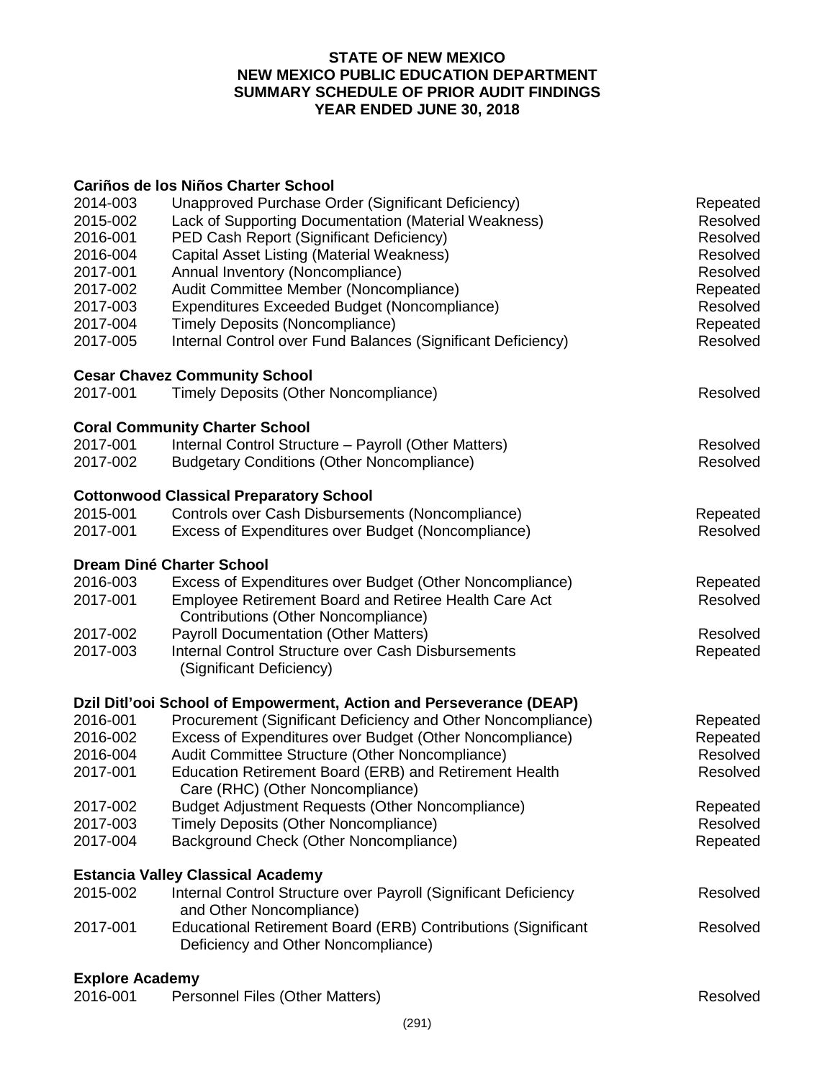|                        | <b>Cariños de los Niños Charter School</b>                                                  |          |
|------------------------|---------------------------------------------------------------------------------------------|----------|
| 2014-003               | Unapproved Purchase Order (Significant Deficiency)                                          | Repeated |
| 2015-002               | Lack of Supporting Documentation (Material Weakness)                                        | Resolved |
| 2016-001               | PED Cash Report (Significant Deficiency)                                                    | Resolved |
| 2016-004               | Capital Asset Listing (Material Weakness)                                                   | Resolved |
| 2017-001               | Annual Inventory (Noncompliance)                                                            | Resolved |
| 2017-002               | Audit Committee Member (Noncompliance)                                                      | Repeated |
| 2017-003               | Expenditures Exceeded Budget (Noncompliance)                                                | Resolved |
| 2017-004               | <b>Timely Deposits (Noncompliance)</b>                                                      | Repeated |
| 2017-005               | Internal Control over Fund Balances (Significant Deficiency)                                | Resolved |
|                        | <b>Cesar Chavez Community School</b>                                                        |          |
| 2017-001               | Timely Deposits (Other Noncompliance)                                                       | Resolved |
|                        | <b>Coral Community Charter School</b>                                                       |          |
| 2017-001               | Internal Control Structure - Payroll (Other Matters)                                        | Resolved |
| 2017-002               | <b>Budgetary Conditions (Other Noncompliance)</b>                                           | Resolved |
|                        | <b>Cottonwood Classical Preparatory School</b>                                              |          |
| 2015-001               | Controls over Cash Disbursements (Noncompliance)                                            | Repeated |
| 2017-001               | Excess of Expenditures over Budget (Noncompliance)                                          | Resolved |
|                        | <b>Dream Diné Charter School</b>                                                            |          |
| 2016-003               | Excess of Expenditures over Budget (Other Noncompliance)                                    | Repeated |
| 2017-001               | Employee Retirement Board and Retiree Health Care Act                                       | Resolved |
|                        | Contributions (Other Noncompliance)                                                         |          |
| 2017-002               | <b>Payroll Documentation (Other Matters)</b>                                                | Resolved |
| 2017-003               | Internal Control Structure over Cash Disbursements<br>(Significant Deficiency)              | Repeated |
|                        | Dzil Ditl'ooi School of Empowerment, Action and Perseverance (DEAP)                         |          |
| 2016-001               | Procurement (Significant Deficiency and Other Noncompliance)                                | Repeated |
| 2016-002               | Excess of Expenditures over Budget (Other Noncompliance)                                    | Repeated |
| 2016-004               | Audit Committee Structure (Other Noncompliance)                                             | Resolved |
| 2017-001               | Education Retirement Board (ERB) and Retirement Health<br>Care (RHC) (Other Noncompliance)  | Resolved |
| 2017-002               | Budget Adjustment Requests (Other Noncompliance)                                            | Repeated |
| 2017-003               | <b>Timely Deposits (Other Noncompliance)</b>                                                | Resolved |
| 2017-004               | Background Check (Other Noncompliance)                                                      | Repeated |
|                        | <b>Estancia Valley Classical Academy</b>                                                    |          |
| 2015-002               | Internal Control Structure over Payroll (Significant Deficiency<br>and Other Noncompliance) | Resolved |
| 2017-001               | Educational Retirement Board (ERB) Contributions (Significant                               | Resolved |
|                        | Deficiency and Other Noncompliance)                                                         |          |
| <b>Explore Academy</b> |                                                                                             |          |
|                        |                                                                                             |          |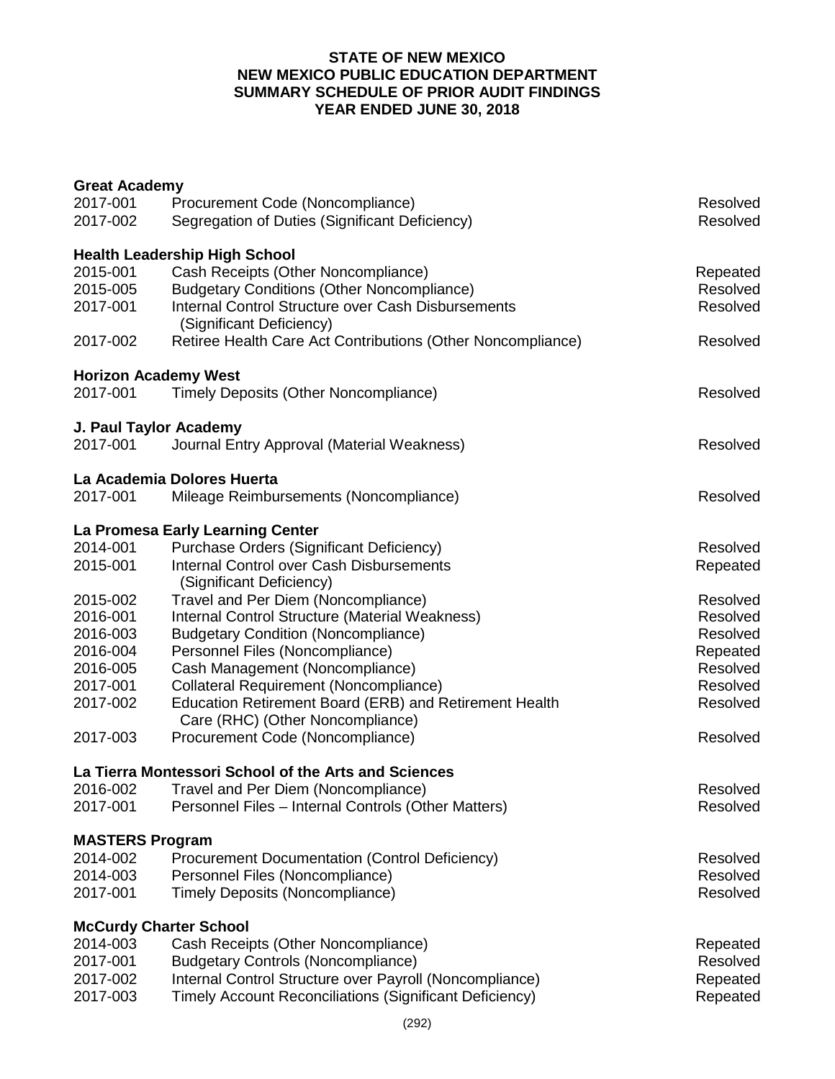| <b>Great Academy</b>   |                                                                |          |
|------------------------|----------------------------------------------------------------|----------|
| 2017-001               | Procurement Code (Noncompliance)                               | Resolved |
| 2017-002               | Segregation of Duties (Significant Deficiency)                 | Resolved |
|                        |                                                                |          |
|                        | <b>Health Leadership High School</b>                           |          |
| 2015-001               | Cash Receipts (Other Noncompliance)                            | Repeated |
| 2015-005               | <b>Budgetary Conditions (Other Noncompliance)</b>              | Resolved |
| 2017-001               | Internal Control Structure over Cash Disbursements             | Resolved |
|                        | (Significant Deficiency)                                       |          |
| 2017-002               | Retiree Health Care Act Contributions (Other Noncompliance)    | Resolved |
|                        |                                                                |          |
|                        | <b>Horizon Academy West</b>                                    |          |
| 2017-001               | <b>Timely Deposits (Other Noncompliance)</b>                   | Resolved |
|                        | J. Paul Taylor Academy                                         |          |
| 2017-001               | Journal Entry Approval (Material Weakness)                     | Resolved |
|                        |                                                                |          |
|                        | La Academia Dolores Huerta                                     |          |
| 2017-001               | Mileage Reimbursements (Noncompliance)                         | Resolved |
|                        | La Promesa Early Learning Center                               |          |
| 2014-001               | Purchase Orders (Significant Deficiency)                       | Resolved |
| 2015-001               | Internal Control over Cash Disbursements                       | Repeated |
|                        | (Significant Deficiency)                                       |          |
| 2015-002               | Travel and Per Diem (Noncompliance)                            | Resolved |
| 2016-001               | Internal Control Structure (Material Weakness)                 | Resolved |
| 2016-003               | <b>Budgetary Condition (Noncompliance)</b>                     | Resolved |
| 2016-004               | Personnel Files (Noncompliance)                                | Repeated |
| 2016-005               | Cash Management (Noncompliance)                                | Resolved |
| 2017-001               | <b>Collateral Requirement (Noncompliance)</b>                  | Resolved |
| 2017-002               | Education Retirement Board (ERB) and Retirement Health         | Resolved |
|                        | Care (RHC) (Other Noncompliance)                               |          |
| 2017-003               | Procurement Code (Noncompliance)                               | Resolved |
|                        | La Tierra Montessori School of the Arts and Sciences           |          |
| 2016-002               | Travel and Per Diem (Noncompliance)                            | Resolved |
| 2017-001               | Personnel Files - Internal Controls (Other Matters)            | Resolved |
|                        |                                                                |          |
| <b>MASTERS Program</b> |                                                                |          |
| 2014-002               | <b>Procurement Documentation (Control Deficiency)</b>          | Resolved |
| 2014-003               | Personnel Files (Noncompliance)                                | Resolved |
| 2017-001               | <b>Timely Deposits (Noncompliance)</b>                         | Resolved |
|                        | <b>McCurdy Charter School</b>                                  |          |
| 2014-003               | Cash Receipts (Other Noncompliance)                            | Repeated |
| 2017-001               | <b>Budgetary Controls (Noncompliance)</b>                      | Resolved |
| 2017-002               | Internal Control Structure over Payroll (Noncompliance)        | Repeated |
| 2017-003               | <b>Timely Account Reconciliations (Significant Deficiency)</b> | Repeated |
|                        |                                                                |          |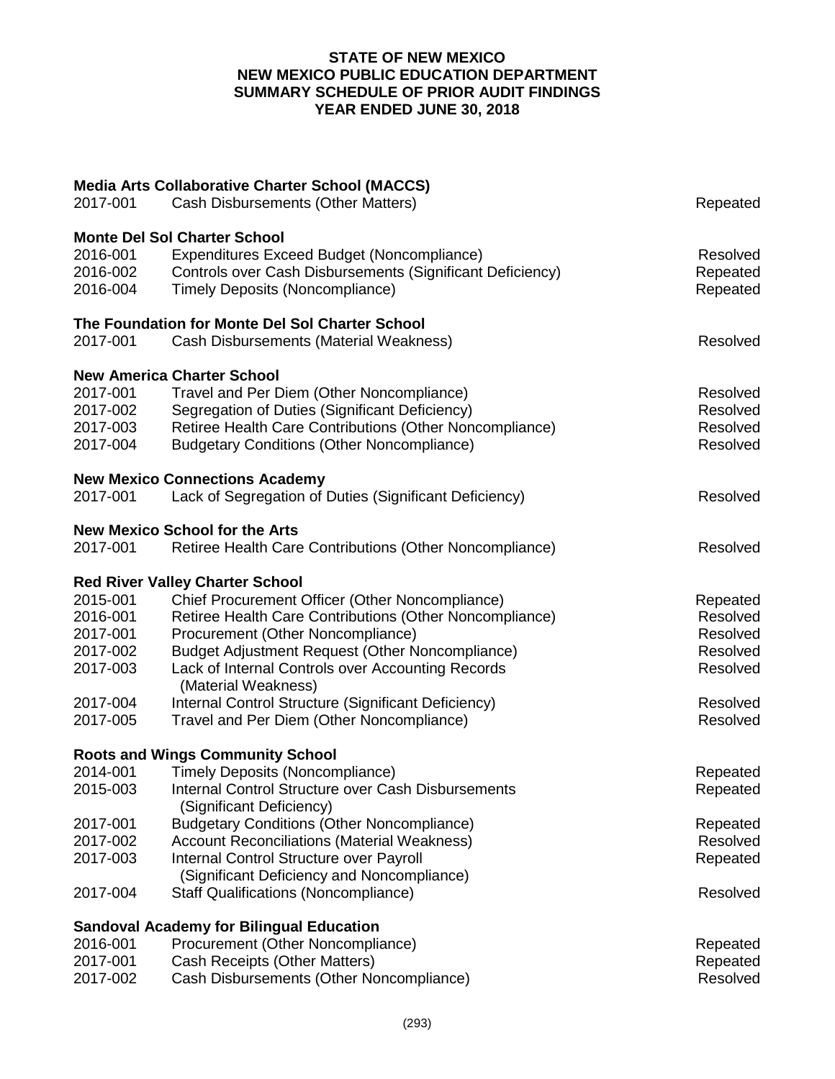| 2017-001                                                             | <b>Media Arts Collaborative Charter School (MACCS)</b><br><b>Cash Disbursements (Other Matters)</b>                                                                                                                                                                                                                                   | Repeated                                                             |
|----------------------------------------------------------------------|---------------------------------------------------------------------------------------------------------------------------------------------------------------------------------------------------------------------------------------------------------------------------------------------------------------------------------------|----------------------------------------------------------------------|
| 2016-001<br>2016-002<br>2016-004                                     | <b>Monte Del Sol Charter School</b><br>Expenditures Exceed Budget (Noncompliance)<br>Controls over Cash Disbursements (Significant Deficiency)<br>Timely Deposits (Noncompliance)                                                                                                                                                     | Resolved<br>Repeated<br>Repeated                                     |
| 2017-001                                                             | The Foundation for Monte Del Sol Charter School<br>Cash Disbursements (Material Weakness)                                                                                                                                                                                                                                             | Resolved                                                             |
| 2017-001<br>2017-002<br>2017-003<br>2017-004                         | <b>New America Charter School</b><br>Travel and Per Diem (Other Noncompliance)<br>Segregation of Duties (Significant Deficiency)<br>Retiree Health Care Contributions (Other Noncompliance)<br><b>Budgetary Conditions (Other Noncompliance)</b>                                                                                      | Resolved<br>Resolved<br>Resolved<br>Resolved                         |
| 2017-001                                                             | <b>New Mexico Connections Academy</b><br>Lack of Segregation of Duties (Significant Deficiency)                                                                                                                                                                                                                                       | Resolved                                                             |
| 2017-001                                                             | <b>New Mexico School for the Arts</b><br>Retiree Health Care Contributions (Other Noncompliance)                                                                                                                                                                                                                                      | Resolved                                                             |
|                                                                      | <b>Red River Valley Charter School</b>                                                                                                                                                                                                                                                                                                |                                                                      |
| 2015-001<br>2016-001<br>2017-001<br>2017-002<br>2017-003<br>2017-004 | Chief Procurement Officer (Other Noncompliance)<br>Retiree Health Care Contributions (Other Noncompliance)<br>Procurement (Other Noncompliance)<br>Budget Adjustment Request (Other Noncompliance)<br>Lack of Internal Controls over Accounting Records<br>(Material Weakness)<br>Internal Control Structure (Significant Deficiency) | Repeated<br>Resolved<br>Resolved<br>Resolved<br>Resolved<br>Resolved |
| 2017-005                                                             | Travel and Per Diem (Other Noncompliance)                                                                                                                                                                                                                                                                                             | Resolved                                                             |
|                                                                      | <b>Roots and Wings Community School</b>                                                                                                                                                                                                                                                                                               |                                                                      |
| 2014-001<br>2015-003                                                 | <b>Timely Deposits (Noncompliance)</b><br>Internal Control Structure over Cash Disbursements<br>(Significant Deficiency)                                                                                                                                                                                                              | Repeated<br>Repeated                                                 |
| 2017-001<br>2017-002<br>2017-003<br>2017-004                         | <b>Budgetary Conditions (Other Noncompliance)</b><br><b>Account Reconciliations (Material Weakness)</b><br>Internal Control Structure over Payroll<br>(Significant Deficiency and Noncompliance)<br><b>Staff Qualifications (Noncompliance)</b>                                                                                       | Repeated<br>Resolved<br>Repeated<br>Resolved                         |
|                                                                      | <b>Sandoval Academy for Bilingual Education</b>                                                                                                                                                                                                                                                                                       |                                                                      |
| 2016-001<br>2017-001<br>2017-002                                     | Procurement (Other Noncompliance)<br>Cash Receipts (Other Matters)<br>Cash Disbursements (Other Noncompliance)                                                                                                                                                                                                                        | Repeated<br>Repeated<br>Resolved                                     |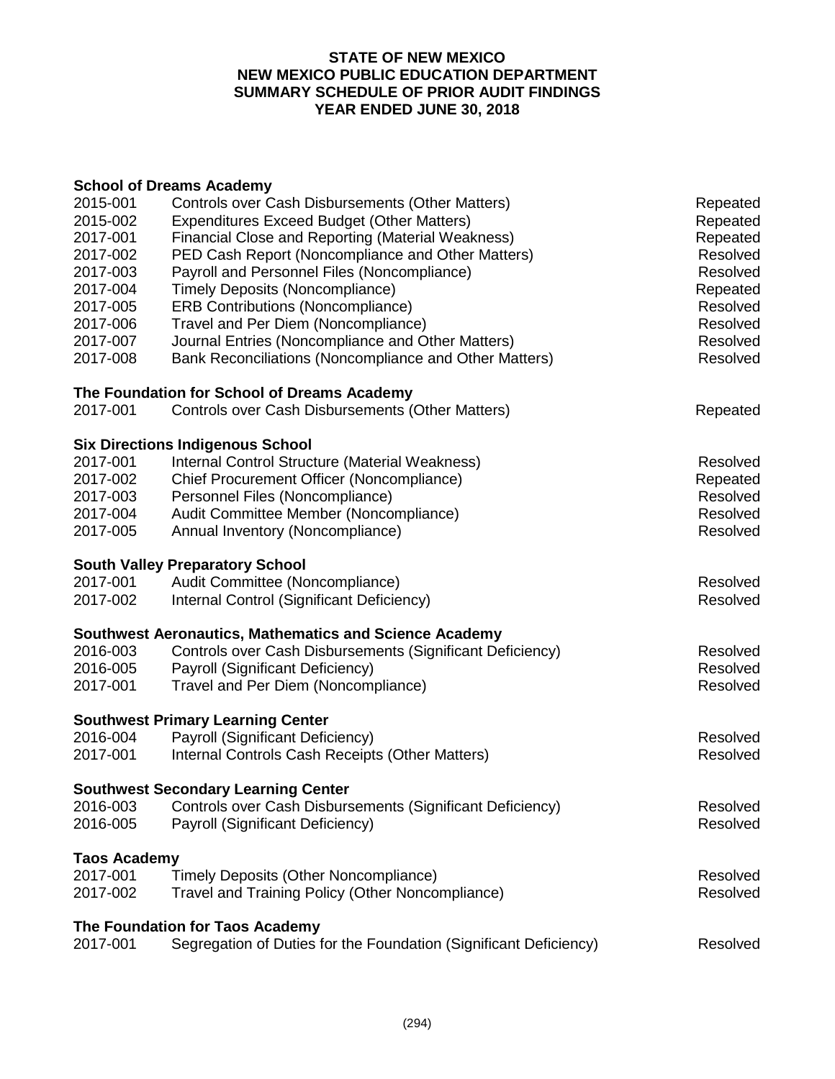|                     | <b>School of Dreams Academy</b>                                   |          |
|---------------------|-------------------------------------------------------------------|----------|
| 2015-001            | Controls over Cash Disbursements (Other Matters)                  | Repeated |
| 2015-002            | <b>Expenditures Exceed Budget (Other Matters)</b>                 | Repeated |
| 2017-001            | Financial Close and Reporting (Material Weakness)                 | Repeated |
| 2017-002            | PED Cash Report (Noncompliance and Other Matters)                 | Resolved |
| 2017-003            | Payroll and Personnel Files (Noncompliance)                       | Resolved |
| 2017-004            | <b>Timely Deposits (Noncompliance)</b>                            | Repeated |
| 2017-005            | <b>ERB Contributions (Noncompliance)</b>                          | Resolved |
| 2017-006            | Travel and Per Diem (Noncompliance)                               | Resolved |
| 2017-007            | Journal Entries (Noncompliance and Other Matters)                 | Resolved |
| 2017-008            | Bank Reconciliations (Noncompliance and Other Matters)            | Resolved |
|                     | The Foundation for School of Dreams Academy                       |          |
| 2017-001            | Controls over Cash Disbursements (Other Matters)                  | Repeated |
|                     | <b>Six Directions Indigenous School</b>                           |          |
| 2017-001            | Internal Control Structure (Material Weakness)                    | Resolved |
| 2017-002            | Chief Procurement Officer (Noncompliance)                         | Repeated |
| 2017-003            | Personnel Files (Noncompliance)                                   | Resolved |
| 2017-004            | Audit Committee Member (Noncompliance)                            | Resolved |
| 2017-005            | Annual Inventory (Noncompliance)                                  | Resolved |
|                     | <b>South Valley Preparatory School</b>                            |          |
| 2017-001            | Audit Committee (Noncompliance)                                   | Resolved |
| 2017-002            | Internal Control (Significant Deficiency)                         | Resolved |
|                     | Southwest Aeronautics, Mathematics and Science Academy            |          |
| 2016-003            | Controls over Cash Disbursements (Significant Deficiency)         | Resolved |
| 2016-005            | Payroll (Significant Deficiency)                                  | Resolved |
| 2017-001            | Travel and Per Diem (Noncompliance)                               | Resolved |
|                     | <b>Southwest Primary Learning Center</b>                          |          |
| 2016-004            | Payroll (Significant Deficiency)                                  | Resolved |
| 2017-001            | Internal Controls Cash Receipts (Other Matters)                   | Resolved |
|                     | <b>Southwest Secondary Learning Center</b>                        |          |
| 2016-003            | Controls over Cash Disbursements (Significant Deficiency)         | Resolved |
| 2016-005            | Payroll (Significant Deficiency)                                  | Resolved |
| <b>Taos Academy</b> |                                                                   |          |
| 2017-001            | Timely Deposits (Other Noncompliance)                             | Resolved |
| 2017-002            | Travel and Training Policy (Other Noncompliance)                  | Resolved |
|                     | The Foundation for Taos Academy                                   |          |
| 2017-001            | Segregation of Duties for the Foundation (Significant Deficiency) | Resolved |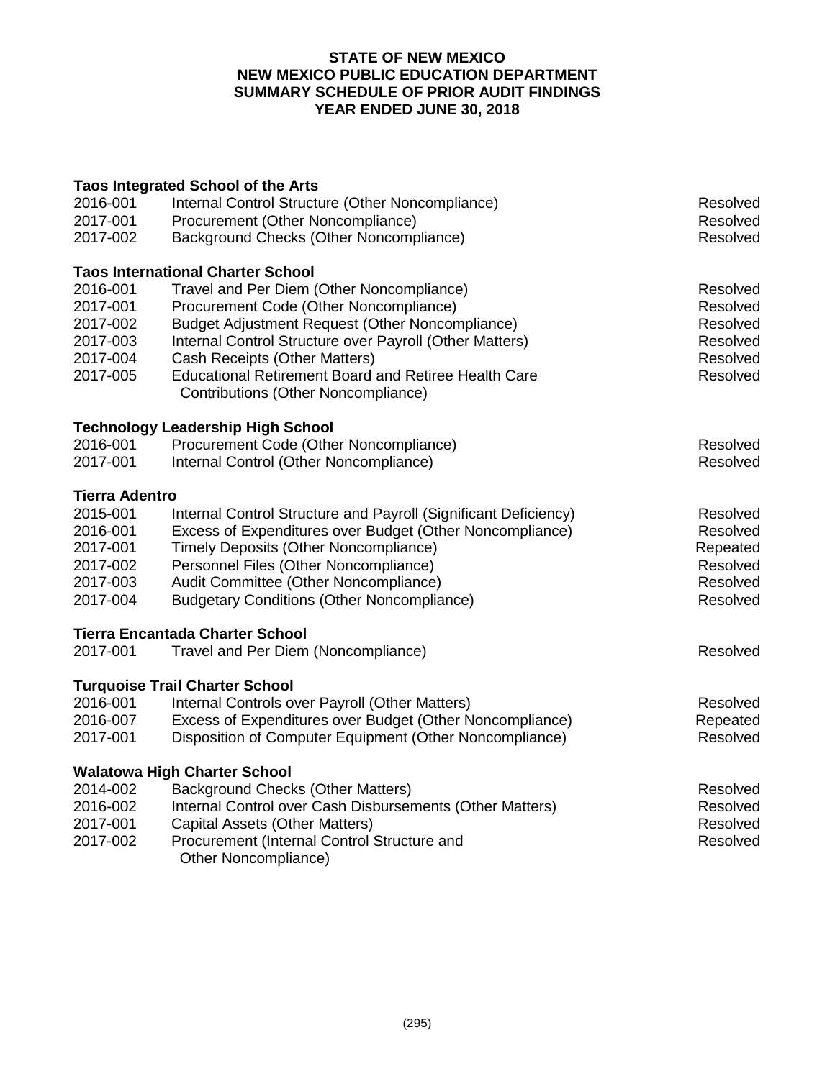|                       | <b>Taos Integrated School of the Arts</b>                                                          |          |
|-----------------------|----------------------------------------------------------------------------------------------------|----------|
| 2016-001              | Internal Control Structure (Other Noncompliance)                                                   | Resolved |
| 2017-001              | Procurement (Other Noncompliance)                                                                  | Resolved |
| 2017-002              | Background Checks (Other Noncompliance)                                                            | Resolved |
|                       | <b>Taos International Charter School</b>                                                           |          |
| 2016-001              | Travel and Per Diem (Other Noncompliance)                                                          | Resolved |
| 2017-001              | Procurement Code (Other Noncompliance)                                                             | Resolved |
| 2017-002              | Budget Adjustment Request (Other Noncompliance)                                                    | Resolved |
| 2017-003              | Internal Control Structure over Payroll (Other Matters)                                            | Resolved |
| 2017-004              | Cash Receipts (Other Matters)                                                                      | Resolved |
| 2017-005              | <b>Educational Retirement Board and Retiree Health Care</b><br>Contributions (Other Noncompliance) | Resolved |
|                       | <b>Technology Leadership High School</b>                                                           |          |
| 2016-001              | Procurement Code (Other Noncompliance)                                                             | Resolved |
| 2017-001              | Internal Control (Other Noncompliance)                                                             | Resolved |
| <b>Tierra Adentro</b> |                                                                                                    |          |
| 2015-001              | Internal Control Structure and Payroll (Significant Deficiency)                                    | Resolved |
| 2016-001              | Excess of Expenditures over Budget (Other Noncompliance)                                           | Resolved |
| 2017-001              | <b>Timely Deposits (Other Noncompliance)</b>                                                       | Repeated |
| 2017-002              | Personnel Files (Other Noncompliance)                                                              | Resolved |
| 2017-003              | Audit Committee (Other Noncompliance)                                                              | Resolved |
| 2017-004              | <b>Budgetary Conditions (Other Noncompliance)</b>                                                  | Resolved |
|                       | <b>Tierra Encantada Charter School</b>                                                             |          |
| 2017-001              | Travel and Per Diem (Noncompliance)                                                                | Resolved |
|                       | <b>Turquoise Trail Charter School</b>                                                              |          |
| 2016-001              | Internal Controls over Payroll (Other Matters)                                                     | Resolved |
| 2016-007              | Excess of Expenditures over Budget (Other Noncompliance)                                           | Repeated |
| 2017-001              | Disposition of Computer Equipment (Other Noncompliance)                                            | Resolved |
|                       | <b>Walatowa High Charter School</b>                                                                |          |
| 2014-002              | <b>Background Checks (Other Matters)</b>                                                           | Resolved |
| 2016-002              | Internal Control over Cash Disbursements (Other Matters)                                           | Resolved |
| 2017-001              | Capital Assets (Other Matters)                                                                     | Resolved |
| 2017-002              | Procurement (Internal Control Structure and<br>Other Noncompliance)                                | Resolved |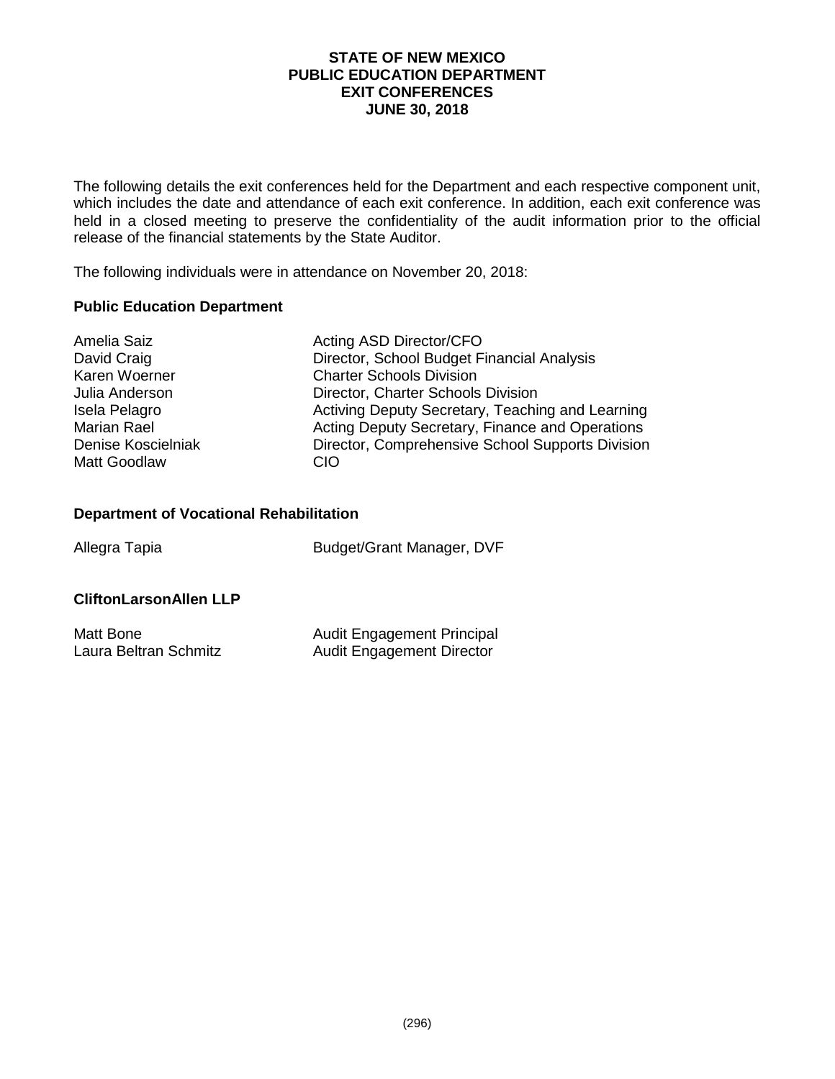The following details the exit conferences held for the Department and each respective component unit, which includes the date and attendance of each exit conference. In addition, each exit conference was held in a closed meeting to preserve the confidentiality of the audit information prior to the official release of the financial statements by the State Auditor.

The following individuals were in attendance on November 20, 2018:

## **Public Education Department**

| Amelia Saiz        | Acting ASD Director/CFO                          |
|--------------------|--------------------------------------------------|
| David Craig        | Director, School Budget Financial Analysis       |
| Karen Woerner      | <b>Charter Schools Division</b>                  |
| Julia Anderson     | Director, Charter Schools Division               |
| Isela Pelagro      | Activing Deputy Secretary, Teaching and Learning |
| <b>Marian Rael</b> | Acting Deputy Secretary, Finance and Operations  |
| Denise Koscielniak | Director, Comprehensive School Supports Division |
| Matt Goodlaw       | <b>CIO</b>                                       |
|                    |                                                  |

## **Department of Vocational Rehabilitation**

Allegra Tapia **Budget/Grant Manager, DVF** 

## **CliftonLarsonAllen LLP**

| Matt Bone             | <b>Audit Engagement Principal</b> |
|-----------------------|-----------------------------------|
| Laura Beltran Schmitz | <b>Audit Engagement Director</b>  |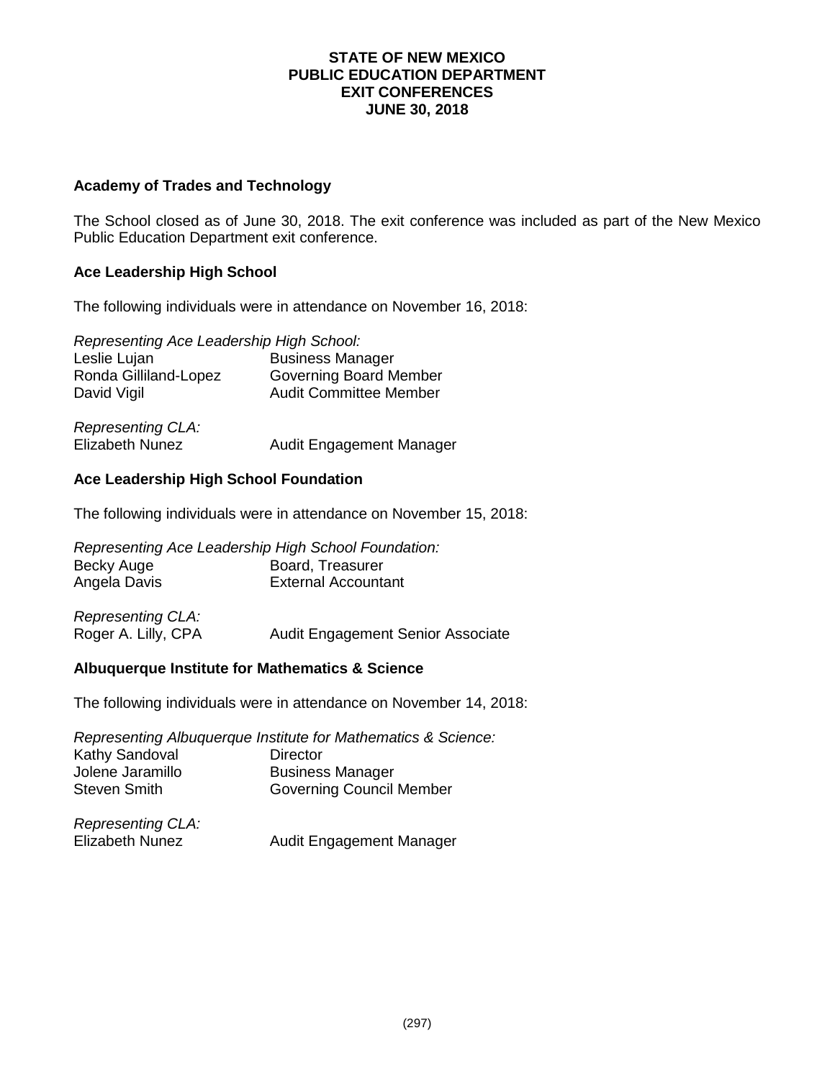## **Academy of Trades and Technology**

The School closed as of June 30, 2018. The exit conference was included as part of the New Mexico Public Education Department exit conference.

## **Ace Leadership High School**

The following individuals were in attendance on November 16, 2018:

| Representing Ace Leadership High School: |                               |  |  |
|------------------------------------------|-------------------------------|--|--|
| Leslie Lujan                             | <b>Business Manager</b>       |  |  |
| Ronda Gilliland-Lopez                    | <b>Governing Board Member</b> |  |  |
| David Vigil                              | <b>Audit Committee Member</b> |  |  |
|                                          |                               |  |  |
|                                          |                               |  |  |

*Representing CLA:* Audit Engagement Manager

## **Ace Leadership High School Foundation**

The following individuals were in attendance on November 15, 2018:

*Representing Ace Leadership High School Foundation:* Becky Auge Board, Treasurer Angela Davis External Accountant

*Representing CLA:* Roger A. Lilly, CPA Audit Engagement Senior Associate

## **Albuquerque Institute for Mathematics & Science**

The following individuals were in attendance on November 14, 2018:

| Representing Albuquerque Institute for Mathematics & Science: |                          |  |
|---------------------------------------------------------------|--------------------------|--|
| Kathy Sandoval                                                | Director                 |  |
| Jolene Jaramillo                                              | <b>Business Manager</b>  |  |
| <b>Steven Smith</b>                                           | Governing Council Member |  |

| <b>Representing CLA:</b> |                          |
|--------------------------|--------------------------|
| Elizabeth Nunez          | Audit Engagement Manager |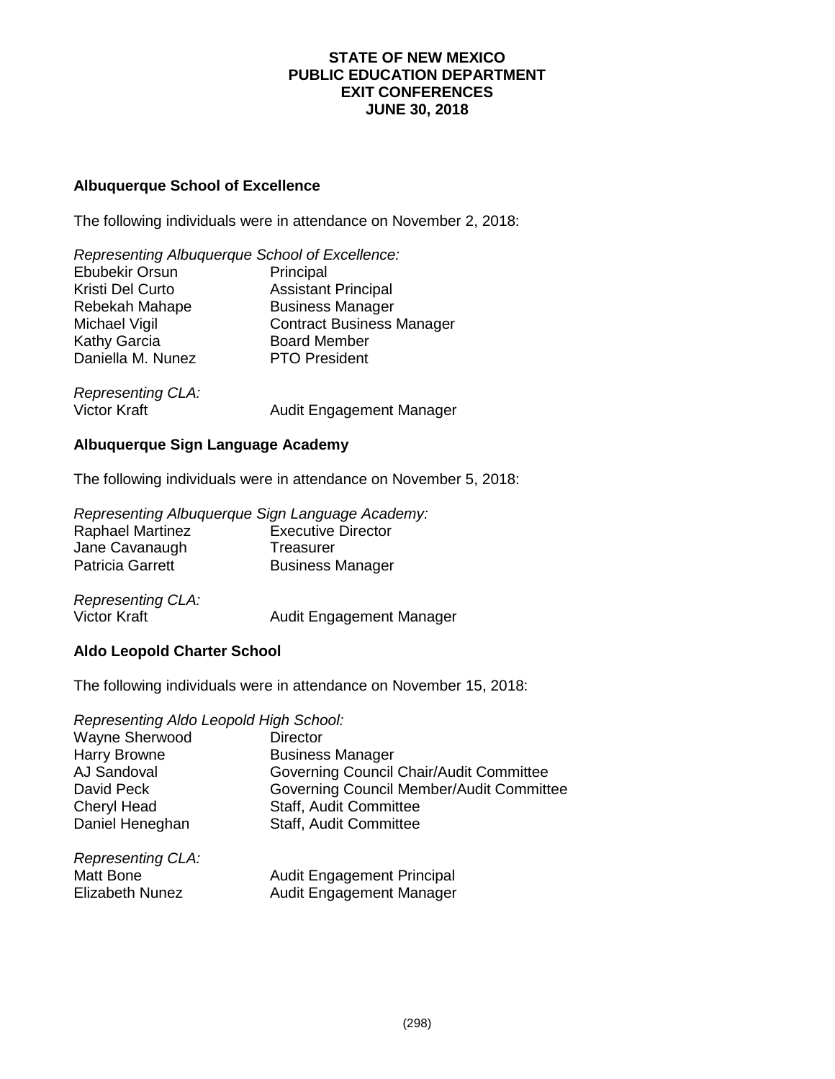## **Albuquerque School of Excellence**

The following individuals were in attendance on November 2, 2018:

|                       | Representing Albuquerque School of Excellence: |
|-----------------------|------------------------------------------------|
| <b>Ebubekir Orsun</b> | Principal                                      |
| Kristi Del Curto      | <b>Assistant Principal</b>                     |
| Rebekah Mahape        | <b>Business Manager</b>                        |
| Michael Vigil         | <b>Contract Business Manager</b>               |
| Kathy Garcia          | <b>Board Member</b>                            |
| Daniella M. Nunez     | <b>PTO President</b>                           |
|                       |                                                |

*Representing CLA:*

Audit Engagement Manager

## **Albuquerque Sign Language Academy**

The following individuals were in attendance on November 5, 2018:

| Representing Albuquerque Sign Language Academy: |                           |
|-------------------------------------------------|---------------------------|
| <b>Raphael Martinez</b>                         | <b>Executive Director</b> |
| Jane Cavanaugh                                  | Treasurer                 |
| <b>Patricia Garrett</b>                         | <b>Business Manager</b>   |

*Representing CLA:* Audit Engagement Manager

## **Aldo Leopold Charter School**

The following individuals were in attendance on November 15, 2018:

*Representing Aldo Leopold High School:*

| Wayne Sherwood  | <b>Director</b>                          |
|-----------------|------------------------------------------|
| Harry Browne    | <b>Business Manager</b>                  |
| AJ Sandoval     | Governing Council Chair/Audit Committee  |
| David Peck      | Governing Council Member/Audit Committee |
| Cheryl Head     | <b>Staff, Audit Committee</b>            |
| Daniel Heneghan | <b>Staff, Audit Committee</b>            |
|                 |                                          |

| Representing CLA:      |                                   |
|------------------------|-----------------------------------|
| Matt Bone              | <b>Audit Engagement Principal</b> |
| <b>Elizabeth Nunez</b> | Audit Engagement Manager          |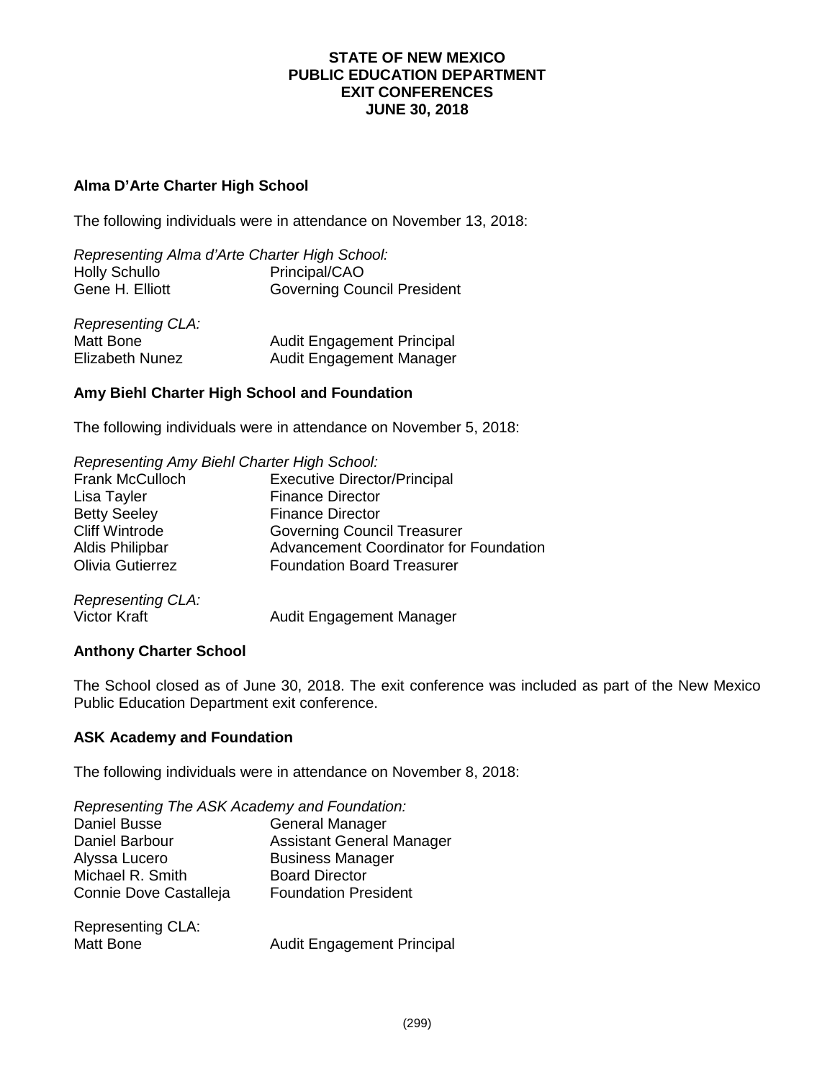# **Alma D'Arte Charter High School**

The following individuals were in attendance on November 13, 2018:

| Representing Alma d'Arte Charter High School: |                                    |
|-----------------------------------------------|------------------------------------|
| <b>Holly Schullo</b>                          | Principal/CAO                      |
| Gene H. Elliott                               | <b>Governing Council President</b> |
|                                               |                                    |

| Representing CLA: |                                   |
|-------------------|-----------------------------------|
| Matt Bone         | <b>Audit Engagement Principal</b> |
| Elizabeth Nunez   | Audit Engagement Manager          |

## **Amy Biehl Charter High School and Foundation**

The following individuals were in attendance on November 5, 2018:

| Representing Amy Biehl Charter High School: |                                               |
|---------------------------------------------|-----------------------------------------------|
| Frank McCulloch                             | <b>Executive Director/Principal</b>           |
| Lisa Tayler                                 | <b>Finance Director</b>                       |
| <b>Betty Seeley</b>                         | <b>Finance Director</b>                       |
| <b>Cliff Wintrode</b>                       | <b>Governing Council Treasurer</b>            |
| Aldis Philipbar                             | <b>Advancement Coordinator for Foundation</b> |
| <b>Olivia Gutierrez</b>                     | <b>Foundation Board Treasurer</b>             |
| <b>Representing CLA:</b>                    |                                               |
| <b>Victor Kraft</b>                         | Audit Engagement Manager                      |

## **Anthony Charter School**

The School closed as of June 30, 2018. The exit conference was included as part of the New Mexico Public Education Department exit conference.

#### **ASK Academy and Foundation**

The following individuals were in attendance on November 8, 2018:

| <b>Assistant General Manager</b> |
|----------------------------------|
|                                  |
|                                  |
|                                  |
|                                  |
|                                  |

| Representing CLA: |                                   |
|-------------------|-----------------------------------|
| Matt Bone         | <b>Audit Engagement Principal</b> |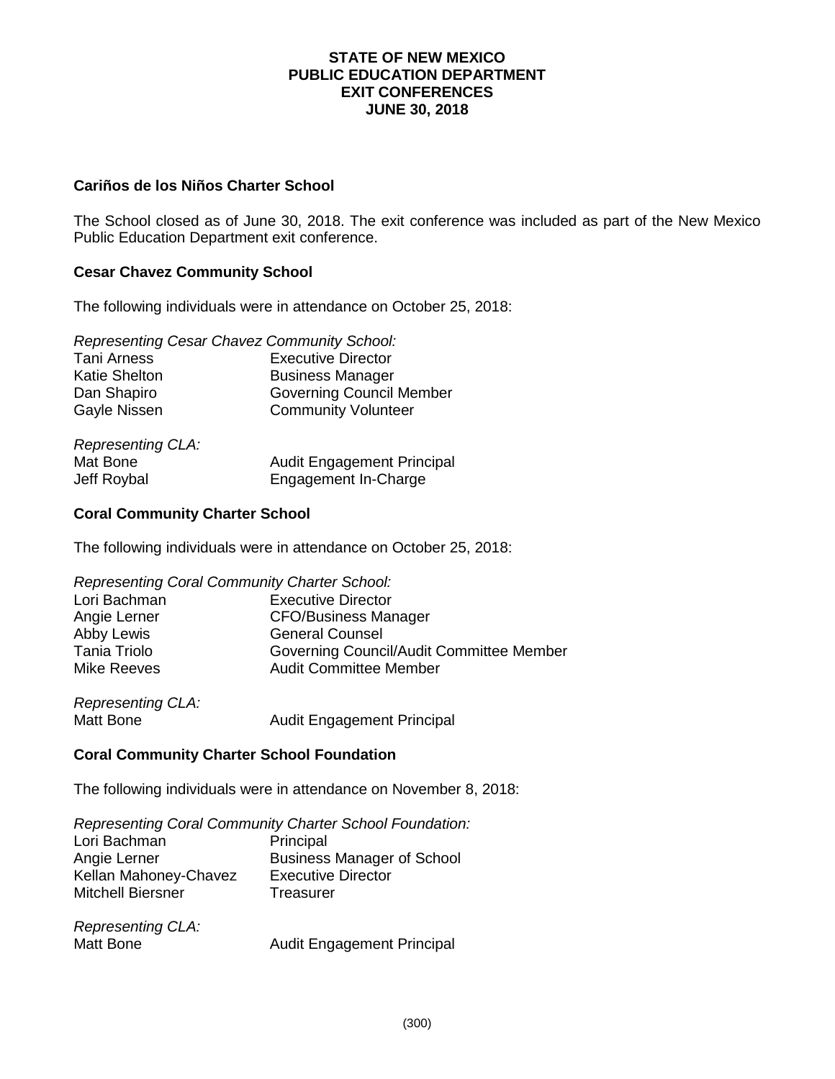## **Cariños de los Niños Charter School**

The School closed as of June 30, 2018. The exit conference was included as part of the New Mexico Public Education Department exit conference.

#### **Cesar Chavez Community School**

The following individuals were in attendance on October 25, 2018:

| Representing Cesar Chavez Community School: |  |
|---------------------------------------------|--|
|                                             |  |
|                                             |  |
| <b>Governing Council Member</b>             |  |
|                                             |  |
|                                             |  |

| <b>Representing CLA:</b> |                                   |
|--------------------------|-----------------------------------|
| Mat Bone                 | <b>Audit Engagement Principal</b> |
| Jeff Roybal              | Engagement In-Charge              |

## **Coral Community Charter School**

The following individuals were in attendance on October 25, 2018:

|                     | Representing Coral Community Charter School: |
|---------------------|----------------------------------------------|
| Lori Bachman        | <b>Executive Director</b>                    |
| Angie Lerner        | <b>CFO/Business Manager</b>                  |
| Abby Lewis          | <b>General Counsel</b>                       |
| <b>Tania Triolo</b> | Governing Council/Audit Committee Member     |
| Mike Reeves         | <b>Audit Committee Member</b>                |
|                     |                                              |

| <b>Representing CLA:</b> |                                   |
|--------------------------|-----------------------------------|
| Matt Bone                | <b>Audit Engagement Principal</b> |

#### **Coral Community Charter School Foundation**

The following individuals were in attendance on November 8, 2018:

|                          | Representing Coral Community Charter School Foundation: |
|--------------------------|---------------------------------------------------------|
| Lori Bachman             | Principal                                               |
| Angie Lerner             | <b>Business Manager of School</b>                       |
| Kellan Mahoney-Chavez    | <b>Executive Director</b>                               |
| <b>Mitchell Biersner</b> | Treasurer                                               |
|                          |                                                         |
| <b>Representing CLA:</b> |                                                         |

| nepresenting OLA. |                                   |
|-------------------|-----------------------------------|
| Matt Bone         | <b>Audit Engagement Principal</b> |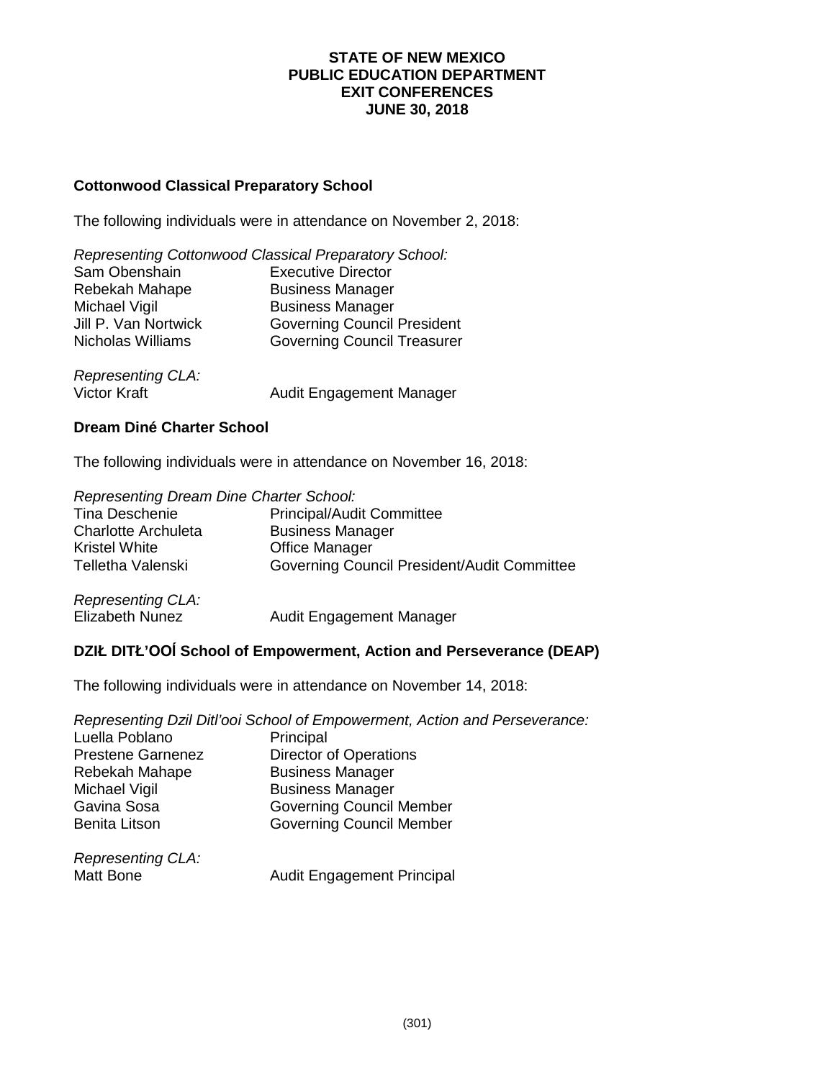## **Cottonwood Classical Preparatory School**

The following individuals were in attendance on November 2, 2018:

|                          | Representing Cottonwood Classical Preparatory School: |
|--------------------------|-------------------------------------------------------|
| Sam Obenshain            | <b>Executive Director</b>                             |
| Rebekah Mahape           | <b>Business Manager</b>                               |
| Michael Vigil            | <b>Business Manager</b>                               |
| Jill P. Van Nortwick     | <b>Governing Council President</b>                    |
| <b>Nicholas Williams</b> | <b>Governing Council Treasurer</b>                    |
|                          |                                                       |

*Representing CLA:* Audit Engagement Manager

# **Dream Diné Charter School**

The following individuals were in attendance on November 16, 2018:

# *Representing Dream Dine Charter School:*

| Tina Deschenie             | <b>Principal/Audit Committee</b>            |
|----------------------------|---------------------------------------------|
| <b>Charlotte Archuleta</b> | <b>Business Manager</b>                     |
| Kristel White              | <b>Office Manager</b>                       |
| Telletha Valenski          | Governing Council President/Audit Committee |

*Representing CLA:*

Audit Engagement Manager

# **DZIŁ DITŁ'ΟΟĺ School of Empowerment, Action and Perseverance (DEAP)**

The following individuals were in attendance on November 14, 2018:

*Representing Dzil Ditl'ooi School of Empowerment, Action and Perseverance:*

| Luella Poblano           | Principal                       |
|--------------------------|---------------------------------|
| <b>Prestene Garnenez</b> | Director of Operations          |
| Rebekah Mahape           | <b>Business Manager</b>         |
| Michael Vigil            | <b>Business Manager</b>         |
| Gavina Sosa              | <b>Governing Council Member</b> |
| <b>Benita Litson</b>     | <b>Governing Council Member</b> |

| <b>Representing CLA:</b> |                                   |
|--------------------------|-----------------------------------|
| Matt Bone                | <b>Audit Engagement Principal</b> |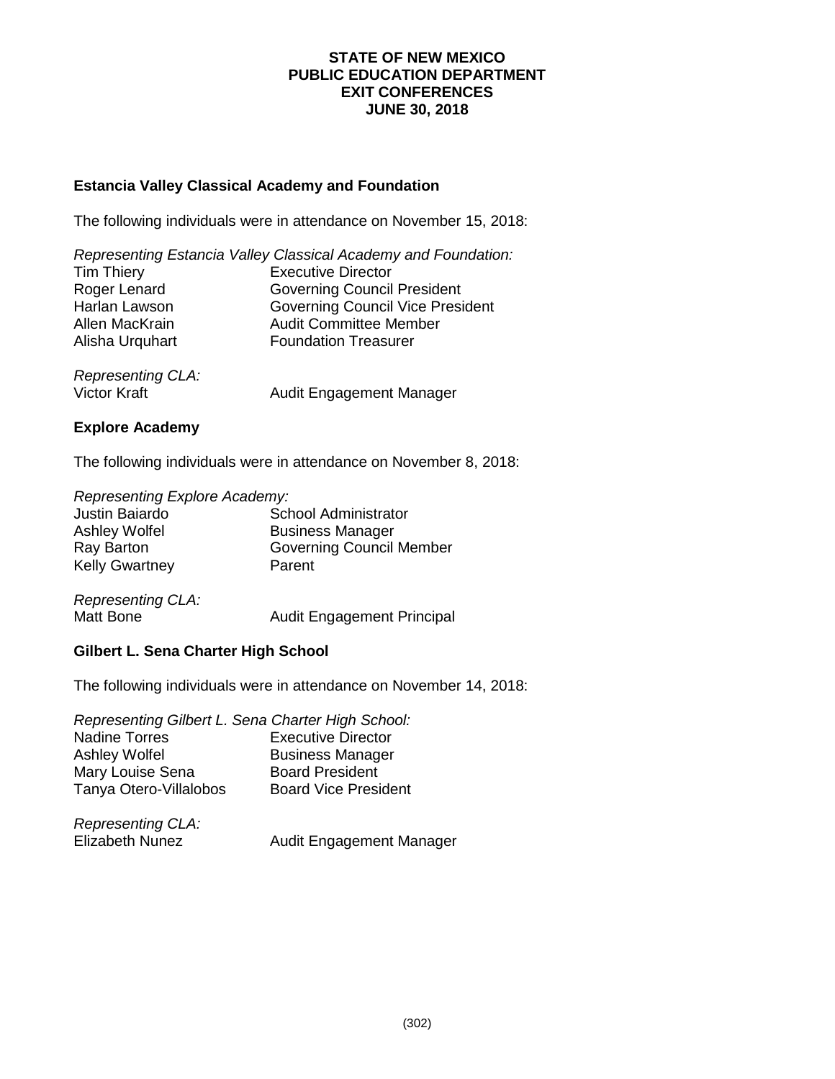# **Estancia Valley Classical Academy and Foundation**

The following individuals were in attendance on November 15, 2018:

|                   | Representing Estancia Valley Classical Academy and Foundation: |
|-------------------|----------------------------------------------------------------|
| <b>Tim Thiery</b> | <b>Executive Director</b>                                      |
| Roger Lenard      | <b>Governing Council President</b>                             |
| Harlan Lawson     | <b>Governing Council Vice President</b>                        |
| Allen MacKrain    | <b>Audit Committee Member</b>                                  |
| Alisha Urquhart   | <b>Foundation Treasurer</b>                                    |
|                   |                                                                |

*Representing CLA:*

Audit Engagement Manager

# **Explore Academy**

The following individuals were in attendance on November 8, 2018:

# *Representing Explore Academy:*

| Justin Baiardo        | School Administrator            |
|-----------------------|---------------------------------|
| Ashley Wolfel         | <b>Business Manager</b>         |
| Ray Barton            | <b>Governing Council Member</b> |
| <b>Kelly Gwartney</b> | Parent                          |

| <b>Representing CLA:</b> |                                   |
|--------------------------|-----------------------------------|
| Matt Bone                | <b>Audit Engagement Principal</b> |

## **Gilbert L. Sena Charter High School**

The following individuals were in attendance on November 14, 2018:

| Representing Gilbert L. Sena Charter High School: |                             |
|---------------------------------------------------|-----------------------------|
| <b>Nadine Torres</b>                              | <b>Executive Director</b>   |
| Ashley Wolfel                                     | <b>Business Manager</b>     |
| Mary Louise Sena                                  | <b>Board President</b>      |
| Tanya Otero-Villalobos                            | <b>Board Vice President</b> |

| <b>Representing CLA:</b> |                          |
|--------------------------|--------------------------|
| Elizabeth Nunez          | Audit Engagement Manager |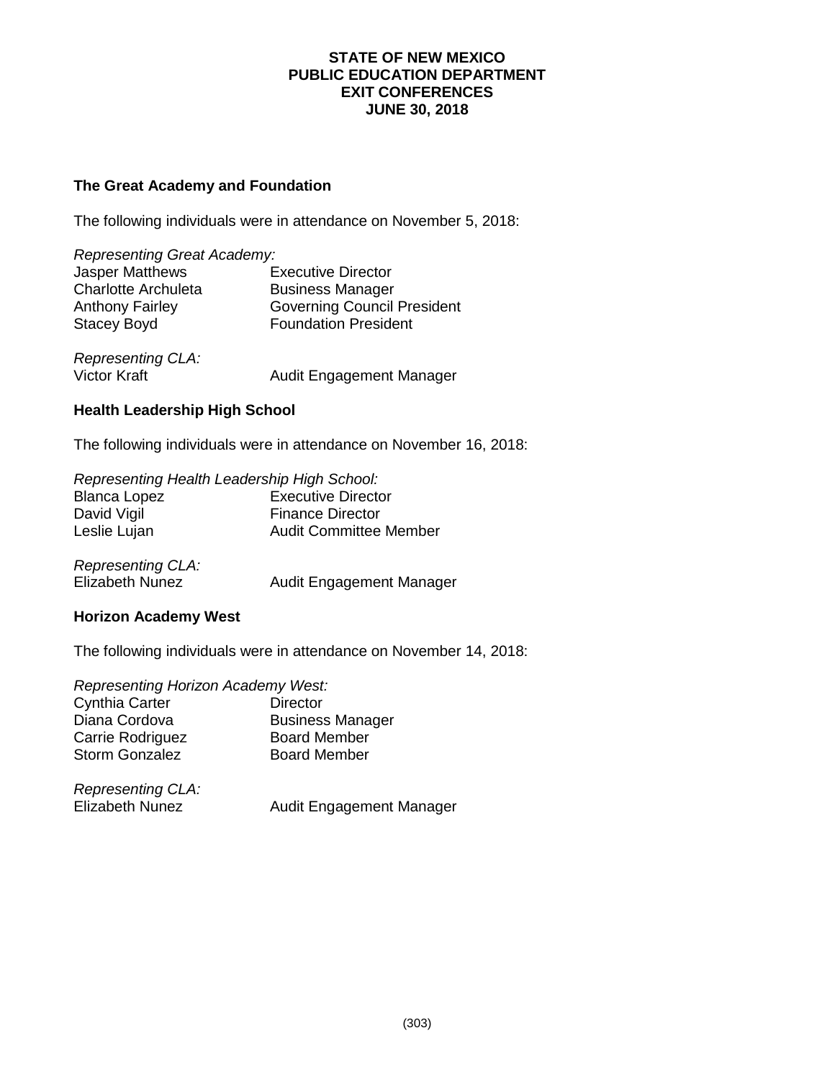## **The Great Academy and Foundation**

The following individuals were in attendance on November 5, 2018:

| <b>Representing Great Academy:</b> |                                    |
|------------------------------------|------------------------------------|
| <b>Jasper Matthews</b>             | <b>Executive Director</b>          |
| <b>Charlotte Archuleta</b>         | <b>Business Manager</b>            |
| <b>Anthony Fairley</b>             | <b>Governing Council President</b> |
| <b>Stacey Boyd</b>                 | <b>Foundation President</b>        |
| <b>Representing CLA:</b>           |                                    |
| <b>Victor Kraft</b>                | Audit Engagement Manager           |

# **Health Leadership High School**

The following individuals were in attendance on November 16, 2018:

| Representing Health Leadership High School: |                               |
|---------------------------------------------|-------------------------------|
| <b>Blanca Lopez</b>                         | <b>Executive Director</b>     |
| David Vigil                                 | <b>Finance Director</b>       |
| Leslie Lujan                                | <b>Audit Committee Member</b> |
| Representing CLA:                           |                               |

| www.commigroup. |                                 |  |
|-----------------|---------------------------------|--|
| Elizabeth Nunez | <b>Audit Engagement Manager</b> |  |

# **Horizon Academy West**

The following individuals were in attendance on November 14, 2018:

*Representing Horizon Academy West:*

| Cynthia Carter        | <b>Director</b>         |
|-----------------------|-------------------------|
| Diana Cordova         | <b>Business Manager</b> |
| Carrie Rodriguez      | <b>Board Member</b>     |
| <b>Storm Gonzalez</b> | <b>Board Member</b>     |
| Representing CLA:     |                         |

Elizabeth Nunez Audit Engagement Manager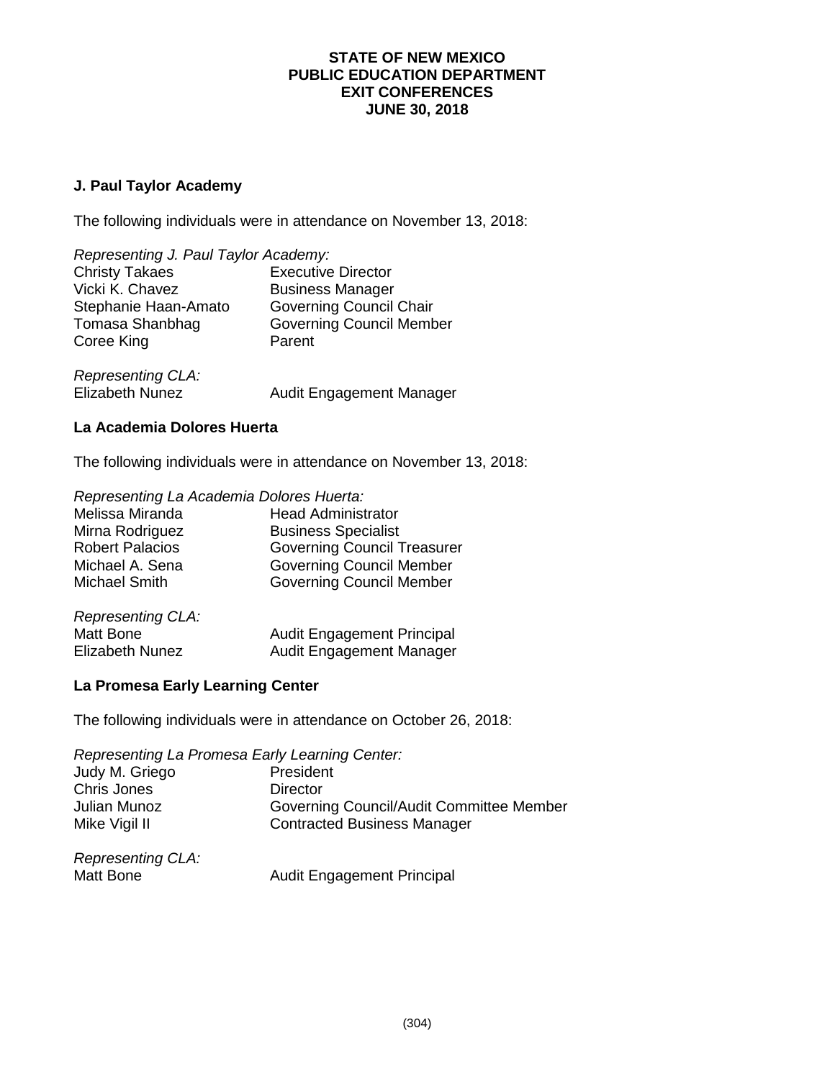## **J. Paul Taylor Academy**

The following individuals were in attendance on November 13, 2018:

| Representing J. Paul Taylor Academy: |                                 |
|--------------------------------------|---------------------------------|
| <b>Christy Takaes</b>                | <b>Executive Director</b>       |
| Vicki K. Chavez                      | <b>Business Manager</b>         |
| Stephanie Haan-Amato                 | <b>Governing Council Chair</b>  |
| Tomasa Shanbhag                      | <b>Governing Council Member</b> |
| <b>Coree King</b>                    | Parent                          |
|                                      |                                 |

*Representing CLA:* Audit Engagement Manager

## **La Academia Dolores Huerta**

The following individuals were in attendance on November 13, 2018:

#### *Representing La Academia Dolores Huerta:*

| Melissa Miranda        | <b>Head Administrator</b>          |
|------------------------|------------------------------------|
| Mirna Rodriguez        | <b>Business Specialist</b>         |
| <b>Robert Palacios</b> | <b>Governing Council Treasurer</b> |
| Michael A. Sena        | <b>Governing Council Member</b>    |
| <b>Michael Smith</b>   | <b>Governing Council Member</b>    |

| Representing CLA: |                                   |
|-------------------|-----------------------------------|
| Matt Bone         | <b>Audit Engagement Principal</b> |
| Elizabeth Nunez   | Audit Engagement Manager          |

## **La Promesa Early Learning Center**

The following individuals were in attendance on October 26, 2018:

*Representing La Promesa Early Learning Center:*

| Judy M. Griego | President                                |
|----------------|------------------------------------------|
| Chris Jones    | Director                                 |
| Julian Munoz   | Governing Council/Audit Committee Member |
| Mike Vigil II  | <b>Contracted Business Manager</b>       |
|                |                                          |

| <b>Representing CLA:</b> |                                   |
|--------------------------|-----------------------------------|
| Matt Bone                | <b>Audit Engagement Principal</b> |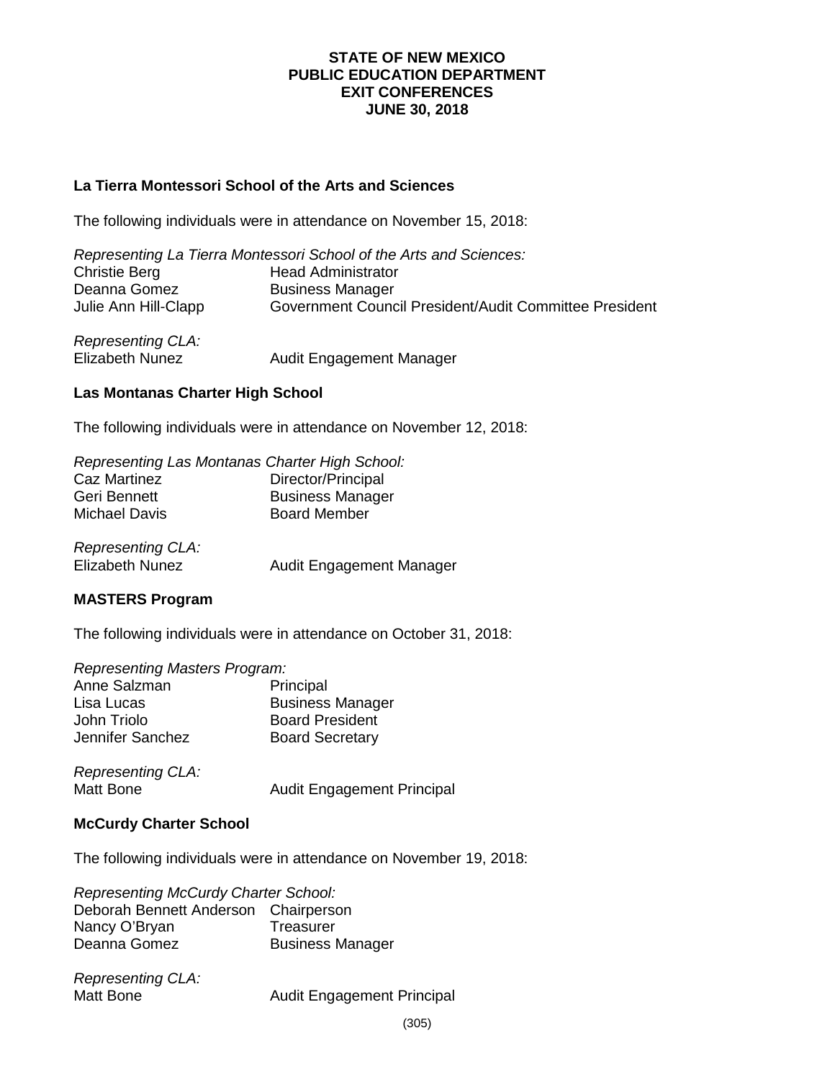## **La Tierra Montessori School of the Arts and Sciences**

The following individuals were in attendance on November 15, 2018:

|                          | Representing La Tierra Montessori School of the Arts and Sciences: |
|--------------------------|--------------------------------------------------------------------|
| <b>Christie Berg</b>     | <b>Head Administrator</b>                                          |
| Deanna Gomez             | <b>Business Manager</b>                                            |
| Julie Ann Hill-Clapp     | Government Council President/Audit Committee President             |
| Representing CLA $\cdot$ |                                                                    |

| <b>ING DIGGEDINING</b> |                          |
|------------------------|--------------------------|
| Elizabeth Nunez        | Audit Engagement Manager |

#### **Las Montanas Charter High School**

The following individuals were in attendance on November 12, 2018:

|                          | Representing Las Montanas Charter High School: |
|--------------------------|------------------------------------------------|
| Caz Martinez             | Director/Principal                             |
| Geri Bennett             | <b>Business Manager</b>                        |
| <b>Michael Davis</b>     | <b>Board Member</b>                            |
| <b>Representing CLA:</b> |                                                |

Elizabeth Nunez Audit Engagement Manager

## **MASTERS Program**

The following individuals were in attendance on October 31, 2018:

#### *Representing Masters Program:*

| Anne Salzman             | Principal                     |
|--------------------------|-------------------------------|
| Lisa Lucas               | <b>Business Manager</b>       |
| John Triolo              | <b>Board President</b>        |
| Jennifer Sanchez         | <b>Board Secretary</b>        |
| <b>Representing CLA:</b> |                               |
| Matt Bone                | <b>Audit Engagement Princ</b> |

# **McCurdy Charter School**

The following individuals were in attendance on November 19, 2018:

Audit Engagement Principal

*Representing McCurdy Charter School:* Deborah Bennett Anderson Chairperson<br>Nancy O'Bryan Treasurer Nancy O'Bryan<br>Deanna Gomez **Business Manager** 

| <b>Representing CLA:</b> |                                   |
|--------------------------|-----------------------------------|
| Matt Bone                | <b>Audit Engagement Principal</b> |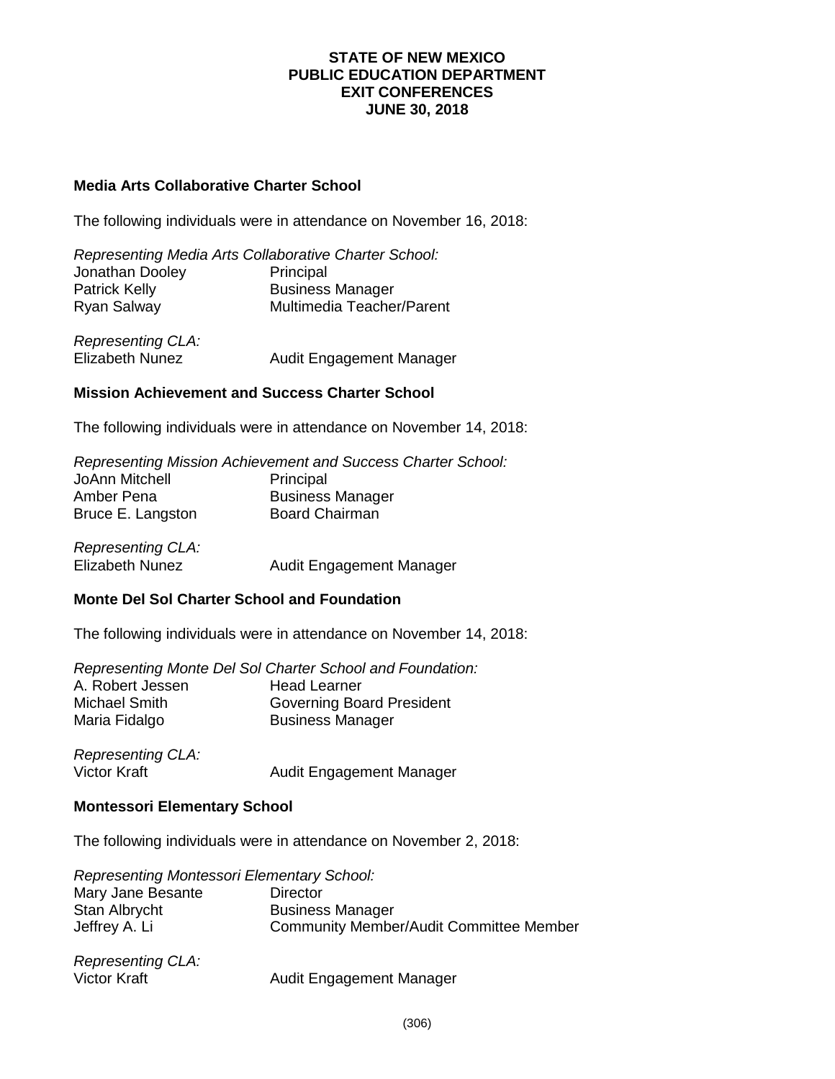## **Media Arts Collaborative Charter School**

The following individuals were in attendance on November 16, 2018:

| Representing Media Arts Collaborative Charter School: |                           |  |
|-------------------------------------------------------|---------------------------|--|
| Jonathan Dooley                                       | Principal                 |  |
| <b>Patrick Kelly</b>                                  | <b>Business Manager</b>   |  |
| Ryan Salway                                           | Multimedia Teacher/Parent |  |
|                                                       |                           |  |

| <b>Representing CLA:</b> |                          |
|--------------------------|--------------------------|
| Elizabeth Nunez          | Audit Engagement Manager |

## **Mission Achievement and Success Charter School**

The following individuals were in attendance on November 14, 2018:

| Representing Mission Achievement and Success Charter School: |                         |  |  |
|--------------------------------------------------------------|-------------------------|--|--|
| JoAnn Mitchell                                               | Principal               |  |  |
| Amber Pena                                                   | <b>Business Manager</b> |  |  |
| Bruce E. Langston                                            | <b>Board Chairman</b>   |  |  |
|                                                              |                         |  |  |

*Representing CLA:*

Audit Engagement Manager

## **Monte Del Sol Charter School and Foundation**

The following individuals were in attendance on November 14, 2018:

| Representing Monte Del Sol Charter School and Foundation: |                                  |  |
|-----------------------------------------------------------|----------------------------------|--|
| A. Robert Jessen                                          | <b>Head Learner</b>              |  |
| Michael Smith                                             | <b>Governing Board President</b> |  |
| Maria Fidalgo                                             | <b>Business Manager</b>          |  |

*Representing CLA:*

Audit Engagement Manager

#### **Montessori Elementary School**

The following individuals were in attendance on November 2, 2018:

| Representing Montessori Elementary School: |                                                |  |
|--------------------------------------------|------------------------------------------------|--|
| Mary Jane Besante                          | <b>Director</b>                                |  |
| Stan Albrycht                              | <b>Business Manager</b>                        |  |
| Jeffrey A. Li                              | <b>Community Member/Audit Committee Member</b> |  |
| <b>Representing CLA:</b>                   |                                                |  |
| <b>Victor Kraft</b>                        | Audit Engagement Manager                       |  |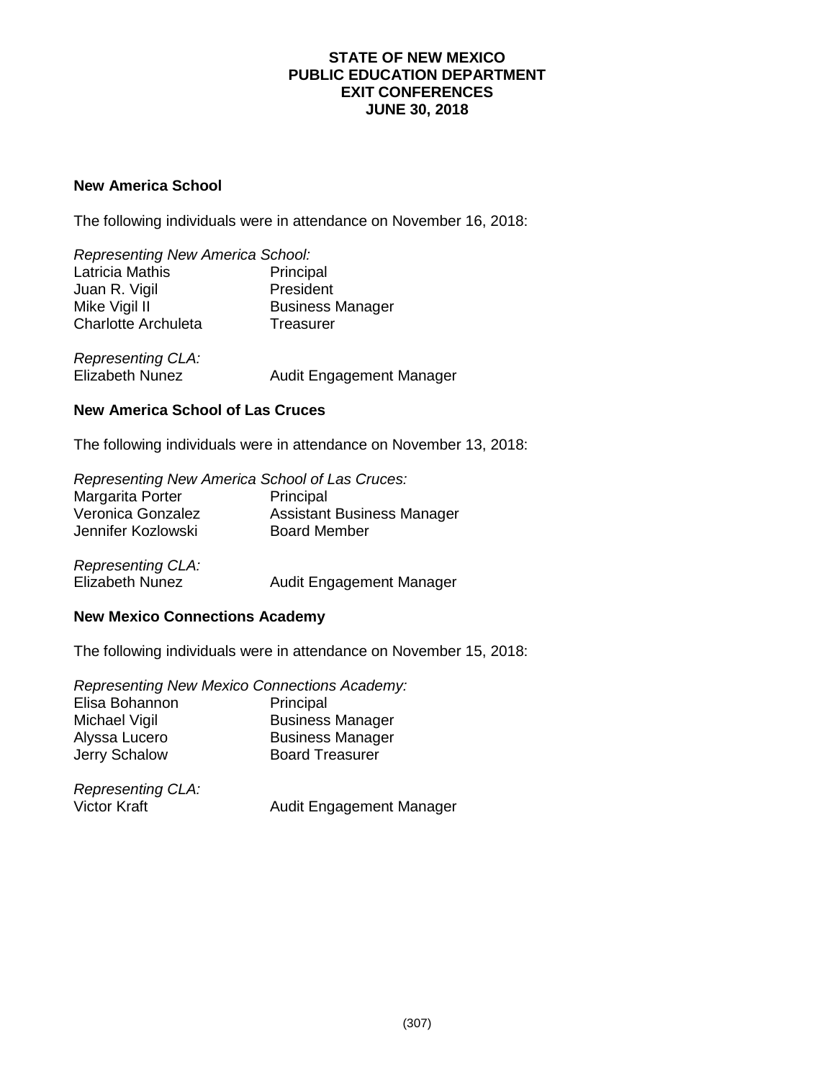## **New America School**

The following individuals were in attendance on November 16, 2018:

| Representing New America School: |                          |
|----------------------------------|--------------------------|
| Latricia Mathis                  | Principal                |
| Juan R. Vigil                    | President                |
| Mike Vigil II                    | <b>Business Manager</b>  |
| <b>Charlotte Archuleta</b>       | Treasurer                |
| <b>Representing CLA:</b>         |                          |
| <b>Elizabeth Nunez</b>           | Audit Engagement Manager |

## **New America School of Las Cruces**

The following individuals were in attendance on November 13, 2018:

| Representing New America School of Las Cruces: |                                   |  |
|------------------------------------------------|-----------------------------------|--|
| Margarita Porter                               | Principal                         |  |
| Veronica Gonzalez                              | <b>Assistant Business Manager</b> |  |
| Jennifer Kozlowski                             | <b>Board Member</b>               |  |
|                                                |                                   |  |

*Representing CLA:*

Audit Engagement Manager

#### **New Mexico Connections Academy**

The following individuals were in attendance on November 15, 2018:

*Representing New Mexico Connections Academy:*

| Elisa Bohannon | Principal               |
|----------------|-------------------------|
| Michael Vigil  | <b>Business Manager</b> |
| Alyssa Lucero  | <b>Business Manager</b> |
| Jerry Schalow  | <b>Board Treasurer</b>  |
|                |                         |

| <b>Representing CLA:</b> |  |  |
|--------------------------|--|--|
| Victor Kraft             |  |  |

Audit Engagement Manager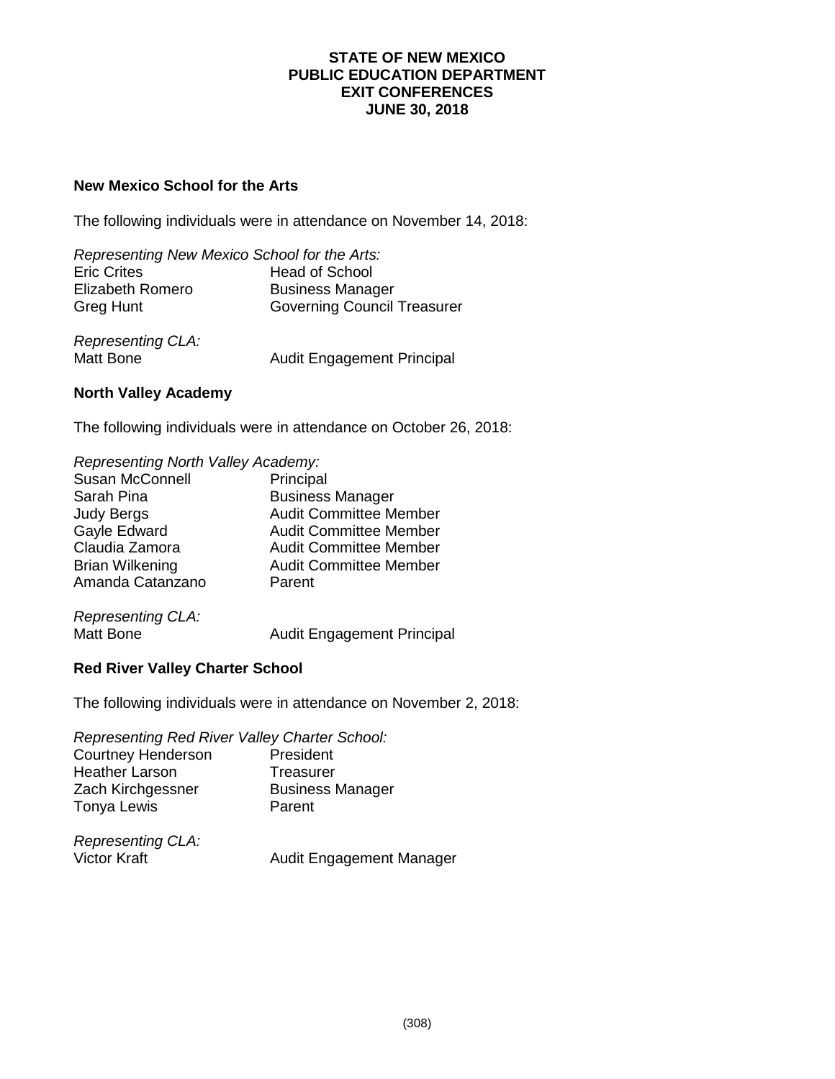## **New Mexico School for the Arts**

The following individuals were in attendance on November 14, 2018:

| Representing New Mexico School for the Arts: |                                    |
|----------------------------------------------|------------------------------------|
| <b>Eric Crites</b>                           | <b>Head of School</b>              |
| Elizabeth Romero                             | <b>Business Manager</b>            |
| <b>Greg Hunt</b>                             | <b>Governing Council Treasurer</b> |
| <b>Representing CLA:</b><br>Matt Bone        | <b>Audit Engagement Principal</b>  |

## **North Valley Academy**

The following individuals were in attendance on October 26, 2018:

#### *Representing North Valley Academy:*

| Susan McConnell        | Principal                     |
|------------------------|-------------------------------|
| Sarah Pina             | <b>Business Manager</b>       |
| <b>Judy Bergs</b>      | <b>Audit Committee Member</b> |
| Gayle Edward           | <b>Audit Committee Member</b> |
| Claudia Zamora         | <b>Audit Committee Member</b> |
| <b>Brian Wilkening</b> | <b>Audit Committee Member</b> |
| Amanda Catanzano       | Parent                        |
|                        |                               |

*Representing CLA:*

Audit Engagement Principal

# **Red River Valley Charter School**

The following individuals were in attendance on November 2, 2018:

*Representing Red River Valley Charter School:* Courtney Henderson President<br>
Heather Larson Treasurer Heather Larson<br>Zach Kirchgessner **Business Manager** Tonya Lewis Parent

| <b>Representing CLA:</b> |                          |
|--------------------------|--------------------------|
| Victor Kraft             | Audit Engagement Manager |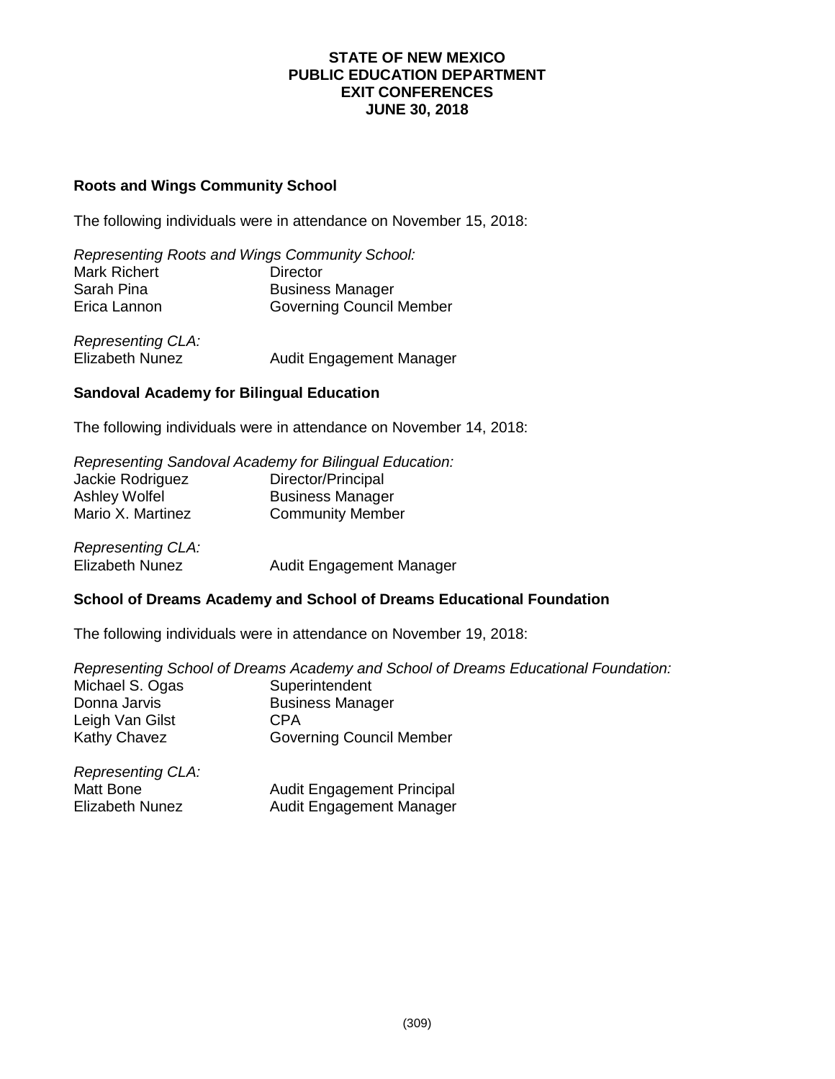# **Roots and Wings Community School**

The following individuals were in attendance on November 15, 2018:

|                     | Representing Roots and Wings Community School: |
|---------------------|------------------------------------------------|
| <b>Mark Richert</b> | Director                                       |
| Sarah Pina          | <b>Business Manager</b>                        |
| Erica Lannon        | <b>Governing Council Member</b>                |
|                     |                                                |

| <b>Representing CLA:</b> |                          |
|--------------------------|--------------------------|
| Elizabeth Nunez          | Audit Engagement Manager |

## **Sandoval Academy for Bilingual Education**

The following individuals were in attendance on November 14, 2018:

| Representing Sandoval Academy for Bilingual Education: |                         |
|--------------------------------------------------------|-------------------------|
| Jackie Rodriguez                                       | Director/Principal      |
| <b>Ashley Wolfel</b>                                   | <b>Business Manager</b> |
| Mario X. Martinez                                      | <b>Community Member</b> |

| <b>Representing CLA:</b> |                          |
|--------------------------|--------------------------|
| Elizabeth Nunez          | Audit Engagement Manager |

## **School of Dreams Academy and School of Dreams Educational Foundation**

The following individuals were in attendance on November 19, 2018:

|                          | Representing School of Dreams Academy and School of Dreams Educational Foundation: |
|--------------------------|------------------------------------------------------------------------------------|
| Michael S. Ogas          | Superintendent                                                                     |
| Donna Jarvis             | <b>Business Manager</b>                                                            |
| Leigh Van Gilst          | CPA                                                                                |
| <b>Kathy Chavez</b>      | <b>Governing Council Member</b>                                                    |
| <b>Representing CLA:</b> |                                                                                    |
| $M0$ <sup>++</sup> $D0$  | Audit Engogamont Drinoinol                                                         |

| Matt Bone       | <b>Audit Engagement Principal</b> |
|-----------------|-----------------------------------|
| Elizabeth Nunez | Audit Engagement Manager          |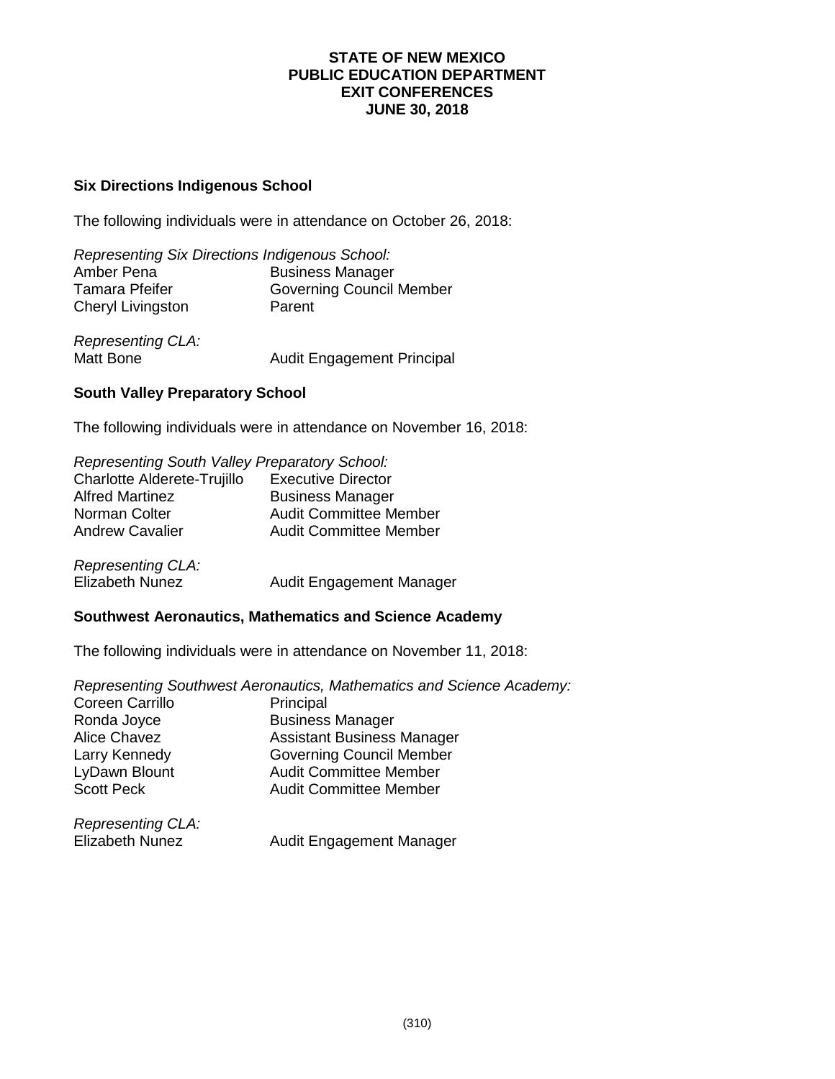## **Six Directions Indigenous School**

The following individuals were in attendance on October 26, 2018:

| Representing Six Directions Indigenous School: |  |
|------------------------------------------------|--|
| <b>Business Manager</b>                        |  |
| <b>Governing Council Member</b>                |  |
|                                                |  |
|                                                |  |

| <b>Representing CLA:</b> |                                   |
|--------------------------|-----------------------------------|
| Matt Bone                | <b>Audit Engagement Principal</b> |

# **South Valley Preparatory School**

The following individuals were in attendance on November 16, 2018:

| Representing South Valley Preparatory School:      |                               |
|----------------------------------------------------|-------------------------------|
| Charlotte Alderete-Trujillo                        | <b>Executive Director</b>     |
| <b>Alfred Martinez</b>                             | <b>Business Manager</b>       |
| Norman Colter                                      | <b>Audit Committee Member</b> |
| <b>Andrew Cavalier</b>                             | <b>Audit Committee Member</b> |
| <b>Representing CLA:</b><br><b>Elizabeth Nunez</b> | Audit Engagement Manager      |
|                                                    |                               |

# **Southwest Aeronautics, Mathematics and Science Academy**

The following individuals were in attendance on November 11, 2018:

|                   | Representing Southwest Aeronautics, Mathematics and Science Academy: |
|-------------------|----------------------------------------------------------------------|
| Coreen Carrillo   | Principal                                                            |
| Ronda Joyce       | <b>Business Manager</b>                                              |
| Alice Chavez      | <b>Assistant Business Manager</b>                                    |
| Larry Kennedy     | <b>Governing Council Member</b>                                      |
| LyDawn Blount     | <b>Audit Committee Member</b>                                        |
| <b>Scott Peck</b> | <b>Audit Committee Member</b>                                        |
| Representing CLA: |                                                                      |

Audit Engagement Manager

| <b>Representing CLA:</b> |                          |
|--------------------------|--------------------------|
| <b>Elizabeth Nunez</b>   | Audit Engagement Manager |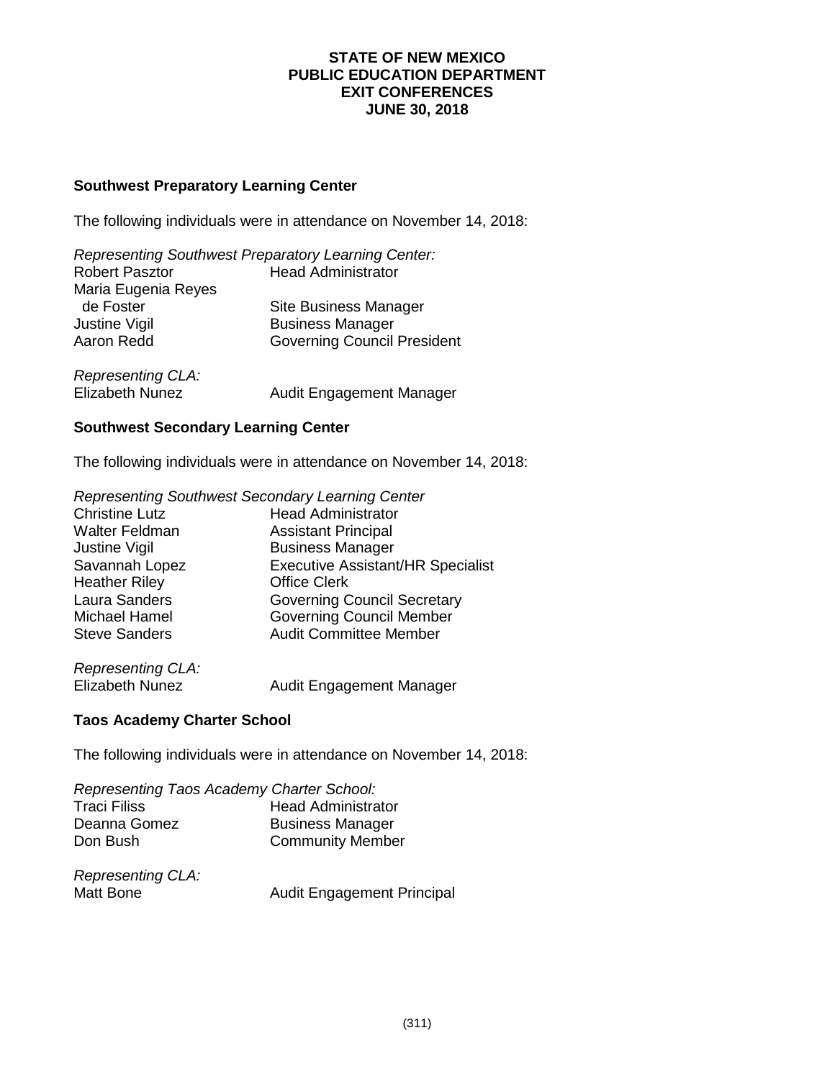## **Southwest Preparatory Learning Center**

The following individuals were in attendance on November 14, 2018:

|                       | Representing Southwest Preparatory Learning Center: |
|-----------------------|-----------------------------------------------------|
| <b>Robert Pasztor</b> | <b>Head Administrator</b>                           |
| Maria Eugenia Reyes   |                                                     |
| de Foster             | <b>Site Business Manager</b>                        |
| Justine Vigil         | <b>Business Manager</b>                             |
| Aaron Redd            | <b>Governing Council President</b>                  |
|                       |                                                     |

*Representing CLA:* Audit Engagement Manager

## **Southwest Secondary Learning Center**

The following individuals were in attendance on November 14, 2018:

|                       | Representing Southwest Secondary Learning Center |
|-----------------------|--------------------------------------------------|
| <b>Christine Lutz</b> | <b>Head Administrator</b>                        |
| Walter Feldman        | <b>Assistant Principal</b>                       |
| Justine Vigil         | <b>Business Manager</b>                          |
| Savannah Lopez        | <b>Executive Assistant/HR Specialist</b>         |
| <b>Heather Riley</b>  | <b>Office Clerk</b>                              |
| Laura Sanders         | <b>Governing Council Secretary</b>               |
| Michael Hamel         | <b>Governing Council Member</b>                  |
| <b>Steve Sanders</b>  | <b>Audit Committee Member</b>                    |
|                       |                                                  |
|                       |                                                  |

*Representing CLA:* Audit Engagement Manager

## **Taos Academy Charter School**

The following individuals were in attendance on November 14, 2018:

| Representing Taos Academy Charter School: |                                   |
|-------------------------------------------|-----------------------------------|
| <b>Traci Filiss</b>                       | <b>Head Administrator</b>         |
| Deanna Gomez                              | <b>Business Manager</b>           |
| Don Bush                                  | <b>Community Member</b>           |
| <b>Representing CLA:</b>                  |                                   |
| Matt Bone                                 | <b>Audit Engagement Principal</b> |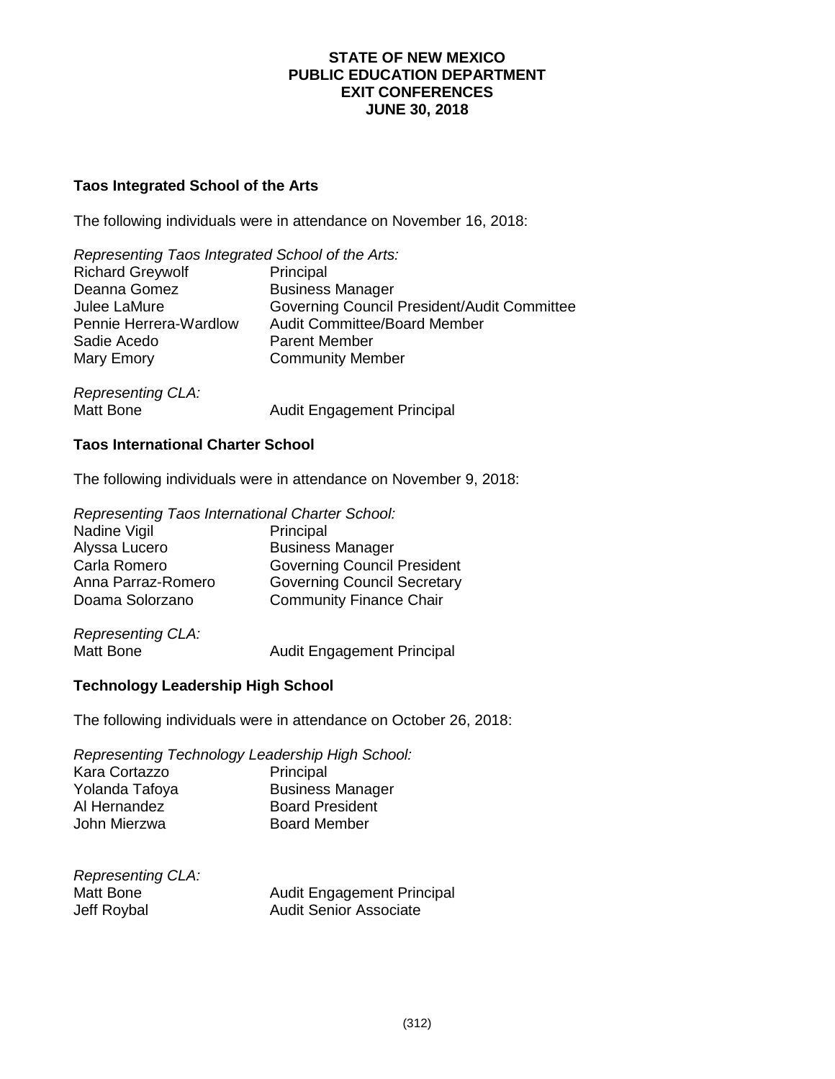## **Taos Integrated School of the Arts**

The following individuals were in attendance on November 16, 2018:

| Representing Taos Integrated School of the Arts: |                                             |
|--------------------------------------------------|---------------------------------------------|
| <b>Richard Greywolf</b>                          | Principal                                   |
| Deanna Gomez                                     | <b>Business Manager</b>                     |
| Julee LaMure                                     | Governing Council President/Audit Committee |
| Pennie Herrera-Wardlow                           | <b>Audit Committee/Board Member</b>         |
| Sadie Acedo                                      | <b>Parent Member</b>                        |
| Mary Emory                                       | <b>Community Member</b>                     |
|                                                  |                                             |

*Representing CLA:*

Audit Engagement Principal

#### **Taos International Charter School**

The following individuals were in attendance on November 9, 2018:

| Representing Taos International Charter School: |                                    |
|-------------------------------------------------|------------------------------------|
| Nadine Vigil                                    | Principal                          |
| Alyssa Lucero                                   | <b>Business Manager</b>            |
| Carla Romero                                    | <b>Governing Council President</b> |
| Anna Parraz-Romero                              | <b>Governing Council Secretary</b> |
| Doama Solorzano                                 | <b>Community Finance Chair</b>     |
|                                                 |                                    |

*Representing CLA:*

Audit Engagement Principal

#### **Technology Leadership High School**

The following individuals were in attendance on October 26, 2018:

*Representing Technology Leadership High School:*

| Kara Cortazzo  | Principal               |
|----------------|-------------------------|
| Yolanda Tafoya | <b>Business Manager</b> |
| Al Hernandez   | <b>Board President</b>  |
| John Mierzwa   | <b>Board Member</b>     |

| <b>Representing CLA:</b> |                                   |
|--------------------------|-----------------------------------|
| Matt Bone                | <b>Audit Engagement Principal</b> |
| Jeff Roybal              | <b>Audit Senior Associate</b>     |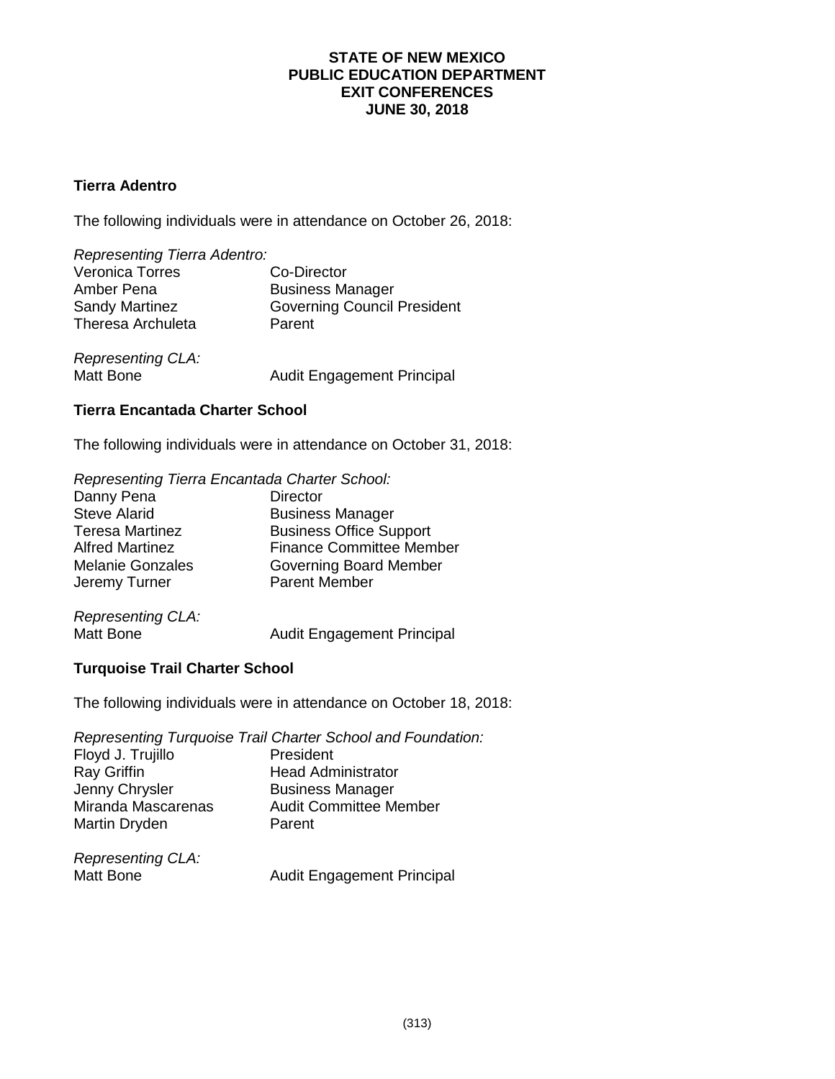## **Tierra Adentro**

The following individuals were in attendance on October 26, 2018:

| Representing Tierra Adentro: |                                    |
|------------------------------|------------------------------------|
| Veronica Torres              | Co-Director                        |
| Amber Pena                   | <b>Business Manager</b>            |
| <b>Sandy Martinez</b>        | <b>Governing Council President</b> |
| Theresa Archuleta            | Parent                             |
|                              |                                    |

*Representing CLA:* Audit Engagement Principal

# **Tierra Encantada Charter School**

The following individuals were in attendance on October 31, 2018:

| Representing Tierra Encantada Charter School: |  |
|-----------------------------------------------|--|
| <b>Director</b>                               |  |
| <b>Business Manager</b>                       |  |
| <b>Business Office Support</b>                |  |
| <b>Finance Committee Member</b>               |  |
| <b>Governing Board Member</b>                 |  |
| <b>Parent Member</b>                          |  |
|                                               |  |

*Representing CLA:*

Audit Engagement Principal

## **Turquoise Trail Charter School**

The following individuals were in attendance on October 18, 2018:

|                    | Representing Turquoise Trail Charter School and Foundation: |
|--------------------|-------------------------------------------------------------|
| Floyd J. Trujillo  | President                                                   |
| <b>Ray Griffin</b> | <b>Head Administrator</b>                                   |
| Jenny Chrysler     | <b>Business Manager</b>                                     |
| Miranda Mascarenas | <b>Audit Committee Member</b>                               |
| Martin Dryden      | Parent                                                      |
|                    |                                                             |

| <b>Representing CLA:</b> |                                   |
|--------------------------|-----------------------------------|
| Matt Bone                | <b>Audit Engagement Principal</b> |